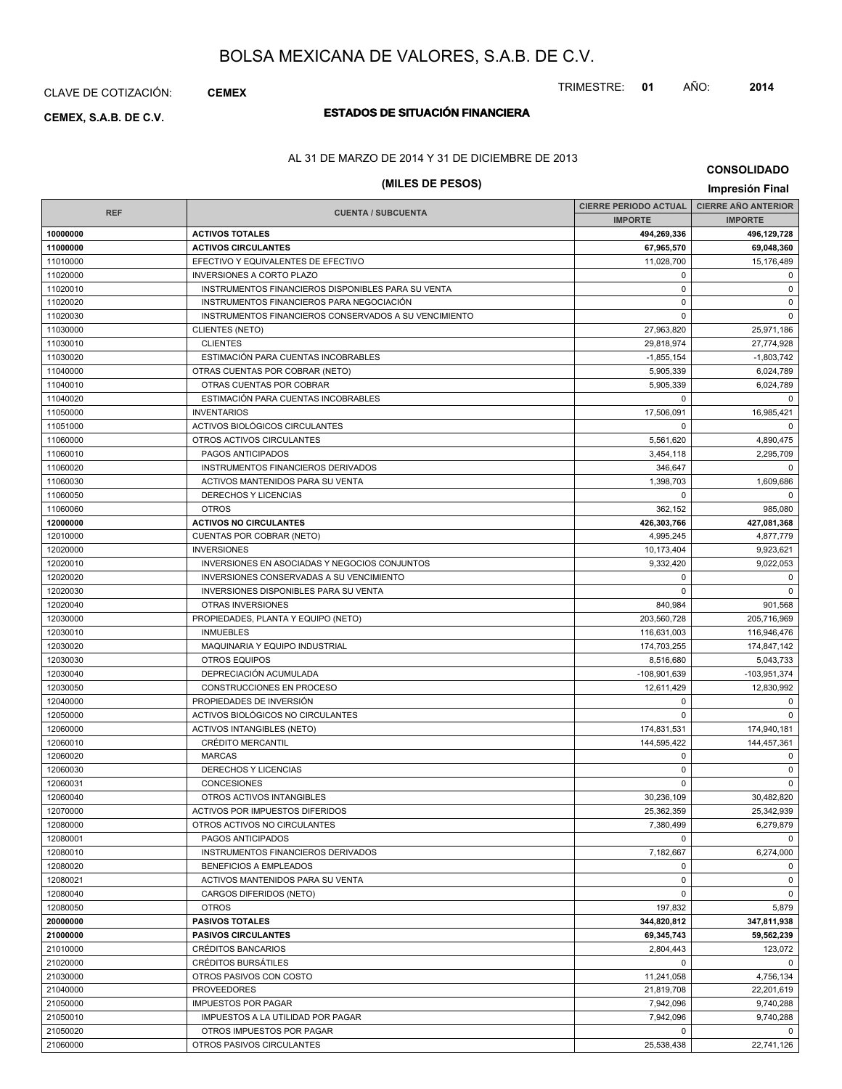# CLAVE DE COTIZACIÓN: **CEMEX**

# **ESTADOS DE SITUACIÓN FINANCIERA CEMEX, S.A.B. DE C.V.**

# TRIMESTRE: **01** AÑO: **2014**

AL 31 DE MARZO DE 2014 Y 31 DE DICIEMBRE DE 2013

# **(MILES DE PESOS) Impresión Final**

**CONSOLIDADO**

|                      |                                                              | CIERRE PERIODO ACTUAL   CIERRE AÑO ANTERIOR |                          |
|----------------------|--------------------------------------------------------------|---------------------------------------------|--------------------------|
| <b>REF</b>           | <b>CUENTA / SUBCUENTA</b>                                    | <b>IMPORTE</b>                              | <b>IMPORTE</b>           |
| 10000000             | <b>ACTIVOS TOTALES</b>                                       | 494,269,336                                 | 496,129,728              |
| 11000000             | <b>ACTIVOS CIRCULANTES</b>                                   | 67,965,570                                  | 69,048,360               |
| 11010000             | EFECTIVO Y EQUIVALENTES DE EFECTIVO                          | 11,028,700                                  | 15,176,489               |
| 11020000             | <b>INVERSIONES A CORTO PLAZO</b>                             | $\mathbf 0$                                 | $\mathbf 0$              |
| 11020010             | INSTRUMENTOS FINANCIEROS DISPONIBLES PARA SU VENTA           | $\mathbf 0$                                 | $\mathbf 0$              |
| 11020020             | INSTRUMENTOS FINANCIEROS PARA NEGOCIACIÓN                    | 0                                           | $\mathbf 0$              |
| 11020030             | INSTRUMENTOS FINANCIEROS CONSERVADOS A SU VENCIMIENTO        | $\Omega$                                    | $\mathbf 0$              |
| 11030000             | <b>CLIENTES (NETO)</b>                                       | 27,963,820                                  | 25,971,186               |
| 11030010             | <b>CLIENTES</b>                                              | 29,818,974                                  | 27,774,928               |
| 11030020             | ESTIMACIÓN PARA CUENTAS INCOBRABLES                          | $-1,855,154$                                | $-1,803,742$             |
| 11040000             | OTRAS CUENTAS POR COBRAR (NETO)                              | 5,905,339                                   | 6,024,789                |
| 11040010             | OTRAS CUENTAS POR COBRAR                                     | 5,905,339                                   | 6,024,789                |
| 11040020             | ESTIMACIÓN PARA CUENTAS INCOBRABLES                          | $\Omega$                                    | $\Omega$                 |
| 11050000             | <b>INVENTARIOS</b>                                           | 17,506,091                                  | 16,985,421               |
| 11051000             | ACTIVOS BIOLÓGICOS CIRCULANTES                               | $\Omega$                                    | $\Omega$                 |
| 11060000             | OTROS ACTIVOS CIRCULANTES                                    | 5,561,620                                   | 4,890,475                |
| 11060010             | PAGOS ANTICIPADOS                                            | 3,454,118                                   | 2,295,709                |
| 11060020             | INSTRUMENTOS FINANCIEROS DERIVADOS                           | 346,647                                     | $\mathbf 0$              |
| 11060030             | ACTIVOS MANTENIDOS PARA SU VENTA                             | 1,398,703                                   | 1,609,686                |
| 11060050             | <b>DERECHOS Y LICENCIAS</b>                                  | 0                                           | $\mathbf 0$              |
| 11060060             | <b>OTROS</b>                                                 | 362,152                                     | 985,080                  |
| 12000000             | <b>ACTIVOS NO CIRCULANTES</b>                                | 426,303,766                                 | 427,081,368              |
| 12010000             | CUENTAS POR COBRAR (NETO)                                    | 4,995,245                                   | 4,877,779                |
| 12020000             | <b>INVERSIONES</b>                                           | 10,173,404                                  | 9,923,621                |
| 12020010             | INVERSIONES EN ASOCIADAS Y NEGOCIOS CONJUNTOS                | 9,332,420                                   | 9,022,053                |
| 12020020             | INVERSIONES CONSERVADAS A SU VENCIMIENTO                     | $\mathbf 0$                                 | 0                        |
| 12020030             | <b>INVERSIONES DISPONIBLES PARA SU VENTA</b>                 | $\Omega$                                    | $\mathbf 0$              |
| 12020040             | OTRAS INVERSIONES                                            | 840,984                                     | 901,568                  |
| 12030000             | PROPIEDADES, PLANTA Y EQUIPO (NETO)                          | 203,560,728                                 | 205,716,969              |
| 12030010             | <b>INMUEBLES</b>                                             | 116,631,003                                 | 116,946,476              |
| 12030020             | MAQUINARIA Y EQUIPO INDUSTRIAL                               | 174,703,255                                 | 174,847,142              |
| 12030030             | <b>OTROS EQUIPOS</b>                                         | 8,516,680                                   | 5,043,733                |
| 12030040             | DEPRECIACIÓN ACUMULADA                                       | -108,901,639                                | $-103,951,374$           |
| 12030050             | CONSTRUCCIONES EN PROCESO                                    | 12,611,429                                  | 12,830,992               |
| 12040000             | PROPIEDADES DE INVERSIÓN                                     | 0                                           | 0                        |
| 12050000             | ACTIVOS BIOLÓGICOS NO CIRCULANTES                            | $\Omega$                                    | $\Omega$                 |
| 12060000             | <b>ACTIVOS INTANGIBLES (NETO)</b>                            | 174,831,531                                 | 174,940,181              |
| 12060010             | <b>CRÉDITO MERCANTIL</b>                                     | 144,595,422                                 | 144,457,361              |
| 12060020             | <b>MARCAS</b>                                                | 0<br>$\Omega$                               | 0                        |
| 12060030             | DERECHOS Y LICENCIAS                                         | $\Omega$                                    | $\mathbf 0$              |
| 12060031             | <b>CONCESIONES</b>                                           | 30,236,109                                  | 0                        |
| 12060040<br>12070000 | OTROS ACTIVOS INTANGIBLES<br>ACTIVOS POR IMPUESTOS DIFERIDOS | 25,362,359                                  | 30,482,820<br>25,342,939 |
| 12080000             | OTROS ACTIVOS NO CIRCULANTES                                 | 7,380,499                                   | 6,279,879                |
| 12080001             | PAGOS ANTICIPADOS                                            | $\Omega$                                    | 0                        |
| 12080010             | INSTRUMENTOS FINANCIEROS DERIVADOS                           | 7,182,667                                   | 6,274,000                |
| 12080020             | <b>BENEFICIOS A EMPLEADOS</b>                                | $^{\circ}$                                  | 0                        |
| 12080021             | ACTIVOS MANTENIDOS PARA SU VENTA                             | $\mathbf 0$                                 | $\mathbf 0$              |
| 12080040             | CARGOS DIFERIDOS (NETO)                                      | $\mathbf 0$                                 | $\mathbf 0$              |
| 12080050             | <b>OTROS</b>                                                 | 197,832                                     | 5,879                    |
| 20000000             | <b>PASIVOS TOTALES</b>                                       | 344,820,812                                 | 347,811,938              |
| 21000000             | <b>PASIVOS CIRCULANTES</b>                                   | 69,345,743                                  | 59,562,239               |
| 21010000             | CRÉDITOS BANCARIOS                                           | 2,804,443                                   | 123,072                  |
| 21020000             | CRÉDITOS BURSÁTILES                                          | $\mathbf 0$                                 | 0                        |
| 21030000             | OTROS PASIVOS CON COSTO                                      | 11,241,058                                  | 4,756,134                |
| 21040000             | <b>PROVEEDORES</b>                                           | 21,819,708                                  | 22,201,619               |
| 21050000             | <b>IMPUESTOS POR PAGAR</b>                                   | 7,942,096                                   | 9,740,288                |
| 21050010             | IMPUESTOS A LA UTILIDAD POR PAGAR                            | 7,942,096                                   | 9,740,288                |
| 21050020             | OTROS IMPUESTOS POR PAGAR                                    | $\mathbf 0$                                 | 0                        |
| 21060000             | OTROS PASIVOS CIRCULANTES                                    | 25,538,438                                  | 22,741,126               |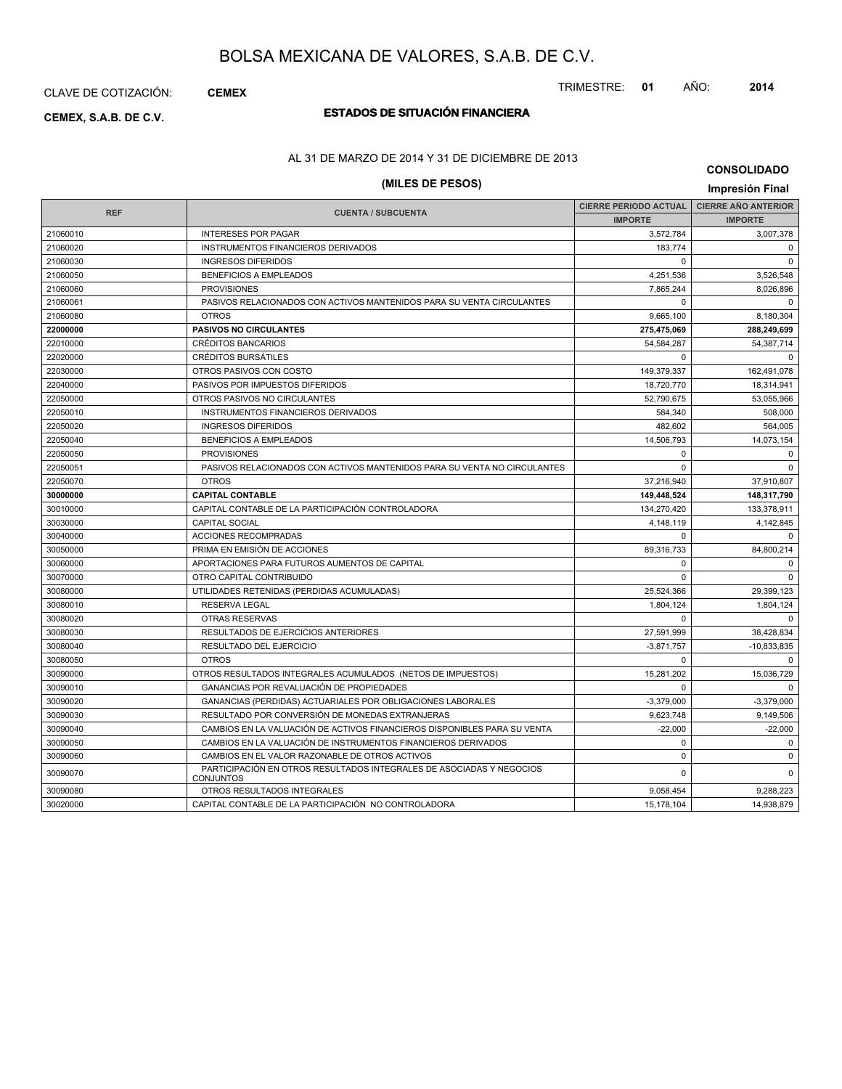CLAVE DE COTIZACIÓN: **CEMEX**

# **ESTADOS DE SITUACIÓN FINANCIERA CEMEX, S.A.B. DE C.V.**

### AL 31 DE MARZO DE 2014 Y 31 DE DICIEMBRE DE 2013

# **(MILES DE PESOS) Impresión Final**

| <b>CONSOLIDADO</b> |  |
|--------------------|--|
|--------------------|--|

|            |                                                                                          | <b>CIERRE PERIODO ACTUAL</b> | <b>CIERRE AÑO ANTERIOR</b> |
|------------|------------------------------------------------------------------------------------------|------------------------------|----------------------------|
| <b>REF</b> | <b>CUENTA / SUBCUENTA</b>                                                                | <b>IMPORTE</b>               | <b>IMPORTE</b>             |
| 21060010   | <b>INTERESES POR PAGAR</b>                                                               | 3,572,784                    | 3,007,378                  |
| 21060020   | INSTRUMENTOS FINANCIEROS DERIVADOS                                                       | 183,774                      | $\mathbf 0$                |
| 21060030   | <b>INGRESOS DIFERIDOS</b>                                                                | $\Omega$                     | $\Omega$                   |
| 21060050   | <b>BENEFICIOS A EMPLEADOS</b>                                                            | 4,251,536                    | 3,526,548                  |
| 21060060   | <b>PROVISIONES</b>                                                                       | 7,865,244                    | 8,026,896                  |
| 21060061   | PASIVOS RELACIONADOS CON ACTIVOS MANTENIDOS PARA SU VENTA CIRCULANTES                    | $\Omega$                     | $\Omega$                   |
| 21060080   | <b>OTROS</b>                                                                             | 9.665.100                    | 8.180.304                  |
| 22000000   | <b>PASIVOS NO CIRCULANTES</b>                                                            | 275,475,069                  | 288,249,699                |
| 22010000   | <b>CRÉDITOS BANCARIOS</b>                                                                | 54,584,287                   | 54, 387, 714               |
| 22020000   | <b>CRÉDITOS BURSÁTILES</b>                                                               | $\Omega$                     | $\Omega$                   |
| 22030000   | OTROS PASIVOS CON COSTO                                                                  | 149,379,337                  | 162,491,078                |
| 22040000   | PASIVOS POR IMPUESTOS DIFERIDOS                                                          | 18,720,770                   | 18,314,941                 |
| 22050000   | OTROS PASIVOS NO CIRCULANTES                                                             | 52,790,675                   | 53,055,966                 |
| 22050010   | INSTRUMENTOS FINANCIEROS DERIVADOS                                                       | 584,340                      | 508,000                    |
| 22050020   | <b>INGRESOS DIFERIDOS</b>                                                                | 482,602                      | 564,005                    |
| 22050040   | <b>BENEFICIOS A EMPLEADOS</b>                                                            | 14,506,793                   | 14,073,154                 |
| 22050050   | <b>PROVISIONES</b>                                                                       | $\Omega$                     | $\Omega$                   |
| 22050051   | PASIVOS RELACIONADOS CON ACTIVOS MANTENIDOS PARA SU VENTA NO CIRCULANTES                 | $\Omega$                     | $\Omega$                   |
| 22050070   | <b>OTROS</b>                                                                             | 37,216,940                   | 37,910,807                 |
| 30000000   | <b>CAPITAL CONTABLE</b>                                                                  | 149,448,524                  | 148,317,790                |
| 30010000   | CAPITAL CONTABLE DE LA PARTICIPACIÓN CONTROLADORA                                        | 134,270,420                  | 133,378,911                |
| 30030000   | <b>CAPITAL SOCIAL</b>                                                                    | 4,148,119                    | 4,142,845                  |
| 30040000   | <b>ACCIONES RECOMPRADAS</b>                                                              | $\Omega$                     | $\Omega$                   |
| 30050000   | PRIMA EN EMISIÓN DE ACCIONES                                                             | 89,316,733                   | 84,800,214                 |
| 30060000   | APORTACIONES PARA FUTUROS AUMENTOS DE CAPITAL                                            | $\Omega$                     | $\Omega$                   |
| 30070000   | OTRO CAPITAL CONTRIBUIDO                                                                 | $\Omega$                     | $\Omega$                   |
| 30080000   | UTILIDADES RETENIDAS (PERDIDAS ACUMULADAS)                                               | 25,524,366                   | 29.399.123                 |
| 30080010   | <b>RESERVA LEGAL</b>                                                                     | 1,804,124                    | 1,804,124                  |
| 30080020   | <b>OTRAS RESERVAS</b>                                                                    | $\Omega$                     | $\Omega$                   |
| 30080030   | RESULTADOS DE EJERCICIOS ANTERIORES                                                      | 27,591,999                   | 38,428,834                 |
| 30080040   | RESULTADO DEL EJERCICIO                                                                  | $-3,871,757$                 | $-10,833,835$              |
| 30080050   | <b>OTROS</b>                                                                             | $\mathbf 0$                  | $\mathbf 0$                |
| 30090000   | OTROS RESULTADOS INTEGRALES ACUMULADOS (NETOS DE IMPUESTOS)                              | 15,281,202                   | 15,036,729                 |
| 30090010   | GANANCIAS POR REVALUACIÓN DE PROPIEDADES                                                 | $\Omega$                     | $\Omega$                   |
| 30090020   | GANANCIAS (PERDIDAS) ACTUARIALES POR OBLIGACIONES LABORALES                              | $-3,379,000$                 | $-3,379,000$               |
| 30090030   | RESULTADO POR CONVERSIÓN DE MONEDAS EXTRANJERAS                                          | 9,623,748                    | 9,149,506                  |
| 30090040   | CAMBIOS EN LA VALUACIÓN DE ACTIVOS FINANCIEROS DISPONIBLES PARA SU VENTA                 | $-22.000$                    | $-22,000$                  |
| 30090050   | CAMBIOS EN LA VALUACIÓN DE INSTRUMENTOS FINANCIEROS DERIVADOS                            | $\mathbf 0$                  | $\mathbf 0$                |
| 30090060   | CAMBIOS EN EL VALOR RAZONABLE DE OTROS ACTIVOS                                           | $\mathbf 0$                  | $\Omega$                   |
| 30090070   | PARTICIPACIÓN EN OTROS RESULTADOS INTEGRALES DE ASOCIADAS Y NEGOCIOS<br><b>CONJUNTOS</b> | $\Omega$                     | $\mathbf 0$                |
| 30090080   | OTROS RESULTADOS INTEGRALES                                                              | 9,058,454                    | 9,288,223                  |
| 30020000   | CAPITAL CONTABLE DE LA PARTICIPACIÓN NO CONTROLADORA                                     | 15,178,104                   | 14,938,879                 |

### TRIMESTRE: **01** AÑO: **2014**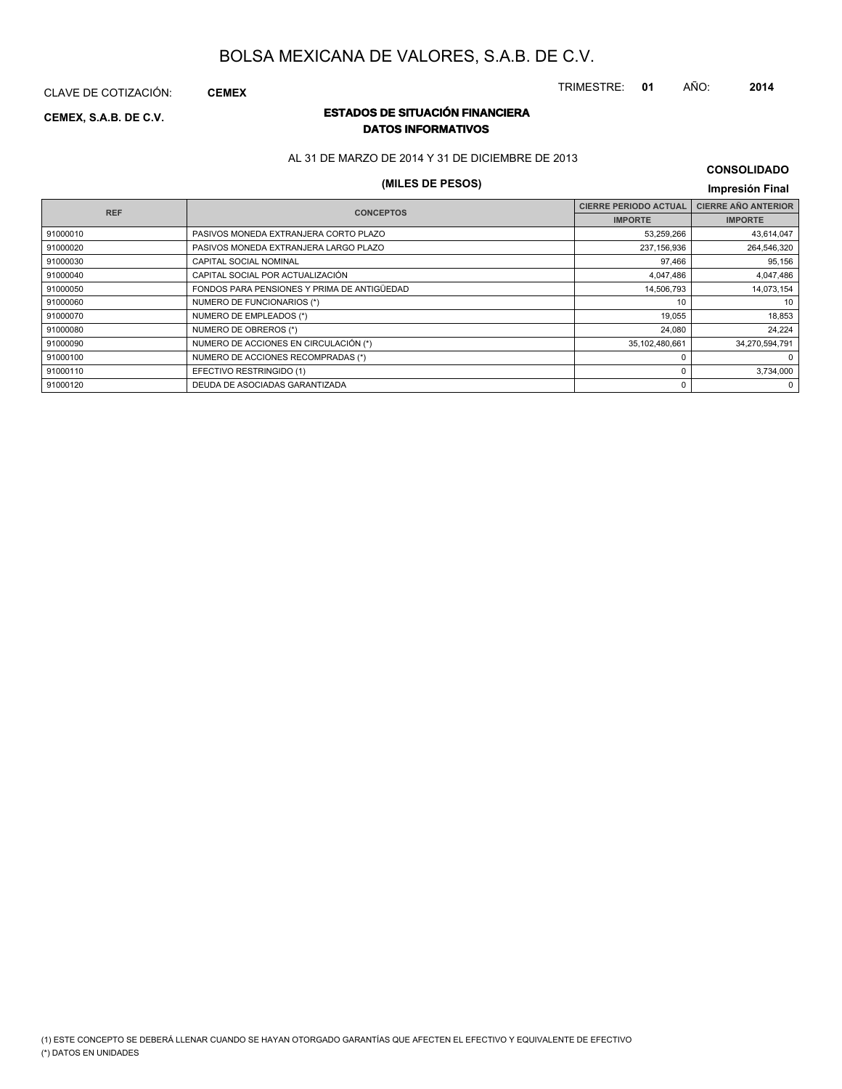TRIMESTRE: **01** AÑO: **2014**

CLAVE DE COTIZACIÓN: **CEMEX**

### **ESTADOS DE SITUACIÓN FINANCIERA CEMEX, S.A.B. DE C.V. DATOS INFORMATIVOS**

AL 31 DE MARZO DE 2014 Y 31 DE DICIEMBRE DE 2013

# **(MILES DE PESOS) Impresión Final**

**CONSOLIDADO**

| <b>REF</b> | <b>CONCEPTOS</b>                            | <b>CIERRE PERIODO ACTUAL</b> | <b>CIERRE AÑO ANTERIOR</b> |
|------------|---------------------------------------------|------------------------------|----------------------------|
|            |                                             | <b>IMPORTE</b>               | <b>IMPORTE</b>             |
| 91000010   | PASIVOS MONEDA EXTRANJERA CORTO PLAZO       | 53,259,266                   | 43,614,047                 |
| 91000020   | PASIVOS MONEDA EXTRANJERA LARGO PLAZO       | 237,156,936                  | 264,546,320                |
| 91000030   | CAPITAL SOCIAL NOMINAL                      | 97,466                       | 95,156                     |
| 91000040   | CAPITAL SOCIAL POR ACTUALIZACIÓN            | 4,047,486                    | 4,047,486                  |
| 91000050   | FONDOS PARA PENSIONES Y PRIMA DE ANTIGÜEDAD | 14,506,793                   | 14,073,154                 |
| 91000060   | NUMERO DE FUNCIONARIOS (*)                  | 10                           | 10                         |
| 91000070   | NUMERO DE EMPLEADOS (*)                     | 19,055                       | 18,853                     |
| 91000080   | NUMERO DE OBREROS (*)                       | 24,080                       | 24,224                     |
| 91000090   | NUMERO DE ACCIONES EN CIRCULACIÓN (*)       | 35,102,480,661               | 34,270,594,791             |
| 91000100   | NUMERO DE ACCIONES RECOMPRADAS (*)          |                              | 0                          |
| 91000110   | EFECTIVO RESTRINGIDO (1)                    | ŋ                            | 3,734,000                  |
| 91000120   | DEUDA DE ASOCIADAS GARANTIZADA              |                              | 0                          |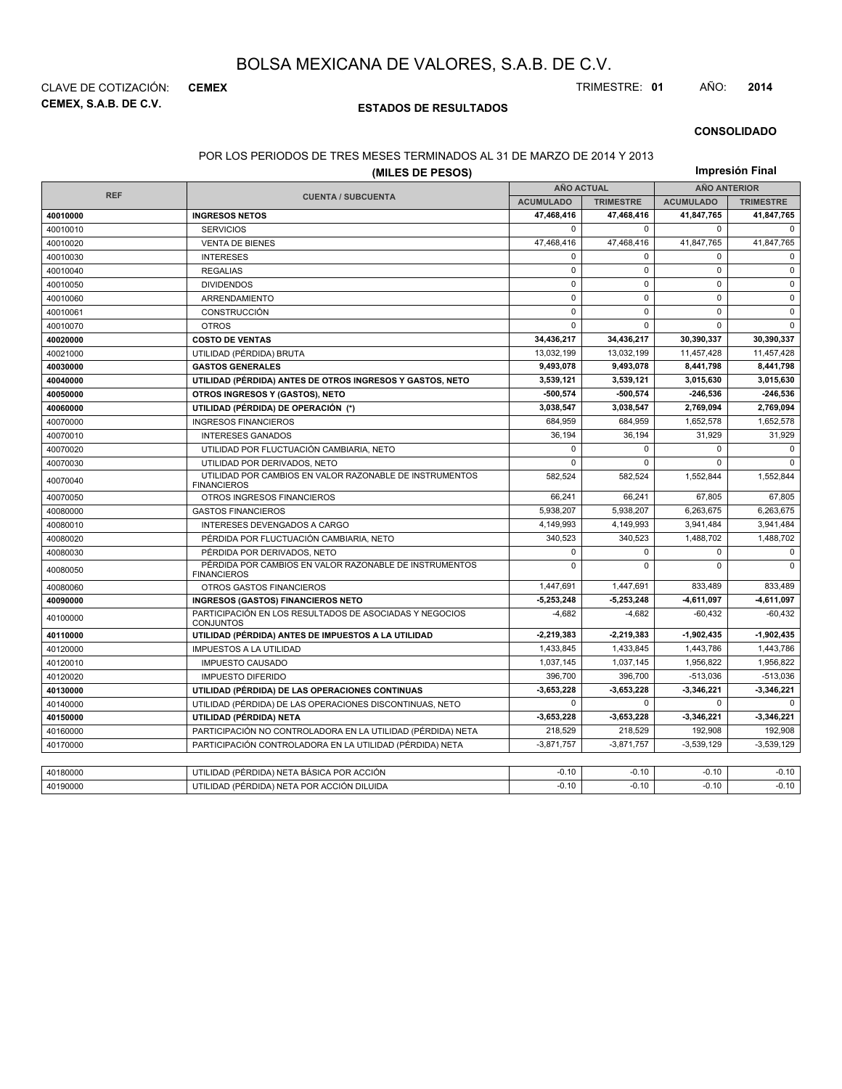**CEMEX, S.A.B. DE C.V.** CLAVE DE COTIZACIÓN: **CEMEX** TRIMESTRE: **01** AÑO: **2014**

### **ESTADOS DE RESULTADOS**

#### **CONSOLIDADO**

#### POR LOS PERIODOS DE TRES MESES TERMINADOS AL 31 DE MARZO DE 2014 Y 2013

| (MILES DE PESOS) |                                                                               |                   |                  |                     | Impresión Final  |  |
|------------------|-------------------------------------------------------------------------------|-------------------|------------------|---------------------|------------------|--|
|                  |                                                                               | <b>AÑO ACTUAL</b> |                  | <b>AÑO ANTERIOR</b> |                  |  |
| <b>REF</b>       | <b>CUENTA / SUBCUENTA</b>                                                     | <b>ACUMULADO</b>  | <b>TRIMESTRE</b> | <b>ACUMULADO</b>    | <b>TRIMESTRE</b> |  |
| 40010000         | <b>INGRESOS NETOS</b>                                                         | 47,468,416        | 47,468,416       | 41,847,765          | 41,847,765       |  |
| 40010010         | <b>SERVICIOS</b>                                                              | $\Omega$          | $\Omega$         | $\mathbf 0$         | $\Omega$         |  |
| 40010020         | <b>VENTA DE BIENES</b>                                                        | 47,468,416        | 47,468,416       | 41,847,765          | 41,847,765       |  |
| 40010030         | <b>INTERESES</b>                                                              | $\mathbf 0$       | $\Omega$         | 0                   | $\mathbf 0$      |  |
| 40010040         | <b>REGALIAS</b>                                                               | $\pmb{0}$         | $\mathbf 0$      | $\pmb{0}$           | $\mathsf 0$      |  |
| 40010050         | <b>DIVIDENDOS</b>                                                             | $\mathbf 0$       | $\Omega$         | $\mathbf 0$         | $\mathbf 0$      |  |
| 40010060         | ARRENDAMIENTO                                                                 | $\pmb{0}$         | $\mathbf 0$      | $\pmb{0}$           | $\mathsf 0$      |  |
| 40010061         | CONSTRUCCIÓN                                                                  | $\mathbf 0$       | $\Omega$         | $\mathbf 0$         | $\mathbf 0$      |  |
| 40010070         | <b>OTROS</b>                                                                  | $\pmb{0}$         | 0                | 0                   | $\mathbf 0$      |  |
| 40020000         | <b>COSTO DE VENTAS</b>                                                        | 34,436,217        | 34,436,217       | 30,390,337          | 30,390,337       |  |
| 40021000         | UTILIDAD (PÉRDIDA) BRUTA                                                      | 13,032,199        | 13,032,199       | 11,457,428          | 11,457,428       |  |
| 40030000         | <b>GASTOS GENERALES</b>                                                       | 9,493,078         | 9,493,078        | 8,441,798           | 8,441,798        |  |
| 40040000         | UTILIDAD (PÉRDIDA) ANTES DE OTROS INGRESOS Y GASTOS, NETO                     | 3,539,121         | 3,539,121        | 3,015,630           | 3,015,630        |  |
| 40050000         | OTROS INGRESOS Y (GASTOS), NETO                                               | $-500.574$        | $-500.574$       | $-246,536$          | $-246,536$       |  |
| 40060000         | UTILIDAD (PÉRDIDA) DE OPERACIÓN (*)                                           | 3,038,547         | 3,038,547        | 2,769,094           | 2,769,094        |  |
| 40070000         | <b>INGRESOS FINANCIEROS</b>                                                   |                   | 684,959          | 1,652,578           | 1,652,578        |  |
| 40070010         | <b>INTERESES GANADOS</b>                                                      | 36,194            | 36,194           | 31,929              | 31,929           |  |
| 40070020         | UTILIDAD POR FLUCTUACIÓN CAMBIARIA, NETO                                      |                   | $\Omega$         | $\mathbf 0$         | $\Omega$         |  |
| 40070030         | UTILIDAD POR DERIVADOS, NETO                                                  | $\mathbf 0$       | $\Omega$         | $\mathbf 0$         | $\mathbf 0$      |  |
| 40070040         | UTILIDAD POR CAMBIOS EN VALOR RAZONABLE DE INSTRUMENTOS<br><b>FINANCIEROS</b> | 582,524           | 582.524          | 1,552,844           | 1,552,844        |  |
| 40070050         | OTROS INGRESOS FINANCIEROS                                                    | 66,241            | 66,241           | 67,805              | 67,805           |  |
| 40080000         | <b>GASTOS FINANCIEROS</b>                                                     | 5,938,207         | 5,938,207        | 6,263,675           | 6,263,675        |  |
| 40080010         | INTERESES DEVENGADOS A CARGO                                                  | 4,149,993         | 4,149,993        | 3,941,484           | 3,941,484        |  |
| 40080020         | PÉRDIDA POR FLUCTUACIÓN CAMBIARIA, NETO                                       | 340,523           | 340,523          | 1,488,702           | 1,488,702        |  |
| 40080030         | PÉRDIDA POR DERIVADOS, NETO                                                   | $\mathbf 0$       | $\mathbf 0$      | $\mathbf 0$         | $\mathbf 0$      |  |
| 40080050         | PÉRDIDA POR CAMBIOS EN VALOR RAZONABLE DE INSTRUMENTOS<br><b>FINANCIEROS</b>  |                   | $\Omega$         | $\Omega$            | $\Omega$         |  |
| 40080060         | OTROS GASTOS FINANCIEROS                                                      | 1,447,691         | 1.447.691        | 833.489             | 833.489          |  |
| 40090000         | <b>INGRESOS (GASTOS) FINANCIEROS NETO</b>                                     | $-5,253,248$      | $-5,253,248$     | -4,611,097          | $-4,611,097$     |  |
| 40100000         | PARTICIPACIÓN EN LOS RESULTADOS DE ASOCIADAS Y NEGOCIOS<br><b>CONJUNTOS</b>   | $-4,682$          | $-4,682$         | $-60,432$           | $-60,432$        |  |
| 40110000         | UTILIDAD (PÉRDIDA) ANTES DE IMPUESTOS A LA UTILIDAD                           | $-2,219,383$      | $-2,219,383$     | $-1,902,435$        | 1,902,435        |  |
| 40120000         | <b>IMPUESTOS A LA UTILIDAD</b>                                                | 1,433,845         | 1,433,845        | 1,443,786           | 1,443,786        |  |
| 40120010         | <b>IMPUESTO CAUSADO</b>                                                       | 1,037,145         | 1,037,145        | 1,956,822           | 1,956,822        |  |
| 40120020         | <b>IMPUESTO DIFERIDO</b>                                                      |                   | 396.700          | $-513.036$          | $-513.036$       |  |
| 40130000         | UTILIDAD (PÉRDIDA) DE LAS OPERACIONES CONTINUAS                               |                   | $-3,653,228$     | $-3,346,221$        | $-3,346,221$     |  |
| 40140000         | UTILIDAD (PÉRDIDA) DE LAS OPERACIONES DISCONTINUAS, NETO                      | $\mathbf 0$       | $\Omega$         | $\mathbf 0$         | $\Omega$         |  |
| 40150000         | UTILIDAD (PÉRDIDA) NETA                                                       | $-3,653,228$      | $-3,653,228$     | $-3,346,221$        | $-3,346,221$     |  |
| 40160000         | PARTICIPACIÓN NO CONTROLADORA EN LA UTILIDAD (PÉRDIDA) NETA                   | 218,529           | 218.529          | 192,908             | 192,908          |  |
| 40170000         | PARTICIPACIÓN CONTROLADORA EN LA UTILIDAD (PÉRDIDA) NETA                      | $-3,871,757$      | $-3,871,757$     | $-3,539,129$        | $-3,539,129$     |  |
|                  |                                                                               |                   |                  |                     |                  |  |
| 40180000         | UTILIDAD (PÉRDIDA) NETA BÁSICA POR ACCIÓN                                     | $-0.10$           | $-0.10$          | $-0.10$             | $-0.10$          |  |
| 40190000         | UTILIDAD (PÉRDIDA) NETA POR ACCIÓN DILUIDA                                    | $-0.10$           | $-0.10$          | $-0.10$             | $-0.10$          |  |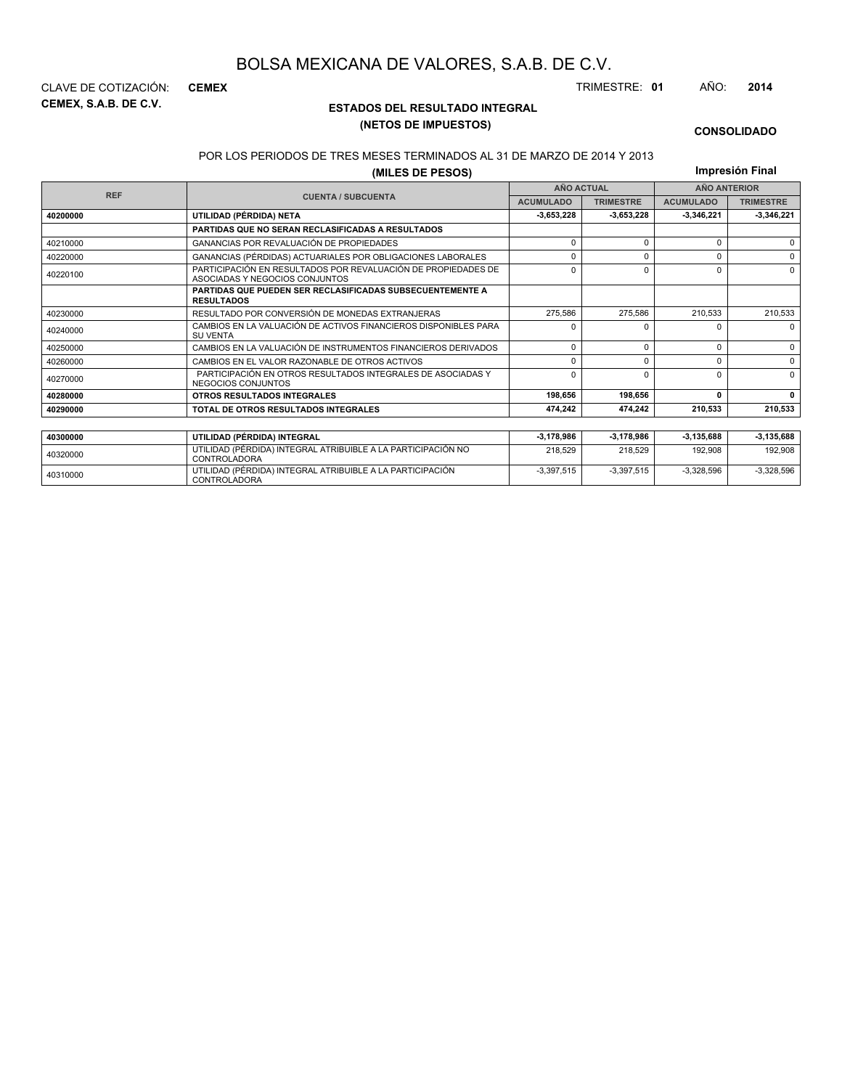**CEMEX, S.A.B. DE C.V.** CLAVE DE COTIZACIÓN: **CEMEX** TRIMESTRE: **01** AÑO: **2014**

### **ESTADOS DEL RESULTADO INTEGRAL (NETOS DE IMPUESTOS)**

#### **CONSOLIDADO**

#### POR LOS PERIODOS DE TRES MESES TERMINADOS AL 31 DE MARZO DE 2014 Y 2013

### **(MILES DE PESOS)**

**Impresión Final**

-3,397,515 -3,397,515 -3,328,596 -3,328,596

| (MILES DE PESOS)<br>III |                                                                                                 |                   |                  |                     |                  |
|-------------------------|-------------------------------------------------------------------------------------------------|-------------------|------------------|---------------------|------------------|
| <b>REF</b>              |                                                                                                 | <b>AÑO ACTUAL</b> |                  | <b>AÑO ANTERIOR</b> |                  |
|                         | <b>CUENTA / SUBCUENTA</b>                                                                       | <b>ACUMULADO</b>  | <b>TRIMESTRE</b> | <b>ACUMULADO</b>    | <b>TRIMESTRE</b> |
| 40200000                | UTILIDAD (PÉRDIDA) NETA                                                                         | $-3.653.228$      | $-3.653.228$     | -3.346.221          | 3,346,221        |
|                         | PARTIDAS QUE NO SERAN RECLASIFICADAS A RESULTADOS                                               |                   |                  |                     |                  |
| 40210000                | GANANCIAS POR REVALUACIÓN DE PROPIEDADES                                                        | $\Omega$          | $\Omega$         | $\Omega$            | $\Omega$         |
| 40220000                | GANANCIAS (PÉRDIDAS) ACTUARIALES POR OBLIGACIONES LABORALES                                     | U                 | O                |                     | $\Omega$         |
| 40220100                | PARTICIPACIÓN EN RESULTADOS POR REVALUACIÓN DE PROPIEDADES DE<br>ASOCIADAS Y NEGOCIOS CONJUNTOS | $\Omega$          | $\Omega$         | $\Omega$            | $\Omega$         |
|                         | <b>PARTIDAS QUE PUEDEN SER RECLASIFICADAS SUBSECUENTEMENTE A</b><br><b>RESULTADOS</b>           |                   |                  |                     |                  |
| 40230000                | RESULTADO POR CONVERSIÓN DE MONEDAS EXTRANJERAS                                                 | 275,586           | 275.586          | 210.533             | 210,533          |
| 40240000                | CAMBIOS EN LA VALUACIÓN DE ACTIVOS FINANCIEROS DISPONIBLES PARA<br><b>SU VENTA</b>              | 0                 | n                |                     | $\Omega$         |
| 40250000                | CAMBIOS EN LA VALUACIÓN DE INSTRUMENTOS FINANCIEROS DERIVADOS                                   | $\Omega$          | 0                | $\Omega$            | $\Omega$         |
| 40260000                | CAMBIOS EN EL VALOR RAZONABLE DE OTROS ACTIVOS                                                  | 0                 | $\Omega$         | O                   | $\Omega$         |
| 40270000                | PARTICIPACIÓN EN OTROS RESULTADOS INTEGRALES DE ASOCIADAS Y<br>NEGOCIOS CONJUNTOS               |                   | ŋ                | O                   | $\Omega$         |
| 40280000                | OTROS RESULTADOS INTEGRALES                                                                     | 198,656           | 198,656          | 0                   | $\Omega$         |
| 40290000                | TOTAL DE OTROS RESULTADOS INTEGRALES                                                            | 474,242           | 474.242          | 210,533             | 210,533          |
|                         |                                                                                                 |                   |                  |                     |                  |
| 40300000                | UTILIDAD (PÉRDIDA) INTEGRAL                                                                     | 3,178,986         | -3,178,986       | -3,135,688          | $-3,135,688$     |
| 40320000                | UTILIDAD (PÉRDIDA) INTEGRAL ATRIBUIBLE A LA PARTICIPACIÓN NO<br><b>CONTROLADORA</b>             | 218,529           | 218.529          | 192,908             | 192,908          |

<sup>40310000</sup> UTILIDAD (PÉRDIDA) INTEGRAL ATRIBUIBLE A LA PARTICIPACIÓN CONTROLADORA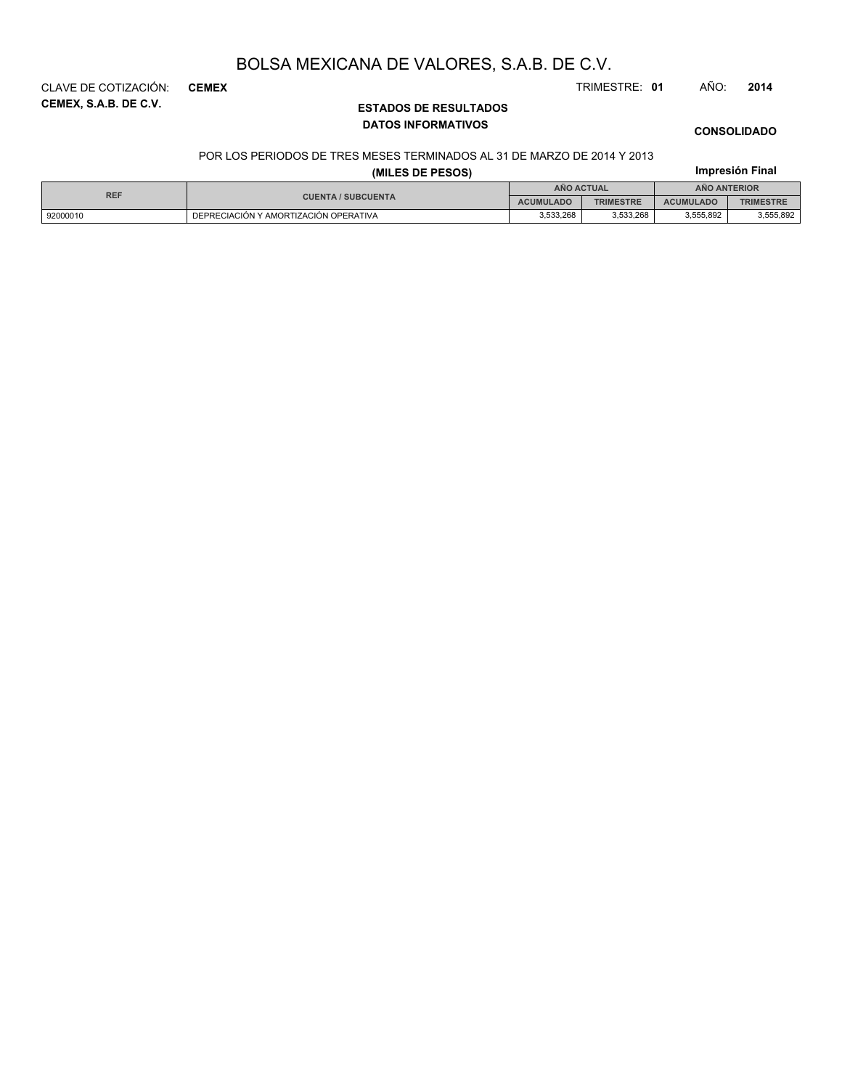**CEMEX, S.A.B. DE C.V.** CLAVE DE COTIZACIÓN: **CEMEX** TRIMESTRE: **01** AÑO: **2014**

# **ESTADOS DE RESULTADOS DATOS INFORMATIVOS**

# **CONSOLIDADO**

**Impresión Final**

#### POR LOS PERIODOS DE TRES MESES TERMINADOS AL 31 DE MARZO DE 2014 Y 2013

### **(MILES DE PESOS)**

| <b>REF</b> |                                       |                  | <b>ANO ACTUAL</b> |                  | <b>ANO ANTERIOR</b> |  |  |
|------------|---------------------------------------|------------------|-------------------|------------------|---------------------|--|--|
|            | <b>CUENTA / SUBCUENTA</b>             | <b>ACUMULADO</b> | <b>TRIMESTRE</b>  | <b>ACUMULADO</b> | <b>TRIMESTRE</b>    |  |  |
| 92000010   | DEPRECIACIÓN Y AMORTIZACIÓN OPERATIVA | 3,533,268        | 3,533,268         | 3,555,892        | 3,555,892           |  |  |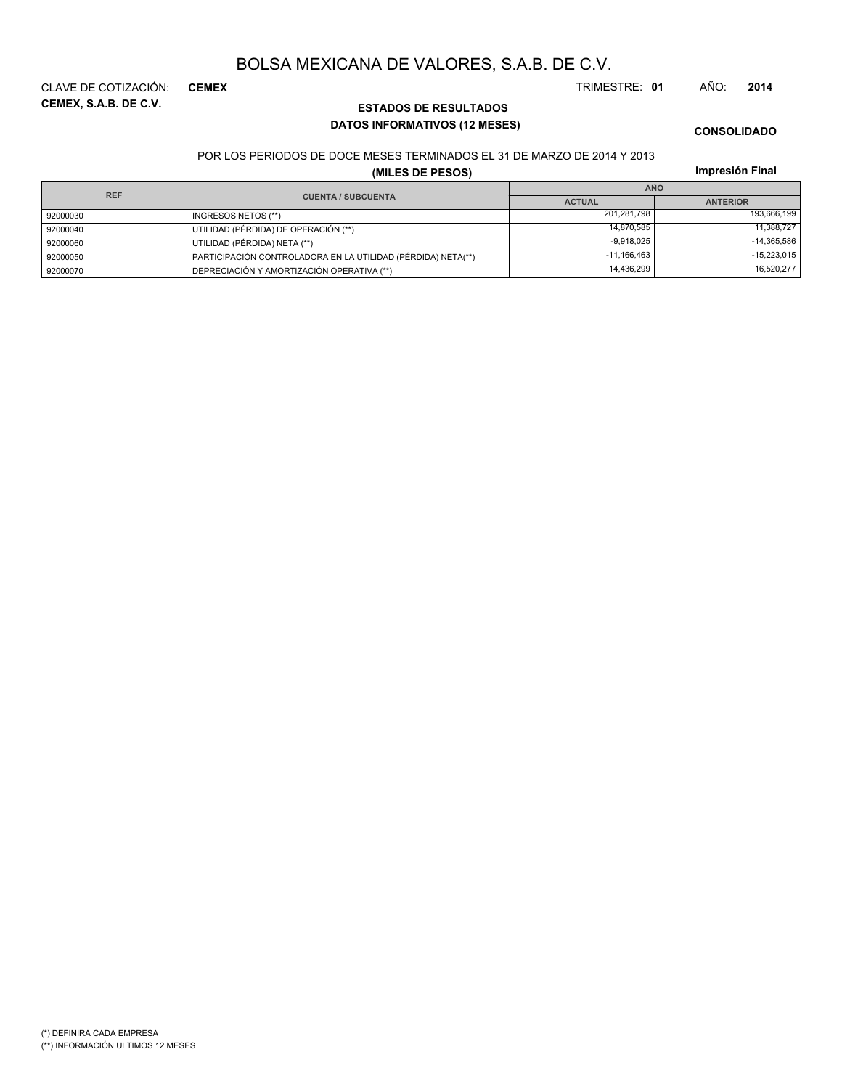**CEMEX, S.A.B. DE C.V.** CLAVE DE COTIZACIÓN: **CEMEX** TRIMESTRE: **01** AÑO: **2014**

### **ESTADOS DE RESULTADOS DATOS INFORMATIVOS (12 MESES)**

**CONSOLIDADO**

#### POR LOS PERIODOS DE DOCE MESES TERMINADOS EL 31 DE MARZO DE 2014 Y 2013

### **(MILES DE PESOS)**

**Impresión Final**

| <b>REF</b> |                                                              | <b>AÑO</b>    |                 |
|------------|--------------------------------------------------------------|---------------|-----------------|
|            | <b>CUENTA / SUBCUENTA</b>                                    | <b>ACTUAL</b> | <b>ANTERIOR</b> |
| 92000030   | INGRESOS NETOS (**)                                          | 201.281.798   | 193,666,199     |
| 92000040   | UTILIDAD (PÉRDIDA) DE OPERACIÓN (**)                         | 14.870.585    | 11,388,727      |
| 92000060   | UTILIDAD (PÉRDIDA) NETA (**)                                 | $-9.918.025$  | $-14,365,586$   |
| 92000050   | PARTICIPACIÓN CONTROLADORA EN LA UTILIDAD (PÉRDIDA) NETA(**) | $-11.166.463$ | $-15,223,015$   |
| 92000070   | DEPRECIACIÓN Y AMORTIZACIÓN OPERATIVA (**)                   | 14,436,299    | 16,520,277      |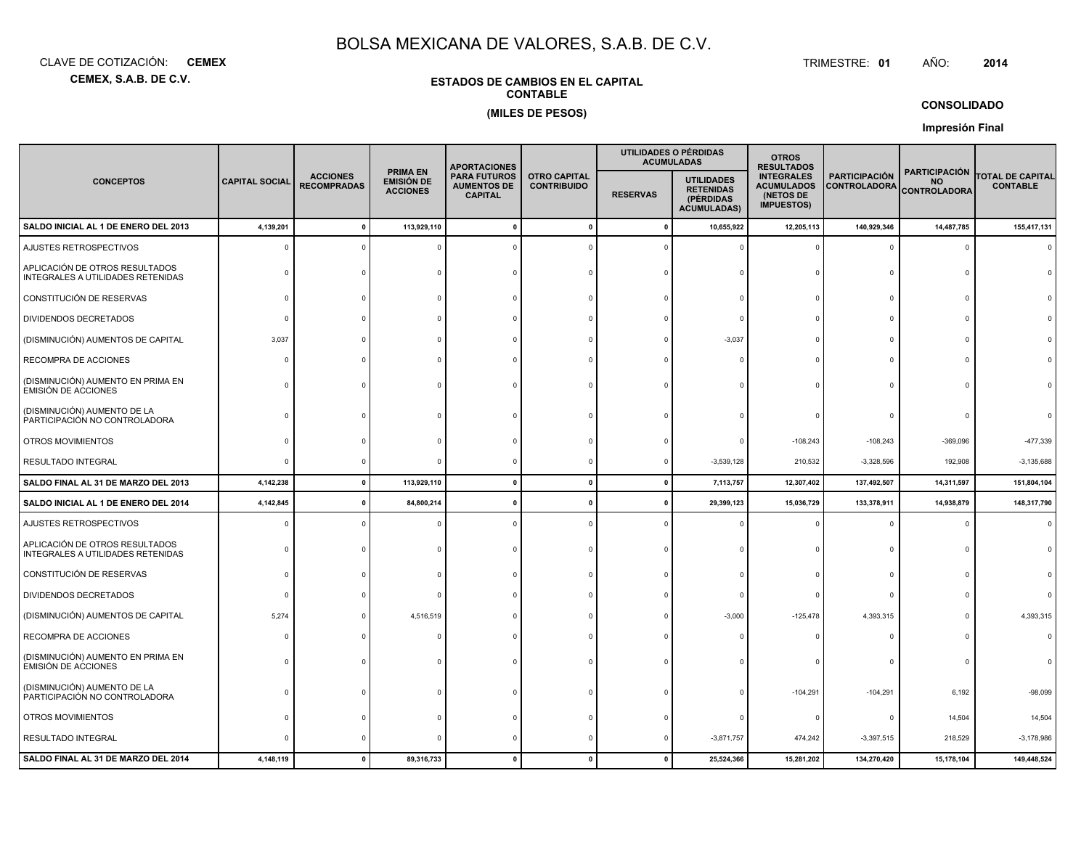**CEMEX, S.A.B. DE C.V.**CLAVE DE COTIZACIÓN:**CEMEX**: **CEMEX** TRIMESTRE:

#### TRIMESTRE: 01 AÑO: **<sup>2014</sup>**

### **ESTADOS DE CAMBIOS EN EL CAPITALCONTABLE(MILES DE PESOS)**

### **CONSOLIDADO**

**Impresión Final**

|                                                                     |                       |                                       |                                                         | <b>APORTACIONES</b>                                         |                                           |                 | UTILIDADES O PÉRDIDAS<br><b>ACUMULADAS</b>                               | <b>OTROS</b><br><b>RESULTADOS</b>                                        |                                             |                                                          |                                            |
|---------------------------------------------------------------------|-----------------------|---------------------------------------|---------------------------------------------------------|-------------------------------------------------------------|-------------------------------------------|-----------------|--------------------------------------------------------------------------|--------------------------------------------------------------------------|---------------------------------------------|----------------------------------------------------------|--------------------------------------------|
| <b>CONCEPTOS</b>                                                    | <b>CAPITAL SOCIAL</b> | <b>ACCIONES</b><br><b>RECOMPRADAS</b> | <b>PRIMA EN</b><br><b>EMISIÓN DE</b><br><b>ACCIONES</b> | <b>PARA FUTUROS</b><br><b>AUMENTOS DE</b><br><b>CAPITAL</b> | <b>OTRO CAPITAL</b><br><b>CONTRIBUIDO</b> | <b>RESERVAS</b> | <b>UTILIDADES</b><br><b>RETENIDAS</b><br>(PÉRDIDAS<br><b>ACUMULADAS)</b> | <b>INTEGRALES</b><br><b>ACUMULADOS</b><br>(NETOS DE<br><b>IMPUESTOS)</b> | <b>PARTICIPACIÓN</b><br><b>CONTROLADORA</b> | <b>PARTICIPACIÓN</b><br><b>NO</b><br><b>CONTROLADORA</b> | <b>TOTAL DE CAPITAL</b><br><b>CONTABLE</b> |
| SALDO INICIAL AL 1 DE ENERO DEL 2013                                | 4,139,201             |                                       | 113,929,110                                             |                                                             |                                           | C               | 10,655,922                                                               | 12,205,113                                                               | 140,929,346                                 | 14,487,785                                               | 155,417,131                                |
| AJUSTES RETROSPECTIVOS                                              |                       |                                       |                                                         |                                                             |                                           |                 |                                                                          |                                                                          | $\Omega$                                    | $\Omega$                                                 |                                            |
| APLICACIÓN DE OTROS RESULTADOS<br>INTEGRALES A UTILIDADES RETENIDAS |                       |                                       |                                                         |                                                             |                                           |                 |                                                                          |                                                                          | $\Omega$                                    |                                                          |                                            |
| CONSTITUCIÓN DE RESERVAS                                            |                       |                                       |                                                         |                                                             |                                           |                 |                                                                          |                                                                          | $\Omega$                                    | $\Omega$                                                 |                                            |
| DIVIDENDOS DECRETADOS                                               |                       |                                       |                                                         |                                                             |                                           |                 |                                                                          |                                                                          | $\Omega$                                    |                                                          |                                            |
| (DISMINUCIÓN) AUMENTOS DE CAPITAL                                   | 3,037                 |                                       |                                                         |                                                             |                                           |                 | $-3,037$                                                                 |                                                                          | $\Omega$                                    |                                                          |                                            |
| RECOMPRA DE ACCIONES                                                |                       |                                       |                                                         |                                                             |                                           |                 |                                                                          |                                                                          | $\Omega$                                    |                                                          |                                            |
| (DISMINUCIÓN) AUMENTO EN PRIMA EN<br><b>EMISIÓN DE ACCIONES</b>     |                       |                                       |                                                         |                                                             |                                           |                 |                                                                          |                                                                          | $\Omega$                                    |                                                          |                                            |
| (DISMINUCIÓN) AUMENTO DE LA<br>PARTICIPACIÓN NO CONTROLADORA        |                       |                                       |                                                         |                                                             |                                           |                 |                                                                          |                                                                          |                                             |                                                          |                                            |
| OTROS MOVIMIENTOS                                                   |                       |                                       |                                                         |                                                             |                                           |                 |                                                                          | $-108,243$                                                               | $-108,243$                                  | $-369,096$                                               | -477,339                                   |
| <b>RESULTADO INTEGRAL</b>                                           |                       |                                       |                                                         |                                                             |                                           |                 | $-3,539,128$                                                             | 210,532                                                                  | $-3,328,596$                                | 192,908                                                  | $-3,135,688$                               |
| SALDO FINAL AL 31 DE MARZO DEL 2013                                 | 4,142,238             |                                       | 113,929,110                                             | $\mathbf{r}$                                                | $\mathbf{0}$                              | $\mathbf{0}$    | 7,113,757                                                                | 12,307,402                                                               | 137,492,507                                 | 14,311,597                                               | 151,804,104                                |
| SALDO INICIAL AL 1 DE ENERO DEL 2014                                | 4,142,845             |                                       | 84,800,214                                              |                                                             |                                           |                 | 29,399,123                                                               | 15,036,729                                                               | 133,378,911                                 | 14,938,879                                               | 148,317,790                                |
| AJUSTES RETROSPECTIVOS                                              |                       |                                       |                                                         |                                                             |                                           |                 |                                                                          |                                                                          | $\Omega$                                    | $\Omega$                                                 | $\Omega$                                   |
| APLICACIÓN DE OTROS RESULTADOS<br>INTEGRALES A UTILIDADES RETENIDAS |                       |                                       |                                                         |                                                             |                                           |                 |                                                                          |                                                                          | $\Omega$                                    | $\Omega$                                                 |                                            |
| CONSTITUCIÓN DE RESERVAS                                            |                       |                                       |                                                         |                                                             |                                           |                 |                                                                          |                                                                          | $\Omega$                                    |                                                          |                                            |
| DIVIDENDOS DECRETADOS                                               |                       |                                       |                                                         |                                                             |                                           |                 |                                                                          |                                                                          | $\mathbf 0$                                 |                                                          |                                            |
| (DISMINUCIÓN) AUMENTOS DE CAPITAL                                   | 5,274                 |                                       | 4,516,519                                               |                                                             |                                           |                 | $-3,000$                                                                 | $-125,478$                                                               | 4,393,315                                   |                                                          | 4,393,315                                  |
| RECOMPRA DE ACCIONES                                                |                       |                                       |                                                         |                                                             |                                           |                 |                                                                          |                                                                          |                                             |                                                          |                                            |
| (DISMINUCIÓN) AUMENTO EN PRIMA EN<br><b>EMISIÓN DE ACCIONES</b>     |                       |                                       |                                                         |                                                             |                                           |                 |                                                                          |                                                                          | -C                                          |                                                          |                                            |
| (DISMINUCIÓN) AUMENTO DE LA<br>PARTICIPACIÓN NO CONTROLADORA        |                       |                                       |                                                         |                                                             |                                           |                 |                                                                          | $-104,291$                                                               | $-104,291$                                  | 6,192                                                    | $-98,099$                                  |
| OTROS MOVIMIENTOS                                                   |                       |                                       |                                                         |                                                             |                                           |                 |                                                                          |                                                                          | $^{\circ}$                                  | 14,504                                                   | 14,504                                     |
| RESULTADO INTEGRAL                                                  |                       |                                       |                                                         |                                                             |                                           |                 | $-3,871,757$                                                             | 474,242                                                                  | $-3,397,515$                                | 218,529                                                  | $-3,178,986$                               |
| SALDO FINAL AL 31 DE MARZO DEL 2014                                 | 4,148,119             |                                       | 89,316,733                                              |                                                             |                                           |                 | 25,524,366                                                               | 15,281,202                                                               | 134,270,420                                 | 15,178,104                                               | 149,448,524                                |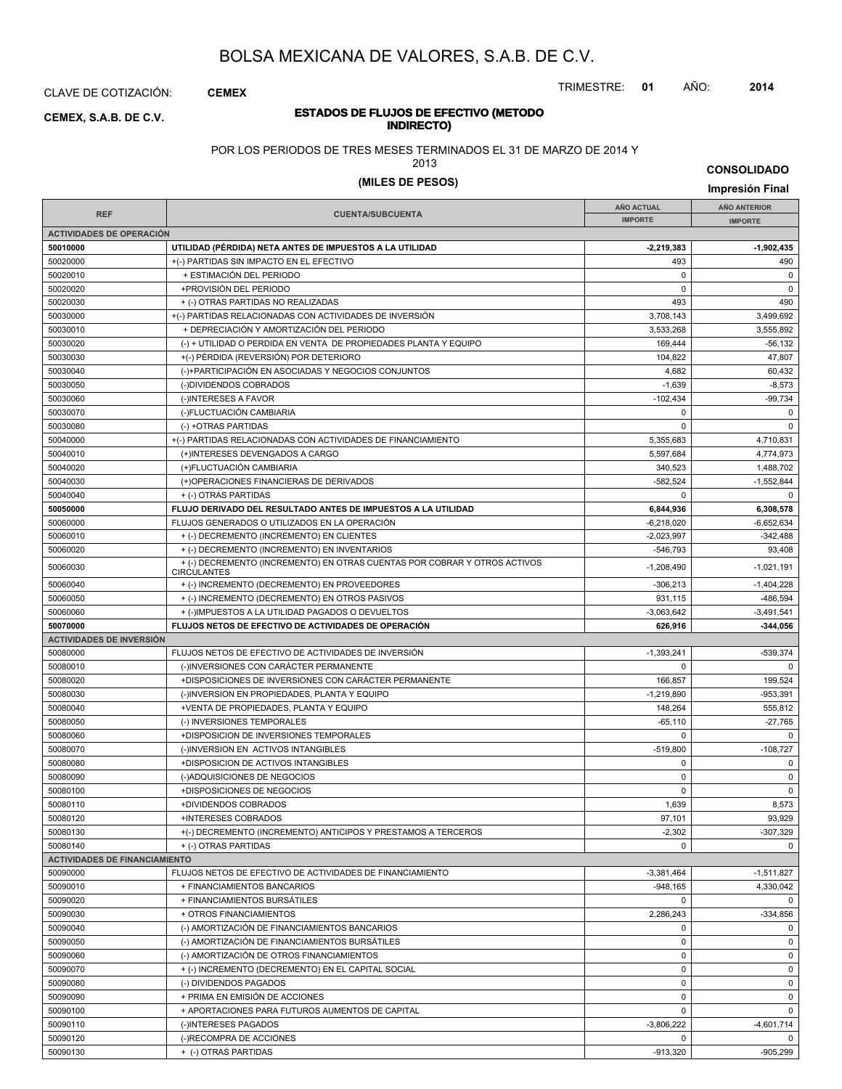CLAVE DE COTIZACIÓN: **CEMEX**

### **INDIRECTO) CEMEX, S.A.B. DE C.V.**

TRIMESTRE: **01** AÑO: **2014**

# **ESTADOS DE FLUJOS DE EFECTIVO (METODO**

POR LOS PERIODOS DE TRES MESES TERMINADOS EL 31 DE MARZO DE 2014 Y

2013

**CONSOLIDADO**

# **(MILES DE PESOS) Impresión Final**

|                                      |                                                                           | <b>AÑO ACTUAL</b> | AÑO ANTERIOR   |
|--------------------------------------|---------------------------------------------------------------------------|-------------------|----------------|
| <b>REF</b>                           | <b>CUENTA/SUBCUENTA</b>                                                   | <b>IMPORTE</b>    | <b>IMPORTE</b> |
| <b>ACTIVIDADES DE OPERACIÓN</b>      |                                                                           |                   |                |
| 50010000                             | UTILIDAD (PÉRDIDA) NETA ANTES DE IMPUESTOS A LA UTILIDAD                  | $-2,219,383$      | $-1,902,435$   |
| 50020000                             | +(-) PARTIDAS SIN IMPACTO EN EL EFECTIVO                                  | 493               | 490            |
| 50020010                             | + ESTIMACIÓN DEL PERIODO                                                  | $\mathbf 0$       | $\pmb{0}$      |
| 50020020                             | +PROVISIÓN DEL PERIODO                                                    | $\mathbf 0$       | $\mathsf 0$    |
| 50020030                             | + (-) OTRAS PARTIDAS NO REALIZADAS                                        | 493               | 490            |
| 50030000                             | +(-) PARTIDAS RELACIONADAS CON ACTIVIDADES DE INVERSIÓN                   | 3,708,143         | 3,499,692      |
| 50030010                             | + DEPRECIACIÓN Y AMORTIZACIÓN DEL PERIODO                                 |                   | 3,555,892      |
|                                      |                                                                           | 3,533,268         |                |
| 50030020                             | (-) + UTILIDAD O PERDIDA EN VENTA DE PROPIEDADES PLANTA Y EQUIPO          | 169,444           | $-56, 132$     |
| 50030030                             | +(-) PÉRDIDA (REVERSIÓN) POR DETERIORO                                    | 104.822           | 47,807         |
| 50030040                             | (-)+PARTICIPACIÓN EN ASOCIADAS Y NEGOCIOS CONJUNTOS                       | 4,682             | 60,432         |
| 50030050                             | (-)DIVIDENDOS COBRADOS                                                    | $-1,639$          | $-8,573$       |
| 50030060                             | (-)INTERESES A FAVOR                                                      | $-102,434$        | $-99,734$      |
| 50030070                             | (-)FLUCTUACIÓN CAMBIARIA                                                  | $\mathbf 0$       | $\mathbf 0$    |
| 50030080                             | (-) +OTRAS PARTIDAS                                                       | 0                 | $\mathbf 0$    |
| 50040000                             | +(-) PARTIDAS RELACIONADAS CON ACTIVIDADES DE FINANCIAMIENTO              | 5,355,683         | 4,710,831      |
| 50040010                             | (+)INTERESES DEVENGADOS A CARGO                                           | 5,597,684         | 4,774,973      |
| 50040020                             | (+)FLUCTUACIÓN CAMBIARIA                                                  | 340,523           | 1,488,702      |
| 50040030                             | (+)OPERACIONES FINANCIERAS DE DERIVADOS                                   | $-582.524$        | $-1,552,844$   |
| 50040040                             | + (-) OTRAS PARTIDAS                                                      | $\mathbf 0$       | $\mathbf 0$    |
| 50050000                             | FLUJO DERIVADO DEL RESULTADO ANTES DE IMPUESTOS A LA UTILIDAD             | 6,844,936         | 6,308,578      |
| 50060000                             | FLUJOS GENERADOS O UTILIZADOS EN LA OPERACIÓN                             | $-6,218,020$      | $-6,652,634$   |
| 50060010                             | + (-) DECREMENTO (INCREMENTO) EN CLIENTES                                 | $-2,023,997$      | $-342,488$     |
| 50060020                             | + (-) DECREMENTO (INCREMENTO) EN INVENTARIOS                              | $-546,793$        | 93,408         |
| 50060030                             | + (-) DECREMENTO (INCREMENTO) EN OTRAS CUENTAS POR COBRAR Y OTROS ACTIVOS | $-1,208,490$      | $-1,021,191$   |
| 50060040                             | <b>CIRCULANTES</b><br>+ (-) INCREMENTO (DECREMENTO) EN PROVEEDORES        | $-306,213$        | $-1,404,228$   |
| 50060050                             | + (-) INCREMENTO (DECREMENTO) EN OTROS PASIVOS                            | 931,115           | $-486,594$     |
| 50060060                             | + (-)IMPUESTOS A LA UTILIDAD PAGADOS O DEVUELTOS                          | $-3,063,642$      | $-3,491,541$   |
| 50070000                             | FLUJOS NETOS DE EFECTIVO DE ACTIVIDADES DE OPERACIÓN                      | 626,916           | $-344,056$     |
|                                      |                                                                           |                   |                |
| <b>ACTIVIDADES DE INVERSIÓN</b>      |                                                                           |                   |                |
| 50080000                             | FLUJOS NETOS DE EFECTIVO DE ACTIVIDADES DE INVERSIÓN                      | $-1,393,241$      | $-539,374$     |
| 50080010                             | (-)INVERSIONES CON CARÁCTER PERMANENTE                                    | 0                 | $\mathbf 0$    |
| 50080020                             | +DISPOSICIONES DE INVERSIONES CON CARÁCTER PERMANENTE                     | 166,857           | 199,524        |
| 50080030                             | (-)INVERSION EN PROPIEDADES, PLANTA Y EQUIPO                              | $-1,219,890$      | $-953,391$     |
| 50080040                             | +VENTA DE PROPIEDADES, PLANTA Y EQUIPO                                    | 148,264           | 555,812        |
| 50080050                             | (-) INVERSIONES TEMPORALES                                                | $-65, 110$        | $-27,765$      |
| 50080060                             | +DISPOSICION DE INVERSIONES TEMPORALES                                    | $\mathbf 0$       | 0              |
| 50080070                             | (-)INVERSION EN ACTIVOS INTANGIBLES                                       | $-519,800$        | $-108,727$     |
| 50080080                             | +DISPOSICION DE ACTIVOS INTANGIBLES                                       | $\mathbf 0$       | $\mathbf 0$    |
| 50080090                             | (-)ADQUISICIONES DE NEGOCIOS                                              | 0                 | 0              |
| 50080100                             | +DISPOSICIONES DE NEGOCIOS                                                | $\mathbf 0$       | $\mathsf 0$    |
| 50080110                             | +DIVIDENDOS COBRADOS                                                      | 1,639             | 8,573          |
| 50080120                             | +INTERESES COBRADOS                                                       | 97,101            | 93,929         |
| 50080130                             | +(-) DECREMENTO (INCREMENTO) ANTICIPOS Y PRESTAMOS A TERCEROS             | $-2,302$          | $-307,329$     |
| 50080140                             | + (-) OTRAS PARTIDAS                                                      | 0                 | $\mathbf{0}$   |
| <b>ACTIVIDADES DE FINANCIAMIENTO</b> |                                                                           |                   |                |
| 50090000                             | FLUJOS NETOS DE EFECTIVO DE ACTIVIDADES DE FINANCIAMIENTO                 | $-3,381,464$      | $-1,511,827$   |
| 50090010                             | + FINANCIAMIENTOS BANCARIOS                                               | $-948,165$        | 4,330,042      |
| 50090020                             | + FINANCIAMIENTOS BURSÁTILES                                              | $\mathbf 0$       | $\mathbf 0$    |
|                                      | + OTROS FINANCIAMIENTOS                                                   |                   |                |
| 50090030                             |                                                                           | 2,286,243         | $-334,856$     |
| 50090040                             | (-) AMORTIZACIÓN DE FINANCIAMIENTOS BANCARIOS                             | 0                 | $\mathbf{0}$   |
| 50090050                             | (-) AMORTIZACIÓN DE FINANCIAMIENTOS BURSÁTILES                            | 0                 | $\mathbf{0}$   |
| 50090060                             | (-) AMORTIZACIÓN DE OTROS FINANCIAMIENTOS                                 | 0                 | $\mathbf 0$    |
| 50090070                             | + (-) INCREMENTO (DECREMENTO) EN EL CAPITAL SOCIAL                        | $\mathbf 0$       | $\mathbf 0$    |
| 50090080                             | (-) DIVIDENDOS PAGADOS                                                    | 0                 | $\mathbf 0$    |
| 50090090                             | + PRIMA EN EMISIÓN DE ACCIONES                                            | 0                 | $\mathbf 0$    |
| 50090100                             | + APORTACIONES PARA FUTUROS AUMENTOS DE CAPITAL                           | $\mathbf 0$       | $\mathbf 0$    |
| 50090110                             | (-)INTERESES PAGADOS                                                      | $-3,806,222$      | -4,601,714     |
| 50090120                             | (-)RECOMPRA DE ACCIONES                                                   | 0                 | $\mathbf{0}$   |
| 50090130                             | + (-) OTRAS PARTIDAS                                                      | $-913,320$        | -905,299       |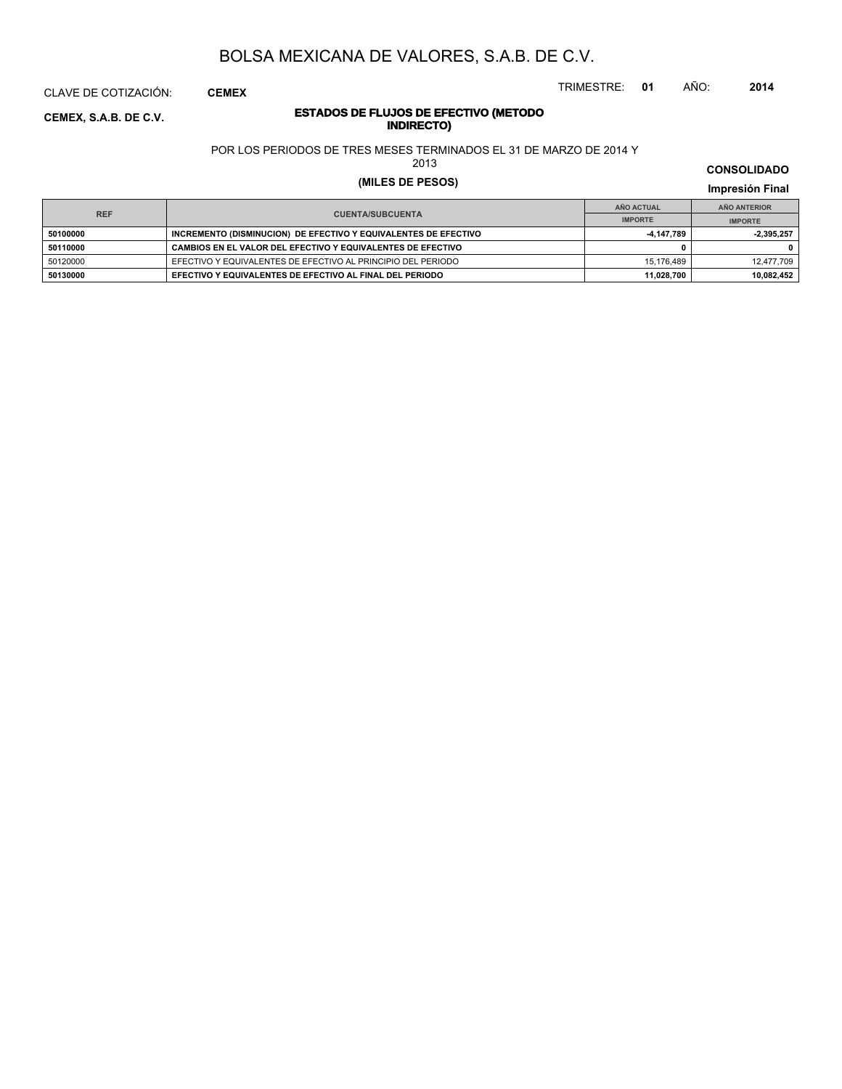CLAVE DE COTIZACIÓN: **CEMEX**

### **INDIRECTO) CEMEX, S.A.B. DE C.V.**

# **ESTADOS DE FLUJOS DE EFECTIVO (METODO**

POR LOS PERIODOS DE TRES MESES TERMINADOS EL 31 DE MARZO DE 2014 Y

2013

# **(MILES DE PESOS) Impresión Final**

**IMPRESIÓN FINAL EN EN ENCLORED EN EL ENCLORED EN EL ENCLORED EN EL ENCLORED EN EL ENCLORED EN EL ENCLORED EN EL ENCLORED EN EL ENCLORED EN EL ENCLORED EN EL ENCLORED EN EL ENCLORED EN EL ENCLORED EN EL ENCLORED EN EL ENCL AÑO ACTUAL IMPORTE IMPORTE REF AÑO ANTERIOR IMPORTE 50100000 INCREMENTO (DISMINUCION) DE EFECTIVO Y EQUIVALENTES DE EFECTIVO 1999 100000 -4,147,789** -2,395,257 **50110000 CAMBIOS EN EL VALOR DEL EFECTIVO Y EQUIVALENTES DE EFECTIVO 0 0** 50120000 EFECTIVO Y EQUIVALENTES DE EFECTIVO AL PRINCIPIO DEL PERIODO 16 16,176,489 15,176,489 12,477,709 12,477,709 **50130000 EFECTIVO Y EQUIVALENTES DE EFECTIVO AL FINAL DEL PERIODO 11,028,700 10,082,452**

#### **CONSOLIDADO**

TRIMESTRE: **01** AÑO: **2014**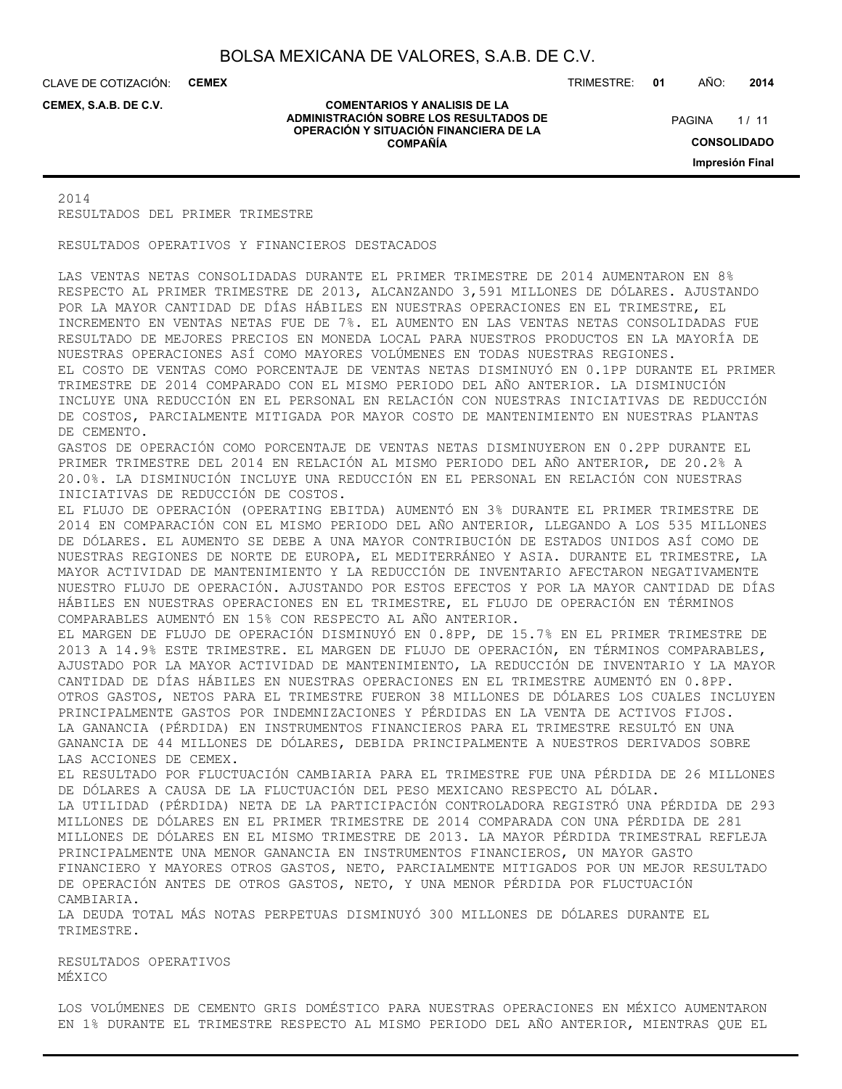CLAVE DE COTIZACIÓN: **CEMEX**

**CEMEX, S.A.B. DE C.V.**

#### **COMENTARIOS Y ANALISIS DE LA ADMINISTRACIÓN SOBRE LOS RESULTADOS DE OPERACIÓN Y SITUACIÓN FINANCIERA DE LA COMPAÑÍA**

TRIMESTRE: **01** AÑO: **2014**

 $1/11$ **CONSOLIDADO Impresión Final PAGINA** 

2014 RESULTADOS DEL PRIMER TRIMESTRE

RESULTADOS OPERATIVOS Y FINANCIEROS DESTACADOS

LAS VENTAS NETAS CONSOLIDADAS DURANTE EL PRIMER TRIMESTRE DE 2014 AUMENTARON EN 8% RESPECTO AL PRIMER TRIMESTRE DE 2013, ALCANZANDO 3,591 MILLONES DE DÓLARES. AJUSTANDO POR LA MAYOR CANTIDAD DE DÍAS HÁBILES EN NUESTRAS OPERACIONES EN EL TRIMESTRE, EL INCREMENTO EN VENTAS NETAS FUE DE 7%. EL AUMENTO EN LAS VENTAS NETAS CONSOLIDADAS FUE RESULTADO DE MEJORES PRECIOS EN MONEDA LOCAL PARA NUESTROS PRODUCTOS EN LA MAYORÍA DE NUESTRAS OPERACIONES ASÍ COMO MAYORES VOLÚMENES EN TODAS NUESTRAS REGIONES. EL COSTO DE VENTAS COMO PORCENTAJE DE VENTAS NETAS DISMINUYÓ EN 0.1PP DURANTE EL PRIMER TRIMESTRE DE 2014 COMPARADO CON EL MISMO PERIODO DEL AÑO ANTERIOR. LA DISMINUCIÓN INCLUYE UNA REDUCCIÓN EN EL PERSONAL EN RELACIÓN CON NUESTRAS INICIATIVAS DE REDUCCIÓN DE COSTOS, PARCIALMENTE MITIGADA POR MAYOR COSTO DE MANTENIMIENTO EN NUESTRAS PLANTAS DE CEMENTO. GASTOS DE OPERACIÓN COMO PORCENTAJE DE VENTAS NETAS DISMINUYERON EN 0.2PP DURANTE EL PRIMER TRIMESTRE DEL 2014 EN RELACIÓN AL MISMO PERIODO DEL AÑO ANTERIOR, DE 20.2% A 20.0%. LA DISMINUCIÓN INCLUYE UNA REDUCCIÓN EN EL PERSONAL EN RELACIÓN CON NUESTRAS INICIATIVAS DE REDUCCIÓN DE COSTOS. EL FLUJO DE OPERACIÓN (OPERATING EBITDA) AUMENTÓ EN 3% DURANTE EL PRIMER TRIMESTRE DE 2014 EN COMPARACIÓN CON EL MISMO PERIODO DEL AÑO ANTERIOR, LLEGANDO A LOS 535 MILLONES DE DÓLARES. EL AUMENTO SE DEBE A UNA MAYOR CONTRIBUCIÓN DE ESTADOS UNIDOS ASÍ COMO DE NUESTRAS REGIONES DE NORTE DE EUROPA, EL MEDITERRÁNEO Y ASIA. DURANTE EL TRIMESTRE, LA MAYOR ACTIVIDAD DE MANTENIMIENTO Y LA REDUCCIÓN DE INVENTARIO AFECTARON NEGATIVAMENTE NUESTRO FLUJO DE OPERACIÓN. AJUSTANDO POR ESTOS EFECTOS Y POR LA MAYOR CANTIDAD DE DÍAS HÁBILES EN NUESTRAS OPERACIONES EN EL TRIMESTRE, EL FLUJO DE OPERACIÓN EN TÉRMINOS COMPARABLES AUMENTÓ EN 15% CON RESPECTO AL AÑO ANTERIOR. EL MARGEN DE FLUJO DE OPERACIÓN DISMINUYÓ EN 0.8PP, DE 15.7% EN EL PRIMER TRIMESTRE DE 2013 A 14.9% ESTE TRIMESTRE. EL MARGEN DE FLUJO DE OPERACIÓN, EN TÉRMINOS COMPARABLES, AJUSTADO POR LA MAYOR ACTIVIDAD DE MANTENIMIENTO, LA REDUCCIÓN DE INVENTARIO Y LA MAYOR CANTIDAD DE DÍAS HÁBILES EN NUESTRAS OPERACIONES EN EL TRIMESTRE AUMENTÓ EN 0.8PP. OTROS GASTOS, NETOS PARA EL TRIMESTRE FUERON 38 MILLONES DE DÓLARES LOS CUALES INCLUYEN PRINCIPALMENTE GASTOS POR INDEMNIZACIONES Y PÉRDIDAS EN LA VENTA DE ACTIVOS FIJOS. LA GANANCIA (PÉRDIDA) EN INSTRUMENTOS FINANCIEROS PARA EL TRIMESTRE RESULTÓ EN UNA GANANCIA DE 44 MILLONES DE DÓLARES, DEBIDA PRINCIPALMENTE A NUESTROS DERIVADOS SOBRE LAS ACCIONES DE CEMEX. EL RESULTADO POR FLUCTUACIÓN CAMBIARIA PARA EL TRIMESTRE FUE UNA PÉRDIDA DE 26 MILLONES DE DÓLARES A CAUSA DE LA FLUCTUACIÓN DEL PESO MEXICANO RESPECTO AL DÓLAR. LA UTILIDAD (PÉRDIDA) NETA DE LA PARTICIPACIÓN CONTROLADORA REGISTRÓ UNA PÉRDIDA DE 293 MILLONES DE DÓLARES EN EL PRIMER TRIMESTRE DE 2014 COMPARADA CON UNA PÉRDIDA DE 281 MILLONES DE DÓLARES EN EL MISMO TRIMESTRE DE 2013. LA MAYOR PÉRDIDA TRIMESTRAL REFLEJA PRINCIPALMENTE UNA MENOR GANANCIA EN INSTRUMENTOS FINANCIEROS, UN MAYOR GASTO FINANCIERO Y MAYORES OTROS GASTOS, NETO, PARCIALMENTE MITIGADOS POR UN MEJOR RESULTADO DE OPERACIÓN ANTES DE OTROS GASTOS, NETO, Y UNA MENOR PÉRDIDA POR FLUCTUACIÓN CAMBIARIA. LA DEUDA TOTAL MÁS NOTAS PERPETUAS DISMINUYÓ 300 MILLONES DE DÓLARES DURANTE EL TRIMESTRE.

RESULTADOS OPERATIVOS MÉXICO

LOS VOLÚMENES DE CEMENTO GRIS DOMÉSTICO PARA NUESTRAS OPERACIONES EN MÉXICO AUMENTARON EN 1% DURANTE EL TRIMESTRE RESPECTO AL MISMO PERIODO DEL AÑO ANTERIOR, MIENTRAS QUE EL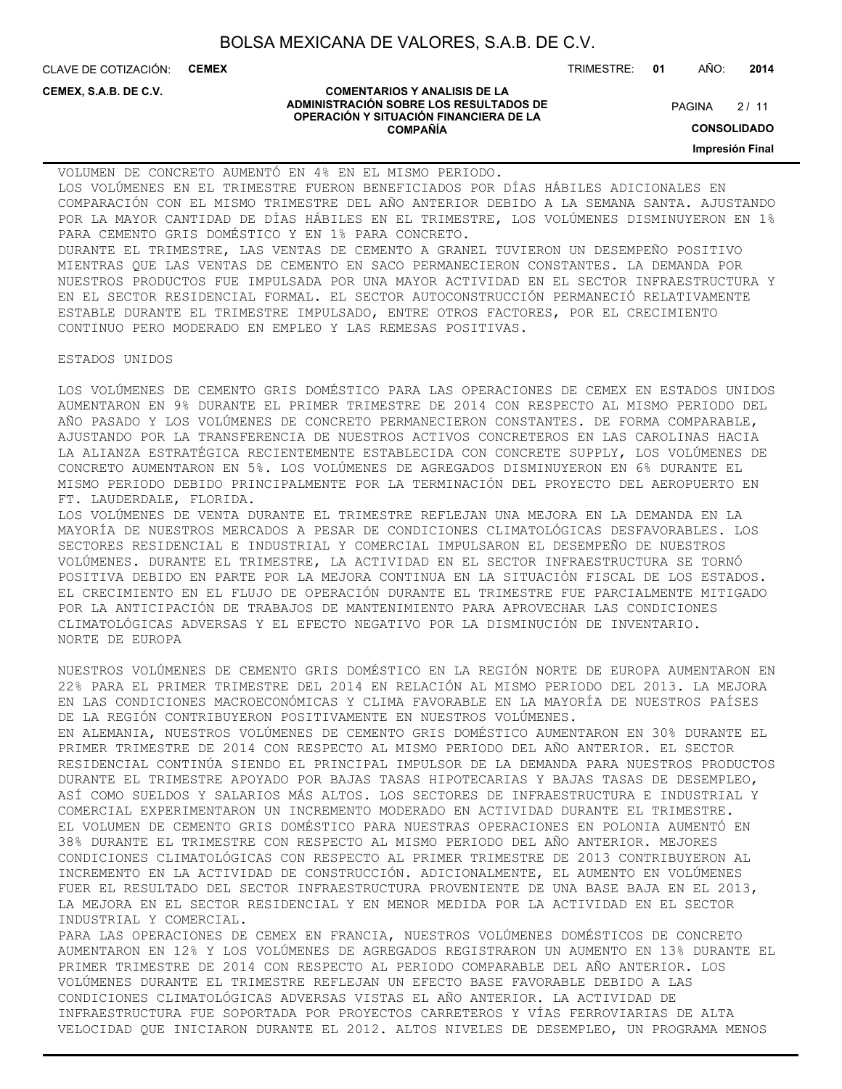CLAVE DE COTIZACIÓN: **CEMEX**

**CEMEX, S.A.B. DE C.V.**

#### **COMENTARIOS Y ANALISIS DE LA ADMINISTRACIÓN SOBRE LOS RESULTADOS DE OPERACIÓN Y SITUACIÓN FINANCIERA DE LA COMPAÑÍA**

TRIMESTRE: **01** AÑO: **2014**

 $2/11$ **PAGINA** 

**CONSOLIDADO**

**Impresión Final**

VOLUMEN DE CONCRETO AUMENTÓ EN 4% EN EL MISMO PERIODO. LOS VOLÚMENES EN EL TRIMESTRE FUERON BENEFICIADOS POR DÍAS HÁBILES ADICIONALES EN COMPARACIÓN CON EL MISMO TRIMESTRE DEL AÑO ANTERIOR DEBIDO A LA SEMANA SANTA. AJUSTANDO POR LA MAYOR CANTIDAD DE DÍAS HÁBILES EN EL TRIMESTRE, LOS VOLÚMENES DISMINUYERON EN 1% PARA CEMENTO GRIS DOMÉSTICO Y EN 1% PARA CONCRETO. DURANTE EL TRIMESTRE, LAS VENTAS DE CEMENTO A GRANEL TUVIERON UN DESEMPEÑO POSITIVO MIENTRAS QUE LAS VENTAS DE CEMENTO EN SACO PERMANECIERON CONSTANTES. LA DEMANDA POR NUESTROS PRODUCTOS FUE IMPULSADA POR UNA MAYOR ACTIVIDAD EN EL SECTOR INFRAESTRUCTURA Y EN EL SECTOR RESIDENCIAL FORMAL. EL SECTOR AUTOCONSTRUCCIÓN PERMANECIÓ RELATIVAMENTE ESTABLE DURANTE EL TRIMESTRE IMPULSADO, ENTRE OTROS FACTORES, POR EL CRECIMIENTO CONTINUO PERO MODERADO EN EMPLEO Y LAS REMESAS POSITIVAS.

ESTADOS UNIDOS

LOS VOLÚMENES DE CEMENTO GRIS DOMÉSTICO PARA LAS OPERACIONES DE CEMEX EN ESTADOS UNIDOS AUMENTARON EN 9% DURANTE EL PRIMER TRIMESTRE DE 2014 CON RESPECTO AL MISMO PERIODO DEL AÑO PASADO Y LOS VOLÚMENES DE CONCRETO PERMANECIERON CONSTANTES. DE FORMA COMPARABLE, AJUSTANDO POR LA TRANSFERENCIA DE NUESTROS ACTIVOS CONCRETEROS EN LAS CAROLINAS HACIA LA ALIANZA ESTRATÉGICA RECIENTEMENTE ESTABLECIDA CON CONCRETE SUPPLY, LOS VOLÚMENES DE CONCRETO AUMENTARON EN 5%. LOS VOLÚMENES DE AGREGADOS DISMINUYERON EN 6% DURANTE EL MISMO PERIODO DEBIDO PRINCIPALMENTE POR LA TERMINACIÓN DEL PROYECTO DEL AEROPUERTO EN FT. LAUDERDALE, FLORIDA.

LOS VOLÚMENES DE VENTA DURANTE EL TRIMESTRE REFLEJAN UNA MEJORA EN LA DEMANDA EN LA MAYORÍA DE NUESTROS MERCADOS A PESAR DE CONDICIONES CLIMATOLÓGICAS DESFAVORABLES. LOS SECTORES RESIDENCIAL E INDUSTRIAL Y COMERCIAL IMPULSARON EL DESEMPEÑO DE NUESTROS VOLÚMENES. DURANTE EL TRIMESTRE, LA ACTIVIDAD EN EL SECTOR INFRAESTRUCTURA SE TORNÓ POSITIVA DEBIDO EN PARTE POR LA MEJORA CONTINUA EN LA SITUACIÓN FISCAL DE LOS ESTADOS. EL CRECIMIENTO EN EL FLUJO DE OPERACIÓN DURANTE EL TRIMESTRE FUE PARCIALMENTE MITIGADO POR LA ANTICIPACIÓN DE TRABAJOS DE MANTENIMIENTO PARA APROVECHAR LAS CONDICIONES CLIMATOLÓGICAS ADVERSAS Y EL EFECTO NEGATIVO POR LA DISMINUCIÓN DE INVENTARIO. NORTE DE EUROPA

NUESTROS VOLÚMENES DE CEMENTO GRIS DOMÉSTICO EN LA REGIÓN NORTE DE EUROPA AUMENTARON EN 22% PARA EL PRIMER TRIMESTRE DEL 2014 EN RELACIÓN AL MISMO PERIODO DEL 2013. LA MEJORA EN LAS CONDICIONES MACROECONÓMICAS Y CLIMA FAVORABLE EN LA MAYORÍA DE NUESTROS PAÍSES DE LA REGIÓN CONTRIBUYERON POSITIVAMENTE EN NUESTROS VOLÚMENES. EN ALEMANIA, NUESTROS VOLÚMENES DE CEMENTO GRIS DOMÉSTICO AUMENTARON EN 30% DURANTE EL PRIMER TRIMESTRE DE 2014 CON RESPECTO AL MISMO PERIODO DEL AÑO ANTERIOR. EL SECTOR RESIDENCIAL CONTINÚA SIENDO EL PRINCIPAL IMPULSOR DE LA DEMANDA PARA NUESTROS PRODUCTOS DURANTE EL TRIMESTRE APOYADO POR BAJAS TASAS HIPOTECARIAS Y BAJAS TASAS DE DESEMPLEO, ASÍ COMO SUELDOS Y SALARIOS MÁS ALTOS. LOS SECTORES DE INFRAESTRUCTURA E INDUSTRIAL Y COMERCIAL EXPERIMENTARON UN INCREMENTO MODERADO EN ACTIVIDAD DURANTE EL TRIMESTRE. EL VOLUMEN DE CEMENTO GRIS DOMÉSTICO PARA NUESTRAS OPERACIONES EN POLONIA AUMENTÓ EN 38% DURANTE EL TRIMESTRE CON RESPECTO AL MISMO PERIODO DEL AÑO ANTERIOR. MEJORES CONDICIONES CLIMATOLÓGICAS CON RESPECTO AL PRIMER TRIMESTRE DE 2013 CONTRIBUYERON AL INCREMENTO EN LA ACTIVIDAD DE CONSTRUCCIÓN. ADICIONALMENTE, EL AUMENTO EN VOLÚMENES FUER EL RESULTADO DEL SECTOR INFRAESTRUCTURA PROVENIENTE DE UNA BASE BAJA EN EL 2013, LA MEJORA EN EL SECTOR RESIDENCIAL Y EN MENOR MEDIDA POR LA ACTIVIDAD EN EL SECTOR INDUSTRIAL Y COMERCIAL. PARA LAS OPERACIONES DE CEMEX EN FRANCIA, NUESTROS VOLÚMENES DOMÉSTICOS DE CONCRETO AUMENTARON EN 12% Y LOS VOLÚMENES DE AGREGADOS REGISTRARON UN AUMENTO EN 13% DURANTE EL PRIMER TRIMESTRE DE 2014 CON RESPECTO AL PERIODO COMPARABLE DEL AÑO ANTERIOR. LOS VOLÚMENES DURANTE EL TRIMESTRE REFLEJAN UN EFECTO BASE FAVORABLE DEBIDO A LAS CONDICIONES CLIMATOLÓGICAS ADVERSAS VISTAS EL AÑO ANTERIOR. LA ACTIVIDAD DE

INFRAESTRUCTURA FUE SOPORTADA POR PROYECTOS CARRETEROS Y VÍAS FERROVIARIAS DE ALTA VELOCIDAD QUE INICIARON DURANTE EL 2012. ALTOS NIVELES DE DESEMPLEO, UN PROGRAMA MENOS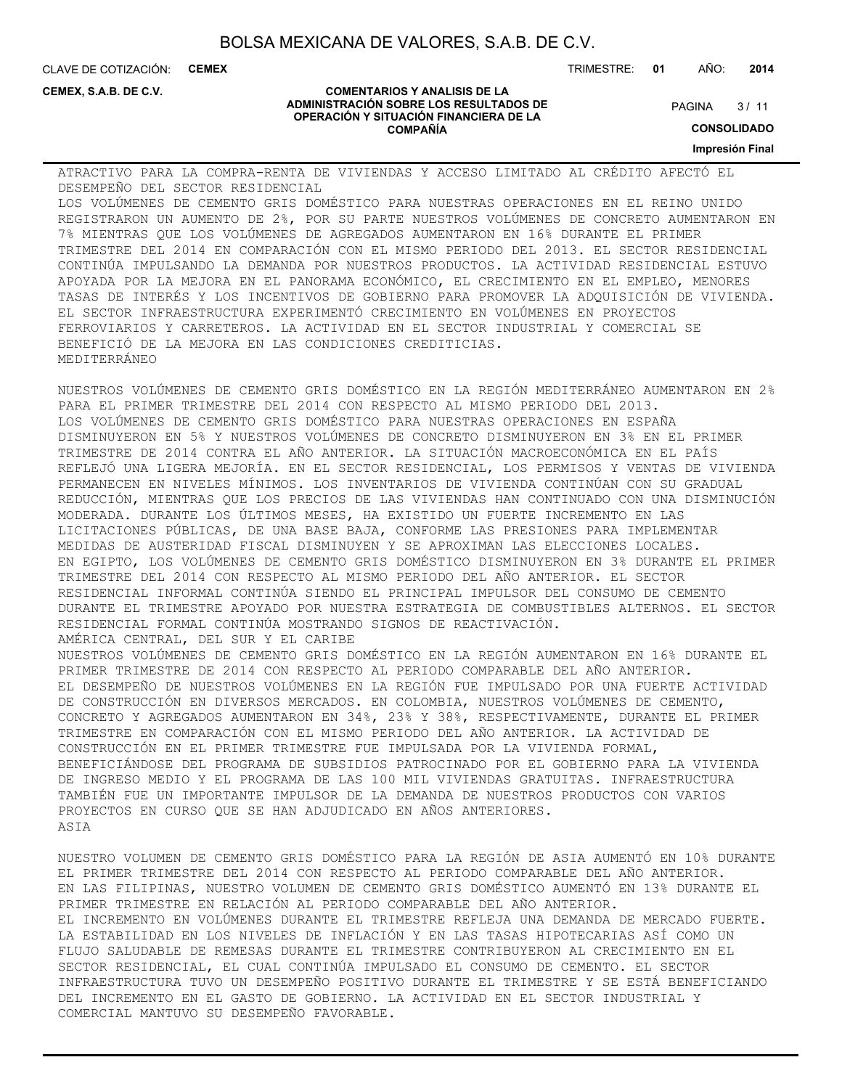**COMENTARIOS Y ANALISIS DE LA ADMINISTRACIÓN SOBRE LOS RESULTADOS DE OPERACIÓN Y SITUACIÓN FINANCIERA DE LA COMPAÑÍA**

CLAVE DE COTIZACIÓN: **CEMEX**

**CEMEX, S.A.B. DE C.V.**

#### TRIMESTRE: **01** AÑO: **2014**

 $3/11$ **PAGINA** 

**CONSOLIDADO**

**Impresión Final**

ATRACTIVO PARA LA COMPRA-RENTA DE VIVIENDAS Y ACCESO LIMITADO AL CRÉDITO AFECTÓ EL DESEMPEÑO DEL SECTOR RESIDENCIAL LOS VOLÚMENES DE CEMENTO GRIS DOMÉSTICO PARA NUESTRAS OPERACIONES EN EL REINO UNIDO REGISTRARON UN AUMENTO DE 2%, POR SU PARTE NUESTROS VOLÚMENES DE CONCRETO AUMENTARON EN 7% MIENTRAS QUE LOS VOLÚMENES DE AGREGADOS AUMENTARON EN 16% DURANTE EL PRIMER TRIMESTRE DEL 2014 EN COMPARACIÓN CON EL MISMO PERIODO DEL 2013. EL SECTOR RESIDENCIAL CONTINÚA IMPULSANDO LA DEMANDA POR NUESTROS PRODUCTOS. LA ACTIVIDAD RESIDENCIAL ESTUVO APOYADA POR LA MEJORA EN EL PANORAMA ECONÓMICO, EL CRECIMIENTO EN EL EMPLEO, MENORES TASAS DE INTERÉS Y LOS INCENTIVOS DE GOBIERNO PARA PROMOVER LA ADQUISICIÓN DE VIVIENDA. EL SECTOR INFRAESTRUCTURA EXPERIMENTÓ CRECIMIENTO EN VOLÚMENES EN PROYECTOS FERROVIARIOS Y CARRETEROS. LA ACTIVIDAD EN EL SECTOR INDUSTRIAL Y COMERCIAL SE BENEFICIÓ DE LA MEJORA EN LAS CONDICIONES CREDITICIAS. MEDITERRÁNEO

NUESTROS VOLÚMENES DE CEMENTO GRIS DOMÉSTICO EN LA REGIÓN MEDITERRÁNEO AUMENTARON EN 2% PARA EL PRIMER TRIMESTRE DEL 2014 CON RESPECTO AL MISMO PERIODO DEL 2013. LOS VOLÚMENES DE CEMENTO GRIS DOMÉSTICO PARA NUESTRAS OPERACIONES EN ESPAÑA DISMINUYERON EN 5% Y NUESTROS VOLÚMENES DE CONCRETO DISMINUYERON EN 3% EN EL PRIMER TRIMESTRE DE 2014 CONTRA EL AÑO ANTERIOR. LA SITUACIÓN MACROECONÓMICA EN EL PAÍS REFLEJÓ UNA LIGERA MEJORÍA. EN EL SECTOR RESIDENCIAL, LOS PERMISOS Y VENTAS DE VIVIENDA PERMANECEN EN NIVELES MÍNIMOS. LOS INVENTARIOS DE VIVIENDA CONTINÚAN CON SU GRADUAL REDUCCIÓN, MIENTRAS QUE LOS PRECIOS DE LAS VIVIENDAS HAN CONTINUADO CON UNA DISMINUCIÓN MODERADA. DURANTE LOS ÚLTIMOS MESES, HA EXISTIDO UN FUERTE INCREMENTO EN LAS LICITACIONES PÚBLICAS, DE UNA BASE BAJA, CONFORME LAS PRESIONES PARA IMPLEMENTAR MEDIDAS DE AUSTERIDAD FISCAL DISMINUYEN Y SE APROXIMAN LAS ELECCIONES LOCALES. EN EGIPTO, LOS VOLÚMENES DE CEMENTO GRIS DOMÉSTICO DISMINUYERON EN 3% DURANTE EL PRIMER TRIMESTRE DEL 2014 CON RESPECTO AL MISMO PERIODO DEL AÑO ANTERIOR. EL SECTOR RESIDENCIAL INFORMAL CONTINÚA SIENDO EL PRINCIPAL IMPULSOR DEL CONSUMO DE CEMENTO DURANTE EL TRIMESTRE APOYADO POR NUESTRA ESTRATEGIA DE COMBUSTIBLES ALTERNOS. EL SECTOR RESIDENCIAL FORMAL CONTINÚA MOSTRANDO SIGNOS DE REACTIVACIÓN. AMÉRICA CENTRAL, DEL SUR Y EL CARIBE NUESTROS VOLÚMENES DE CEMENTO GRIS DOMÉSTICO EN LA REGIÓN AUMENTARON EN 16% DURANTE EL PRIMER TRIMESTRE DE 2014 CON RESPECTO AL PERIODO COMPARABLE DEL AÑO ANTERIOR. EL DESEMPEÑO DE NUESTROS VOLÚMENES EN LA REGIÓN FUE IMPULSADO POR UNA FUERTE ACTIVIDAD DE CONSTRUCCIÓN EN DIVERSOS MERCADOS. EN COLOMBIA, NUESTROS VOLÚMENES DE CEMENTO, CONCRETO Y AGREGADOS AUMENTARON EN 34%, 23% Y 38%, RESPECTIVAMENTE, DURANTE EL PRIMER TRIMESTRE EN COMPARACIÓN CON EL MISMO PERIODO DEL AÑO ANTERIOR. LA ACTIVIDAD DE CONSTRUCCIÓN EN EL PRIMER TRIMESTRE FUE IMPULSADA POR LA VIVIENDA FORMAL, BENEFICIÁNDOSE DEL PROGRAMA DE SUBSIDIOS PATROCINADO POR EL GOBIERNO PARA LA VIVIENDA DE INGRESO MEDIO Y EL PROGRAMA DE LAS 100 MIL VIVIENDAS GRATUITAS. INFRAESTRUCTURA TAMBIÉN FUE UN IMPORTANTE IMPULSOR DE LA DEMANDA DE NUESTROS PRODUCTOS CON VARIOS PROYECTOS EN CURSO QUE SE HAN ADJUDICADO EN AÑOS ANTERIORES. ASIA

NUESTRO VOLUMEN DE CEMENTO GRIS DOMÉSTICO PARA LA REGIÓN DE ASIA AUMENTÓ EN 10% DURANTE EL PRIMER TRIMESTRE DEL 2014 CON RESPECTO AL PERIODO COMPARABLE DEL AÑO ANTERIOR. EN LAS FILIPINAS, NUESTRO VOLUMEN DE CEMENTO GRIS DOMÉSTICO AUMENTÓ EN 13% DURANTE EL PRIMER TRIMESTRE EN RELACIÓN AL PERIODO COMPARABLE DEL AÑO ANTERIOR. EL INCREMENTO EN VOLÚMENES DURANTE EL TRIMESTRE REFLEJA UNA DEMANDA DE MERCADO FUERTE. LA ESTABILIDAD EN LOS NIVELES DE INFLACIÓN Y EN LAS TASAS HIPOTECARIAS ASÍ COMO UN FLUJO SALUDABLE DE REMESAS DURANTE EL TRIMESTRE CONTRIBUYERON AL CRECIMIENTO EN EL SECTOR RESIDENCIAL, EL CUAL CONTINÚA IMPULSADO EL CONSUMO DE CEMENTO. EL SECTOR INFRAESTRUCTURA TUVO UN DESEMPEÑO POSITIVO DURANTE EL TRIMESTRE Y SE ESTÁ BENEFICIANDO DEL INCREMENTO EN EL GASTO DE GOBIERNO. LA ACTIVIDAD EN EL SECTOR INDUSTRIAL Y COMERCIAL MANTUVO SU DESEMPEÑO FAVORABLE.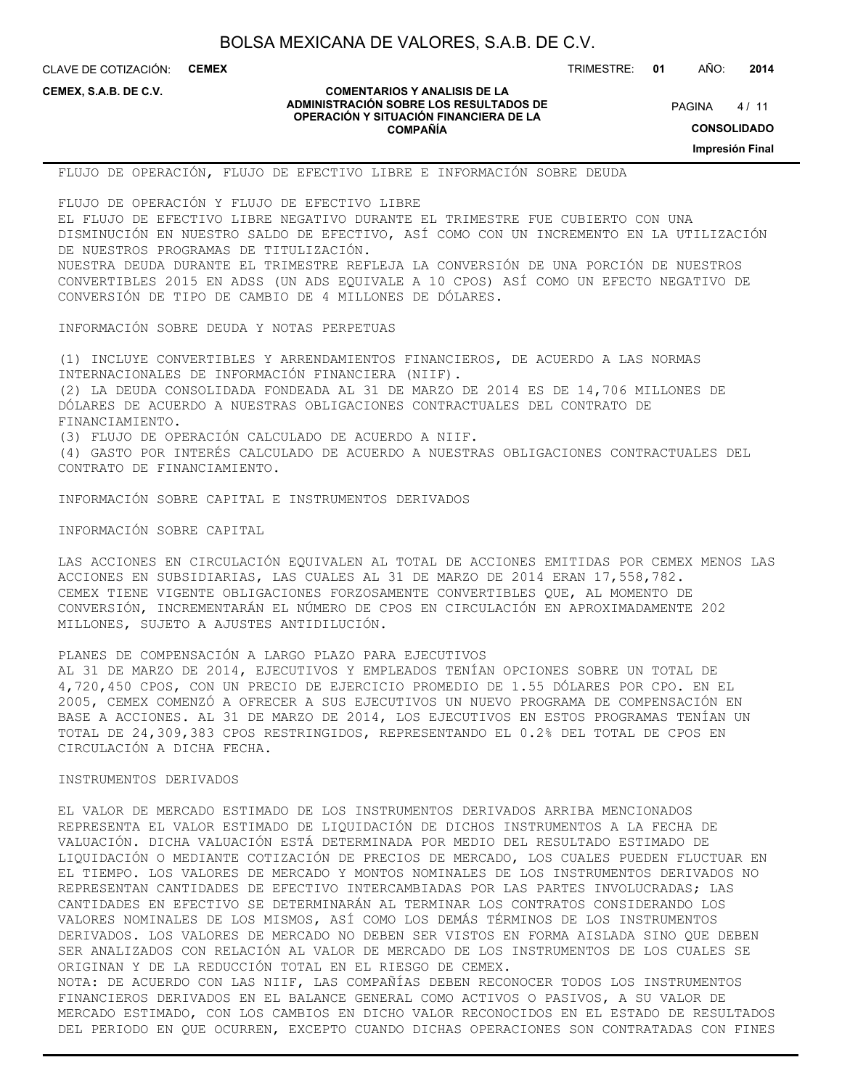CLAVE DE COTIZACIÓN: **CEMEX**

TRIMESTRE: **01** AÑO: **2014**

**CEMEX, S.A.B. DE C.V.**

#### **COMENTARIOS Y ANALISIS DE LA ADMINISTRACIÓN SOBRE LOS RESULTADOS DE OPERACIÓN Y SITUACIÓN FINANCIERA DE LA COMPAÑÍA**

 $4/11$ **PAGINA** 

**CONSOLIDADO**

**Impresión Final**

FLUJO DE OPERACIÓN, FLUJO DE EFECTIVO LIBRE E INFORMACIÓN SOBRE DEUDA

FLUJO DE OPERACIÓN Y FLUJO DE EFECTIVO LIBRE EL FLUJO DE EFECTIVO LIBRE NEGATIVO DURANTE EL TRIMESTRE FUE CUBIERTO CON UNA DISMINUCIÓN EN NUESTRO SALDO DE EFECTIVO, ASÍ COMO CON UN INCREMENTO EN LA UTILIZACIÓN DE NUESTROS PROGRAMAS DE TITULIZACIÓN. NUESTRA DEUDA DURANTE EL TRIMESTRE REFLEJA LA CONVERSIÓN DE UNA PORCIÓN DE NUESTROS CONVERTIBLES 2015 EN ADSS (UN ADS EQUIVALE A 10 CPOS) ASÍ COMO UN EFECTO NEGATIVO DE CONVERSIÓN DE TIPO DE CAMBIO DE 4 MILLONES DE DÓLARES.

INFORMACIÓN SOBRE DEUDA Y NOTAS PERPETUAS

(1) INCLUYE CONVERTIBLES Y ARRENDAMIENTOS FINANCIEROS, DE ACUERDO A LAS NORMAS INTERNACIONALES DE INFORMACIÓN FINANCIERA (NIIF). (2) LA DEUDA CONSOLIDADA FONDEADA AL 31 DE MARZO DE 2014 ES DE 14,706 MILLONES DE DÓLARES DE ACUERDO A NUESTRAS OBLIGACIONES CONTRACTUALES DEL CONTRATO DE FINANCIAMIENTO. (3) FLUJO DE OPERACIÓN CALCULADO DE ACUERDO A NIIF. (4) GASTO POR INTERÉS CALCULADO DE ACUERDO A NUESTRAS OBLIGACIONES CONTRACTUALES DEL CONTRATO DE FINANCIAMIENTO.

INFORMACIÓN SOBRE CAPITAL E INSTRUMENTOS DERIVADOS

INFORMACIÓN SOBRE CAPITAL

LAS ACCIONES EN CIRCULACIÓN EQUIVALEN AL TOTAL DE ACCIONES EMITIDAS POR CEMEX MENOS LAS ACCIONES EN SUBSIDIARIAS, LAS CUALES AL 31 DE MARZO DE 2014 ERAN 17,558,782. CEMEX TIENE VIGENTE OBLIGACIONES FORZOSAMENTE CONVERTIBLES QUE, AL MOMENTO DE CONVERSIÓN, INCREMENTARÁN EL NÚMERO DE CPOS EN CIRCULACIÓN EN APROXIMADAMENTE 202 MILLONES, SUJETO A AJUSTES ANTIDILUCIÓN.

### PLANES DE COMPENSACIÓN A LARGO PLAZO PARA EJECUTIVOS

AL 31 DE MARZO DE 2014, EJECUTIVOS Y EMPLEADOS TENÍAN OPCIONES SOBRE UN TOTAL DE 4,720,450 CPOS, CON UN PRECIO DE EJERCICIO PROMEDIO DE 1.55 DÓLARES POR CPO. EN EL 2005, CEMEX COMENZÓ A OFRECER A SUS EJECUTIVOS UN NUEVO PROGRAMA DE COMPENSACIÓN EN BASE A ACCIONES. AL 31 DE MARZO DE 2014, LOS EJECUTIVOS EN ESTOS PROGRAMAS TENÍAN UN TOTAL DE 24,309,383 CPOS RESTRINGIDOS, REPRESENTANDO EL 0.2% DEL TOTAL DE CPOS EN CIRCULACIÓN A DICHA FECHA.

#### INSTRUMENTOS DERIVADOS

EL VALOR DE MERCADO ESTIMADO DE LOS INSTRUMENTOS DERIVADOS ARRIBA MENCIONADOS REPRESENTA EL VALOR ESTIMADO DE LIQUIDACIÓN DE DICHOS INSTRUMENTOS A LA FECHA DE VALUACIÓN. DICHA VALUACIÓN ESTÁ DETERMINADA POR MEDIO DEL RESULTADO ESTIMADO DE LIQUIDACIÓN O MEDIANTE COTIZACIÓN DE PRECIOS DE MERCADO, LOS CUALES PUEDEN FLUCTUAR EN EL TIEMPO. LOS VALORES DE MERCADO Y MONTOS NOMINALES DE LOS INSTRUMENTOS DERIVADOS NO REPRESENTAN CANTIDADES DE EFECTIVO INTERCAMBIADAS POR LAS PARTES INVOLUCRADAS; LAS CANTIDADES EN EFECTIVO SE DETERMINARÁN AL TERMINAR LOS CONTRATOS CONSIDERANDO LOS VALORES NOMINALES DE LOS MISMOS, ASÍ COMO LOS DEMÁS TÉRMINOS DE LOS INSTRUMENTOS DERIVADOS. LOS VALORES DE MERCADO NO DEBEN SER VISTOS EN FORMA AISLADA SINO QUE DEBEN SER ANALIZADOS CON RELACIÓN AL VALOR DE MERCADO DE LOS INSTRUMENTOS DE LOS CUALES SE ORIGINAN Y DE LA REDUCCIÓN TOTAL EN EL RIESGO DE CEMEX. NOTA: DE ACUERDO CON LAS NIIF, LAS COMPAÑÍAS DEBEN RECONOCER TODOS LOS INSTRUMENTOS FINANCIEROS DERIVADOS EN EL BALANCE GENERAL COMO ACTIVOS O PASIVOS, A SU VALOR DE

MERCADO ESTIMADO, CON LOS CAMBIOS EN DICHO VALOR RECONOCIDOS EN EL ESTADO DE RESULTADOS DEL PERIODO EN QUE OCURREN, EXCEPTO CUANDO DICHAS OPERACIONES SON CONTRATADAS CON FINES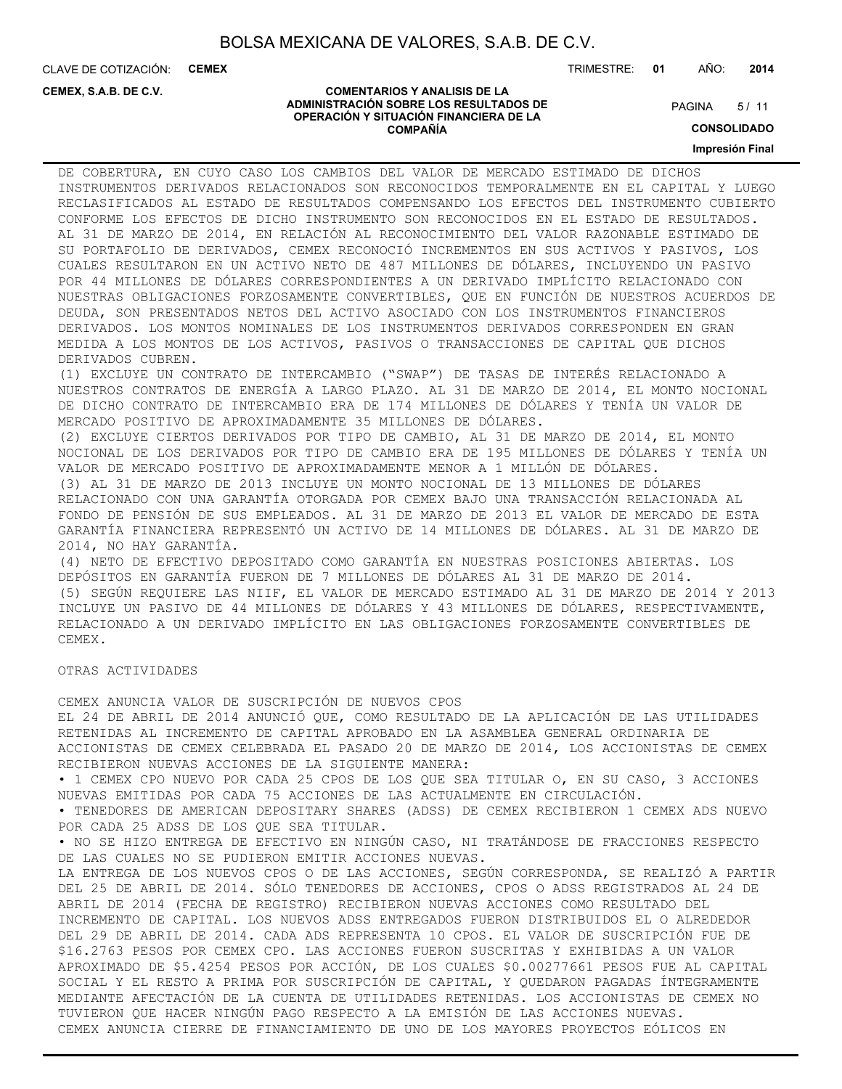CLAVE DE COTIZACIÓN: **CEMEX**

**CEMEX, S.A.B. DE C.V.**

TRIMESTRE: **01** AÑO: **2014**

 $5/11$ **PAGINA** 

#### **COMENTARIOS Y ANALISIS DE LA ADMINISTRACIÓN SOBRE LOS RESULTADOS DE OPERACIÓN Y SITUACIÓN FINANCIERA DE LA COMPAÑÍA**

**CONSOLIDADO**

#### **Impresión Final**

DE COBERTURA, EN CUYO CASO LOS CAMBIOS DEL VALOR DE MERCADO ESTIMADO DE DICHOS INSTRUMENTOS DERIVADOS RELACIONADOS SON RECONOCIDOS TEMPORALMENTE EN EL CAPITAL Y LUEGO RECLASIFICADOS AL ESTADO DE RESULTADOS COMPENSANDO LOS EFECTOS DEL INSTRUMENTO CUBIERTO CONFORME LOS EFECTOS DE DICHO INSTRUMENTO SON RECONOCIDOS EN EL ESTADO DE RESULTADOS. AL 31 DE MARZO DE 2014, EN RELACIÓN AL RECONOCIMIENTO DEL VALOR RAZONABLE ESTIMADO DE SU PORTAFOLIO DE DERIVADOS, CEMEX RECONOCIÓ INCREMENTOS EN SUS ACTIVOS Y PASIVOS, LOS CUALES RESULTARON EN UN ACTIVO NETO DE 487 MILLONES DE DÓLARES, INCLUYENDO UN PASIVO POR 44 MILLONES DE DÓLARES CORRESPONDIENTES A UN DERIVADO IMPLÍCITO RELACIONADO CON NUESTRAS OBLIGACIONES FORZOSAMENTE CONVERTIBLES, QUE EN FUNCIÓN DE NUESTROS ACUERDOS DE DEUDA, SON PRESENTADOS NETOS DEL ACTIVO ASOCIADO CON LOS INSTRUMENTOS FINANCIEROS DERIVADOS. LOS MONTOS NOMINALES DE LOS INSTRUMENTOS DERIVADOS CORRESPONDEN EN GRAN MEDIDA A LOS MONTOS DE LOS ACTIVOS, PASIVOS O TRANSACCIONES DE CAPITAL QUE DICHOS DERIVADOS CUBREN.

(1) EXCLUYE UN CONTRATO DE INTERCAMBIO ("SWAP") DE TASAS DE INTERÉS RELACIONADO A NUESTROS CONTRATOS DE ENERGÍA A LARGO PLAZO. AL 31 DE MARZO DE 2014, EL MONTO NOCIONAL DE DICHO CONTRATO DE INTERCAMBIO ERA DE 174 MILLONES DE DÓLARES Y TENÍA UN VALOR DE MERCADO POSITIVO DE APROXIMADAMENTE 35 MILLONES DE DÓLARES.

(2) EXCLUYE CIERTOS DERIVADOS POR TIPO DE CAMBIO, AL 31 DE MARZO DE 2014, EL MONTO NOCIONAL DE LOS DERIVADOS POR TIPO DE CAMBIO ERA DE 195 MILLONES DE DÓLARES Y TENÍA UN VALOR DE MERCADO POSITIVO DE APROXIMADAMENTE MENOR A 1 MILLÓN DE DÓLARES. (3) AL 31 DE MARZO DE 2013 INCLUYE UN MONTO NOCIONAL DE 13 MILLONES DE DÓLARES

RELACIONADO CON UNA GARANTÍA OTORGADA POR CEMEX BAJO UNA TRANSACCIÓN RELACIONADA AL FONDO DE PENSIÓN DE SUS EMPLEADOS. AL 31 DE MARZO DE 2013 EL VALOR DE MERCADO DE ESTA GARANTÍA FINANCIERA REPRESENTÓ UN ACTIVO DE 14 MILLONES DE DÓLARES. AL 31 DE MARZO DE 2014, NO HAY GARANTÍA.

(4) NETO DE EFECTIVO DEPOSITADO COMO GARANTÍA EN NUESTRAS POSICIONES ABIERTAS. LOS DEPÓSITOS EN GARANTÍA FUERON DE 7 MILLONES DE DÓLARES AL 31 DE MARZO DE 2014. (5) SEGÚN REQUIERE LAS NIIF, EL VALOR DE MERCADO ESTIMADO AL 31 DE MARZO DE 2014 Y 2013 INCLUYE UN PASIVO DE 44 MILLONES DE DÓLARES Y 43 MILLONES DE DÓLARES, RESPECTIVAMENTE, RELACIONADO A UN DERIVADO IMPLÍCITO EN LAS OBLIGACIONES FORZOSAMENTE CONVERTIBLES DE CEMEX.

#### OTRAS ACTIVIDADES

CEMEX ANUNCIA VALOR DE SUSCRIPCIÓN DE NUEVOS CPOS EL 24 DE ABRIL DE 2014 ANUNCIÓ QUE, COMO RESULTADO DE LA APLICACIÓN DE LAS UTILIDADES RETENIDAS AL INCREMENTO DE CAPITAL APROBADO EN LA ASAMBLEA GENERAL ORDINARIA DE ACCIONISTAS DE CEMEX CELEBRADA EL PASADO 20 DE MARZO DE 2014, LOS ACCIONISTAS DE CEMEX RECIBIERON NUEVAS ACCIONES DE LA SIGUIENTE MANERA: • 1 CEMEX CPO NUEVO POR CADA 25 CPOS DE LOS QUE SEA TITULAR O, EN SU CASO, 3 ACCIONES NUEVAS EMITIDAS POR CADA 75 ACCIONES DE LAS ACTUALMENTE EN CIRCULACIÓN. • TENEDORES DE AMERICAN DEPOSITARY SHARES (ADSS) DE CEMEX RECIBIERON 1 CEMEX ADS NUEVO POR CADA 25 ADSS DE LOS QUE SEA TITULAR. • NO SE HIZO ENTREGA DE EFECTIVO EN NINGÚN CASO, NI TRATÁNDOSE DE FRACCIONES RESPECTO DE LAS CUALES NO SE PUDIERON EMITIR ACCIONES NUEVAS. LA ENTREGA DE LOS NUEVOS CPOS O DE LAS ACCIONES, SEGÚN CORRESPONDA, SE REALIZÓ A PARTIR DEL 25 DE ABRIL DE 2014. SÓLO TENEDORES DE ACCIONES, CPOS O ADSS REGISTRADOS AL 24 DE ABRIL DE 2014 (FECHA DE REGISTRO) RECIBIERON NUEVAS ACCIONES COMO RESULTADO DEL INCREMENTO DE CAPITAL. LOS NUEVOS ADSS ENTREGADOS FUERON DISTRIBUIDOS EL O ALREDEDOR DEL 29 DE ABRIL DE 2014. CADA ADS REPRESENTA 10 CPOS. EL VALOR DE SUSCRIPCIÓN FUE DE \$16.2763 PESOS POR CEMEX CPO. LAS ACCIONES FUERON SUSCRITAS Y EXHIBIDAS A UN VALOR APROXIMADO DE \$5.4254 PESOS POR ACCIÓN, DE LOS CUALES \$0.00277661 PESOS FUE AL CAPITAL SOCIAL Y EL RESTO A PRIMA POR SUSCRIPCIÓN DE CAPITAL, Y QUEDARON PAGADAS ÍNTEGRAMENTE MEDIANTE AFECTACIÓN DE LA CUENTA DE UTILIDADES RETENIDAS. LOS ACCIONISTAS DE CEMEX NO TUVIERON QUE HACER NINGÚN PAGO RESPECTO A LA EMISIÓN DE LAS ACCIONES NUEVAS. CEMEX ANUNCIA CIERRE DE FINANCIAMIENTO DE UNO DE LOS MAYORES PROYECTOS EÓLICOS EN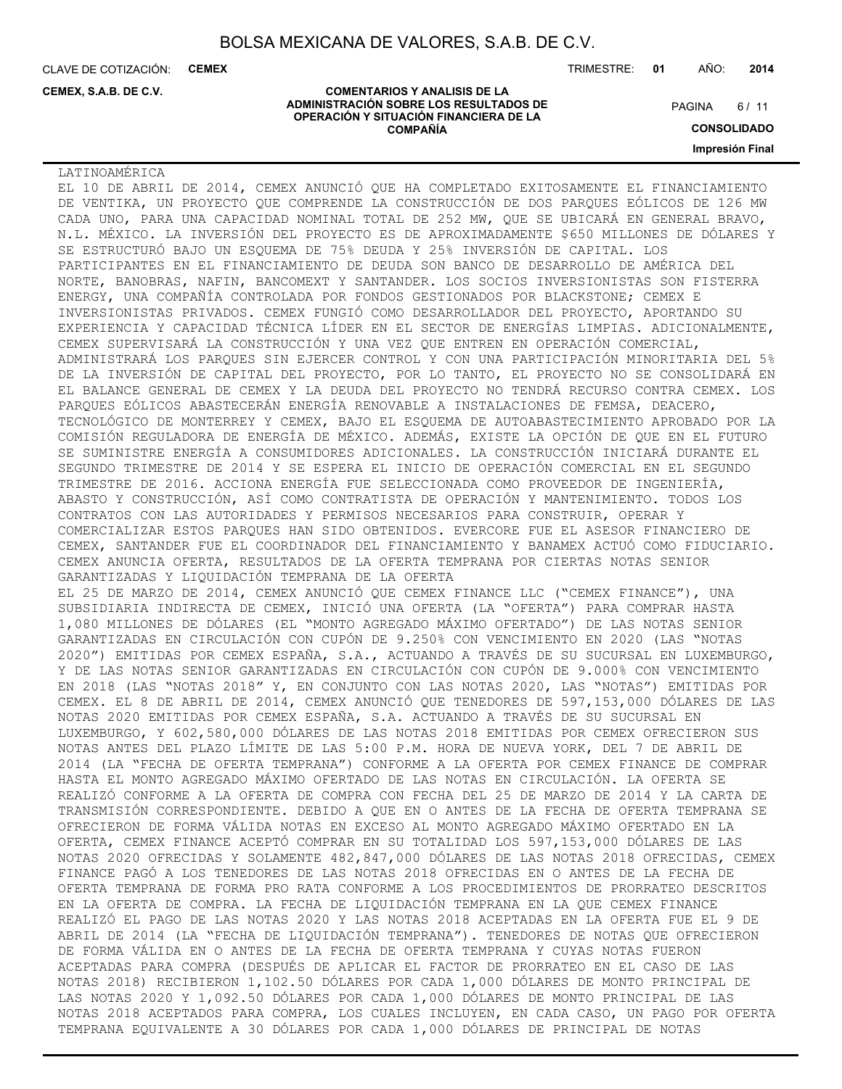CLAVE DE COTIZACIÓN: **CEMEX**

**CEMEX, S.A.B. DE C.V.**

TRIMESTRE: **01** AÑO: **2014**

 $6/11$ **PAGINA** 

**ADMINISTRACIÓN SOBRE LOS RESULTADOS DE OPERACIÓN Y SITUACIÓN FINANCIERA DE LA COMPAÑÍA**

**COMENTARIOS Y ANALISIS DE LA**

**CONSOLIDADO Impresión Final**

LATINOAMÉRICA

EL 10 DE ABRIL DE 2014, CEMEX ANUNCIÓ QUE HA COMPLETADO EXITOSAMENTE EL FINANCIAMIENTO DE VENTIKA, UN PROYECTO QUE COMPRENDE LA CONSTRUCCIÓN DE DOS PARQUES EÓLICOS DE 126 MW CADA UNO, PARA UNA CAPACIDAD NOMINAL TOTAL DE 252 MW, QUE SE UBICARÁ EN GENERAL BRAVO, N.L. MÉXICO. LA INVERSIÓN DEL PROYECTO ES DE APROXIMADAMENTE \$650 MILLONES DE DÓLARES Y SE ESTRUCTURÓ BAJO UN ESQUEMA DE 75% DEUDA Y 25% INVERSIÓN DE CAPITAL. LOS PARTICIPANTES EN EL FINANCIAMIENTO DE DEUDA SON BANCO DE DESARROLLO DE AMÉRICA DEL NORTE, BANOBRAS, NAFIN, BANCOMEXT Y SANTANDER. LOS SOCIOS INVERSIONISTAS SON FISTERRA ENERGY, UNA COMPAÑÍA CONTROLADA POR FONDOS GESTIONADOS POR BLACKSTONE; CEMEX E INVERSIONISTAS PRIVADOS. CEMEX FUNGIÓ COMO DESARROLLADOR DEL PROYECTO, APORTANDO SU EXPERIENCIA Y CAPACIDAD TÉCNICA LÍDER EN EL SECTOR DE ENERGÍAS LIMPIAS. ADICIONALMENTE, CEMEX SUPERVISARÁ LA CONSTRUCCIÓN Y UNA VEZ QUE ENTREN EN OPERACIÓN COMERCIAL, ADMINISTRARÁ LOS PARQUES SIN EJERCER CONTROL Y CON UNA PARTICIPACIÓN MINORITARIA DEL 5% DE LA INVERSIÓN DE CAPITAL DEL PROYECTO, POR LO TANTO, EL PROYECTO NO SE CONSOLIDARÁ EN EL BALANCE GENERAL DE CEMEX Y LA DEUDA DEL PROYECTO NO TENDRÁ RECURSO CONTRA CEMEX. LOS PARQUES EÓLICOS ABASTECERÁN ENERGÍA RENOVABLE A INSTALACIONES DE FEMSA, DEACERO, TECNOLÓGICO DE MONTERREY Y CEMEX, BAJO EL ESQUEMA DE AUTOABASTECIMIENTO APROBADO POR LA COMISIÓN REGULADORA DE ENERGÍA DE MÉXICO. ADEMÁS, EXISTE LA OPCIÓN DE QUE EN EL FUTURO SE SUMINISTRE ENERGÍA A CONSUMIDORES ADICIONALES. LA CONSTRUCCIÓN INICIARÁ DURANTE EL SEGUNDO TRIMESTRE DE 2014 Y SE ESPERA EL INICIO DE OPERACIÓN COMERCIAL EN EL SEGUNDO TRIMESTRE DE 2016. ACCIONA ENERGÍA FUE SELECCIONADA COMO PROVEEDOR DE INGENIERÍA, ABASTO Y CONSTRUCCIÓN, ASÍ COMO CONTRATISTA DE OPERACIÓN Y MANTENIMIENTO. TODOS LOS CONTRATOS CON LAS AUTORIDADES Y PERMISOS NECESARIOS PARA CONSTRUIR, OPERAR Y COMERCIALIZAR ESTOS PARQUES HAN SIDO OBTENIDOS. EVERCORE FUE EL ASESOR FINANCIERO DE CEMEX, SANTANDER FUE EL COORDINADOR DEL FINANCIAMIENTO Y BANAMEX ACTUÓ COMO FIDUCIARIO. CEMEX ANUNCIA OFERTA, RESULTADOS DE LA OFERTA TEMPRANA POR CIERTAS NOTAS SENIOR GARANTIZADAS Y LIQUIDACIÓN TEMPRANA DE LA OFERTA EL 25 DE MARZO DE 2014, CEMEX ANUNCIÓ QUE CEMEX FINANCE LLC ("CEMEX FINANCE"), UNA SUBSIDIARIA INDIRECTA DE CEMEX, INICIÓ UNA OFERTA (LA "OFERTA") PARA COMPRAR HASTA 1,080 MILLONES DE DÓLARES (EL "MONTO AGREGADO MÁXIMO OFERTADO") DE LAS NOTAS SENIOR GARANTIZADAS EN CIRCULACIÓN CON CUPÓN DE 9.250% CON VENCIMIENTO EN 2020 (LAS "NOTAS 2020") EMITIDAS POR CEMEX ESPAÑA, S.A., ACTUANDO A TRAVÉS DE SU SUCURSAL EN LUXEMBURGO, Y DE LAS NOTAS SENIOR GARANTIZADAS EN CIRCULACIÓN CON CUPÓN DE 9.000% CON VENCIMIENTO EN 2018 (LAS "NOTAS 2018" Y, EN CONJUNTO CON LAS NOTAS 2020, LAS "NOTAS") EMITIDAS POR CEMEX. EL 8 DE ABRIL DE 2014, CEMEX ANUNCIÓ QUE TENEDORES DE 597,153,000 DÓLARES DE LAS NOTAS 2020 EMITIDAS POR CEMEX ESPAÑA, S.A. ACTUANDO A TRAVÉS DE SU SUCURSAL EN LUXEMBURGO, Y 602,580,000 DÓLARES DE LAS NOTAS 2018 EMITIDAS POR CEMEX OFRECIERON SUS NOTAS ANTES DEL PLAZO LÍMITE DE LAS 5:00 P.M. HORA DE NUEVA YORK, DEL 7 DE ABRIL DE 2014 (LA "FECHA DE OFERTA TEMPRANA") CONFORME A LA OFERTA POR CEMEX FINANCE DE COMPRAR HASTA EL MONTO AGREGADO MÁXIMO OFERTADO DE LAS NOTAS EN CIRCULACIÓN. LA OFERTA SE REALIZÓ CONFORME A LA OFERTA DE COMPRA CON FECHA DEL 25 DE MARZO DE 2014 Y LA CARTA DE TRANSMISIÓN CORRESPONDIENTE. DEBIDO A QUE EN O ANTES DE LA FECHA DE OFERTA TEMPRANA SE OFRECIERON DE FORMA VÁLIDA NOTAS EN EXCESO AL MONTO AGREGADO MÁXIMO OFERTADO EN LA OFERTA, CEMEX FINANCE ACEPTÓ COMPRAR EN SU TOTALIDAD LOS 597,153,000 DÓLARES DE LAS NOTAS 2020 OFRECIDAS Y SOLAMENTE 482,847,000 DÓLARES DE LAS NOTAS 2018 OFRECIDAS, CEMEX FINANCE PAGÓ A LOS TENEDORES DE LAS NOTAS 2018 OFRECIDAS EN O ANTES DE LA FECHA DE OFERTA TEMPRANA DE FORMA PRO RATA CONFORME A LOS PROCEDIMIENTOS DE PRORRATEO DESCRITOS EN LA OFERTA DE COMPRA. LA FECHA DE LIQUIDACIÓN TEMPRANA EN LA QUE CEMEX FINANCE REALIZÓ EL PAGO DE LAS NOTAS 2020 Y LAS NOTAS 2018 ACEPTADAS EN LA OFERTA FUE EL 9 DE ABRIL DE 2014 (LA "FECHA DE LIQUIDACIÓN TEMPRANA"). TENEDORES DE NOTAS QUE OFRECIERON DE FORMA VÁLIDA EN O ANTES DE LA FECHA DE OFERTA TEMPRANA Y CUYAS NOTAS FUERON ACEPTADAS PARA COMPRA (DESPUÉS DE APLICAR EL FACTOR DE PRORRATEO EN EL CASO DE LAS NOTAS 2018) RECIBIERON 1,102.50 DÓLARES POR CADA 1,000 DÓLARES DE MONTO PRINCIPAL DE LAS NOTAS 2020 Y 1,092.50 DÓLARES POR CADA 1,000 DÓLARES DE MONTO PRINCIPAL DE LAS NOTAS 2018 ACEPTADOS PARA COMPRA, LOS CUALES INCLUYEN, EN CADA CASO, UN PAGO POR OFERTA TEMPRANA EQUIVALENTE A 30 DÓLARES POR CADA 1,000 DÓLARES DE PRINCIPAL DE NOTAS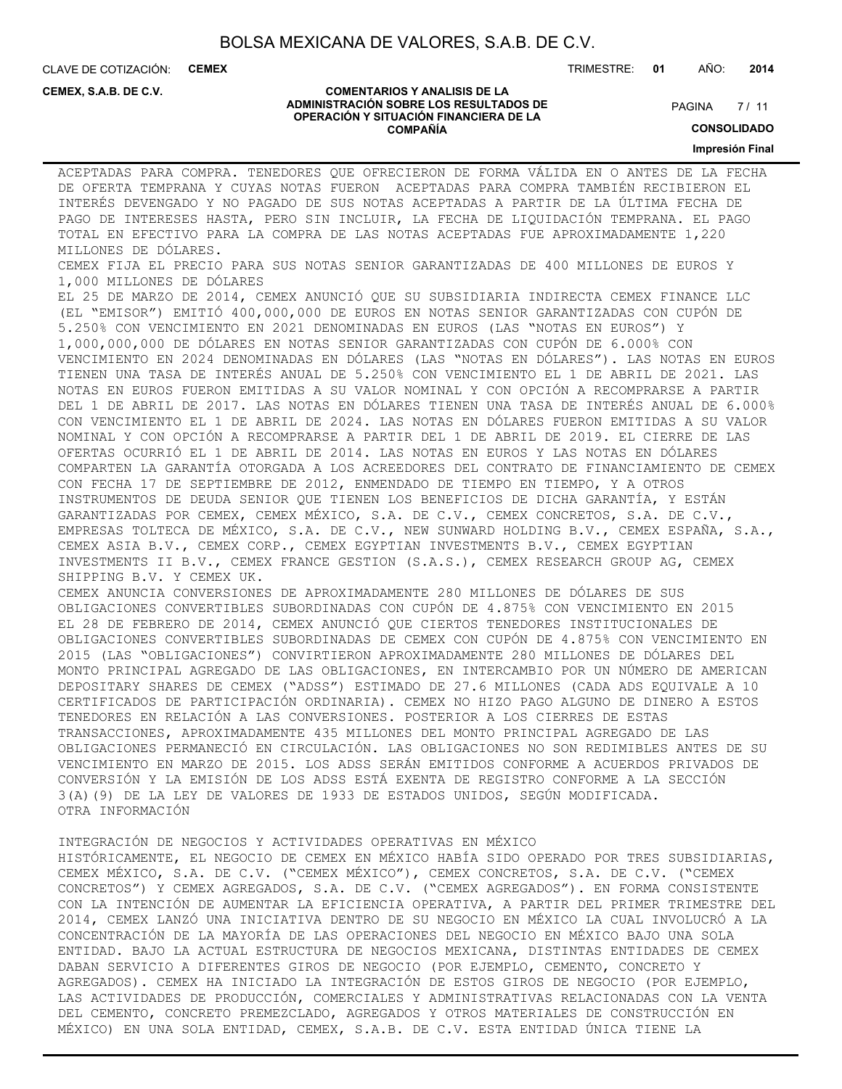CLAVE DE COTIZACIÓN: **CEMEX**

TRIMESTRE: **01** AÑO: **2014**

**CEMEX, S.A.B. DE C.V.**

#### **COMENTARIOS Y ANALISIS DE LA ADMINISTRACIÓN SOBRE LOS RESULTADOS DE OPERACIÓN Y SITUACIÓN FINANCIERA DE LA COMPAÑÍA**

 $7/11$ **PAGINA** 

**CONSOLIDADO**

**Impresión Final**

ACEPTADAS PARA COMPRA. TENEDORES QUE OFRECIERON DE FORMA VÁLIDA EN O ANTES DE LA FECHA DE OFERTA TEMPRANA Y CUYAS NOTAS FUERON ACEPTADAS PARA COMPRA TAMBIÉN RECIBIERON EL INTERÉS DEVENGADO Y NO PAGADO DE SUS NOTAS ACEPTADAS A PARTIR DE LA ÚLTIMA FECHA DE PAGO DE INTERESES HASTA, PERO SIN INCLUIR, LA FECHA DE LIQUIDACIÓN TEMPRANA. EL PAGO TOTAL EN EFECTIVO PARA LA COMPRA DE LAS NOTAS ACEPTADAS FUE APROXIMADAMENTE 1,220 MILLONES DE DÓLARES. CEMEX FIJA EL PRECIO PARA SUS NOTAS SENIOR GARANTIZADAS DE 400 MILLONES DE EUROS Y 1,000 MILLONES DE DÓLARES EL 25 DE MARZO DE 2014, CEMEX ANUNCIÓ QUE SU SUBSIDIARIA INDIRECTA CEMEX FINANCE LLC (EL "EMISOR") EMITIÓ 400,000,000 DE EUROS EN NOTAS SENIOR GARANTIZADAS CON CUPÓN DE 5.250% CON VENCIMIENTO EN 2021 DENOMINADAS EN EUROS (LAS "NOTAS EN EUROS") Y 1,000,000,000 DE DÓLARES EN NOTAS SENIOR GARANTIZADAS CON CUPÓN DE 6.000% CON VENCIMIENTO EN 2024 DENOMINADAS EN DÓLARES (LAS "NOTAS EN DÓLARES"). LAS NOTAS EN EUROS TIENEN UNA TASA DE INTERÉS ANUAL DE 5.250% CON VENCIMIENTO EL 1 DE ABRIL DE 2021. LAS NOTAS EN EUROS FUERON EMITIDAS A SU VALOR NOMINAL Y CON OPCIÓN A RECOMPRARSE A PARTIR DEL 1 DE ABRIL DE 2017. LAS NOTAS EN DÓLARES TIENEN UNA TASA DE INTERÉS ANUAL DE 6.000% CON VENCIMIENTO EL 1 DE ABRIL DE 2024. LAS NOTAS EN DÓLARES FUERON EMITIDAS A SU VALOR NOMINAL Y CON OPCIÓN A RECOMPRARSE A PARTIR DEL 1 DE ABRIL DE 2019. EL CIERRE DE LAS OFERTAS OCURRIÓ EL 1 DE ABRIL DE 2014. LAS NOTAS EN EUROS Y LAS NOTAS EN DÓLARES COMPARTEN LA GARANTÍA OTORGADA A LOS ACREEDORES DEL CONTRATO DE FINANCIAMIENTO DE CEMEX CON FECHA 17 DE SEPTIEMBRE DE 2012, ENMENDADO DE TIEMPO EN TIEMPO, Y A OTROS INSTRUMENTOS DE DEUDA SENIOR QUE TIENEN LOS BENEFICIOS DE DICHA GARANTÍA, Y ESTÁN GARANTIZADAS POR CEMEX, CEMEX MÉXICO, S.A. DE C.V., CEMEX CONCRETOS, S.A. DE C.V., EMPRESAS TOLTECA DE MÉXICO, S.A. DE C.V., NEW SUNWARD HOLDING B.V., CEMEX ESPAÑA, S.A., CEMEX ASIA B.V., CEMEX CORP., CEMEX EGYPTIAN INVESTMENTS B.V., CEMEX EGYPTIAN INVESTMENTS II B.V., CEMEX FRANCE GESTION (S.A.S.), CEMEX RESEARCH GROUP AG, CEMEX SHIPPING B.V. Y CEMEX UK. CEMEX ANUNCIA CONVERSIONES DE APROXIMADAMENTE 280 MILLONES DE DÓLARES DE SUS OBLIGACIONES CONVERTIBLES SUBORDINADAS CON CUPÓN DE 4.875% CON VENCIMIENTO EN 2015 EL 28 DE FEBRERO DE 2014, CEMEX ANUNCIÓ QUE CIERTOS TENEDORES INSTITUCIONALES DE OBLIGACIONES CONVERTIBLES SUBORDINADAS DE CEMEX CON CUPÓN DE 4.875% CON VENCIMIENTO EN 2015 (LAS "OBLIGACIONES") CONVIRTIERON APROXIMADAMENTE 280 MILLONES DE DÓLARES DEL MONTO PRINCIPAL AGREGADO DE LAS OBLIGACIONES, EN INTERCAMBIO POR UN NÚMERO DE AMERICAN DEPOSITARY SHARES DE CEMEX ("ADSS") ESTIMADO DE 27.6 MILLONES (CADA ADS EQUIVALE A 10 CERTIFICADOS DE PARTICIPACIÓN ORDINARIA). CEMEX NO HIZO PAGO ALGUNO DE DINERO A ESTOS TENEDORES EN RELACIÓN A LAS CONVERSIONES. POSTERIOR A LOS CIERRES DE ESTAS TRANSACCIONES, APROXIMADAMENTE 435 MILLONES DEL MONTO PRINCIPAL AGREGADO DE LAS OBLIGACIONES PERMANECIÓ EN CIRCULACIÓN. LAS OBLIGACIONES NO SON REDIMIBLES ANTES DE SU VENCIMIENTO EN MARZO DE 2015. LOS ADSS SERÁN EMITIDOS CONFORME A ACUERDOS PRIVADOS DE CONVERSIÓN Y LA EMISIÓN DE LOS ADSS ESTÁ EXENTA DE REGISTRO CONFORME A LA SECCIÓN 3(A)(9) DE LA LEY DE VALORES DE 1933 DE ESTADOS UNIDOS, SEGÚN MODIFICADA. OTRA INFORMACIÓN

INTEGRACIÓN DE NEGOCIOS Y ACTIVIDADES OPERATIVAS EN MÉXICO

HISTÓRICAMENTE, EL NEGOCIO DE CEMEX EN MÉXICO HABÍA SIDO OPERADO POR TRES SUBSIDIARIAS, CEMEX MÉXICO, S.A. DE C.V. ("CEMEX MÉXICO"), CEMEX CONCRETOS, S.A. DE C.V. ("CEMEX CONCRETOS") Y CEMEX AGREGADOS, S.A. DE C.V. ("CEMEX AGREGADOS"). EN FORMA CONSISTENTE CON LA INTENCIÓN DE AUMENTAR LA EFICIENCIA OPERATIVA, A PARTIR DEL PRIMER TRIMESTRE DEL 2014, CEMEX LANZÓ UNA INICIATIVA DENTRO DE SU NEGOCIO EN MÉXICO LA CUAL INVOLUCRÓ A LA CONCENTRACIÓN DE LA MAYORÍA DE LAS OPERACIONES DEL NEGOCIO EN MÉXICO BAJO UNA SOLA ENTIDAD. BAJO LA ACTUAL ESTRUCTURA DE NEGOCIOS MEXICANA, DISTINTAS ENTIDADES DE CEMEX DABAN SERVICIO A DIFERENTES GIROS DE NEGOCIO (POR EJEMPLO, CEMENTO, CONCRETO Y AGREGADOS). CEMEX HA INICIADO LA INTEGRACIÓN DE ESTOS GIROS DE NEGOCIO (POR EJEMPLO, LAS ACTIVIDADES DE PRODUCCIÓN, COMERCIALES Y ADMINISTRATIVAS RELACIONADAS CON LA VENTA DEL CEMENTO, CONCRETO PREMEZCLADO, AGREGADOS Y OTROS MATERIALES DE CONSTRUCCIÓN EN MÉXICO) EN UNA SOLA ENTIDAD, CEMEX, S.A.B. DE C.V. ESTA ENTIDAD ÚNICA TIENE LA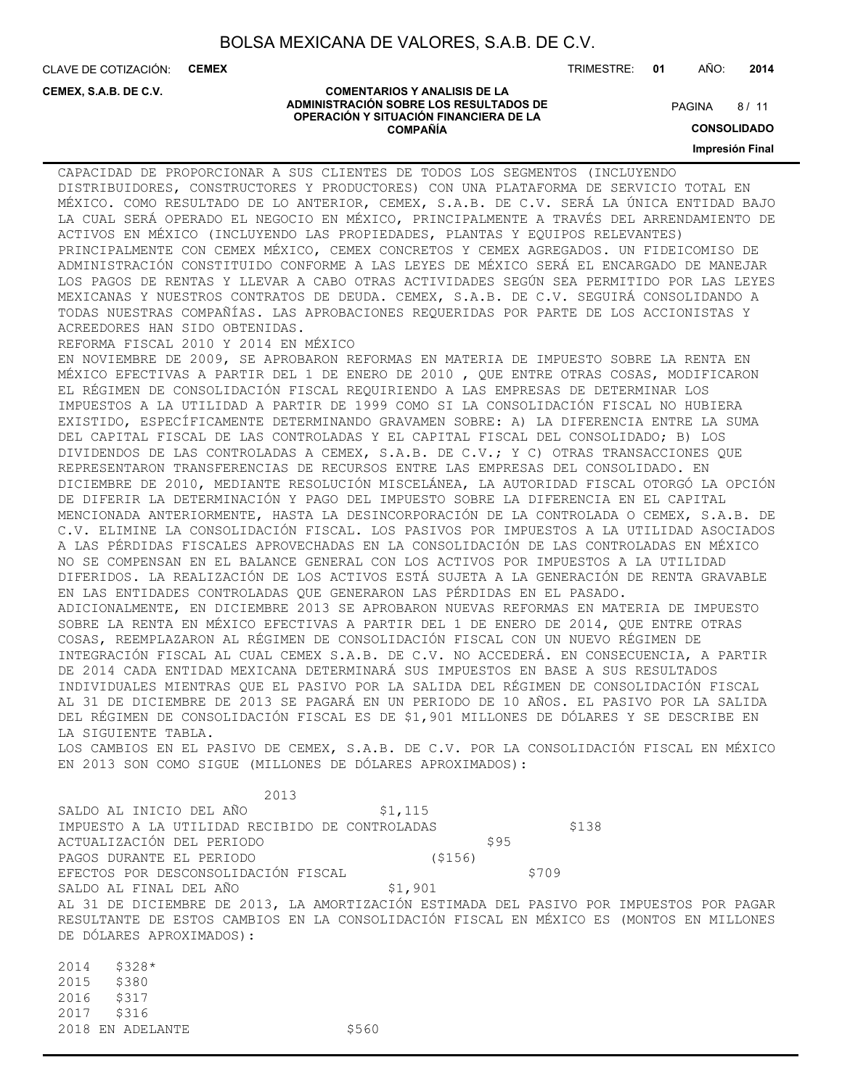**COMENTARIOS Y ANALISIS DE LA ADMINISTRACIÓN SOBRE LOS RESULTADOS DE OPERACIÓN Y SITUACIÓN FINANCIERA DE LA COMPAÑÍA**

CLAVE DE COTIZACIÓN: **CEMEX**

**CEMEX, S.A.B. DE C.V.**

TRIMESTRE: **01** AÑO: **2014**

 $8/11$ **PAGINA** 

**CONSOLIDADO**

**Impresión Final**

CAPACIDAD DE PROPORCIONAR A SUS CLIENTES DE TODOS LOS SEGMENTOS (INCLUYENDO DISTRIBUIDORES, CONSTRUCTORES Y PRODUCTORES) CON UNA PLATAFORMA DE SERVICIO TOTAL EN MÉXICO. COMO RESULTADO DE LO ANTERIOR, CEMEX, S.A.B. DE C.V. SERÁ LA ÚNICA ENTIDAD BAJO LA CUAL SERÁ OPERADO EL NEGOCIO EN MÉXICO, PRINCIPALMENTE A TRAVÉS DEL ARRENDAMIENTO DE ACTIVOS EN MÉXICO (INCLUYENDO LAS PROPIEDADES, PLANTAS Y EQUIPOS RELEVANTES) PRINCIPALMENTE CON CEMEX MÉXICO, CEMEX CONCRETOS Y CEMEX AGREGADOS. UN FIDEICOMISO DE ADMINISTRACIÓN CONSTITUIDO CONFORME A LAS LEYES DE MÉXICO SERÁ EL ENCARGADO DE MANEJAR LOS PAGOS DE RENTAS Y LLEVAR A CABO OTRAS ACTIVIDADES SEGÚN SEA PERMITIDO POR LAS LEYES MEXICANAS Y NUESTROS CONTRATOS DE DEUDA. CEMEX, S.A.B. DE C.V. SEGUIRÁ CONSOLIDANDO A TODAS NUESTRAS COMPAÑÍAS. LAS APROBACIONES REQUERIDAS POR PARTE DE LOS ACCIONISTAS Y ACREEDORES HAN SIDO OBTENIDAS. REFORMA FISCAL 2010 Y 2014 EN MÉXICO EN NOVIEMBRE DE 2009, SE APROBARON REFORMAS EN MATERIA DE IMPUESTO SOBRE LA RENTA EN MÉXICO EFECTIVAS A PARTIR DEL 1 DE ENERO DE 2010 , QUE ENTRE OTRAS COSAS, MODIFICARON EL RÉGIMEN DE CONSOLIDACIÓN FISCAL REQUIRIENDO A LAS EMPRESAS DE DETERMINAR LOS IMPUESTOS A LA UTILIDAD A PARTIR DE 1999 COMO SI LA CONSOLIDACIÓN FISCAL NO HUBIERA EXISTIDO, ESPECÍFICAMENTE DETERMINANDO GRAVAMEN SOBRE: A) LA DIFERENCIA ENTRE LA SUMA DEL CAPITAL FISCAL DE LAS CONTROLADAS Y EL CAPITAL FISCAL DEL CONSOLIDADO; B) LOS DIVIDENDOS DE LAS CONTROLADAS A CEMEX, S.A.B. DE C.V.; Y C) OTRAS TRANSACCIONES QUE REPRESENTARON TRANSFERENCIAS DE RECURSOS ENTRE LAS EMPRESAS DEL CONSOLIDADO. EN DICIEMBRE DE 2010, MEDIANTE RESOLUCIÓN MISCELÁNEA, LA AUTORIDAD FISCAL OTORGÓ LA OPCIÓN DE DIFERIR LA DETERMINACIÓN Y PAGO DEL IMPUESTO SOBRE LA DIFERENCIA EN EL CAPITAL MENCIONADA ANTERIORMENTE, HASTA LA DESINCORPORACIÓN DE LA CONTROLADA O CEMEX, S.A.B. DE C.V. ELIMINE LA CONSOLIDACIÓN FISCAL. LOS PASIVOS POR IMPUESTOS A LA UTILIDAD ASOCIADOS A LAS PÉRDIDAS FISCALES APROVECHADAS EN LA CONSOLIDACIÓN DE LAS CONTROLADAS EN MÉXICO NO SE COMPENSAN EN EL BALANCE GENERAL CON LOS ACTIVOS POR IMPUESTOS A LA UTILIDAD DIFERIDOS. LA REALIZACIÓN DE LOS ACTIVOS ESTÁ SUJETA A LA GENERACIÓN DE RENTA GRAVABLE EN LAS ENTIDADES CONTROLADAS QUE GENERARON LAS PÉRDIDAS EN EL PASADO. ADICIONALMENTE, EN DICIEMBRE 2013 SE APROBARON NUEVAS REFORMAS EN MATERIA DE IMPUESTO SOBRE LA RENTA EN MÉXICO EFECTIVAS A PARTIR DEL 1 DE ENERO DE 2014, QUE ENTRE OTRAS COSAS, REEMPLAZARON AL RÉGIMEN DE CONSOLIDACIÓN FISCAL CON UN NUEVO RÉGIMEN DE INTEGRACIÓN FISCAL AL CUAL CEMEX S.A.B. DE C.V. NO ACCEDERÁ. EN CONSECUENCIA, A PARTIR DE 2014 CADA ENTIDAD MEXICANA DETERMINARÁ SUS IMPUESTOS EN BASE A SUS RESULTADOS INDIVIDUALES MIENTRAS QUE EL PASIVO POR LA SALIDA DEL RÉGIMEN DE CONSOLIDACIÓN FISCAL AL 31 DE DICIEMBRE DE 2013 SE PAGARÁ EN UN PERIODO DE 10 AÑOS. EL PASIVO POR LA SALIDA DEL RÉGIMEN DE CONSOLIDACIÓN FISCAL ES DE \$1,901 MILLONES DE DÓLARES Y SE DESCRIBE EN LA SIGUIENTE TABLA. LOS CAMBIOS EN EL PASIVO DE CEMEX, S.A.B. DE C.V. POR LA CONSOLIDACIÓN FISCAL EN MÉXICO EN 2013 SON COMO SIGUE (MILLONES DE DÓLARES APROXIMADOS):

 2013 SALDO AL INICIO DEL AÑO \$1,115 IMPUESTO A LA UTILIDAD RECIBIDO DE CONTROLADAS \$138 ACTUALIZACIÓN DEL PERIODO \$95 PAGOS DURANTE EL PERIODO (\$156) EFECTOS POR DESCONSOLIDACIÓN FISCAL \$709 SALDO AL FINAL DEL AÑO \$1,901 AL 31 DE DICIEMBRE DE 2013, LA AMORTIZACIÓN ESTIMADA DEL PASIVO POR IMPUESTOS POR PAGAR RESULTANTE DE ESTOS CAMBIOS EN LA CONSOLIDACIÓN FISCAL EN MÉXICO ES (MONTOS EN MILLONES DE DÓLARES APROXIMADOS):

2014 \$328\* 2015 \$380 2016 \$317 2017 \$316 2018 EN ADELANTE \$560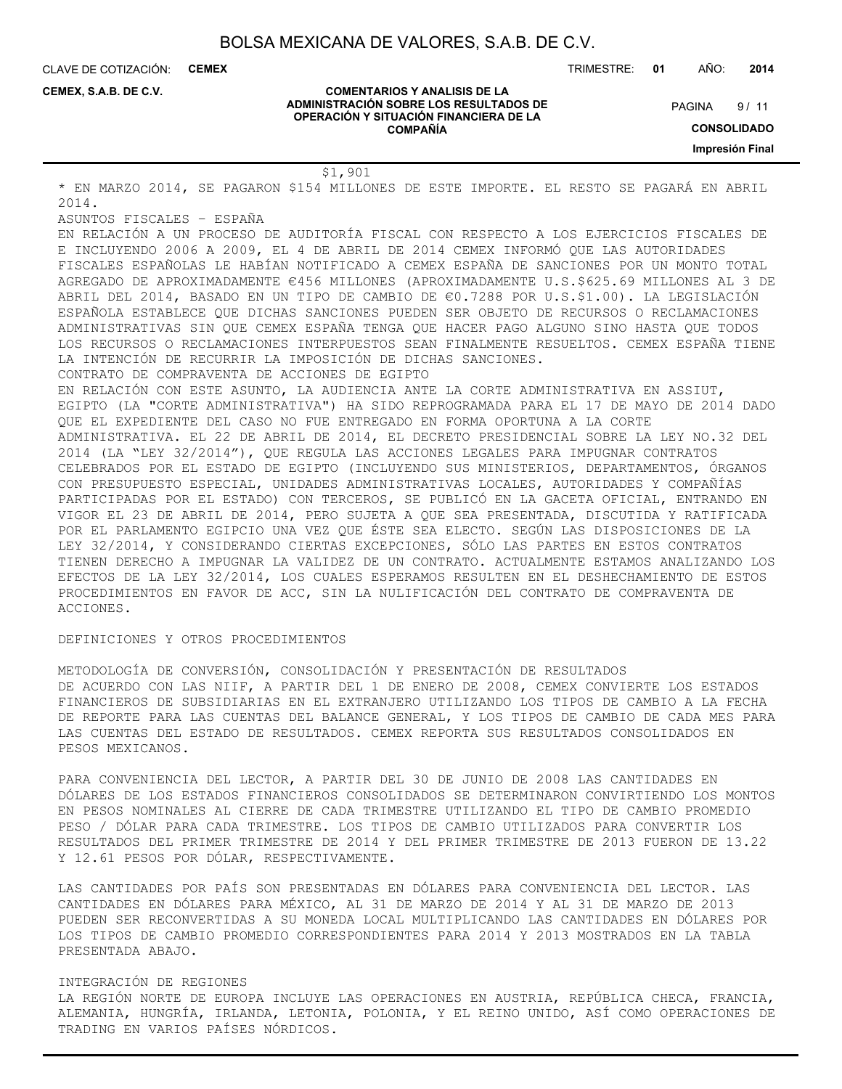**COMENTARIOS Y ANALISIS DE LA ADMINISTRACIÓN SOBRE LOS RESULTADOS DE OPERACIÓN Y SITUACIÓN FINANCIERA DE LA COMPAÑÍA**

CLAVE DE COTIZACIÓN: **CEMEX**

**CEMEX, S.A.B. DE C.V.**

TRIMESTRE: **01** AÑO: **2014**

 $9/11$ **PAGINA** 

**CONSOLIDADO**

**Impresión Final**

#### \$1,901

\* EN MARZO 2014, SE PAGARON \$154 MILLONES DE ESTE IMPORTE. EL RESTO SE PAGARÁ EN ABRIL 2014.

ASUNTOS FISCALES – ESPAÑA

EN RELACIÓN A UN PROCESO DE AUDITORÍA FISCAL CON RESPECTO A LOS EJERCICIOS FISCALES DE E INCLUYENDO 2006 A 2009, EL 4 DE ABRIL DE 2014 CEMEX INFORMÓ QUE LAS AUTORIDADES FISCALES ESPAÑOLAS LE HABÍAN NOTIFICADO A CEMEX ESPAÑA DE SANCIONES POR UN MONTO TOTAL AGREGADO DE APROXIMADAMENTE €456 MILLONES (APROXIMADAMENTE U.S.\$625.69 MILLONES AL 3 DE ABRIL DEL 2014, BASADO EN UN TIPO DE CAMBIO DE €0.7288 POR U.S.\$1.00). LA LEGISLACIÓN ESPAÑOLA ESTABLECE QUE DICHAS SANCIONES PUEDEN SER OBJETO DE RECURSOS O RECLAMACIONES ADMINISTRATIVAS SIN QUE CEMEX ESPAÑA TENGA QUE HACER PAGO ALGUNO SINO HASTA QUE TODOS LOS RECURSOS O RECLAMACIONES INTERPUESTOS SEAN FINALMENTE RESUELTOS. CEMEX ESPAÑA TIENE LA INTENCIÓN DE RECURRIR LA IMPOSICIÓN DE DICHAS SANCIONES.

CONTRATO DE COMPRAVENTA DE ACCIONES DE EGIPTO

EN RELACIÓN CON ESTE ASUNTO, LA AUDIENCIA ANTE LA CORTE ADMINISTRATIVA EN ASSIUT, EGIPTO (LA "CORTE ADMINISTRATIVA") HA SIDO REPROGRAMADA PARA EL 17 DE MAYO DE 2014 DADO QUE EL EXPEDIENTE DEL CASO NO FUE ENTREGADO EN FORMA OPORTUNA A LA CORTE ADMINISTRATIVA. EL 22 DE ABRIL DE 2014, EL DECRETO PRESIDENCIAL SOBRE LA LEY NO.32 DEL 2014 (LA "LEY 32/2014"), QUE REGULA LAS ACCIONES LEGALES PARA IMPUGNAR CONTRATOS CELEBRADOS POR EL ESTADO DE EGIPTO (INCLUYENDO SUS MINISTERIOS, DEPARTAMENTOS, ÓRGANOS CON PRESUPUESTO ESPECIAL, UNIDADES ADMINISTRATIVAS LOCALES, AUTORIDADES Y COMPAÑÍAS PARTICIPADAS POR EL ESTADO) CON TERCEROS, SE PUBLICÓ EN LA GACETA OFICIAL, ENTRANDO EN VIGOR EL 23 DE ABRIL DE 2014, PERO SUJETA A QUE SEA PRESENTADA, DISCUTIDA Y RATIFICADA POR EL PARLAMENTO EGIPCIO UNA VEZ QUE ÉSTE SEA ELECTO. SEGÚN LAS DISPOSICIONES DE LA LEY 32/2014, Y CONSIDERANDO CIERTAS EXCEPCIONES, SÓLO LAS PARTES EN ESTOS CONTRATOS TIENEN DERECHO A IMPUGNAR LA VALIDEZ DE UN CONTRATO. ACTUALMENTE ESTAMOS ANALIZANDO LOS EFECTOS DE LA LEY 32/2014, LOS CUALES ESPERAMOS RESULTEN EN EL DESHECHAMIENTO DE ESTOS PROCEDIMIENTOS EN FAVOR DE ACC, SIN LA NULIFICACIÓN DEL CONTRATO DE COMPRAVENTA DE ACCIONES.

#### DEFINICIONES Y OTROS PROCEDIMIENTOS

METODOLOGÍA DE CONVERSIÓN, CONSOLIDACIÓN Y PRESENTACIÓN DE RESULTADOS DE ACUERDO CON LAS NIIF, A PARTIR DEL 1 DE ENERO DE 2008, CEMEX CONVIERTE LOS ESTADOS FINANCIEROS DE SUBSIDIARIAS EN EL EXTRANJERO UTILIZANDO LOS TIPOS DE CAMBIO A LA FECHA DE REPORTE PARA LAS CUENTAS DEL BALANCE GENERAL, Y LOS TIPOS DE CAMBIO DE CADA MES PARA LAS CUENTAS DEL ESTADO DE RESULTADOS. CEMEX REPORTA SUS RESULTADOS CONSOLIDADOS EN PESOS MEXICANOS.

PARA CONVENIENCIA DEL LECTOR, A PARTIR DEL 30 DE JUNIO DE 2008 LAS CANTIDADES EN DÓLARES DE LOS ESTADOS FINANCIEROS CONSOLIDADOS SE DETERMINARON CONVIRTIENDO LOS MONTOS EN PESOS NOMINALES AL CIERRE DE CADA TRIMESTRE UTILIZANDO EL TIPO DE CAMBIO PROMEDIO PESO / DÓLAR PARA CADA TRIMESTRE. LOS TIPOS DE CAMBIO UTILIZADOS PARA CONVERTIR LOS RESULTADOS DEL PRIMER TRIMESTRE DE 2014 Y DEL PRIMER TRIMESTRE DE 2013 FUERON DE 13.22 Y 12.61 PESOS POR DÓLAR, RESPECTIVAMENTE.

LAS CANTIDADES POR PAÍS SON PRESENTADAS EN DÓLARES PARA CONVENIENCIA DEL LECTOR. LAS CANTIDADES EN DÓLARES PARA MÉXICO, AL 31 DE MARZO DE 2014 Y AL 31 DE MARZO DE 2013 PUEDEN SER RECONVERTIDAS A SU MONEDA LOCAL MULTIPLICANDO LAS CANTIDADES EN DÓLARES POR LOS TIPOS DE CAMBIO PROMEDIO CORRESPONDIENTES PARA 2014 Y 2013 MOSTRADOS EN LA TABLA PRESENTADA ABAJO.

#### INTEGRACIÓN DE REGIONES

LA REGIÓN NORTE DE EUROPA INCLUYE LAS OPERACIONES EN AUSTRIA, REPÚBLICA CHECA, FRANCIA, ALEMANIA, HUNGRÍA, IRLANDA, LETONIA, POLONIA, Y EL REINO UNIDO, ASÍ COMO OPERACIONES DE TRADING EN VARIOS PAÍSES NÓRDICOS.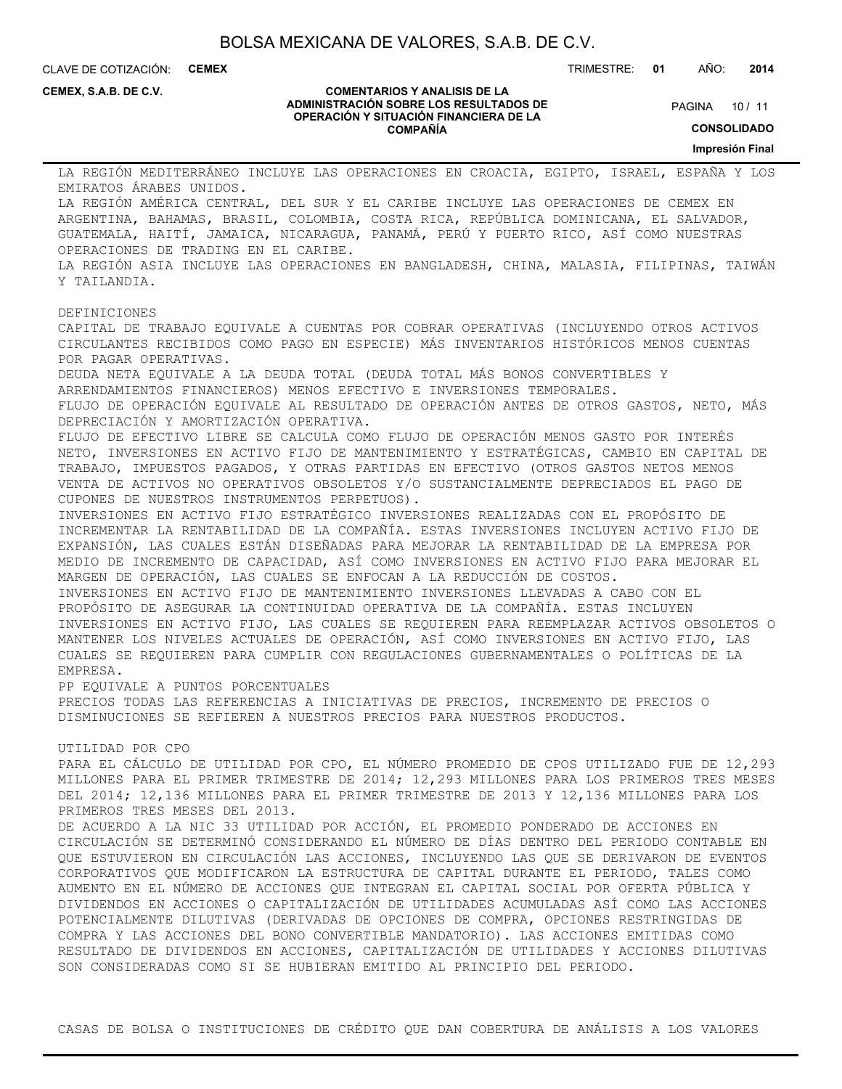CLAVE DE COTIZACIÓN: **CEMEX**

TRIMESTRE: **01** AÑO: **2014**

**CEMEX, S.A.B. DE C.V.**

#### **COMENTARIOS Y ANALISIS DE LA ADMINISTRACIÓN SOBRE LOS RESULTADOS DE OPERACIÓN Y SITUACIÓN FINANCIERA DE LA COMPAÑÍA**

PAGINA 10 / 11

**CONSOLIDADO**

**Impresión Final**

LA REGIÓN MEDITERRÁNEO INCLUYE LAS OPERACIONES EN CROACIA, EGIPTO, ISRAEL, ESPAÑA Y LOS EMIRATOS ÁRABES UNIDOS. LA REGIÓN AMÉRICA CENTRAL, DEL SUR Y EL CARIBE INCLUYE LAS OPERACIONES DE CEMEX EN ARGENTINA, BAHAMAS, BRASIL, COLOMBIA, COSTA RICA, REPÚBLICA DOMINICANA, EL SALVADOR, GUATEMALA, HAITÍ, JAMAICA, NICARAGUA, PANAMÁ, PERÚ Y PUERTO RICO, ASÍ COMO NUESTRAS OPERACIONES DE TRADING EN EL CARIBE. LA REGIÓN ASIA INCLUYE LAS OPERACIONES EN BANGLADESH, CHINA, MALASIA, FILIPINAS, TAIWÁN Y TAILANDIA. DEFINICIONES CAPITAL DE TRABAJO EQUIVALE A CUENTAS POR COBRAR OPERATIVAS (INCLUYENDO OTROS ACTIVOS CIRCULANTES RECIBIDOS COMO PAGO EN ESPECIE) MÁS INVENTARIOS HISTÓRICOS MENOS CUENTAS POR PAGAR OPERATIVAS. DEUDA NETA EQUIVALE A LA DEUDA TOTAL (DEUDA TOTAL MÁS BONOS CONVERTIBLES Y ARRENDAMIENTOS FINANCIEROS) MENOS EFECTIVO E INVERSIONES TEMPORALES. FLUJO DE OPERACIÓN EQUIVALE AL RESULTADO DE OPERACIÓN ANTES DE OTROS GASTOS, NETO, MÁS DEPRECIACIÓN Y AMORTIZACIÓN OPERATIVA. FLUJO DE EFECTIVO LIBRE SE CALCULA COMO FLUJO DE OPERACIÓN MENOS GASTO POR INTERÉS NETO, INVERSIONES EN ACTIVO FIJO DE MANTENIMIENTO Y ESTRATÉGICAS, CAMBIO EN CAPITAL DE TRABAJO, IMPUESTOS PAGADOS, Y OTRAS PARTIDAS EN EFECTIVO (OTROS GASTOS NETOS MENOS VENTA DE ACTIVOS NO OPERATIVOS OBSOLETOS Y/O SUSTANCIALMENTE DEPRECIADOS EL PAGO DE CUPONES DE NUESTROS INSTRUMENTOS PERPETUOS). INVERSIONES EN ACTIVO FIJO ESTRATÉGICO INVERSIONES REALIZADAS CON EL PROPÓSITO DE INCREMENTAR LA RENTABILIDAD DE LA COMPAÑÍA. ESTAS INVERSIONES INCLUYEN ACTIVO FIJO DE EXPANSIÓN, LAS CUALES ESTÁN DISEÑADAS PARA MEJORAR LA RENTABILIDAD DE LA EMPRESA POR MEDIO DE INCREMENTO DE CAPACIDAD, ASÍ COMO INVERSIONES EN ACTIVO FIJO PARA MEJORAR EL MARGEN DE OPERACIÓN, LAS CUALES SE ENFOCAN A LA REDUCCIÓN DE COSTOS. INVERSIONES EN ACTIVO FIJO DE MANTENIMIENTO INVERSIONES LLEVADAS A CABO CON EL PROPÓSITO DE ASEGURAR LA CONTINUIDAD OPERATIVA DE LA COMPAÑÍA. ESTAS INCLUYEN INVERSIONES EN ACTIVO FIJO, LAS CUALES SE REQUIEREN PARA REEMPLAZAR ACTIVOS OBSOLETOS O MANTENER LOS NIVELES ACTUALES DE OPERACIÓN, ASÍ COMO INVERSIONES EN ACTIVO FIJO, LAS CUALES SE REQUIEREN PARA CUMPLIR CON REGULACIONES GUBERNAMENTALES O POLÍTICAS DE LA EMPRESA. PP EQUIVALE A PUNTOS PORCENTUALES PRECIOS TODAS LAS REFERENCIAS A INICIATIVAS DE PRECIOS, INCREMENTO DE PRECIOS O DISMINUCIONES SE REFIEREN A NUESTROS PRECIOS PARA NUESTROS PRODUCTOS. UTILIDAD POR CPO PARA EL CÁLCULO DE UTILIDAD POR CPO, EL NÚMERO PROMEDIO DE CPOS UTILIZADO FUE DE 12,293 MILLONES PARA EL PRIMER TRIMESTRE DE 2014; 12,293 MILLONES PARA LOS PRIMEROS TRES MESES DEL 2014; 12,136 MILLONES PARA EL PRIMER TRIMESTRE DE 2013 Y 12,136 MILLONES PARA LOS PRIMEROS TRES MESES DEL 2013. DE ACUERDO A LA NIC 33 UTILIDAD POR ACCIÓN, EL PROMEDIO PONDERADO DE ACCIONES EN CIRCULACIÓN SE DETERMINÓ CONSIDERANDO EL NÚMERO DE DÍAS DENTRO DEL PERIODO CONTABLE EN QUE ESTUVIERON EN CIRCULACIÓN LAS ACCIONES, INCLUYENDO LAS QUE SE DERIVARON DE EVENTOS CORPORATIVOS QUE MODIFICARON LA ESTRUCTURA DE CAPITAL DURANTE EL PERIODO, TALES COMO AUMENTO EN EL NÚMERO DE ACCIONES QUE INTEGRAN EL CAPITAL SOCIAL POR OFERTA PÚBLICA Y DIVIDENDOS EN ACCIONES O CAPITALIZACIÓN DE UTILIDADES ACUMULADAS ASÍ COMO LAS ACCIONES POTENCIALMENTE DILUTIVAS (DERIVADAS DE OPCIONES DE COMPRA, OPCIONES RESTRINGIDAS DE

COMPRA Y LAS ACCIONES DEL BONO CONVERTIBLE MANDATORIO). LAS ACCIONES EMITIDAS COMO RESULTADO DE DIVIDENDOS EN ACCIONES, CAPITALIZACIÓN DE UTILIDADES Y ACCIONES DILUTIVAS SON CONSIDERADAS COMO SI SE HUBIERAN EMITIDO AL PRINCIPIO DEL PERIODO.

CASAS DE BOLSA O INSTITUCIONES DE CRÉDITO QUE DAN COBERTURA DE ANÁLISIS A LOS VALORES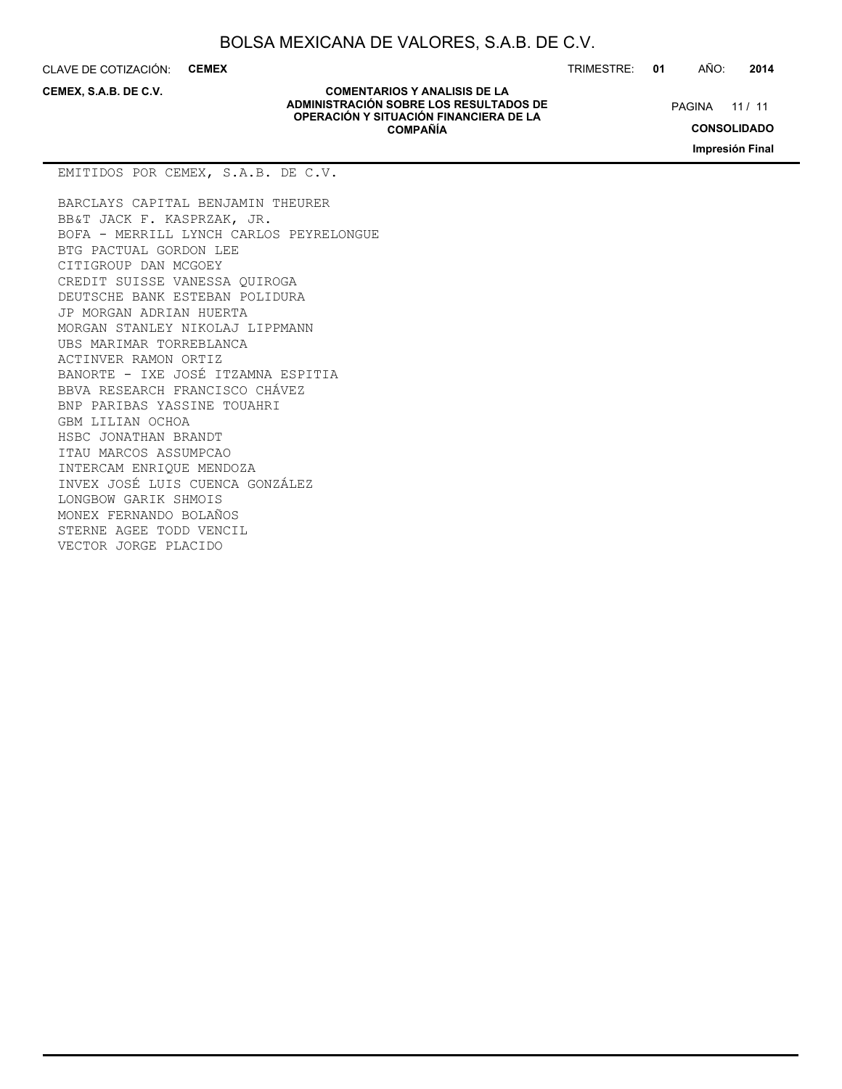CLAVE DE COTIZACIÓN: **CEMEX** TRIMESTRE: **01** AÑO: **2014**

**CEMEX, S.A.B. DE C.V.**

**COMENTARIOS Y ANALISIS DE LA ADMINISTRACIÓN SOBRE LOS RESULTADOS DE OPERACIÓN Y SITUACIÓN FINANCIERA DE LA COMPAÑÍA**

PAGINA 11 / 11

**CONSOLIDADO**

**Impresión Final**

BARCLAYS CAPITAL BENJAMIN THEURER BB&T JACK F. KASPRZAK, JR. BOFA - MERRILL LYNCH CARLOS PEYRELONGUE BTG PACTUAL GORDON LEE CITIGROUP DAN MCGOEY CREDIT SUISSE VANESSA QUIROGA DEUTSCHE BANK ESTEBAN POLIDURA JP MORGAN ADRIAN HUERTA MORGAN STANLEY NIKOLAJ LIPPMANN UBS MARIMAR TORREBLANCA ACTINVER RAMON ORTIZ BANORTE - IXE JOSÉ ITZAMNA ESPITIA BBVA RESEARCH FRANCISCO CHÁVEZ BNP PARIBAS YASSINE TOUAHRI GBM LILIAN OCHOA HSBC JONATHAN BRANDT ITAU MARCOS ASSUMPCAO INTERCAM ENRIQUE MENDOZA INVEX JOSÉ LUIS CUENCA GONZÁLEZ LONGBOW GARIK SHMOIS MONEX FERNANDO BOLAÑOS STERNE AGEE TODD VENCIL VECTOR JORGE PLACIDO

EMITIDOS POR CEMEX, S.A.B. DE C.V.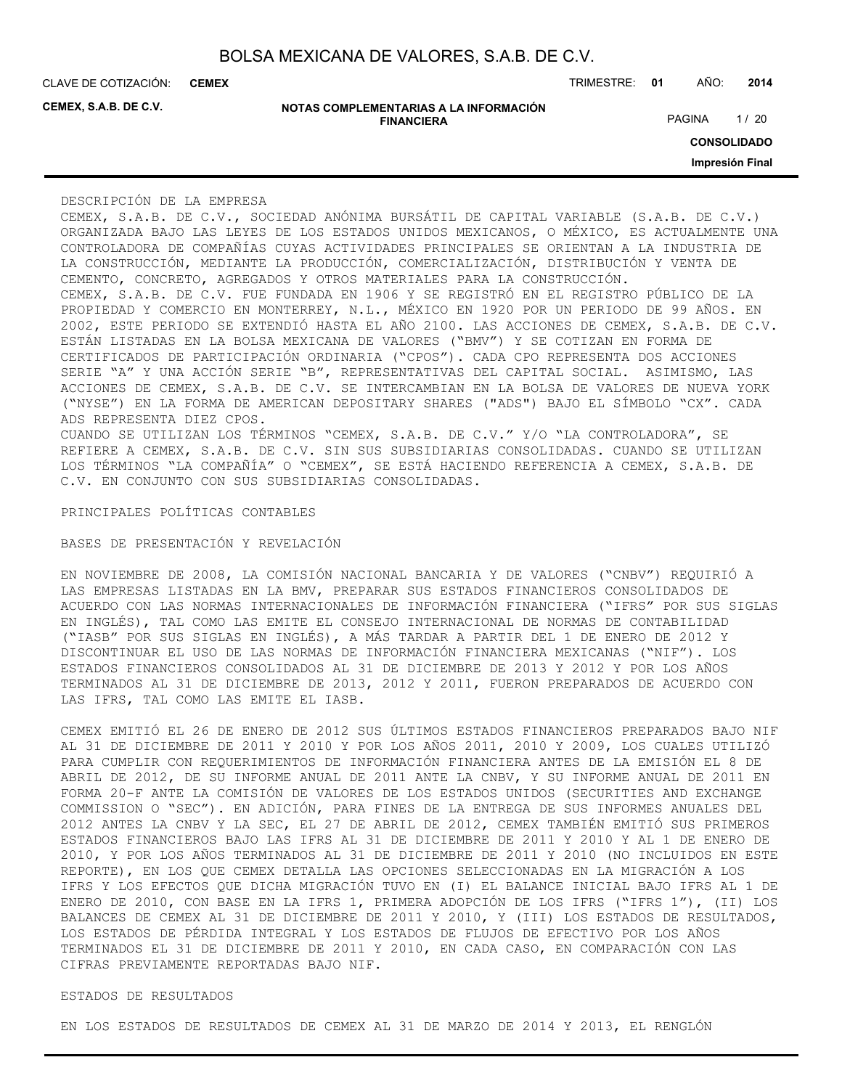**CEMEX**

**CEMEX, S.A.B. DE C.V.**

| NOTAS COMPLEMENTARIAS A LA INFORMACIÓN |  |
|----------------------------------------|--|
| <b>FINANCIERA</b>                      |  |

CLAVE DE COTIZACIÓN: TRIMESTRE: **01** AÑO: **2014**

PAGINA 1/20

**CONSOLIDADO**

**Impresión Final**

#### DESCRIPCIÓN DE LA EMPRESA

CEMEX, S.A.B. DE C.V., SOCIEDAD ANÓNIMA BURSÁTIL DE CAPITAL VARIABLE (S.A.B. DE C.V.) ORGANIZADA BAJO LAS LEYES DE LOS ESTADOS UNIDOS MEXICANOS, O MÉXICO, ES ACTUALMENTE UNA CONTROLADORA DE COMPAÑÍAS CUYAS ACTIVIDADES PRINCIPALES SE ORIENTAN A LA INDUSTRIA DE LA CONSTRUCCIÓN, MEDIANTE LA PRODUCCIÓN, COMERCIALIZACIÓN, DISTRIBUCIÓN Y VENTA DE CEMENTO, CONCRETO, AGREGADOS Y OTROS MATERIALES PARA LA CONSTRUCCIÓN. CEMEX, S.A.B. DE C.V. FUE FUNDADA EN 1906 Y SE REGISTRÓ EN EL REGISTRO PÚBLICO DE LA PROPIEDAD Y COMERCIO EN MONTERREY, N.L., MÉXICO EN 1920 POR UN PERIODO DE 99 AÑOS. EN 2002, ESTE PERIODO SE EXTENDIÓ HASTA EL AÑO 2100. LAS ACCIONES DE CEMEX, S.A.B. DE C.V. ESTÁN LISTADAS EN LA BOLSA MEXICANA DE VALORES ("BMV") Y SE COTIZAN EN FORMA DE CERTIFICADOS DE PARTICIPACIÓN ORDINARIA ("CPOS"). CADA CPO REPRESENTA DOS ACCIONES SERIE "A" Y UNA ACCIÓN SERIE "B", REPRESENTATIVAS DEL CAPITAL SOCIAL. ASIMISMO, LAS ACCIONES DE CEMEX, S.A.B. DE C.V. SE INTERCAMBIAN EN LA BOLSA DE VALORES DE NUEVA YORK ("NYSE") EN LA FORMA DE AMERICAN DEPOSITARY SHARES ("ADS") BAJO EL SÍMBOLO "CX". CADA ADS REPRESENTA DIEZ CPOS.

CUANDO SE UTILIZAN LOS TÉRMINOS "CEMEX, S.A.B. DE C.V." Y/O "LA CONTROLADORA", SE REFIERE A CEMEX, S.A.B. DE C.V. SIN SUS SUBSIDIARIAS CONSOLIDADAS. CUANDO SE UTILIZAN LOS TÉRMINOS "LA COMPAÑÍA" O "CEMEX", SE ESTÁ HACIENDO REFERENCIA A CEMEX, S.A.B. DE C.V. EN CONJUNTO CON SUS SUBSIDIARIAS CONSOLIDADAS.

PRINCIPALES POLÍTICAS CONTABLES

BASES DE PRESENTACIÓN Y REVELACIÓN

EN NOVIEMBRE DE 2008, LA COMISIÓN NACIONAL BANCARIA Y DE VALORES ("CNBV") REQUIRIÓ A LAS EMPRESAS LISTADAS EN LA BMV, PREPARAR SUS ESTADOS FINANCIEROS CONSOLIDADOS DE ACUERDO CON LAS NORMAS INTERNACIONALES DE INFORMACIÓN FINANCIERA ("IFRS" POR SUS SIGLAS EN INGLÉS), TAL COMO LAS EMITE EL CONSEJO INTERNACIONAL DE NORMAS DE CONTABILIDAD ("IASB" POR SUS SIGLAS EN INGLÉS), A MÁS TARDAR A PARTIR DEL 1 DE ENERO DE 2012 Y DISCONTINUAR EL USO DE LAS NORMAS DE INFORMACIÓN FINANCIERA MEXICANAS ("NIF"). LOS ESTADOS FINANCIEROS CONSOLIDADOS AL 31 DE DICIEMBRE DE 2013 Y 2012 Y POR LOS AÑOS TERMINADOS AL 31 DE DICIEMBRE DE 2013, 2012 Y 2011, FUERON PREPARADOS DE ACUERDO CON LAS IFRS, TAL COMO LAS EMITE EL IASB.

CEMEX EMITIÓ EL 26 DE ENERO DE 2012 SUS ÚLTIMOS ESTADOS FINANCIEROS PREPARADOS BAJO NIF AL 31 DE DICIEMBRE DE 2011 Y 2010 Y POR LOS AÑOS 2011, 2010 Y 2009, LOS CUALES UTILIZÓ PARA CUMPLIR CON REQUERIMIENTOS DE INFORMACIÓN FINANCIERA ANTES DE LA EMISIÓN EL 8 DE ABRIL DE 2012, DE SU INFORME ANUAL DE 2011 ANTE LA CNBV, Y SU INFORME ANUAL DE 2011 EN FORMA 20-F ANTE LA COMISIÓN DE VALORES DE LOS ESTADOS UNIDOS (SECURITIES AND EXCHANGE COMMISSION O "SEC"). EN ADICIÓN, PARA FINES DE LA ENTREGA DE SUS INFORMES ANUALES DEL 2012 ANTES LA CNBV Y LA SEC, EL 27 DE ABRIL DE 2012, CEMEX TAMBIÉN EMITIÓ SUS PRIMEROS ESTADOS FINANCIEROS BAJO LAS IFRS AL 31 DE DICIEMBRE DE 2011 Y 2010 Y AL 1 DE ENERO DE 2010, Y POR LOS AÑOS TERMINADOS AL 31 DE DICIEMBRE DE 2011 Y 2010 (NO INCLUIDOS EN ESTE REPORTE), EN LOS QUE CEMEX DETALLA LAS OPCIONES SELECCIONADAS EN LA MIGRACIÓN A LOS IFRS Y LOS EFECTOS QUE DICHA MIGRACIÓN TUVO EN (I) EL BALANCE INICIAL BAJO IFRS AL 1 DE ENERO DE 2010, CON BASE EN LA IFRS 1, PRIMERA ADOPCIÓN DE LOS IFRS ("IFRS 1"), (II) LOS BALANCES DE CEMEX AL 31 DE DICIEMBRE DE 2011 Y 2010, Y (III) LOS ESTADOS DE RESULTADOS, LOS ESTADOS DE PÉRDIDA INTEGRAL Y LOS ESTADOS DE FLUJOS DE EFECTIVO POR LOS AÑOS TERMINADOS EL 31 DE DICIEMBRE DE 2011 Y 2010, EN CADA CASO, EN COMPARACIÓN CON LAS CIFRAS PREVIAMENTE REPORTADAS BAJO NIF.

### ESTADOS DE RESULTADOS

EN LOS ESTADOS DE RESULTADOS DE CEMEX AL 31 DE MARZO DE 2014 Y 2013, EL RENGLÓN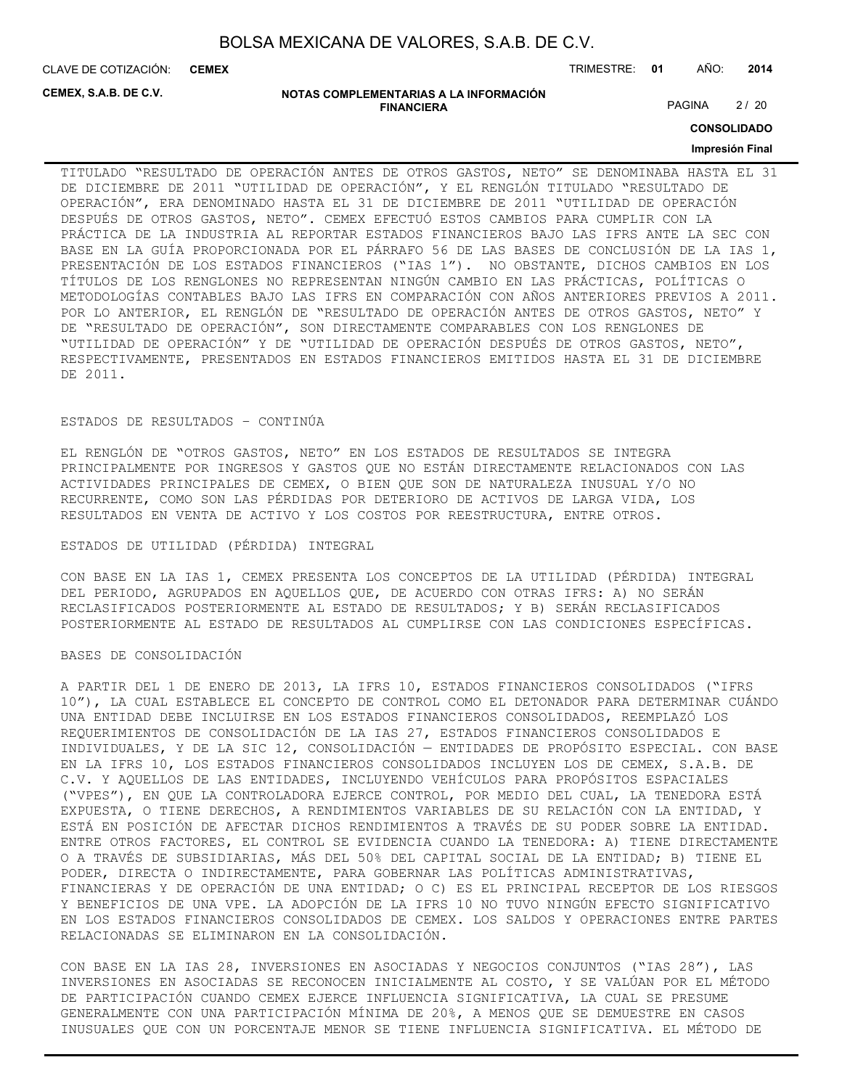CLAVE DE COTIZACIÓN: TRIMESTRE: **01** AÑO: **2014 CEMEX**

**CEMEX, S.A.B. DE C.V.**

#### **NOTAS COMPLEMENTARIAS A LA INFORMACIÓN FINANCIERA**

PAGINA 2/20

**CONSOLIDADO**

### **Impresión Final**

TITULADO "RESULTADO DE OPERACIÓN ANTES DE OTROS GASTOS, NETO" SE DENOMINABA HASTA EL 31 DE DICIEMBRE DE 2011 "UTILIDAD DE OPERACIÓN", Y EL RENGLÓN TITULADO "RESULTADO DE OPERACIÓN", ERA DENOMINADO HASTA EL 31 DE DICIEMBRE DE 2011 "UTILIDAD DE OPERACIÓN DESPUÉS DE OTROS GASTOS, NETO". CEMEX EFECTUÓ ESTOS CAMBIOS PARA CUMPLIR CON LA PRÁCTICA DE LA INDUSTRIA AL REPORTAR ESTADOS FINANCIEROS BAJO LAS IFRS ANTE LA SEC CON BASE EN LA GUÍA PROPORCIONADA POR EL PÁRRAFO 56 DE LAS BASES DE CONCLUSIÓN DE LA IAS 1, PRESENTACIÓN DE LOS ESTADOS FINANCIEROS ("IAS 1"). NO OBSTANTE, DICHOS CAMBIOS EN LOS TÍTULOS DE LOS RENGLONES NO REPRESENTAN NINGÚN CAMBIO EN LAS PRÁCTICAS, POLÍTICAS O METODOLOGÍAS CONTABLES BAJO LAS IFRS EN COMPARACIÓN CON AÑOS ANTERIORES PREVIOS A 2011. POR LO ANTERIOR, EL RENGLÓN DE "RESULTADO DE OPERACIÓN ANTES DE OTROS GASTOS, NETO" Y DE "RESULTADO DE OPERACIÓN", SON DIRECTAMENTE COMPARABLES CON LOS RENGLONES DE "UTILIDAD DE OPERACIÓN" Y DE "UTILIDAD DE OPERACIÓN DESPUÉS DE OTROS GASTOS, NETO", RESPECTIVAMENTE, PRESENTADOS EN ESTADOS FINANCIEROS EMITIDOS HASTA EL 31 DE DICIEMBRE DE 2011.

#### ESTADOS DE RESULTADOS – CONTINÚA

EL RENGLÓN DE "OTROS GASTOS, NETO" EN LOS ESTADOS DE RESULTADOS SE INTEGRA PRINCIPALMENTE POR INGRESOS Y GASTOS QUE NO ESTÁN DIRECTAMENTE RELACIONADOS CON LAS ACTIVIDADES PRINCIPALES DE CEMEX, O BIEN QUE SON DE NATURALEZA INUSUAL Y/O NO RECURRENTE, COMO SON LAS PÉRDIDAS POR DETERIORO DE ACTIVOS DE LARGA VIDA, LOS RESULTADOS EN VENTA DE ACTIVO Y LOS COSTOS POR REESTRUCTURA, ENTRE OTROS.

#### ESTADOS DE UTILIDAD (PÉRDIDA) INTEGRAL

CON BASE EN LA IAS 1, CEMEX PRESENTA LOS CONCEPTOS DE LA UTILIDAD (PÉRDIDA) INTEGRAL DEL PERIODO, AGRUPADOS EN AQUELLOS QUE, DE ACUERDO CON OTRAS IFRS: A) NO SERÁN RECLASIFICADOS POSTERIORMENTE AL ESTADO DE RESULTADOS; Y B) SERÁN RECLASIFICADOS POSTERIORMENTE AL ESTADO DE RESULTADOS AL CUMPLIRSE CON LAS CONDICIONES ESPECÍFICAS.

#### BASES DE CONSOLIDACIÓN

A PARTIR DEL 1 DE ENERO DE 2013, LA IFRS 10, ESTADOS FINANCIEROS CONSOLIDADOS ("IFRS 10"), LA CUAL ESTABLECE EL CONCEPTO DE CONTROL COMO EL DETONADOR PARA DETERMINAR CUÁNDO UNA ENTIDAD DEBE INCLUIRSE EN LOS ESTADOS FINANCIEROS CONSOLIDADOS, REEMPLAZÓ LOS REQUERIMIENTOS DE CONSOLIDACIÓN DE LA IAS 27, ESTADOS FINANCIEROS CONSOLIDADOS E INDIVIDUALES, Y DE LA SIC 12, CONSOLIDACIÓN — ENTIDADES DE PROPÓSITO ESPECIAL. CON BASE EN LA IFRS 10, LOS ESTADOS FINANCIEROS CONSOLIDADOS INCLUYEN LOS DE CEMEX, S.A.B. DE C.V. Y AQUELLOS DE LAS ENTIDADES, INCLUYENDO VEHÍCULOS PARA PROPÓSITOS ESPACIALES ("VPES"), EN QUE LA CONTROLADORA EJERCE CONTROL, POR MEDIO DEL CUAL, LA TENEDORA ESTÁ EXPUESTA, O TIENE DERECHOS, A RENDIMIENTOS VARIABLES DE SU RELACIÓN CON LA ENTIDAD, Y ESTÁ EN POSICIÓN DE AFECTAR DICHOS RENDIMIENTOS A TRAVÉS DE SU PODER SOBRE LA ENTIDAD. ENTRE OTROS FACTORES, EL CONTROL SE EVIDENCIA CUANDO LA TENEDORA: A) TIENE DIRECTAMENTE O A TRAVÉS DE SUBSIDIARIAS, MÁS DEL 50% DEL CAPITAL SOCIAL DE LA ENTIDAD; B) TIENE EL PODER, DIRECTA O INDIRECTAMENTE, PARA GOBERNAR LAS POLÍTICAS ADMINISTRATIVAS, FINANCIERAS Y DE OPERACIÓN DE UNA ENTIDAD; O C) ES EL PRINCIPAL RECEPTOR DE LOS RIESGOS Y BENEFICIOS DE UNA VPE. LA ADOPCIÓN DE LA IFRS 10 NO TUVO NINGÚN EFECTO SIGNIFICATIVO EN LOS ESTADOS FINANCIEROS CONSOLIDADOS DE CEMEX. LOS SALDOS Y OPERACIONES ENTRE PARTES RELACIONADAS SE ELIMINARON EN LA CONSOLIDACIÓN.

CON BASE EN LA IAS 28, INVERSIONES EN ASOCIADAS Y NEGOCIOS CONJUNTOS ("IAS 28"), LAS INVERSIONES EN ASOCIADAS SE RECONOCEN INICIALMENTE AL COSTO, Y SE VALÚAN POR EL MÉTODO DE PARTICIPACIÓN CUANDO CEMEX EJERCE INFLUENCIA SIGNIFICATIVA, LA CUAL SE PRESUME GENERALMENTE CON UNA PARTICIPACIÓN MÍNIMA DE 20%, A MENOS QUE SE DEMUESTRE EN CASOS INUSUALES QUE CON UN PORCENTAJE MENOR SE TIENE INFLUENCIA SIGNIFICATIVA. EL MÉTODO DE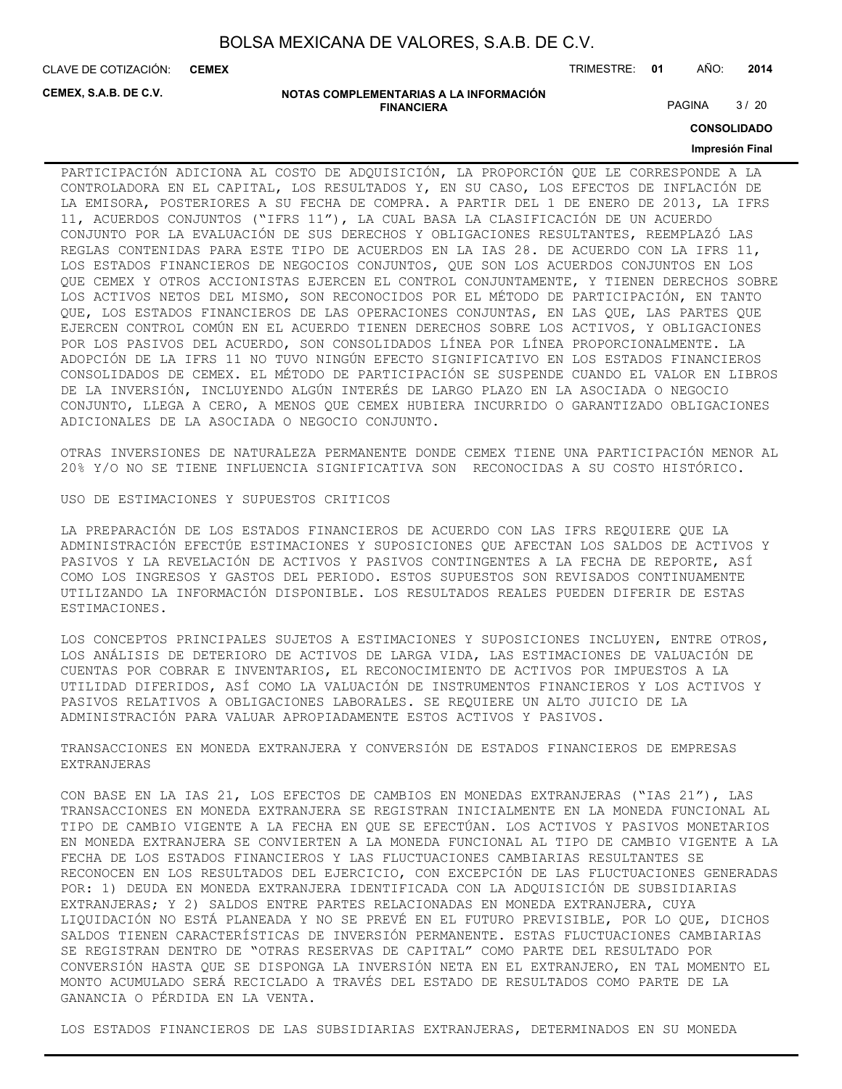CLAVE DE COTIZACIÓN: TRIMESTRE: **01** AÑO: **2014 CEMEX**

**CEMEX, S.A.B. DE C.V.**

#### **NOTAS COMPLEMENTARIAS A LA INFORMACIÓN FINANCIERA**

PAGINA 3/20

**CONSOLIDADO**

### **Impresión Final**

PARTICIPACIÓN ADICIONA AL COSTO DE ADQUISICIÓN, LA PROPORCIÓN QUE LE CORRESPONDE A LA CONTROLADORA EN EL CAPITAL, LOS RESULTADOS Y, EN SU CASO, LOS EFECTOS DE INFLACIÓN DE LA EMISORA, POSTERIORES A SU FECHA DE COMPRA. A PARTIR DEL 1 DE ENERO DE 2013, LA IFRS 11, ACUERDOS CONJUNTOS ("IFRS 11"), LA CUAL BASA LA CLASIFICACIÓN DE UN ACUERDO CONJUNTO POR LA EVALUACIÓN DE SUS DERECHOS Y OBLIGACIONES RESULTANTES, REEMPLAZÓ LAS REGLAS CONTENIDAS PARA ESTE TIPO DE ACUERDOS EN LA IAS 28. DE ACUERDO CON LA IFRS 11, LOS ESTADOS FINANCIEROS DE NEGOCIOS CONJUNTOS, QUE SON LOS ACUERDOS CONJUNTOS EN LOS QUE CEMEX Y OTROS ACCIONISTAS EJERCEN EL CONTROL CONJUNTAMENTE, Y TIENEN DERECHOS SOBRE LOS ACTIVOS NETOS DEL MISMO, SON RECONOCIDOS POR EL MÉTODO DE PARTICIPACIÓN, EN TANTO QUE, LOS ESTADOS FINANCIEROS DE LAS OPERACIONES CONJUNTAS, EN LAS QUE, LAS PARTES QUE EJERCEN CONTROL COMÚN EN EL ACUERDO TIENEN DERECHOS SOBRE LOS ACTIVOS, Y OBLIGACIONES POR LOS PASIVOS DEL ACUERDO, SON CONSOLIDADOS LÍNEA POR LÍNEA PROPORCIONALMENTE. LA ADOPCIÓN DE LA IFRS 11 NO TUVO NINGÚN EFECTO SIGNIFICATIVO EN LOS ESTADOS FINANCIEROS CONSOLIDADOS DE CEMEX. EL MÉTODO DE PARTICIPACIÓN SE SUSPENDE CUANDO EL VALOR EN LIBROS DE LA INVERSIÓN, INCLUYENDO ALGÚN INTERÉS DE LARGO PLAZO EN LA ASOCIADA O NEGOCIO CONJUNTO, LLEGA A CERO, A MENOS QUE CEMEX HUBIERA INCURRIDO O GARANTIZADO OBLIGACIONES ADICIONALES DE LA ASOCIADA O NEGOCIO CONJUNTO.

OTRAS INVERSIONES DE NATURALEZA PERMANENTE DONDE CEMEX TIENE UNA PARTICIPACIÓN MENOR AL 20% Y/O NO SE TIENE INFLUENCIA SIGNIFICATIVA SON RECONOCIDAS A SU COSTO HISTÓRICO.

USO DE ESTIMACIONES Y SUPUESTOS CRITICOS

LA PREPARACIÓN DE LOS ESTADOS FINANCIEROS DE ACUERDO CON LAS IFRS REQUIERE QUE LA ADMINISTRACIÓN EFECTÚE ESTIMACIONES Y SUPOSICIONES QUE AFECTAN LOS SALDOS DE ACTIVOS Y PASIVOS Y LA REVELACIÓN DE ACTIVOS Y PASIVOS CONTINGENTES A LA FECHA DE REPORTE, ASÍ COMO LOS INGRESOS Y GASTOS DEL PERIODO. ESTOS SUPUESTOS SON REVISADOS CONTINUAMENTE UTILIZANDO LA INFORMACIÓN DISPONIBLE. LOS RESULTADOS REALES PUEDEN DIFERIR DE ESTAS ESTIMACIONES.

LOS CONCEPTOS PRINCIPALES SUJETOS A ESTIMACIONES Y SUPOSICIONES INCLUYEN, ENTRE OTROS, LOS ANÁLISIS DE DETERIORO DE ACTIVOS DE LARGA VIDA, LAS ESTIMACIONES DE VALUACIÓN DE CUENTAS POR COBRAR E INVENTARIOS, EL RECONOCIMIENTO DE ACTIVOS POR IMPUESTOS A LA UTILIDAD DIFERIDOS, ASÍ COMO LA VALUACIÓN DE INSTRUMENTOS FINANCIEROS Y LOS ACTIVOS Y PASIVOS RELATIVOS A OBLIGACIONES LABORALES. SE REQUIERE UN ALTO JUICIO DE LA ADMINISTRACIÓN PARA VALUAR APROPIADAMENTE ESTOS ACTIVOS Y PASIVOS.

TRANSACCIONES EN MONEDA EXTRANJERA Y CONVERSIÓN DE ESTADOS FINANCIEROS DE EMPRESAS EXTRANJERAS

CON BASE EN LA IAS 21, LOS EFECTOS DE CAMBIOS EN MONEDAS EXTRANJERAS ("IAS 21"), LAS TRANSACCIONES EN MONEDA EXTRANJERA SE REGISTRAN INICIALMENTE EN LA MONEDA FUNCIONAL AL TIPO DE CAMBIO VIGENTE A LA FECHA EN QUE SE EFECTÚAN. LOS ACTIVOS Y PASIVOS MONETARIOS EN MONEDA EXTRANJERA SE CONVIERTEN A LA MONEDA FUNCIONAL AL TIPO DE CAMBIO VIGENTE A LA FECHA DE LOS ESTADOS FINANCIEROS Y LAS FLUCTUACIONES CAMBIARIAS RESULTANTES SE RECONOCEN EN LOS RESULTADOS DEL EJERCICIO, CON EXCEPCIÓN DE LAS FLUCTUACIONES GENERADAS POR: 1) DEUDA EN MONEDA EXTRANJERA IDENTIFICADA CON LA ADQUISICIÓN DE SUBSIDIARIAS EXTRANJERAS; Y 2) SALDOS ENTRE PARTES RELACIONADAS EN MONEDA EXTRANJERA, CUYA LIQUIDACIÓN NO ESTÁ PLANEADA Y NO SE PREVÉ EN EL FUTURO PREVISIBLE, POR LO QUE, DICHOS SALDOS TIENEN CARACTERÍSTICAS DE INVERSIÓN PERMANENTE. ESTAS FLUCTUACIONES CAMBIARIAS SE REGISTRAN DENTRO DE "OTRAS RESERVAS DE CAPITAL" COMO PARTE DEL RESULTADO POR CONVERSIÓN HASTA QUE SE DISPONGA LA INVERSIÓN NETA EN EL EXTRANJERO, EN TAL MOMENTO EL MONTO ACUMULADO SERÁ RECICLADO A TRAVÉS DEL ESTADO DE RESULTADOS COMO PARTE DE LA GANANCIA O PÉRDIDA EN LA VENTA.

LOS ESTADOS FINANCIEROS DE LAS SUBSIDIARIAS EXTRANJERAS, DETERMINADOS EN SU MONEDA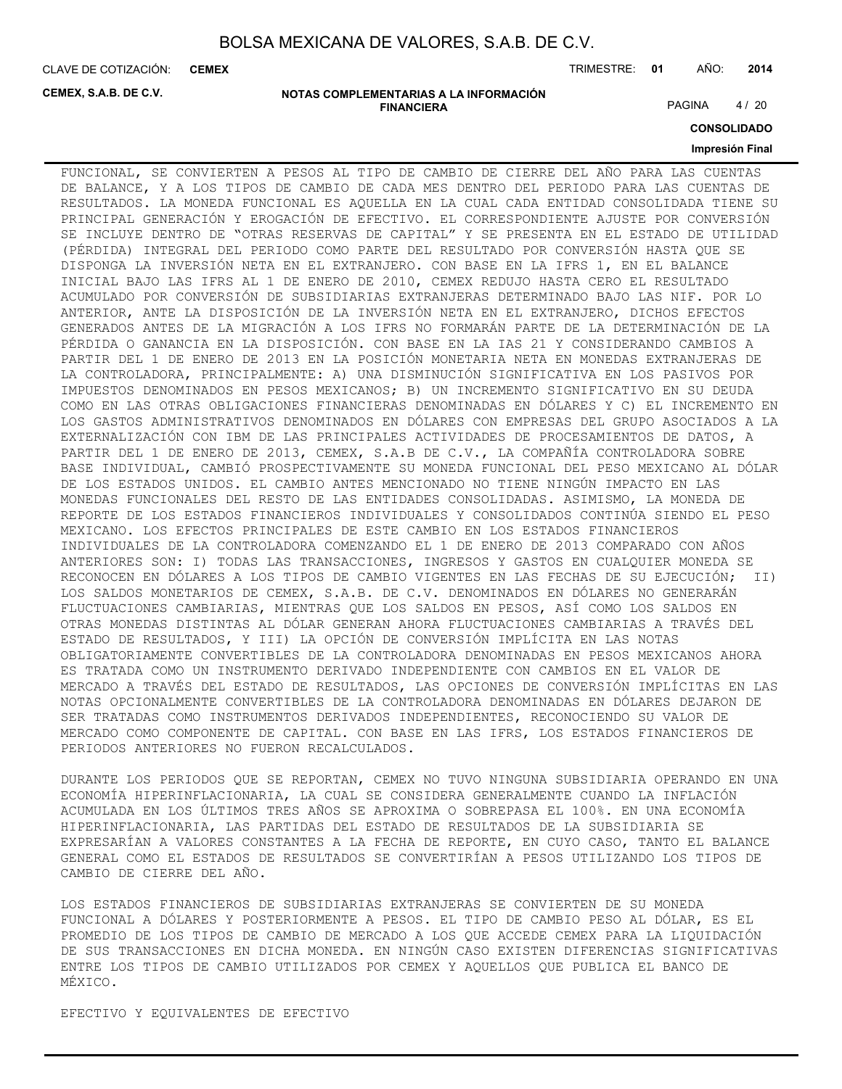**CEMEX**

CLAVE DE COTIZACIÓN: TRIMESTRE: **01** AÑO: **2014**

**CEMEX, S.A.B. DE C.V.**

**NOTAS COMPLEMENTARIAS A LA INFORMACIÓN FINANCIERA**

PAGINA 4/20

**CONSOLIDADO**

### **Impresión Final**

FUNCIONAL, SE CONVIERTEN A PESOS AL TIPO DE CAMBIO DE CIERRE DEL AÑO PARA LAS CUENTAS DE BALANCE, Y A LOS TIPOS DE CAMBIO DE CADA MES DENTRO DEL PERIODO PARA LAS CUENTAS DE RESULTADOS. LA MONEDA FUNCIONAL ES AQUELLA EN LA CUAL CADA ENTIDAD CONSOLIDADA TIENE SU PRINCIPAL GENERACIÓN Y EROGACIÓN DE EFECTIVO. EL CORRESPONDIENTE AJUSTE POR CONVERSIÓN SE INCLUYE DENTRO DE "OTRAS RESERVAS DE CAPITAL" Y SE PRESENTA EN EL ESTADO DE UTILIDAD (PÉRDIDA) INTEGRAL DEL PERIODO COMO PARTE DEL RESULTADO POR CONVERSIÓN HASTA QUE SE DISPONGA LA INVERSIÓN NETA EN EL EXTRANJERO. CON BASE EN LA IFRS 1, EN EL BALANCE INICIAL BAJO LAS IFRS AL 1 DE ENERO DE 2010, CEMEX REDUJO HASTA CERO EL RESULTADO ACUMULADO POR CONVERSIÓN DE SUBSIDIARIAS EXTRANJERAS DETERMINADO BAJO LAS NIF. POR LO ANTERIOR, ANTE LA DISPOSICIÓN DE LA INVERSIÓN NETA EN EL EXTRANJERO, DICHOS EFECTOS GENERADOS ANTES DE LA MIGRACIÓN A LOS IFRS NO FORMARÁN PARTE DE LA DETERMINACIÓN DE LA PÉRDIDA O GANANCIA EN LA DISPOSICIÓN. CON BASE EN LA IAS 21 Y CONSIDERANDO CAMBIOS A PARTIR DEL 1 DE ENERO DE 2013 EN LA POSICIÓN MONETARIA NETA EN MONEDAS EXTRANJERAS DE LA CONTROLADORA, PRINCIPALMENTE: A) UNA DISMINUCIÓN SIGNIFICATIVA EN LOS PASIVOS POR IMPUESTOS DENOMINADOS EN PESOS MEXICANOS; B) UN INCREMENTO SIGNIFICATIVO EN SU DEUDA COMO EN LAS OTRAS OBLIGACIONES FINANCIERAS DENOMINADAS EN DÓLARES Y C) EL INCREMENTO EN LOS GASTOS ADMINISTRATIVOS DENOMINADOS EN DÓLARES CON EMPRESAS DEL GRUPO ASOCIADOS A LA EXTERNALIZACIÓN CON IBM DE LAS PRINCIPALES ACTIVIDADES DE PROCESAMIENTOS DE DATOS, A PARTIR DEL 1 DE ENERO DE 2013, CEMEX, S.A.B DE C.V., LA COMPAÑÍA CONTROLADORA SOBRE BASE INDIVIDUAL, CAMBIÓ PROSPECTIVAMENTE SU MONEDA FUNCIONAL DEL PESO MEXICANO AL DÓLAR DE LOS ESTADOS UNIDOS. EL CAMBIO ANTES MENCIONADO NO TIENE NINGÚN IMPACTO EN LAS MONEDAS FUNCIONALES DEL RESTO DE LAS ENTIDADES CONSOLIDADAS. ASIMISMO, LA MONEDA DE REPORTE DE LOS ESTADOS FINANCIEROS INDIVIDUALES Y CONSOLIDADOS CONTINÚA SIENDO EL PESO MEXICANO. LOS EFECTOS PRINCIPALES DE ESTE CAMBIO EN LOS ESTADOS FINANCIEROS INDIVIDUALES DE LA CONTROLADORA COMENZANDO EL 1 DE ENERO DE 2013 COMPARADO CON AÑOS ANTERIORES SON: I) TODAS LAS TRANSACCIONES, INGRESOS Y GASTOS EN CUALQUIER MONEDA SE RECONOCEN EN DÓLARES A LOS TIPOS DE CAMBIO VIGENTES EN LAS FECHAS DE SU EJECUCIÓN; II) LOS SALDOS MONETARIOS DE CEMEX, S.A.B. DE C.V. DENOMINADOS EN DÓLARES NO GENERARÁN FLUCTUACIONES CAMBIARIAS, MIENTRAS QUE LOS SALDOS EN PESOS, ASÍ COMO LOS SALDOS EN OTRAS MONEDAS DISTINTAS AL DÓLAR GENERAN AHORA FLUCTUACIONES CAMBIARIAS A TRAVÉS DEL ESTADO DE RESULTADOS, Y III) LA OPCIÓN DE CONVERSIÓN IMPLÍCITA EN LAS NOTAS OBLIGATORIAMENTE CONVERTIBLES DE LA CONTROLADORA DENOMINADAS EN PESOS MEXICANOS AHORA ES TRATADA COMO UN INSTRUMENTO DERIVADO INDEPENDIENTE CON CAMBIOS EN EL VALOR DE MERCADO A TRAVÉS DEL ESTADO DE RESULTADOS, LAS OPCIONES DE CONVERSIÓN IMPLÍCITAS EN LAS NOTAS OPCIONALMENTE CONVERTIBLES DE LA CONTROLADORA DENOMINADAS EN DÓLARES DEJARON DE SER TRATADAS COMO INSTRUMENTOS DERIVADOS INDEPENDIENTES, RECONOCIENDO SU VALOR DE MERCADO COMO COMPONENTE DE CAPITAL. CON BASE EN LAS IFRS, LOS ESTADOS FINANCIEROS DE PERIODOS ANTERIORES NO FUERON RECALCULADOS.

DURANTE LOS PERIODOS QUE SE REPORTAN, CEMEX NO TUVO NINGUNA SUBSIDIARIA OPERANDO EN UNA ECONOMÍA HIPERINFLACIONARIA, LA CUAL SE CONSIDERA GENERALMENTE CUANDO LA INFLACIÓN ACUMULADA EN LOS ÚLTIMOS TRES AÑOS SE APROXIMA O SOBREPASA EL 100%. EN UNA ECONOMÍA HIPERINFLACIONARIA, LAS PARTIDAS DEL ESTADO DE RESULTADOS DE LA SUBSIDIARIA SE EXPRESARÍAN A VALORES CONSTANTES A LA FECHA DE REPORTE, EN CUYO CASO, TANTO EL BALANCE GENERAL COMO EL ESTADOS DE RESULTADOS SE CONVERTIRÍAN A PESOS UTILIZANDO LOS TIPOS DE CAMBIO DE CIERRE DEL AÑO.

LOS ESTADOS FINANCIEROS DE SUBSIDIARIAS EXTRANJERAS SE CONVIERTEN DE SU MONEDA FUNCIONAL A DÓLARES Y POSTERIORMENTE A PESOS. EL TIPO DE CAMBIO PESO AL DÓLAR, ES EL PROMEDIO DE LOS TIPOS DE CAMBIO DE MERCADO A LOS QUE ACCEDE CEMEX PARA LA LIQUIDACIÓN DE SUS TRANSACCIONES EN DICHA MONEDA. EN NINGÚN CASO EXISTEN DIFERENCIAS SIGNIFICATIVAS ENTRE LOS TIPOS DE CAMBIO UTILIZADOS POR CEMEX Y AQUELLOS QUE PUBLICA EL BANCO DE MÉXICO.

EFECTIVO Y EQUIVALENTES DE EFECTIVO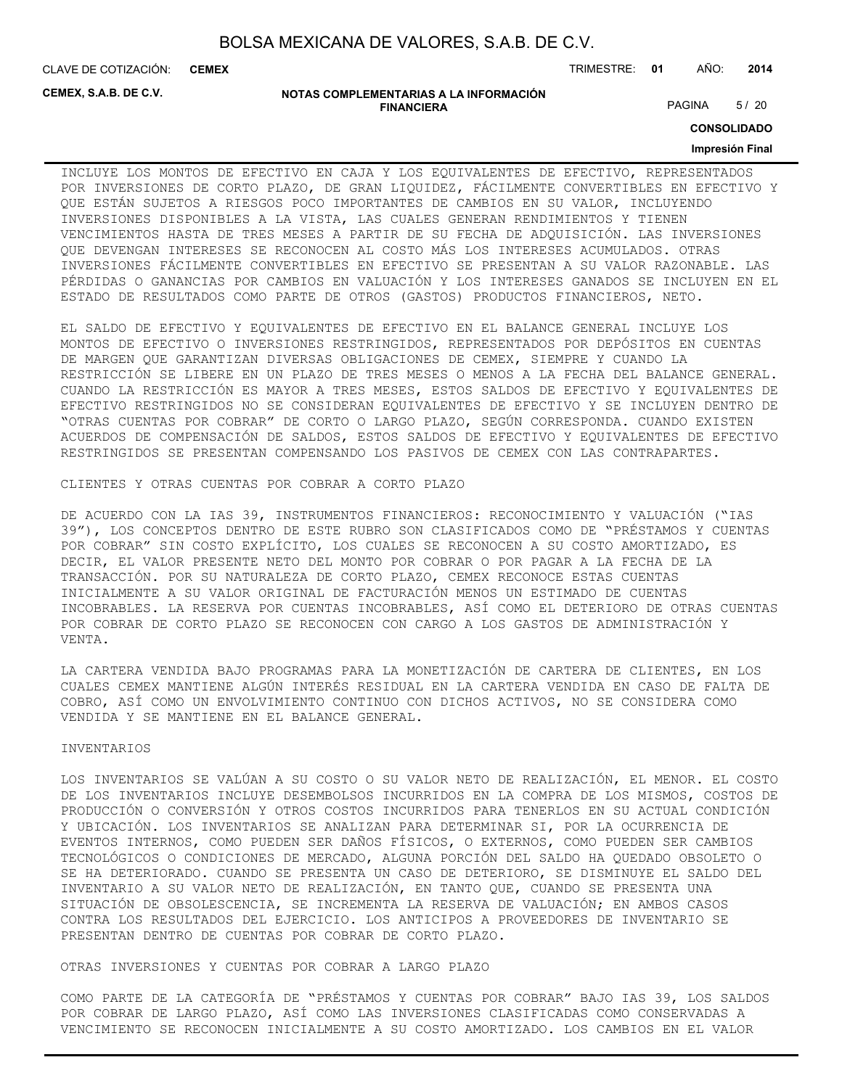CLAVE DE COTIZACIÓN: TRIMESTRE: **01** AÑO: **2014 CEMEX**

**CEMEX, S.A.B. DE C.V.**

#### **NOTAS COMPLEMENTARIAS A LA INFORMACIÓN FINANCIERA**

PAGINA 5/20

**CONSOLIDADO**

#### **Impresión Final**

INCLUYE LOS MONTOS DE EFECTIVO EN CAJA Y LOS EQUIVALENTES DE EFECTIVO, REPRESENTADOS POR INVERSIONES DE CORTO PLAZO, DE GRAN LIQUIDEZ, FÁCILMENTE CONVERTIBLES EN EFECTIVO Y QUE ESTÁN SUJETOS A RIESGOS POCO IMPORTANTES DE CAMBIOS EN SU VALOR, INCLUYENDO INVERSIONES DISPONIBLES A LA VISTA, LAS CUALES GENERAN RENDIMIENTOS Y TIENEN VENCIMIENTOS HASTA DE TRES MESES A PARTIR DE SU FECHA DE ADQUISICIÓN. LAS INVERSIONES QUE DEVENGAN INTERESES SE RECONOCEN AL COSTO MÁS LOS INTERESES ACUMULADOS. OTRAS INVERSIONES FÁCILMENTE CONVERTIBLES EN EFECTIVO SE PRESENTAN A SU VALOR RAZONABLE. LAS PÉRDIDAS O GANANCIAS POR CAMBIOS EN VALUACIÓN Y LOS INTERESES GANADOS SE INCLUYEN EN EL ESTADO DE RESULTADOS COMO PARTE DE OTROS (GASTOS) PRODUCTOS FINANCIEROS, NETO.

EL SALDO DE EFECTIVO Y EQUIVALENTES DE EFECTIVO EN EL BALANCE GENERAL INCLUYE LOS MONTOS DE EFECTIVO O INVERSIONES RESTRINGIDOS, REPRESENTADOS POR DEPÓSITOS EN CUENTAS DE MARGEN QUE GARANTIZAN DIVERSAS OBLIGACIONES DE CEMEX, SIEMPRE Y CUANDO LA RESTRICCIÓN SE LIBERE EN UN PLAZO DE TRES MESES O MENOS A LA FECHA DEL BALANCE GENERAL. CUANDO LA RESTRICCIÓN ES MAYOR A TRES MESES, ESTOS SALDOS DE EFECTIVO Y EQUIVALENTES DE EFECTIVO RESTRINGIDOS NO SE CONSIDERAN EQUIVALENTES DE EFECTIVO Y SE INCLUYEN DENTRO DE "OTRAS CUENTAS POR COBRAR" DE CORTO O LARGO PLAZO, SEGÚN CORRESPONDA. CUANDO EXISTEN ACUERDOS DE COMPENSACIÓN DE SALDOS, ESTOS SALDOS DE EFECTIVO Y EQUIVALENTES DE EFECTIVO RESTRINGIDOS SE PRESENTAN COMPENSANDO LOS PASIVOS DE CEMEX CON LAS CONTRAPARTES.

CLIENTES Y OTRAS CUENTAS POR COBRAR A CORTO PLAZO

DE ACUERDO CON LA IAS 39, INSTRUMENTOS FINANCIEROS: RECONOCIMIENTO Y VALUACIÓN ("IAS 39"), LOS CONCEPTOS DENTRO DE ESTE RUBRO SON CLASIFICADOS COMO DE "PRÉSTAMOS Y CUENTAS POR COBRAR" SIN COSTO EXPLÍCITO, LOS CUALES SE RECONOCEN A SU COSTO AMORTIZADO, ES DECIR, EL VALOR PRESENTE NETO DEL MONTO POR COBRAR O POR PAGAR A LA FECHA DE LA TRANSACCIÓN. POR SU NATURALEZA DE CORTO PLAZO, CEMEX RECONOCE ESTAS CUENTAS INICIALMENTE A SU VALOR ORIGINAL DE FACTURACIÓN MENOS UN ESTIMADO DE CUENTAS INCOBRABLES. LA RESERVA POR CUENTAS INCOBRABLES, ASÍ COMO EL DETERIORO DE OTRAS CUENTAS POR COBRAR DE CORTO PLAZO SE RECONOCEN CON CARGO A LOS GASTOS DE ADMINISTRACIÓN Y VENTA.

LA CARTERA VENDIDA BAJO PROGRAMAS PARA LA MONETIZACIÓN DE CARTERA DE CLIENTES, EN LOS CUALES CEMEX MANTIENE ALGÚN INTERÉS RESIDUAL EN LA CARTERA VENDIDA EN CASO DE FALTA DE COBRO, ASÍ COMO UN ENVOLVIMIENTO CONTINUO CON DICHOS ACTIVOS, NO SE CONSIDERA COMO VENDIDA Y SE MANTIENE EN EL BALANCE GENERAL.

### INVENTARIOS

LOS INVENTARIOS SE VALÚAN A SU COSTO O SU VALOR NETO DE REALIZACIÓN, EL MENOR. EL COSTO DE LOS INVENTARIOS INCLUYE DESEMBOLSOS INCURRIDOS EN LA COMPRA DE LOS MISMOS, COSTOS DE PRODUCCIÓN O CONVERSIÓN Y OTROS COSTOS INCURRIDOS PARA TENERLOS EN SU ACTUAL CONDICIÓN Y UBICACIÓN. LOS INVENTARIOS SE ANALIZAN PARA DETERMINAR SI, POR LA OCURRENCIA DE EVENTOS INTERNOS, COMO PUEDEN SER DAÑOS FÍSICOS, O EXTERNOS, COMO PUEDEN SER CAMBIOS TECNOLÓGICOS O CONDICIONES DE MERCADO, ALGUNA PORCIÓN DEL SALDO HA QUEDADO OBSOLETO O SE HA DETERIORADO. CUANDO SE PRESENTA UN CASO DE DETERIORO, SE DISMINUYE EL SALDO DEL INVENTARIO A SU VALOR NETO DE REALIZACIÓN, EN TANTO QUE, CUANDO SE PRESENTA UNA SITUACIÓN DE OBSOLESCENCIA, SE INCREMENTA LA RESERVA DE VALUACIÓN; EN AMBOS CASOS CONTRA LOS RESULTADOS DEL EJERCICIO. LOS ANTICIPOS A PROVEEDORES DE INVENTARIO SE PRESENTAN DENTRO DE CUENTAS POR COBRAR DE CORTO PLAZO.

OTRAS INVERSIONES Y CUENTAS POR COBRAR A LARGO PLAZO

COMO PARTE DE LA CATEGORÍA DE "PRÉSTAMOS Y CUENTAS POR COBRAR" BAJO IAS 39, LOS SALDOS POR COBRAR DE LARGO PLAZO, ASÍ COMO LAS INVERSIONES CLASIFICADAS COMO CONSERVADAS A VENCIMIENTO SE RECONOCEN INICIALMENTE A SU COSTO AMORTIZADO. LOS CAMBIOS EN EL VALOR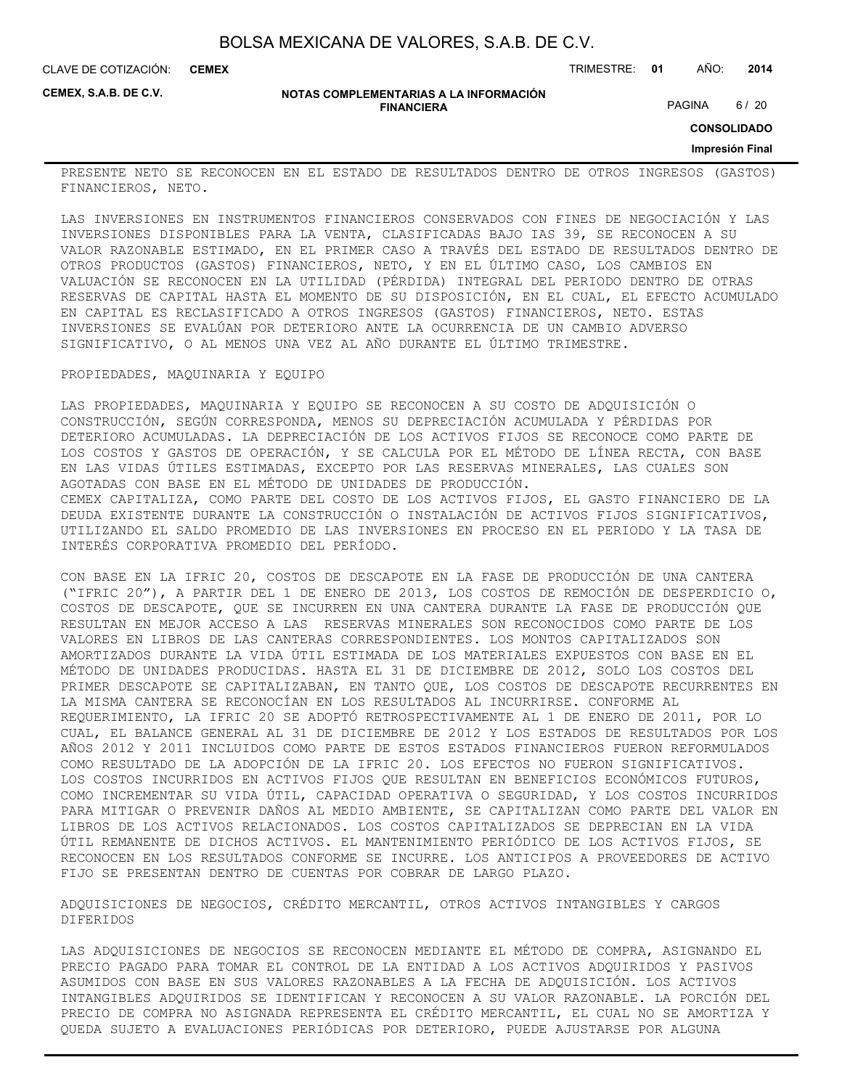CLAVE DE COTIZACIÓN: TRIMESTRE: **01** AÑO: **2014 CEMEX**

**CEMEX, S.A.B. DE C.V.**

#### **NOTAS COMPLEMENTARIAS A LA INFORMACIÓN FINANCIERA**

PAGINA 6 / 20

**CONSOLIDADO**

#### **Impresión Final**

PRESENTE NETO SE RECONOCEN EN EL ESTADO DE RESULTADOS DENTRO DE OTROS INGRESOS (GASTOS) FINANCIEROS, NETO.

LAS INVERSIONES EN INSTRUMENTOS FINANCIEROS CONSERVADOS CON FINES DE NEGOCIACIÓN Y LAS INVERSIONES DISPONIBLES PARA LA VENTA, CLASIFICADAS BAJO IAS 39, SE RECONOCEN A SU VALOR RAZONABLE ESTIMADO, EN EL PRIMER CASO A TRAVÉS DEL ESTADO DE RESULTADOS DENTRO DE OTROS PRODUCTOS (GASTOS) FINANCIEROS, NETO, Y EN EL ÚLTIMO CASO, LOS CAMBIOS EN VALUACIÓN SE RECONOCEN EN LA UTILIDAD (PÉRDIDA) INTEGRAL DEL PERIODO DENTRO DE OTRAS RESERVAS DE CAPITAL HASTA EL MOMENTO DE SU DISPOSICIÓN, EN EL CUAL, EL EFECTO ACUMULADO EN CAPITAL ES RECLASIFICADO A OTROS INGRESOS (GASTOS) FINANCIEROS, NETO. ESTAS INVERSIONES SE EVALÚAN POR DETERIORO ANTE LA OCURRENCIA DE UN CAMBIO ADVERSO SIGNIFICATIVO, O AL MENOS UNA VEZ AL AÑO DURANTE EL ÚLTIMO TRIMESTRE.

### PROPIEDADES, MAQUINARIA Y EQUIPO

LAS PROPIEDADES, MAQUINARIA Y EQUIPO SE RECONOCEN A SU COSTO DE ADQUISICIÓN O CONSTRUCCIÓN, SEGÚN CORRESPONDA, MENOS SU DEPRECIACIÓN ACUMULADA Y PÉRDIDAS POR DETERIORO ACUMULADAS. LA DEPRECIACIÓN DE LOS ACTIVOS FIJOS SE RECONOCE COMO PARTE DE LOS COSTOS Y GASTOS DE OPERACIÓN, Y SE CALCULA POR EL MÉTODO DE LÍNEA RECTA, CON BASE EN LAS VIDAS ÚTILES ESTIMADAS, EXCEPTO POR LAS RESERVAS MINERALES, LAS CUALES SON AGOTADAS CON BASE EN EL MÉTODO DE UNIDADES DE PRODUCCIÓN. CEMEX CAPITALIZA, COMO PARTE DEL COSTO DE LOS ACTIVOS FIJOS, EL GASTO FINANCIERO DE LA DEUDA EXISTENTE DURANTE LA CONSTRUCCIÓN O INSTALACIÓN DE ACTIVOS FIJOS SIGNIFICATIVOS, UTILIZANDO EL SALDO PROMEDIO DE LAS INVERSIONES EN PROCESO EN EL PERIODO Y LA TASA DE INTERÉS CORPORATIVA PROMEDIO DEL PERÍODO.

CON BASE EN LA IFRIC 20, COSTOS DE DESCAPOTE EN LA FASE DE PRODUCCIÓN DE UNA CANTERA ("IFRIC 20"), A PARTIR DEL 1 DE ENERO DE 2013, LOS COSTOS DE REMOCIÓN DE DESPERDICIO O, COSTOS DE DESCAPOTE, QUE SE INCURREN EN UNA CANTERA DURANTE LA FASE DE PRODUCCIÓN QUE RESULTAN EN MEJOR ACCESO A LAS RESERVAS MINERALES SON RECONOCIDOS COMO PARTE DE LOS VALORES EN LIBROS DE LAS CANTERAS CORRESPONDIENTES. LOS MONTOS CAPITALIZADOS SON AMORTIZADOS DURANTE LA VIDA ÚTIL ESTIMADA DE LOS MATERIALES EXPUESTOS CON BASE EN EL MÉTODO DE UNIDADES PRODUCIDAS. HASTA EL 31 DE DICIEMBRE DE 2012, SOLO LOS COSTOS DEL PRIMER DESCAPOTE SE CAPITALIZABAN, EN TANTO QUE, LOS COSTOS DE DESCAPOTE RECURRENTES EN LA MISMA CANTERA SE RECONOCÍAN EN LOS RESULTADOS AL INCURRIRSE. CONFORME AL REQUERIMIENTO, LA IFRIC 20 SE ADOPTÓ RETROSPECTIVAMENTE AL 1 DE ENERO DE 2011, POR LO CUAL, EL BALANCE GENERAL AL 31 DE DICIEMBRE DE 2012 Y LOS ESTADOS DE RESULTADOS POR LOS AÑOS 2012 Y 2011 INCLUIDOS COMO PARTE DE ESTOS ESTADOS FINANCIEROS FUERON REFORMULADOS COMO RESULTADO DE LA ADOPCIÓN DE LA IFRIC 20. LOS EFECTOS NO FUERON SIGNIFICATIVOS. LOS COSTOS INCURRIDOS EN ACTIVOS FIJOS QUE RESULTAN EN BENEFICIOS ECONÓMICOS FUTUROS, COMO INCREMENTAR SU VIDA ÚTIL, CAPACIDAD OPERATIVA O SEGURIDAD, Y LOS COSTOS INCURRIDOS PARA MITIGAR O PREVENIR DAÑOS AL MEDIO AMBIENTE, SE CAPITALIZAN COMO PARTE DEL VALOR EN LIBROS DE LOS ACTIVOS RELACIONADOS. LOS COSTOS CAPITALIZADOS SE DEPRECIAN EN LA VIDA ÚTIL REMANENTE DE DICHOS ACTIVOS. EL MANTENIMIENTO PERIÓDICO DE LOS ACTIVOS FIJOS, SE RECONOCEN EN LOS RESULTADOS CONFORME SE INCURRE. LOS ANTICIPOS A PROVEEDORES DE ACTIVO FIJO SE PRESENTAN DENTRO DE CUENTAS POR COBRAR DE LARGO PLAZO.

ADQUISICIONES DE NEGOCIOS, CRÉDITO MERCANTIL, OTROS ACTIVOS INTANGIBLES Y CARGOS DIFERIDOS

LAS ADQUISICIONES DE NEGOCIOS SE RECONOCEN MEDIANTE EL MÉTODO DE COMPRA, ASIGNANDO EL PRECIO PAGADO PARA TOMAR EL CONTROL DE LA ENTIDAD A LOS ACTIVOS ADQUIRIDOS Y PASIVOS ASUMIDOS CON BASE EN SUS VALORES RAZONABLES A LA FECHA DE ADQUISICIÓN. LOS ACTIVOS INTANGIBLES ADQUIRIDOS SE IDENTIFICAN Y RECONOCEN A SU VALOR RAZONABLE. LA PORCIÓN DEL PRECIO DE COMPRA NO ASIGNADA REPRESENTA EL CRÉDITO MERCANTIL, EL CUAL NO SE AMORTIZA Y QUEDA SUJETO A EVALUACIONES PERIÓDICAS POR DETERIORO, PUEDE AJUSTARSE POR ALGUNA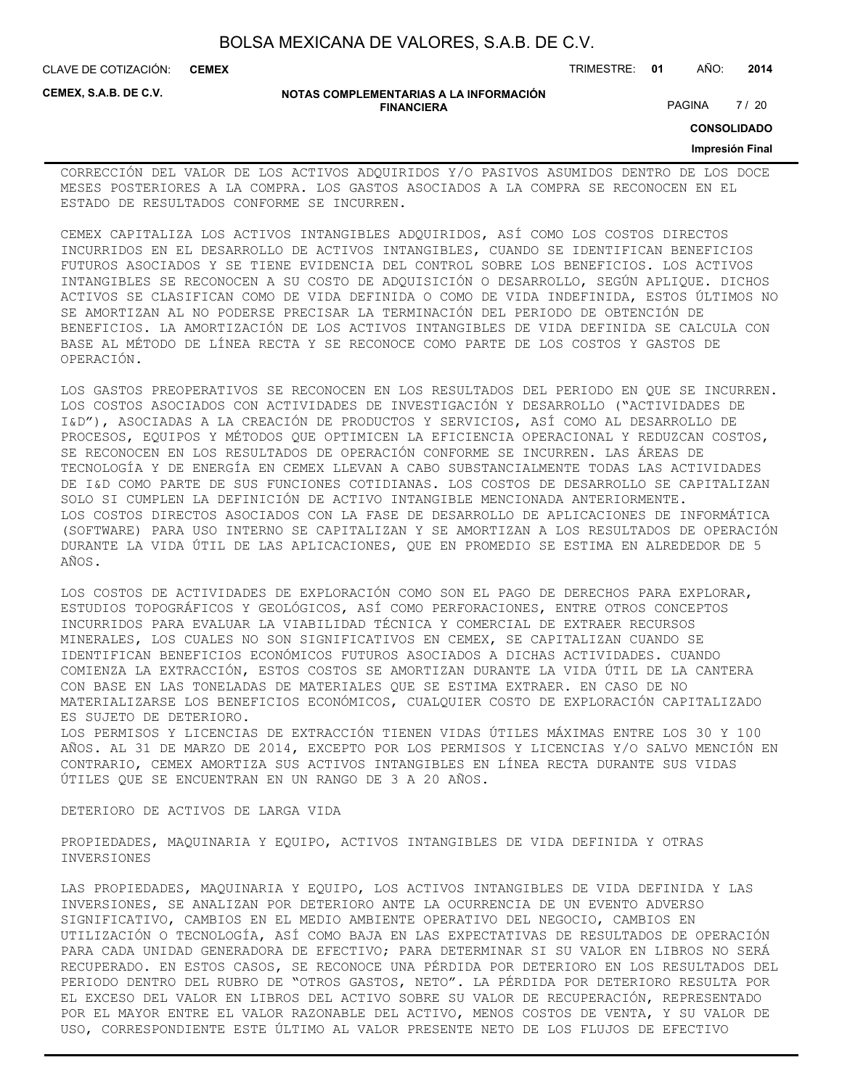| BOLSA MEXICANA DE VALORES, S.A.B. DE C.V. |  |  |
|-------------------------------------------|--|--|
|-------------------------------------------|--|--|

CLAVE DE COTIZACIÓN: TRIMESTRE: **01** AÑO: **2014 CEMEX**

**CEMEX, S.A.B. DE C.V.**

#### **NOTAS COMPLEMENTARIAS A LA INFORMACIÓN FINANCIERA**

PAGINA 7 / 20

**CONSOLIDADO**

#### **Impresión Final**

CORRECCIÓN DEL VALOR DE LOS ACTIVOS ADQUIRIDOS Y/O PASIVOS ASUMIDOS DENTRO DE LOS DOCE MESES POSTERIORES A LA COMPRA. LOS GASTOS ASOCIADOS A LA COMPRA SE RECONOCEN EN EL ESTADO DE RESULTADOS CONFORME SE INCURREN.

CEMEX CAPITALIZA LOS ACTIVOS INTANGIBLES ADQUIRIDOS, ASÍ COMO LOS COSTOS DIRECTOS INCURRIDOS EN EL DESARROLLO DE ACTIVOS INTANGIBLES, CUANDO SE IDENTIFICAN BENEFICIOS FUTUROS ASOCIADOS Y SE TIENE EVIDENCIA DEL CONTROL SOBRE LOS BENEFICIOS. LOS ACTIVOS INTANGIBLES SE RECONOCEN A SU COSTO DE ADQUISICIÓN O DESARROLLO, SEGÚN APLIQUE. DICHOS ACTIVOS SE CLASIFICAN COMO DE VIDA DEFINIDA O COMO DE VIDA INDEFINIDA, ESTOS ÚLTIMOS NO SE AMORTIZAN AL NO PODERSE PRECISAR LA TERMINACIÓN DEL PERIODO DE OBTENCIÓN DE BENEFICIOS. LA AMORTIZACIÓN DE LOS ACTIVOS INTANGIBLES DE VIDA DEFINIDA SE CALCULA CON BASE AL MÉTODO DE LÍNEA RECTA Y SE RECONOCE COMO PARTE DE LOS COSTOS Y GASTOS DE OPERACIÓN.

LOS GASTOS PREOPERATIVOS SE RECONOCEN EN LOS RESULTADOS DEL PERIODO EN QUE SE INCURREN. LOS COSTOS ASOCIADOS CON ACTIVIDADES DE INVESTIGACIÓN Y DESARROLLO ("ACTIVIDADES DE I&D"), ASOCIADAS A LA CREACIÓN DE PRODUCTOS Y SERVICIOS, ASÍ COMO AL DESARROLLO DE PROCESOS, EQUIPOS Y MÉTODOS QUE OPTIMICEN LA EFICIENCIA OPERACIONAL Y REDUZCAN COSTOS, SE RECONOCEN EN LOS RESULTADOS DE OPERACIÓN CONFORME SE INCURREN. LAS ÁREAS DE TECNOLOGÍA Y DE ENERGÍA EN CEMEX LLEVAN A CABO SUBSTANCIALMENTE TODAS LAS ACTIVIDADES DE I&D COMO PARTE DE SUS FUNCIONES COTIDIANAS. LOS COSTOS DE DESARROLLO SE CAPITALIZAN SOLO SI CUMPLEN LA DEFINICIÓN DE ACTIVO INTANGIBLE MENCIONADA ANTERIORMENTE. LOS COSTOS DIRECTOS ASOCIADOS CON LA FASE DE DESARROLLO DE APLICACIONES DE INFORMÁTICA (SOFTWARE) PARA USO INTERNO SE CAPITALIZAN Y SE AMORTIZAN A LOS RESULTADOS DE OPERACIÓN DURANTE LA VIDA ÚTIL DE LAS APLICACIONES, QUE EN PROMEDIO SE ESTIMA EN ALREDEDOR DE 5 AÑOS.

LOS COSTOS DE ACTIVIDADES DE EXPLORACIÓN COMO SON EL PAGO DE DERECHOS PARA EXPLORAR, ESTUDIOS TOPOGRÁFICOS Y GEOLÓGICOS, ASÍ COMO PERFORACIONES, ENTRE OTROS CONCEPTOS INCURRIDOS PARA EVALUAR LA VIABILIDAD TÉCNICA Y COMERCIAL DE EXTRAER RECURSOS MINERALES, LOS CUALES NO SON SIGNIFICATIVOS EN CEMEX, SE CAPITALIZAN CUANDO SE IDENTIFICAN BENEFICIOS ECONÓMICOS FUTUROS ASOCIADOS A DICHAS ACTIVIDADES. CUANDO COMIENZA LA EXTRACCIÓN, ESTOS COSTOS SE AMORTIZAN DURANTE LA VIDA ÚTIL DE LA CANTERA CON BASE EN LAS TONELADAS DE MATERIALES QUE SE ESTIMA EXTRAER. EN CASO DE NO MATERIALIZARSE LOS BENEFICIOS ECONÓMICOS, CUALQUIER COSTO DE EXPLORACIÓN CAPITALIZADO ES SUJETO DE DETERIORO.

LOS PERMISOS Y LICENCIAS DE EXTRACCIÓN TIENEN VIDAS ÚTILES MÁXIMAS ENTRE LOS 30 Y 100 AÑOS. AL 31 DE MARZO DE 2014, EXCEPTO POR LOS PERMISOS Y LICENCIAS Y/O SALVO MENCIÓN EN CONTRARIO, CEMEX AMORTIZA SUS ACTIVOS INTANGIBLES EN LÍNEA RECTA DURANTE SUS VIDAS ÚTILES QUE SE ENCUENTRAN EN UN RANGO DE 3 A 20 AÑOS.

### DETERIORO DE ACTIVOS DE LARGA VIDA

PROPIEDADES, MAQUINARIA Y EQUIPO, ACTIVOS INTANGIBLES DE VIDA DEFINIDA Y OTRAS INVERSIONES

LAS PROPIEDADES, MAQUINARIA Y EQUIPO, LOS ACTIVOS INTANGIBLES DE VIDA DEFINIDA Y LAS INVERSIONES, SE ANALIZAN POR DETERIORO ANTE LA OCURRENCIA DE UN EVENTO ADVERSO SIGNIFICATIVO, CAMBIOS EN EL MEDIO AMBIENTE OPERATIVO DEL NEGOCIO, CAMBIOS EN UTILIZACIÓN O TECNOLOGÍA, ASÍ COMO BAJA EN LAS EXPECTATIVAS DE RESULTADOS DE OPERACIÓN PARA CADA UNIDAD GENERADORA DE EFECTIVO; PARA DETERMINAR SI SU VALOR EN LIBROS NO SERÁ RECUPERADO. EN ESTOS CASOS, SE RECONOCE UNA PÉRDIDA POR DETERIORO EN LOS RESULTADOS DEL PERIODO DENTRO DEL RUBRO DE "OTROS GASTOS, NETO". LA PÉRDIDA POR DETERIORO RESULTA POR EL EXCESO DEL VALOR EN LIBROS DEL ACTIVO SOBRE SU VALOR DE RECUPERACIÓN, REPRESENTADO POR EL MAYOR ENTRE EL VALOR RAZONABLE DEL ACTIVO, MENOS COSTOS DE VENTA, Y SU VALOR DE USO, CORRESPONDIENTE ESTE ÚLTIMO AL VALOR PRESENTE NETO DE LOS FLUJOS DE EFECTIVO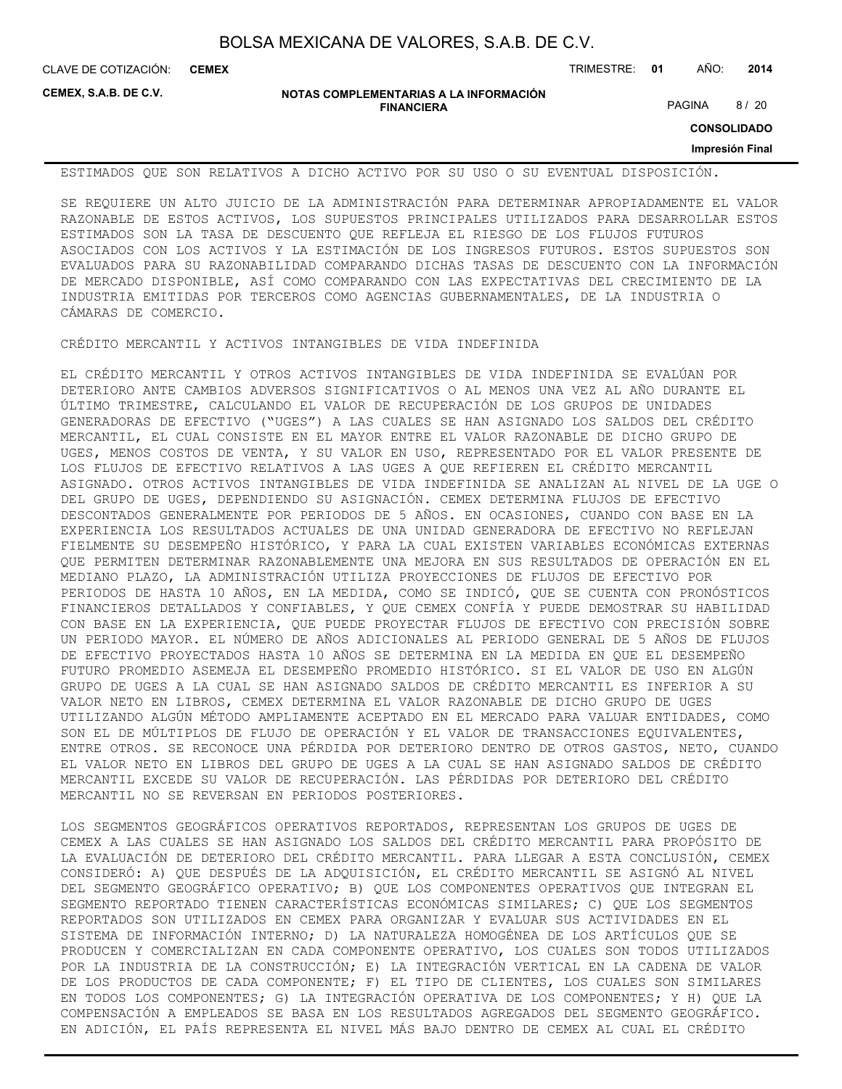**CEMEX**

CLAVE DE COTIZACIÓN: TRIMESTRE: **01** AÑO: **2014**

**CEMEX, S.A.B. DE C.V.**

**NOTAS COMPLEMENTARIAS A LA INFORMACIÓN FINANCIERA**

PAGINA 8 / 20

**CONSOLIDADO**

**Impresión Final**

ESTIMADOS QUE SON RELATIVOS A DICHO ACTIVO POR SU USO O SU EVENTUAL DISPOSICIÓN.

SE REQUIERE UN ALTO JUICIO DE LA ADMINISTRACIÓN PARA DETERMINAR APROPIADAMENTE EL VALOR RAZONABLE DE ESTOS ACTIVOS, LOS SUPUESTOS PRINCIPALES UTILIZADOS PARA DESARROLLAR ESTOS ESTIMADOS SON LA TASA DE DESCUENTO QUE REFLEJA EL RIESGO DE LOS FLUJOS FUTUROS ASOCIADOS CON LOS ACTIVOS Y LA ESTIMACIÓN DE LOS INGRESOS FUTUROS. ESTOS SUPUESTOS SON EVALUADOS PARA SU RAZONABILIDAD COMPARANDO DICHAS TASAS DE DESCUENTO CON LA INFORMACIÓN DE MERCADO DISPONIBLE, ASÍ COMO COMPARANDO CON LAS EXPECTATIVAS DEL CRECIMIENTO DE LA INDUSTRIA EMITIDAS POR TERCEROS COMO AGENCIAS GUBERNAMENTALES, DE LA INDUSTRIA O CÁMARAS DE COMERCIO.

CRÉDITO MERCANTIL Y ACTIVOS INTANGIBLES DE VIDA INDEFINIDA

EL CRÉDITO MERCANTIL Y OTROS ACTIVOS INTANGIBLES DE VIDA INDEFINIDA SE EVALÚAN POR DETERIORO ANTE CAMBIOS ADVERSOS SIGNIFICATIVOS O AL MENOS UNA VEZ AL AÑO DURANTE EL ÚLTIMO TRIMESTRE, CALCULANDO EL VALOR DE RECUPERACIÓN DE LOS GRUPOS DE UNIDADES GENERADORAS DE EFECTIVO ("UGES") A LAS CUALES SE HAN ASIGNADO LOS SALDOS DEL CRÉDITO MERCANTIL, EL CUAL CONSISTE EN EL MAYOR ENTRE EL VALOR RAZONABLE DE DICHO GRUPO DE UGES, MENOS COSTOS DE VENTA, Y SU VALOR EN USO, REPRESENTADO POR EL VALOR PRESENTE DE LOS FLUJOS DE EFECTIVO RELATIVOS A LAS UGES A QUE REFIEREN EL CRÉDITO MERCANTIL ASIGNADO. OTROS ACTIVOS INTANGIBLES DE VIDA INDEFINIDA SE ANALIZAN AL NIVEL DE LA UGE O DEL GRUPO DE UGES, DEPENDIENDO SU ASIGNACIÓN. CEMEX DETERMINA FLUJOS DE EFECTIVO DESCONTADOS GENERALMENTE POR PERIODOS DE 5 AÑOS. EN OCASIONES, CUANDO CON BASE EN LA EXPERIENCIA LOS RESULTADOS ACTUALES DE UNA UNIDAD GENERADORA DE EFECTIVO NO REFLEJAN FIELMENTE SU DESEMPEÑO HISTÓRICO, Y PARA LA CUAL EXISTEN VARIABLES ECONÓMICAS EXTERNAS QUE PERMITEN DETERMINAR RAZONABLEMENTE UNA MEJORA EN SUS RESULTADOS DE OPERACIÓN EN EL MEDIANO PLAZO, LA ADMINISTRACIÓN UTILIZA PROYECCIONES DE FLUJOS DE EFECTIVO POR PERIODOS DE HASTA 10 AÑOS, EN LA MEDIDA, COMO SE INDICÓ, QUE SE CUENTA CON PRONÓSTICOS FINANCIEROS DETALLADOS Y CONFIABLES, Y QUE CEMEX CONFÍA Y PUEDE DEMOSTRAR SU HABILIDAD CON BASE EN LA EXPERIENCIA, QUE PUEDE PROYECTAR FLUJOS DE EFECTIVO CON PRECISIÓN SOBRE UN PERIODO MAYOR. EL NÚMERO DE AÑOS ADICIONALES AL PERIODO GENERAL DE 5 AÑOS DE FLUJOS DE EFECTIVO PROYECTADOS HASTA 10 AÑOS SE DETERMINA EN LA MEDIDA EN QUE EL DESEMPEÑO FUTURO PROMEDIO ASEMEJA EL DESEMPEÑO PROMEDIO HISTÓRICO. SI EL VALOR DE USO EN ALGÚN GRUPO DE UGES A LA CUAL SE HAN ASIGNADO SALDOS DE CRÉDITO MERCANTIL ES INFERIOR A SU VALOR NETO EN LIBROS, CEMEX DETERMINA EL VALOR RAZONABLE DE DICHO GRUPO DE UGES UTILIZANDO ALGÚN MÉTODO AMPLIAMENTE ACEPTADO EN EL MERCADO PARA VALUAR ENTIDADES, COMO SON EL DE MÚLTIPLOS DE FLUJO DE OPERACIÓN Y EL VALOR DE TRANSACCIONES EQUIVALENTES, ENTRE OTROS. SE RECONOCE UNA PÉRDIDA POR DETERIORO DENTRO DE OTROS GASTOS, NETO, CUANDO EL VALOR NETO EN LIBROS DEL GRUPO DE UGES A LA CUAL SE HAN ASIGNADO SALDOS DE CRÉDITO MERCANTIL EXCEDE SU VALOR DE RECUPERACIÓN. LAS PÉRDIDAS POR DETERIORO DEL CRÉDITO MERCANTIL NO SE REVERSAN EN PERIODOS POSTERIORES.

LOS SEGMENTOS GEOGRÁFICOS OPERATIVOS REPORTADOS, REPRESENTAN LOS GRUPOS DE UGES DE CEMEX A LAS CUALES SE HAN ASIGNADO LOS SALDOS DEL CRÉDITO MERCANTIL PARA PROPÓSITO DE LA EVALUACIÓN DE DETERIORO DEL CRÉDITO MERCANTIL. PARA LLEGAR A ESTA CONCLUSIÓN, CEMEX CONSIDERÓ: A) QUE DESPUÉS DE LA ADQUISICIÓN, EL CRÉDITO MERCANTIL SE ASIGNÓ AL NIVEL DEL SEGMENTO GEOGRÁFICO OPERATIVO; B) QUE LOS COMPONENTES OPERATIVOS QUE INTEGRAN EL SEGMENTO REPORTADO TIENEN CARACTERÍSTICAS ECONÓMICAS SIMILARES; C) QUE LOS SEGMENTOS REPORTADOS SON UTILIZADOS EN CEMEX PARA ORGANIZAR Y EVALUAR SUS ACTIVIDADES EN EL SISTEMA DE INFORMACIÓN INTERNO; D) LA NATURALEZA HOMOGÉNEA DE LOS ARTÍCULOS QUE SE PRODUCEN Y COMERCIALIZAN EN CADA COMPONENTE OPERATIVO, LOS CUALES SON TODOS UTILIZADOS POR LA INDUSTRIA DE LA CONSTRUCCIÓN; E) LA INTEGRACIÓN VERTICAL EN LA CADENA DE VALOR DE LOS PRODUCTOS DE CADA COMPONENTE; F) EL TIPO DE CLIENTES, LOS CUALES SON SIMILARES EN TODOS LOS COMPONENTES; G) LA INTEGRACIÓN OPERATIVA DE LOS COMPONENTES; Y H) QUE LA COMPENSACIÓN A EMPLEADOS SE BASA EN LOS RESULTADOS AGREGADOS DEL SEGMENTO GEOGRÁFICO. EN ADICIÓN, EL PAÍS REPRESENTA EL NIVEL MÁS BAJO DENTRO DE CEMEX AL CUAL EL CRÉDITO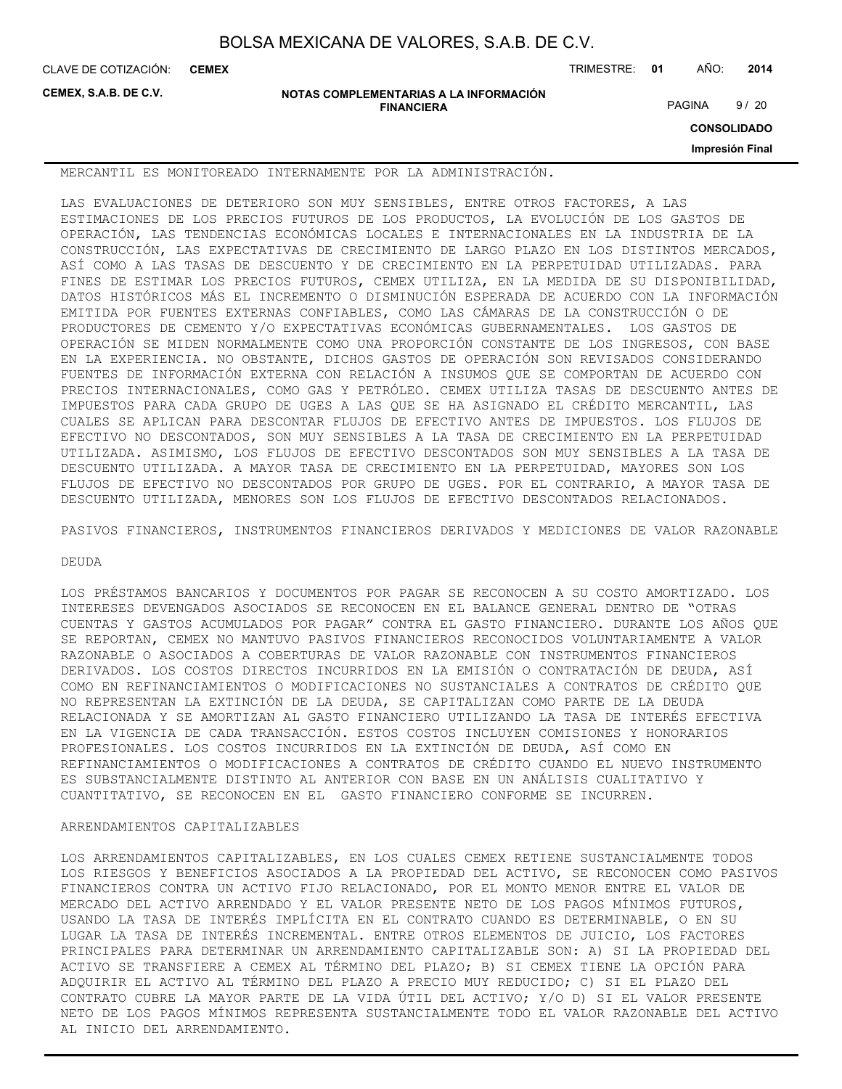**CEMEX**

CLAVE DE COTIZACIÓN: TRIMESTRE: **01** AÑO: **2014**

**CEMEX, S.A.B. DE C.V.**

**NOTAS COMPLEMENTARIAS A LA INFORMACIÓN FINANCIERA**

PAGINA 9/20

**CONSOLIDADO**

**Impresión Final**

MERCANTIL ES MONITOREADO INTERNAMENTE POR LA ADMINISTRACIÓN.

LAS EVALUACIONES DE DETERIORO SON MUY SENSIBLES, ENTRE OTROS FACTORES, A LAS ESTIMACIONES DE LOS PRECIOS FUTUROS DE LOS PRODUCTOS, LA EVOLUCIÓN DE LOS GASTOS DE OPERACIÓN, LAS TENDENCIAS ECONÓMICAS LOCALES E INTERNACIONALES EN LA INDUSTRIA DE LA CONSTRUCCIÓN, LAS EXPECTATIVAS DE CRECIMIENTO DE LARGO PLAZO EN LOS DISTINTOS MERCADOS, ASÍ COMO A LAS TASAS DE DESCUENTO Y DE CRECIMIENTO EN LA PERPETUIDAD UTILIZADAS. PARA FINES DE ESTIMAR LOS PRECIOS FUTUROS, CEMEX UTILIZA, EN LA MEDIDA DE SU DISPONIBILIDAD, DATOS HISTÓRICOS MÁS EL INCREMENTO O DISMINUCIÓN ESPERADA DE ACUERDO CON LA INFORMACIÓN EMITIDA POR FUENTES EXTERNAS CONFIABLES, COMO LAS CÁMARAS DE LA CONSTRUCCIÓN O DE PRODUCTORES DE CEMENTO Y/O EXPECTATIVAS ECONÓMICAS GUBERNAMENTALES. LOS GASTOS DE OPERACIÓN SE MIDEN NORMALMENTE COMO UNA PROPORCIÓN CONSTANTE DE LOS INGRESOS, CON BASE EN LA EXPERIENCIA. NO OBSTANTE, DICHOS GASTOS DE OPERACIÓN SON REVISADOS CONSIDERANDO FUENTES DE INFORMACIÓN EXTERNA CON RELACIÓN A INSUMOS QUE SE COMPORTAN DE ACUERDO CON PRECIOS INTERNACIONALES, COMO GAS Y PETRÓLEO. CEMEX UTILIZA TASAS DE DESCUENTO ANTES DE IMPUESTOS PARA CADA GRUPO DE UGES A LAS QUE SE HA ASIGNADO EL CRÉDITO MERCANTIL, LAS CUALES SE APLICAN PARA DESCONTAR FLUJOS DE EFECTIVO ANTES DE IMPUESTOS. LOS FLUJOS DE EFECTIVO NO DESCONTADOS, SON MUY SENSIBLES A LA TASA DE CRECIMIENTO EN LA PERPETUIDAD UTILIZADA. ASIMISMO, LOS FLUJOS DE EFECTIVO DESCONTADOS SON MUY SENSIBLES A LA TASA DE DESCUENTO UTILIZADA. A MAYOR TASA DE CRECIMIENTO EN LA PERPETUIDAD, MAYORES SON LOS FLUJOS DE EFECTIVO NO DESCONTADOS POR GRUPO DE UGES. POR EL CONTRARIO, A MAYOR TASA DE DESCUENTO UTILIZADA, MENORES SON LOS FLUJOS DE EFECTIVO DESCONTADOS RELACIONADOS.

PASIVOS FINANCIEROS, INSTRUMENTOS FINANCIEROS DERIVADOS Y MEDICIONES DE VALOR RAZONABLE

#### DEUDA

LOS PRÉSTAMOS BANCARIOS Y DOCUMENTOS POR PAGAR SE RECONOCEN A SU COSTO AMORTIZADO. LOS INTERESES DEVENGADOS ASOCIADOS SE RECONOCEN EN EL BALANCE GENERAL DENTRO DE "OTRAS CUENTAS Y GASTOS ACUMULADOS POR PAGAR" CONTRA EL GASTO FINANCIERO. DURANTE LOS AÑOS QUE SE REPORTAN, CEMEX NO MANTUVO PASIVOS FINANCIEROS RECONOCIDOS VOLUNTARIAMENTE A VALOR RAZONABLE O ASOCIADOS A COBERTURAS DE VALOR RAZONABLE CON INSTRUMENTOS FINANCIEROS DERIVADOS. LOS COSTOS DIRECTOS INCURRIDOS EN LA EMISIÓN O CONTRATACIÓN DE DEUDA, ASÍ COMO EN REFINANCIAMIENTOS O MODIFICACIONES NO SUSTANCIALES A CONTRATOS DE CRÉDITO QUE NO REPRESENTAN LA EXTINCIÓN DE LA DEUDA, SE CAPITALIZAN COMO PARTE DE LA DEUDA RELACIONADA Y SE AMORTIZAN AL GASTO FINANCIERO UTILIZANDO LA TASA DE INTERÉS EFECTIVA EN LA VIGENCIA DE CADA TRANSACCIÓN. ESTOS COSTOS INCLUYEN COMISIONES Y HONORARIOS PROFESIONALES. LOS COSTOS INCURRIDOS EN LA EXTINCIÓN DE DEUDA, ASÍ COMO EN REFINANCIAMIENTOS O MODIFICACIONES A CONTRATOS DE CRÉDITO CUANDO EL NUEVO INSTRUMENTO ES SUBSTANCIALMENTE DISTINTO AL ANTERIOR CON BASE EN UN ANÁLISIS CUALITATIVO Y CUANTITATIVO, SE RECONOCEN EN EL GASTO FINANCIERO CONFORME SE INCURREN.

### ARRENDAMIENTOS CAPITALIZABLES

LOS ARRENDAMIENTOS CAPITALIZABLES, EN LOS CUALES CEMEX RETIENE SUSTANCIALMENTE TODOS LOS RIESGOS Y BENEFICIOS ASOCIADOS A LA PROPIEDAD DEL ACTIVO, SE RECONOCEN COMO PASIVOS FINANCIEROS CONTRA UN ACTIVO FIJO RELACIONADO, POR EL MONTO MENOR ENTRE EL VALOR DE MERCADO DEL ACTIVO ARRENDADO Y EL VALOR PRESENTE NETO DE LOS PAGOS MÍNIMOS FUTUROS, USANDO LA TASA DE INTERÉS IMPLÍCITA EN EL CONTRATO CUANDO ES DETERMINABLE, O EN SU LUGAR LA TASA DE INTERÉS INCREMENTAL. ENTRE OTROS ELEMENTOS DE JUICIO, LOS FACTORES PRINCIPALES PARA DETERMINAR UN ARRENDAMIENTO CAPITALIZABLE SON: A) SI LA PROPIEDAD DEL ACTIVO SE TRANSFIERE A CEMEX AL TÉRMINO DEL PLAZO; B) SI CEMEX TIENE LA OPCIÓN PARA ADQUIRIR EL ACTIVO AL TÉRMINO DEL PLAZO A PRECIO MUY REDUCIDO; C) SI EL PLAZO DEL CONTRATO CUBRE LA MAYOR PARTE DE LA VIDA ÚTIL DEL ACTIVO; Y/O D) SI EL VALOR PRESENTE NETO DE LOS PAGOS MÍNIMOS REPRESENTA SUSTANCIALMENTE TODO EL VALOR RAZONABLE DEL ACTIVO AL INICIO DEL ARRENDAMIENTO.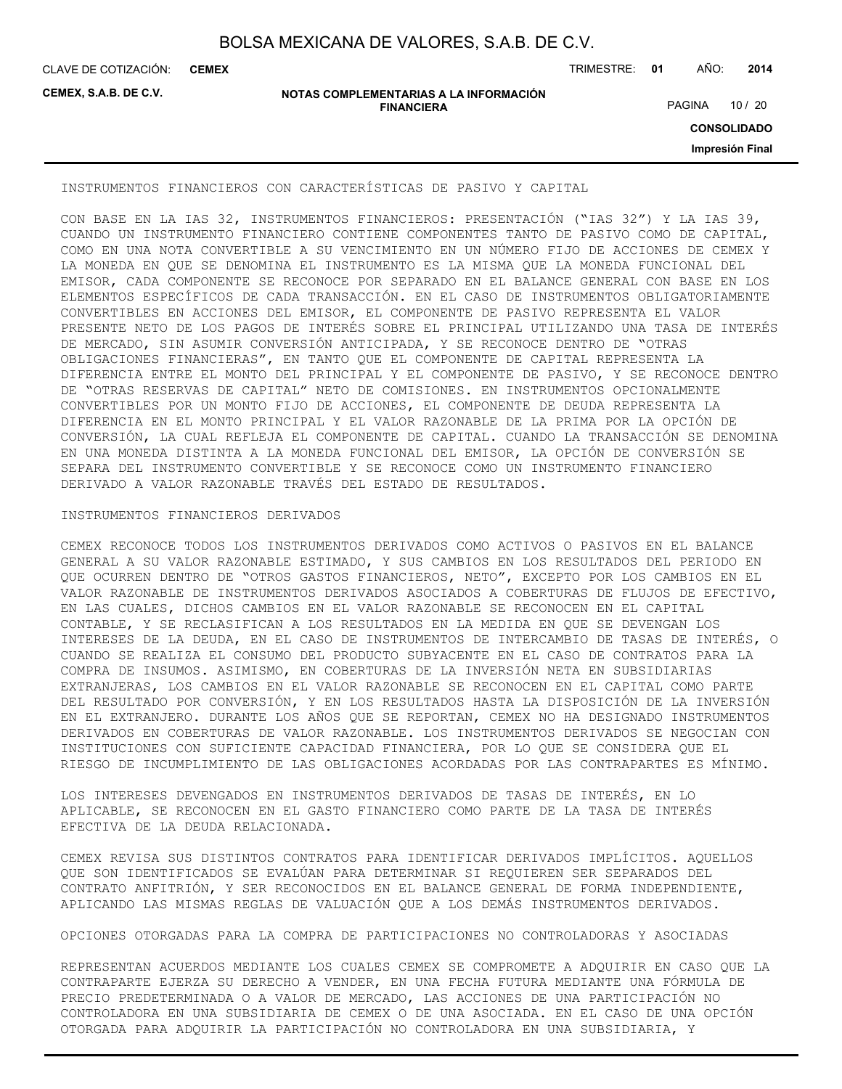CLAVE DE COTIZACIÓN: TRIMESTRE: **01** AÑO: **2014 CEMEX**

**CEMEX, S.A.B. DE C.V.**

#### **NOTAS COMPLEMENTARIAS A LA INFORMACIÓN FINANCIERA**

PAGINA 10 / 20

**CONSOLIDADO**

**Impresión Final**

INSTRUMENTOS FINANCIEROS CON CARACTERÍSTICAS DE PASIVO Y CAPITAL

CON BASE EN LA IAS 32, INSTRUMENTOS FINANCIEROS: PRESENTACIÓN ("IAS 32") Y LA IAS 39, CUANDO UN INSTRUMENTO FINANCIERO CONTIENE COMPONENTES TANTO DE PASIVO COMO DE CAPITAL, COMO EN UNA NOTA CONVERTIBLE A SU VENCIMIENTO EN UN NÚMERO FIJO DE ACCIONES DE CEMEX Y LA MONEDA EN QUE SE DENOMINA EL INSTRUMENTO ES LA MISMA QUE LA MONEDA FUNCIONAL DEL EMISOR, CADA COMPONENTE SE RECONOCE POR SEPARADO EN EL BALANCE GENERAL CON BASE EN LOS ELEMENTOS ESPECÍFICOS DE CADA TRANSACCIÓN. EN EL CASO DE INSTRUMENTOS OBLIGATORIAMENTE CONVERTIBLES EN ACCIONES DEL EMISOR, EL COMPONENTE DE PASIVO REPRESENTA EL VALOR PRESENTE NETO DE LOS PAGOS DE INTERÉS SOBRE EL PRINCIPAL UTILIZANDO UNA TASA DE INTERÉS DE MERCADO, SIN ASUMIR CONVERSIÓN ANTICIPADA, Y SE RECONOCE DENTRO DE "OTRAS OBLIGACIONES FINANCIERAS", EN TANTO QUE EL COMPONENTE DE CAPITAL REPRESENTA LA DIFERENCIA ENTRE EL MONTO DEL PRINCIPAL Y EL COMPONENTE DE PASIVO, Y SE RECONOCE DENTRO DE "OTRAS RESERVAS DE CAPITAL" NETO DE COMISIONES. EN INSTRUMENTOS OPCIONALMENTE CONVERTIBLES POR UN MONTO FIJO DE ACCIONES, EL COMPONENTE DE DEUDA REPRESENTA LA DIFERENCIA EN EL MONTO PRINCIPAL Y EL VALOR RAZONABLE DE LA PRIMA POR LA OPCIÓN DE CONVERSIÓN, LA CUAL REFLEJA EL COMPONENTE DE CAPITAL. CUANDO LA TRANSACCIÓN SE DENOMINA EN UNA MONEDA DISTINTA A LA MONEDA FUNCIONAL DEL EMISOR, LA OPCIÓN DE CONVERSIÓN SE SEPARA DEL INSTRUMENTO CONVERTIBLE Y SE RECONOCE COMO UN INSTRUMENTO FINANCIERO DERIVADO A VALOR RAZONABLE TRAVÉS DEL ESTADO DE RESULTADOS.

#### INSTRUMENTOS FINANCIEROS DERIVADOS

CEMEX RECONOCE TODOS LOS INSTRUMENTOS DERIVADOS COMO ACTIVOS O PASIVOS EN EL BALANCE GENERAL A SU VALOR RAZONABLE ESTIMADO, Y SUS CAMBIOS EN LOS RESULTADOS DEL PERIODO EN QUE OCURREN DENTRO DE "OTROS GASTOS FINANCIEROS, NETO", EXCEPTO POR LOS CAMBIOS EN EL VALOR RAZONABLE DE INSTRUMENTOS DERIVADOS ASOCIADOS A COBERTURAS DE FLUJOS DE EFECTIVO, EN LAS CUALES, DICHOS CAMBIOS EN EL VALOR RAZONABLE SE RECONOCEN EN EL CAPITAL CONTABLE, Y SE RECLASIFICAN A LOS RESULTADOS EN LA MEDIDA EN QUE SE DEVENGAN LOS INTERESES DE LA DEUDA, EN EL CASO DE INSTRUMENTOS DE INTERCAMBIO DE TASAS DE INTERÉS, O CUANDO SE REALIZA EL CONSUMO DEL PRODUCTO SUBYACENTE EN EL CASO DE CONTRATOS PARA LA COMPRA DE INSUMOS. ASIMISMO, EN COBERTURAS DE LA INVERSIÓN NETA EN SUBSIDIARIAS EXTRANJERAS, LOS CAMBIOS EN EL VALOR RAZONABLE SE RECONOCEN EN EL CAPITAL COMO PARTE DEL RESULTADO POR CONVERSIÓN, Y EN LOS RESULTADOS HASTA LA DISPOSICIÓN DE LA INVERSIÓN EN EL EXTRANJERO. DURANTE LOS AÑOS QUE SE REPORTAN, CEMEX NO HA DESIGNADO INSTRUMENTOS DERIVADOS EN COBERTURAS DE VALOR RAZONABLE. LOS INSTRUMENTOS DERIVADOS SE NEGOCIAN CON INSTITUCIONES CON SUFICIENTE CAPACIDAD FINANCIERA, POR LO QUE SE CONSIDERA QUE EL RIESGO DE INCUMPLIMIENTO DE LAS OBLIGACIONES ACORDADAS POR LAS CONTRAPARTES ES MÍNIMO.

LOS INTERESES DEVENGADOS EN INSTRUMENTOS DERIVADOS DE TASAS DE INTERÉS, EN LO APLICABLE, SE RECONOCEN EN EL GASTO FINANCIERO COMO PARTE DE LA TASA DE INTERÉS EFECTIVA DE LA DEUDA RELACIONADA.

CEMEX REVISA SUS DISTINTOS CONTRATOS PARA IDENTIFICAR DERIVADOS IMPLÍCITOS. AQUELLOS QUE SON IDENTIFICADOS SE EVALÚAN PARA DETERMINAR SI REQUIEREN SER SEPARADOS DEL CONTRATO ANFITRIÓN, Y SER RECONOCIDOS EN EL BALANCE GENERAL DE FORMA INDEPENDIENTE, APLICANDO LAS MISMAS REGLAS DE VALUACIÓN QUE A LOS DEMÁS INSTRUMENTOS DERIVADOS.

OPCIONES OTORGADAS PARA LA COMPRA DE PARTICIPACIONES NO CONTROLADORAS Y ASOCIADAS

REPRESENTAN ACUERDOS MEDIANTE LOS CUALES CEMEX SE COMPROMETE A ADQUIRIR EN CASO QUE LA CONTRAPARTE EJERZA SU DERECHO A VENDER, EN UNA FECHA FUTURA MEDIANTE UNA FÓRMULA DE PRECIO PREDETERMINADA O A VALOR DE MERCADO, LAS ACCIONES DE UNA PARTICIPACIÓN NO CONTROLADORA EN UNA SUBSIDIARIA DE CEMEX O DE UNA ASOCIADA. EN EL CASO DE UNA OPCIÓN OTORGADA PARA ADQUIRIR LA PARTICIPACIÓN NO CONTROLADORA EN UNA SUBSIDIARIA, Y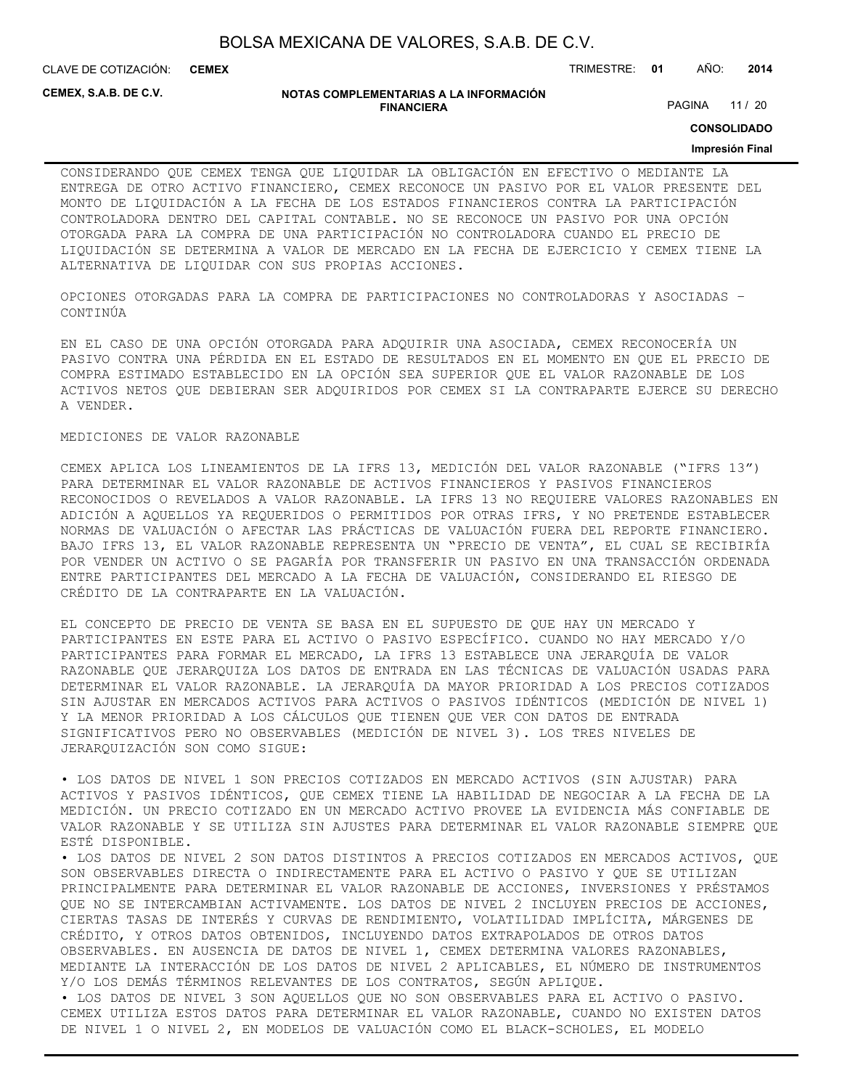CLAVE DE COTIZACIÓN: TRIMESTRE: **01** AÑO: **2014 CEMEX**

**CEMEX, S.A.B. DE C.V.**

#### **NOTAS COMPLEMENTARIAS A LA INFORMACIÓN FINANCIERA**

PAGINA 11 / 20

**CONSOLIDADO**

#### **Impresión Final**

CONSIDERANDO QUE CEMEX TENGA QUE LIQUIDAR LA OBLIGACIÓN EN EFECTIVO O MEDIANTE LA ENTREGA DE OTRO ACTIVO FINANCIERO, CEMEX RECONOCE UN PASIVO POR EL VALOR PRESENTE DEL MONTO DE LIQUIDACIÓN A LA FECHA DE LOS ESTADOS FINANCIEROS CONTRA LA PARTICIPACIÓN CONTROLADORA DENTRO DEL CAPITAL CONTABLE. NO SE RECONOCE UN PASIVO POR UNA OPCIÓN OTORGADA PARA LA COMPRA DE UNA PARTICIPACIÓN NO CONTROLADORA CUANDO EL PRECIO DE LIQUIDACIÓN SE DETERMINA A VALOR DE MERCADO EN LA FECHA DE EJERCICIO Y CEMEX TIENE LA ALTERNATIVA DE LIQUIDAR CON SUS PROPIAS ACCIONES.

OPCIONES OTORGADAS PARA LA COMPRA DE PARTICIPACIONES NO CONTROLADORAS Y ASOCIADAS – CONTINÚA

EN EL CASO DE UNA OPCIÓN OTORGADA PARA ADQUIRIR UNA ASOCIADA, CEMEX RECONOCERÍA UN PASIVO CONTRA UNA PÉRDIDA EN EL ESTADO DE RESULTADOS EN EL MOMENTO EN QUE EL PRECIO DE COMPRA ESTIMADO ESTABLECIDO EN LA OPCIÓN SEA SUPERIOR QUE EL VALOR RAZONABLE DE LOS ACTIVOS NETOS QUE DEBIERAN SER ADQUIRIDOS POR CEMEX SI LA CONTRAPARTE EJERCE SU DERECHO A VENDER.

#### MEDICIONES DE VALOR RAZONABLE

CEMEX APLICA LOS LINEAMIENTOS DE LA IFRS 13, MEDICIÓN DEL VALOR RAZONABLE ("IFRS 13") PARA DETERMINAR EL VALOR RAZONABLE DE ACTIVOS FINANCIEROS Y PASIVOS FINANCIEROS RECONOCIDOS O REVELADOS A VALOR RAZONABLE. LA IFRS 13 NO REQUIERE VALORES RAZONABLES EN ADICIÓN A AQUELLOS YA REQUERIDOS O PERMITIDOS POR OTRAS IFRS, Y NO PRETENDE ESTABLECER NORMAS DE VALUACIÓN O AFECTAR LAS PRÁCTICAS DE VALUACIÓN FUERA DEL REPORTE FINANCIERO. BAJO IFRS 13, EL VALOR RAZONABLE REPRESENTA UN "PRECIO DE VENTA", EL CUAL SE RECIBIRÍA POR VENDER UN ACTIVO O SE PAGARÍA POR TRANSFERIR UN PASIVO EN UNA TRANSACCIÓN ORDENADA ENTRE PARTICIPANTES DEL MERCADO A LA FECHA DE VALUACIÓN, CONSIDERANDO EL RIESGO DE CRÉDITO DE LA CONTRAPARTE EN LA VALUACIÓN.

EL CONCEPTO DE PRECIO DE VENTA SE BASA EN EL SUPUESTO DE QUE HAY UN MERCADO Y PARTICIPANTES EN ESTE PARA EL ACTIVO O PASIVO ESPECÍFICO. CUANDO NO HAY MERCADO Y/O PARTICIPANTES PARA FORMAR EL MERCADO, LA IFRS 13 ESTABLECE UNA JERARQUÍA DE VALOR RAZONABLE QUE JERARQUIZA LOS DATOS DE ENTRADA EN LAS TÉCNICAS DE VALUACIÓN USADAS PARA DETERMINAR EL VALOR RAZONABLE. LA JERARQUÍA DA MAYOR PRIORIDAD A LOS PRECIOS COTIZADOS SIN AJUSTAR EN MERCADOS ACTIVOS PARA ACTIVOS O PASIVOS IDÉNTICOS (MEDICIÓN DE NIVEL 1) Y LA MENOR PRIORIDAD A LOS CÁLCULOS QUE TIENEN QUE VER CON DATOS DE ENTRADA SIGNIFICATIVOS PERO NO OBSERVABLES (MEDICIÓN DE NIVEL 3). LOS TRES NIVELES DE JERARQUIZACIÓN SON COMO SIGUE:

• LOS DATOS DE NIVEL 1 SON PRECIOS COTIZADOS EN MERCADO ACTIVOS (SIN AJUSTAR) PARA ACTIVOS Y PASIVOS IDÉNTICOS, QUE CEMEX TIENE LA HABILIDAD DE NEGOCIAR A LA FECHA DE LA MEDICIÓN. UN PRECIO COTIZADO EN UN MERCADO ACTIVO PROVEE LA EVIDENCIA MÁS CONFIABLE DE VALOR RAZONABLE Y SE UTILIZA SIN AJUSTES PARA DETERMINAR EL VALOR RAZONABLE SIEMPRE QUE ESTÉ DISPONIBLE.

• LOS DATOS DE NIVEL 2 SON DATOS DISTINTOS A PRECIOS COTIZADOS EN MERCADOS ACTIVOS, QUE SON OBSERVABLES DIRECTA O INDIRECTAMENTE PARA EL ACTIVO O PASIVO Y QUE SE UTILIZAN PRINCIPALMENTE PARA DETERMINAR EL VALOR RAZONABLE DE ACCIONES, INVERSIONES Y PRÉSTAMOS QUE NO SE INTERCAMBIAN ACTIVAMENTE. LOS DATOS DE NIVEL 2 INCLUYEN PRECIOS DE ACCIONES, CIERTAS TASAS DE INTERÉS Y CURVAS DE RENDIMIENTO, VOLATILIDAD IMPLÍCITA, MÁRGENES DE CRÉDITO, Y OTROS DATOS OBTENIDOS, INCLUYENDO DATOS EXTRAPOLADOS DE OTROS DATOS OBSERVABLES. EN AUSENCIA DE DATOS DE NIVEL 1, CEMEX DETERMINA VALORES RAZONABLES, MEDIANTE LA INTERACCIÓN DE LOS DATOS DE NIVEL 2 APLICABLES, EL NÚMERO DE INSTRUMENTOS Y/O LOS DEMÁS TÉRMINOS RELEVANTES DE LOS CONTRATOS, SEGÚN APLIQUE.

• LOS DATOS DE NIVEL 3 SON AQUELLOS QUE NO SON OBSERVABLES PARA EL ACTIVO O PASIVO. CEMEX UTILIZA ESTOS DATOS PARA DETERMINAR EL VALOR RAZONABLE, CUANDO NO EXISTEN DATOS DE NIVEL 1 O NIVEL 2, EN MODELOS DE VALUACIÓN COMO EL BLACK-SCHOLES, EL MODELO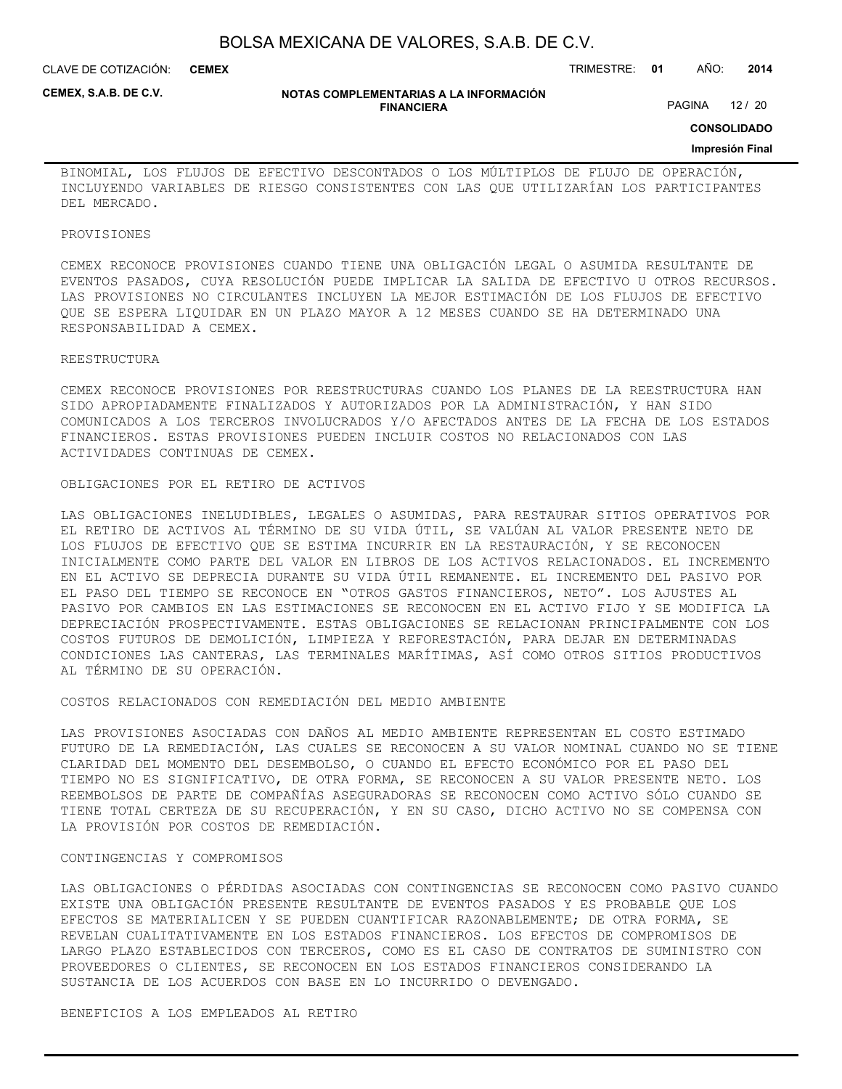CLAVE DE COTIZACIÓN: TRIMESTRE: **01** AÑO: **2014 CEMEX**

**CEMEX, S.A.B. DE C.V.**

#### **NOTAS COMPLEMENTARIAS A LA INFORMACIÓN FINANCIERA**

PAGINA 12 / 20

**CONSOLIDADO**

#### **Impresión Final**

BINOMIAL, LOS FLUJOS DE EFECTIVO DESCONTADOS O LOS MÚLTIPLOS DE FLUJO DE OPERACIÓN, INCLUYENDO VARIABLES DE RIESGO CONSISTENTES CON LAS QUE UTILIZARÍAN LOS PARTICIPANTES DEL MERCADO.

#### PROVISIONES

CEMEX RECONOCE PROVISIONES CUANDO TIENE UNA OBLIGACIÓN LEGAL O ASUMIDA RESULTANTE DE EVENTOS PASADOS, CUYA RESOLUCIÓN PUEDE IMPLICAR LA SALIDA DE EFECTIVO U OTROS RECURSOS. LAS PROVISIONES NO CIRCULANTES INCLUYEN LA MEJOR ESTIMACIÓN DE LOS FLUJOS DE EFECTIVO QUE SE ESPERA LIQUIDAR EN UN PLAZO MAYOR A 12 MESES CUANDO SE HA DETERMINADO UNA RESPONSABILIDAD A CEMEX.

#### REESTRUCTURA

CEMEX RECONOCE PROVISIONES POR REESTRUCTURAS CUANDO LOS PLANES DE LA REESTRUCTURA HAN SIDO APROPIADAMENTE FINALIZADOS Y AUTORIZADOS POR LA ADMINISTRACIÓN, Y HAN SIDO COMUNICADOS A LOS TERCEROS INVOLUCRADOS Y/O AFECTADOS ANTES DE LA FECHA DE LOS ESTADOS FINANCIEROS. ESTAS PROVISIONES PUEDEN INCLUIR COSTOS NO RELACIONADOS CON LAS ACTIVIDADES CONTINUAS DE CEMEX.

#### OBLIGACIONES POR EL RETIRO DE ACTIVOS

LAS OBLIGACIONES INELUDIBLES, LEGALES O ASUMIDAS, PARA RESTAURAR SITIOS OPERATIVOS POR EL RETIRO DE ACTIVOS AL TÉRMINO DE SU VIDA ÚTIL, SE VALÚAN AL VALOR PRESENTE NETO DE LOS FLUJOS DE EFECTIVO QUE SE ESTIMA INCURRIR EN LA RESTAURACIÓN, Y SE RECONOCEN INICIALMENTE COMO PARTE DEL VALOR EN LIBROS DE LOS ACTIVOS RELACIONADOS. EL INCREMENTO EN EL ACTIVO SE DEPRECIA DURANTE SU VIDA ÚTIL REMANENTE. EL INCREMENTO DEL PASIVO POR EL PASO DEL TIEMPO SE RECONOCE EN "OTROS GASTOS FINANCIEROS, NETO". LOS AJUSTES AL PASIVO POR CAMBIOS EN LAS ESTIMACIONES SE RECONOCEN EN EL ACTIVO FIJO Y SE MODIFICA LA DEPRECIACIÓN PROSPECTIVAMENTE. ESTAS OBLIGACIONES SE RELACIONAN PRINCIPALMENTE CON LOS COSTOS FUTUROS DE DEMOLICIÓN, LIMPIEZA Y REFORESTACIÓN, PARA DEJAR EN DETERMINADAS CONDICIONES LAS CANTERAS, LAS TERMINALES MARÍTIMAS, ASÍ COMO OTROS SITIOS PRODUCTIVOS AL TÉRMINO DE SU OPERACIÓN.

### COSTOS RELACIONADOS CON REMEDIACIÓN DEL MEDIO AMBIENTE

LAS PROVISIONES ASOCIADAS CON DAÑOS AL MEDIO AMBIENTE REPRESENTAN EL COSTO ESTIMADO FUTURO DE LA REMEDIACIÓN, LAS CUALES SE RECONOCEN A SU VALOR NOMINAL CUANDO NO SE TIENE CLARIDAD DEL MOMENTO DEL DESEMBOLSO, O CUANDO EL EFECTO ECONÓMICO POR EL PASO DEL TIEMPO NO ES SIGNIFICATIVO, DE OTRA FORMA, SE RECONOCEN A SU VALOR PRESENTE NETO. LOS REEMBOLSOS DE PARTE DE COMPAÑÍAS ASEGURADORAS SE RECONOCEN COMO ACTIVO SÓLO CUANDO SE TIENE TOTAL CERTEZA DE SU RECUPERACIÓN, Y EN SU CASO, DICHO ACTIVO NO SE COMPENSA CON LA PROVISIÓN POR COSTOS DE REMEDIACIÓN.

#### CONTINGENCIAS Y COMPROMISOS

LAS OBLIGACIONES O PÉRDIDAS ASOCIADAS CON CONTINGENCIAS SE RECONOCEN COMO PASIVO CUANDO EXISTE UNA OBLIGACIÓN PRESENTE RESULTANTE DE EVENTOS PASADOS Y ES PROBABLE QUE LOS EFECTOS SE MATERIALICEN Y SE PUEDEN CUANTIFICAR RAZONABLEMENTE; DE OTRA FORMA, SE REVELAN CUALITATIVAMENTE EN LOS ESTADOS FINANCIEROS. LOS EFECTOS DE COMPROMISOS DE LARGO PLAZO ESTABLECIDOS CON TERCEROS, COMO ES EL CASO DE CONTRATOS DE SUMINISTRO CON PROVEEDORES O CLIENTES, SE RECONOCEN EN LOS ESTADOS FINANCIEROS CONSIDERANDO LA SUSTANCIA DE LOS ACUERDOS CON BASE EN LO INCURRIDO O DEVENGADO.

#### BENEFICIOS A LOS EMPLEADOS AL RETIRO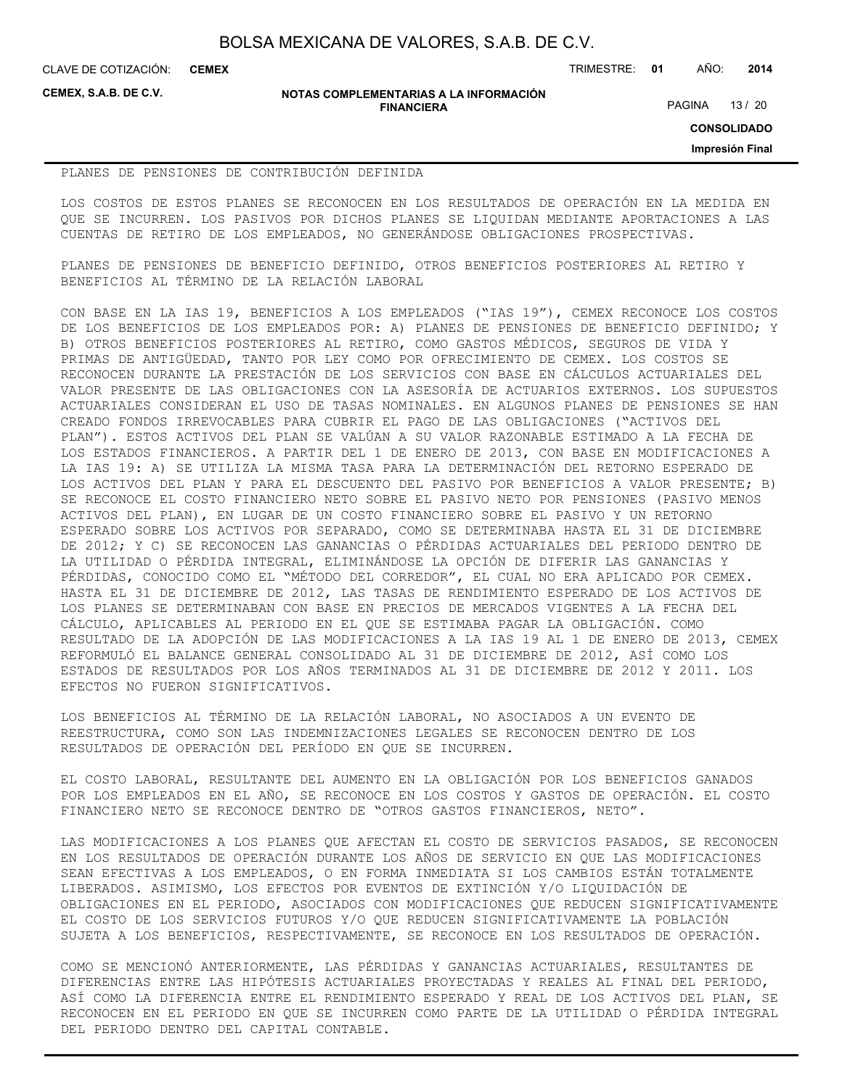**CEMEX**

CLAVE DE COTIZACIÓN: TRIMESTRE: **01** AÑO: **2014**

**CEMEX, S.A.B. DE C.V.**

#### **NOTAS COMPLEMENTARIAS A LA INFORMACIÓN FINANCIERA**

PAGINA 13 / 20

**CONSOLIDADO**

**Impresión Final**

#### PLANES DE PENSIONES DE CONTRIBUCIÓN DEFINIDA

LOS COSTOS DE ESTOS PLANES SE RECONOCEN EN LOS RESULTADOS DE OPERACIÓN EN LA MEDIDA EN QUE SE INCURREN. LOS PASIVOS POR DICHOS PLANES SE LIQUIDAN MEDIANTE APORTACIONES A LAS CUENTAS DE RETIRO DE LOS EMPLEADOS, NO GENERÁNDOSE OBLIGACIONES PROSPECTIVAS.

PLANES DE PENSIONES DE BENEFICIO DEFINIDO, OTROS BENEFICIOS POSTERIORES AL RETIRO Y BENEFICIOS AL TÉRMINO DE LA RELACIÓN LABORAL

CON BASE EN LA IAS 19, BENEFICIOS A LOS EMPLEADOS ("IAS 19"), CEMEX RECONOCE LOS COSTOS DE LOS BENEFICIOS DE LOS EMPLEADOS POR: A) PLANES DE PENSIONES DE BENEFICIO DEFINIDO; Y B) OTROS BENEFICIOS POSTERIORES AL RETIRO, COMO GASTOS MÉDICOS, SEGUROS DE VIDA Y PRIMAS DE ANTIGÜEDAD, TANTO POR LEY COMO POR OFRECIMIENTO DE CEMEX. LOS COSTOS SE RECONOCEN DURANTE LA PRESTACIÓN DE LOS SERVICIOS CON BASE EN CÁLCULOS ACTUARIALES DEL VALOR PRESENTE DE LAS OBLIGACIONES CON LA ASESORÍA DE ACTUARIOS EXTERNOS. LOS SUPUESTOS ACTUARIALES CONSIDERAN EL USO DE TASAS NOMINALES. EN ALGUNOS PLANES DE PENSIONES SE HAN CREADO FONDOS IRREVOCABLES PARA CUBRIR EL PAGO DE LAS OBLIGACIONES ("ACTIVOS DEL PLAN"). ESTOS ACTIVOS DEL PLAN SE VALÚAN A SU VALOR RAZONABLE ESTIMADO A LA FECHA DE LOS ESTADOS FINANCIEROS. A PARTIR DEL 1 DE ENERO DE 2013, CON BASE EN MODIFICACIONES A LA IAS 19: A) SE UTILIZA LA MISMA TASA PARA LA DETERMINACIÓN DEL RETORNO ESPERADO DE LOS ACTIVOS DEL PLAN Y PARA EL DESCUENTO DEL PASIVO POR BENEFICIOS A VALOR PRESENTE; B) SE RECONOCE EL COSTO FINANCIERO NETO SOBRE EL PASIVO NETO POR PENSIONES (PASIVO MENOS ACTIVOS DEL PLAN), EN LUGAR DE UN COSTO FINANCIERO SOBRE EL PASIVO Y UN RETORNO ESPERADO SOBRE LOS ACTIVOS POR SEPARADO, COMO SE DETERMINABA HASTA EL 31 DE DICIEMBRE DE 2012; Y C) SE RECONOCEN LAS GANANCIAS O PÉRDIDAS ACTUARIALES DEL PERIODO DENTRO DE LA UTILIDAD O PÉRDIDA INTEGRAL, ELIMINÁNDOSE LA OPCIÓN DE DIFERIR LAS GANANCIAS Y PÉRDIDAS, CONOCIDO COMO EL "MÉTODO DEL CORREDOR", EL CUAL NO ERA APLICADO POR CEMEX. HASTA EL 31 DE DICIEMBRE DE 2012, LAS TASAS DE RENDIMIENTO ESPERADO DE LOS ACTIVOS DE LOS PLANES SE DETERMINABAN CON BASE EN PRECIOS DE MERCADOS VIGENTES A LA FECHA DEL CÁLCULO, APLICABLES AL PERIODO EN EL QUE SE ESTIMABA PAGAR LA OBLIGACIÓN. COMO RESULTADO DE LA ADOPCIÓN DE LAS MODIFICACIONES A LA IAS 19 AL 1 DE ENERO DE 2013, CEMEX REFORMULÓ EL BALANCE GENERAL CONSOLIDADO AL 31 DE DICIEMBRE DE 2012, ASÍ COMO LOS ESTADOS DE RESULTADOS POR LOS AÑOS TERMINADOS AL 31 DE DICIEMBRE DE 2012 Y 2011. LOS EFECTOS NO FUERON SIGNIFICATIVOS.

LOS BENEFICIOS AL TÉRMINO DE LA RELACIÓN LABORAL, NO ASOCIADOS A UN EVENTO DE REESTRUCTURA, COMO SON LAS INDEMNIZACIONES LEGALES SE RECONOCEN DENTRO DE LOS RESULTADOS DE OPERACIÓN DEL PERÍODO EN QUE SE INCURREN.

EL COSTO LABORAL, RESULTANTE DEL AUMENTO EN LA OBLIGACIÓN POR LOS BENEFICIOS GANADOS POR LOS EMPLEADOS EN EL AÑO, SE RECONOCE EN LOS COSTOS Y GASTOS DE OPERACIÓN. EL COSTO FINANCIERO NETO SE RECONOCE DENTRO DE "OTROS GASTOS FINANCIEROS, NETO".

LAS MODIFICACIONES A LOS PLANES QUE AFECTAN EL COSTO DE SERVICIOS PASADOS, SE RECONOCEN EN LOS RESULTADOS DE OPERACIÓN DURANTE LOS AÑOS DE SERVICIO EN QUE LAS MODIFICACIONES SEAN EFECTIVAS A LOS EMPLEADOS, O EN FORMA INMEDIATA SI LOS CAMBIOS ESTÁN TOTALMENTE LIBERADOS. ASIMISMO, LOS EFECTOS POR EVENTOS DE EXTINCIÓN Y/O LIQUIDACIÓN DE OBLIGACIONES EN EL PERIODO, ASOCIADOS CON MODIFICACIONES QUE REDUCEN SIGNIFICATIVAMENTE EL COSTO DE LOS SERVICIOS FUTUROS Y/O QUE REDUCEN SIGNIFICATIVAMENTE LA POBLACIÓN SUJETA A LOS BENEFICIOS, RESPECTIVAMENTE, SE RECONOCE EN LOS RESULTADOS DE OPERACIÓN.

COMO SE MENCIONÓ ANTERIORMENTE, LAS PÉRDIDAS Y GANANCIAS ACTUARIALES, RESULTANTES DE DIFERENCIAS ENTRE LAS HIPÓTESIS ACTUARIALES PROYECTADAS Y REALES AL FINAL DEL PERIODO, ASÍ COMO LA DIFERENCIA ENTRE EL RENDIMIENTO ESPERADO Y REAL DE LOS ACTIVOS DEL PLAN, SE RECONOCEN EN EL PERIODO EN QUE SE INCURREN COMO PARTE DE LA UTILIDAD O PÉRDIDA INTEGRAL DEL PERIODO DENTRO DEL CAPITAL CONTABLE.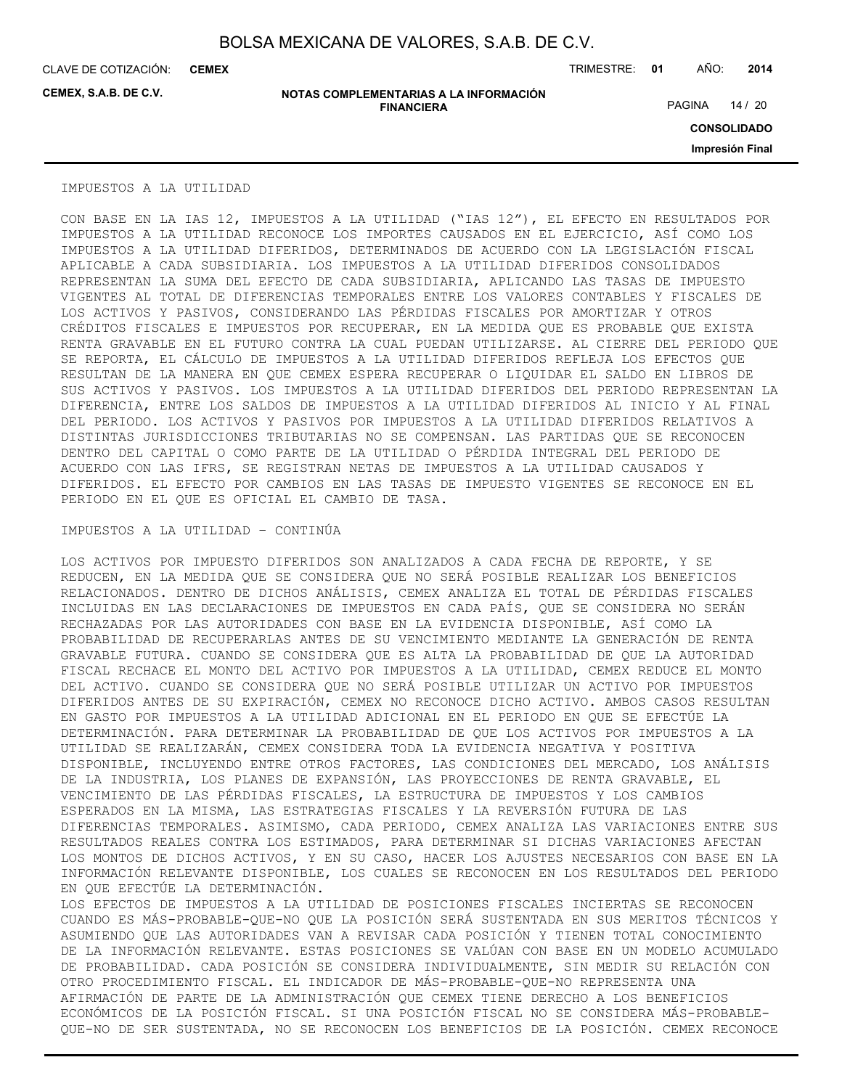CLAVE DE COTIZACIÓN: TRIMESTRE: **01** AÑO: **2014 CEMEX**

**CEMEX, S.A.B. DE C.V.**

**NOTAS COMPLEMENTARIAS A LA INFORMACIÓN FINANCIERA**

PAGINA 14 / 20

**CONSOLIDADO**

**Impresión Final**

#### IMPUESTOS A LA UTILIDAD

CON BASE EN LA IAS 12, IMPUESTOS A LA UTILIDAD ("IAS 12"), EL EFECTO EN RESULTADOS POR IMPUESTOS A LA UTILIDAD RECONOCE LOS IMPORTES CAUSADOS EN EL EJERCICIO, ASÍ COMO LOS IMPUESTOS A LA UTILIDAD DIFERIDOS, DETERMINADOS DE ACUERDO CON LA LEGISLACIÓN FISCAL APLICABLE A CADA SUBSIDIARIA. LOS IMPUESTOS A LA UTILIDAD DIFERIDOS CONSOLIDADOS REPRESENTAN LA SUMA DEL EFECTO DE CADA SUBSIDIARIA, APLICANDO LAS TASAS DE IMPUESTO VIGENTES AL TOTAL DE DIFERENCIAS TEMPORALES ENTRE LOS VALORES CONTABLES Y FISCALES DE LOS ACTIVOS Y PASIVOS, CONSIDERANDO LAS PÉRDIDAS FISCALES POR AMORTIZAR Y OTROS CRÉDITOS FISCALES E IMPUESTOS POR RECUPERAR, EN LA MEDIDA QUE ES PROBABLE QUE EXISTA RENTA GRAVABLE EN EL FUTURO CONTRA LA CUAL PUEDAN UTILIZARSE. AL CIERRE DEL PERIODO QUE SE REPORTA, EL CÁLCULO DE IMPUESTOS A LA UTILIDAD DIFERIDOS REFLEJA LOS EFECTOS QUE RESULTAN DE LA MANERA EN QUE CEMEX ESPERA RECUPERAR O LIQUIDAR EL SALDO EN LIBROS DE SUS ACTIVOS Y PASIVOS. LOS IMPUESTOS A LA UTILIDAD DIFERIDOS DEL PERIODO REPRESENTAN LA DIFERENCIA, ENTRE LOS SALDOS DE IMPUESTOS A LA UTILIDAD DIFERIDOS AL INICIO Y AL FINAL DEL PERIODO. LOS ACTIVOS Y PASIVOS POR IMPUESTOS A LA UTILIDAD DIFERIDOS RELATIVOS A DISTINTAS JURISDICCIONES TRIBUTARIAS NO SE COMPENSAN. LAS PARTIDAS QUE SE RECONOCEN DENTRO DEL CAPITAL O COMO PARTE DE LA UTILIDAD O PÉRDIDA INTEGRAL DEL PERIODO DE ACUERDO CON LAS IFRS, SE REGISTRAN NETAS DE IMPUESTOS A LA UTILIDAD CAUSADOS Y DIFERIDOS. EL EFECTO POR CAMBIOS EN LAS TASAS DE IMPUESTO VIGENTES SE RECONOCE EN EL PERIODO EN EL QUE ES OFICIAL EL CAMBIO DE TASA.

### IMPUESTOS A LA UTILIDAD – CONTINÚA

LOS ACTIVOS POR IMPUESTO DIFERIDOS SON ANALIZADOS A CADA FECHA DE REPORTE, Y SE REDUCEN, EN LA MEDIDA QUE SE CONSIDERA QUE NO SERÁ POSIBLE REALIZAR LOS BENEFICIOS RELACIONADOS. DENTRO DE DICHOS ANÁLISIS, CEMEX ANALIZA EL TOTAL DE PÉRDIDAS FISCALES INCLUIDAS EN LAS DECLARACIONES DE IMPUESTOS EN CADA PAÍS, QUE SE CONSIDERA NO SERÁN RECHAZADAS POR LAS AUTORIDADES CON BASE EN LA EVIDENCIA DISPONIBLE, ASÍ COMO LA PROBABILIDAD DE RECUPERARLAS ANTES DE SU VENCIMIENTO MEDIANTE LA GENERACIÓN DE RENTA GRAVABLE FUTURA. CUANDO SE CONSIDERA QUE ES ALTA LA PROBABILIDAD DE QUE LA AUTORIDAD FISCAL RECHACE EL MONTO DEL ACTIVO POR IMPUESTOS A LA UTILIDAD, CEMEX REDUCE EL MONTO DEL ACTIVO. CUANDO SE CONSIDERA QUE NO SERÁ POSIBLE UTILIZAR UN ACTIVO POR IMPUESTOS DIFERIDOS ANTES DE SU EXPIRACIÓN, CEMEX NO RECONOCE DICHO ACTIVO. AMBOS CASOS RESULTAN EN GASTO POR IMPUESTOS A LA UTILIDAD ADICIONAL EN EL PERIODO EN QUE SE EFECTÚE LA DETERMINACIÓN. PARA DETERMINAR LA PROBABILIDAD DE QUE LOS ACTIVOS POR IMPUESTOS A LA UTILIDAD SE REALIZARÁN, CEMEX CONSIDERA TODA LA EVIDENCIA NEGATIVA Y POSITIVA DISPONIBLE, INCLUYENDO ENTRE OTROS FACTORES, LAS CONDICIONES DEL MERCADO, LOS ANÁLISIS DE LA INDUSTRIA, LOS PLANES DE EXPANSIÓN, LAS PROYECCIONES DE RENTA GRAVABLE, EL VENCIMIENTO DE LAS PÉRDIDAS FISCALES, LA ESTRUCTURA DE IMPUESTOS Y LOS CAMBIOS ESPERADOS EN LA MISMA, LAS ESTRATEGIAS FISCALES Y LA REVERSIÓN FUTURA DE LAS DIFERENCIAS TEMPORALES. ASIMISMO, CADA PERIODO, CEMEX ANALIZA LAS VARIACIONES ENTRE SUS RESULTADOS REALES CONTRA LOS ESTIMADOS, PARA DETERMINAR SI DICHAS VARIACIONES AFECTAN LOS MONTOS DE DICHOS ACTIVOS, Y EN SU CASO, HACER LOS AJUSTES NECESARIOS CON BASE EN LA INFORMACIÓN RELEVANTE DISPONIBLE, LOS CUALES SE RECONOCEN EN LOS RESULTADOS DEL PERIODO EN QUE EFECTÚE LA DETERMINACIÓN. LOS EFECTOS DE IMPUESTOS A LA UTILIDAD DE POSICIONES FISCALES INCIERTAS SE RECONOCEN

CUANDO ES MÁS-PROBABLE-QUE-NO QUE LA POSICIÓN SERÁ SUSTENTADA EN SUS MERITOS TÉCNICOS Y ASUMIENDO QUE LAS AUTORIDADES VAN A REVISAR CADA POSICIÓN Y TIENEN TOTAL CONOCIMIENTO DE LA INFORMACIÓN RELEVANTE. ESTAS POSICIONES SE VALÚAN CON BASE EN UN MODELO ACUMULADO DE PROBABILIDAD. CADA POSICIÓN SE CONSIDERA INDIVIDUALMENTE, SIN MEDIR SU RELACIÓN CON OTRO PROCEDIMIENTO FISCAL. EL INDICADOR DE MÁS-PROBABLE-QUE-NO REPRESENTA UNA AFIRMACIÓN DE PARTE DE LA ADMINISTRACIÓN QUE CEMEX TIENE DERECHO A LOS BENEFICIOS ECONÓMICOS DE LA POSICIÓN FISCAL. SI UNA POSICIÓN FISCAL NO SE CONSIDERA MÁS-PROBABLE-QUE-NO DE SER SUSTENTADA, NO SE RECONOCEN LOS BENEFICIOS DE LA POSICIÓN. CEMEX RECONOCE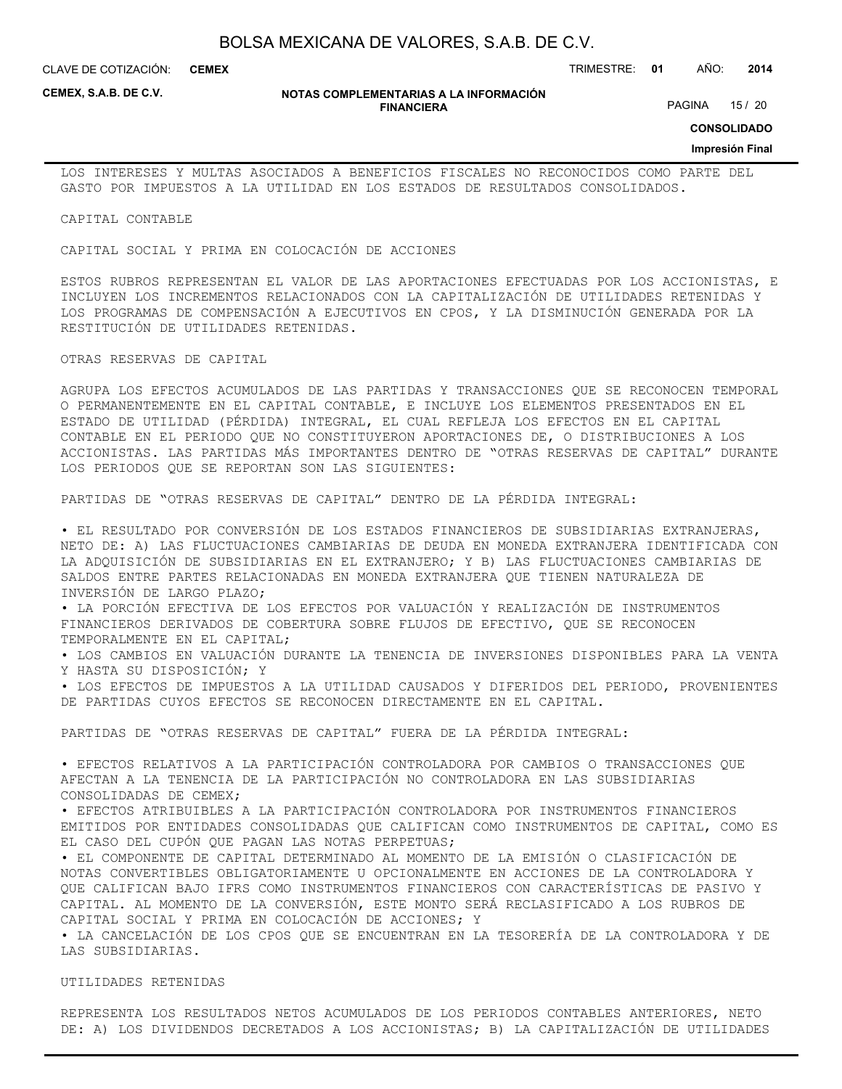CLAVE DE COTIZACIÓN: TRIMESTRE: **01** AÑO: **2014 CEMEX**

**CEMEX, S.A.B. DE C.V.**

#### **NOTAS COMPLEMENTARIAS A LA INFORMACIÓN FINANCIERA**

PAGINA 15 / 20

**CONSOLIDADO**

#### **Impresión Final**

LOS INTERESES Y MULTAS ASOCIADOS A BENEFICIOS FISCALES NO RECONOCIDOS COMO PARTE DEL GASTO POR IMPUESTOS A LA UTILIDAD EN LOS ESTADOS DE RESULTADOS CONSOLIDADOS.

CAPITAL CONTABLE

CAPITAL SOCIAL Y PRIMA EN COLOCACIÓN DE ACCIONES

ESTOS RUBROS REPRESENTAN EL VALOR DE LAS APORTACIONES EFECTUADAS POR LOS ACCIONISTAS, E INCLUYEN LOS INCREMENTOS RELACIONADOS CON LA CAPITALIZACIÓN DE UTILIDADES RETENIDAS Y LOS PROGRAMAS DE COMPENSACIÓN A EJECUTIVOS EN CPOS, Y LA DISMINUCIÓN GENERADA POR LA RESTITUCIÓN DE UTILIDADES RETENIDAS.

OTRAS RESERVAS DE CAPITAL

AGRUPA LOS EFECTOS ACUMULADOS DE LAS PARTIDAS Y TRANSACCIONES QUE SE RECONOCEN TEMPORAL O PERMANENTEMENTE EN EL CAPITAL CONTABLE, E INCLUYE LOS ELEMENTOS PRESENTADOS EN EL ESTADO DE UTILIDAD (PÉRDIDA) INTEGRAL, EL CUAL REFLEJA LOS EFECTOS EN EL CAPITAL CONTABLE EN EL PERIODO QUE NO CONSTITUYERON APORTACIONES DE, O DISTRIBUCIONES A LOS ACCIONISTAS. LAS PARTIDAS MÁS IMPORTANTES DENTRO DE "OTRAS RESERVAS DE CAPITAL" DURANTE LOS PERIODOS QUE SE REPORTAN SON LAS SIGUIENTES:

PARTIDAS DE "OTRAS RESERVAS DE CAPITAL" DENTRO DE LA PÉRDIDA INTEGRAL:

• EL RESULTADO POR CONVERSIÓN DE LOS ESTADOS FINANCIEROS DE SUBSIDIARIAS EXTRANJERAS, NETO DE: A) LAS FLUCTUACIONES CAMBIARIAS DE DEUDA EN MONEDA EXTRANJERA IDENTIFICADA CON LA ADQUISICIÓN DE SUBSIDIARIAS EN EL EXTRANJERO; Y B) LAS FLUCTUACIONES CAMBIARIAS DE SALDOS ENTRE PARTES RELACIONADAS EN MONEDA EXTRANJERA QUE TIENEN NATURALEZA DE INVERSIÓN DE LARGO PLAZO;

• LA PORCIÓN EFECTIVA DE LOS EFECTOS POR VALUACIÓN Y REALIZACIÓN DE INSTRUMENTOS FINANCIEROS DERIVADOS DE COBERTURA SOBRE FLUJOS DE EFECTIVO, QUE SE RECONOCEN TEMPORALMENTE EN EL CAPITAL;

• LOS CAMBIOS EN VALUACIÓN DURANTE LA TENENCIA DE INVERSIONES DISPONIBLES PARA LA VENTA Y HASTA SU DISPOSICIÓN; Y

• LOS EFECTOS DE IMPUESTOS A LA UTILIDAD CAUSADOS Y DIFERIDOS DEL PERIODO, PROVENIENTES DE PARTIDAS CUYOS EFECTOS SE RECONOCEN DIRECTAMENTE EN EL CAPITAL.

PARTIDAS DE "OTRAS RESERVAS DE CAPITAL" FUERA DE LA PÉRDIDA INTEGRAL:

• EFECTOS RELATIVOS A LA PARTICIPACIÓN CONTROLADORA POR CAMBIOS O TRANSACCIONES QUE AFECTAN A LA TENENCIA DE LA PARTICIPACIÓN NO CONTROLADORA EN LAS SUBSIDIARIAS CONSOLIDADAS DE CEMEX;

• EFECTOS ATRIBUIBLES A LA PARTICIPACIÓN CONTROLADORA POR INSTRUMENTOS FINANCIEROS EMITIDOS POR ENTIDADES CONSOLIDADAS QUE CALIFICAN COMO INSTRUMENTOS DE CAPITAL, COMO ES EL CASO DEL CUPÓN QUE PAGAN LAS NOTAS PERPETUAS;

• EL COMPONENTE DE CAPITAL DETERMINADO AL MOMENTO DE LA EMISIÓN O CLASIFICACIÓN DE NOTAS CONVERTIBLES OBLIGATORIAMENTE U OPCIONALMENTE EN ACCIONES DE LA CONTROLADORA Y QUE CALIFICAN BAJO IFRS COMO INSTRUMENTOS FINANCIEROS CON CARACTERÍSTICAS DE PASIVO Y CAPITAL. AL MOMENTO DE LA CONVERSIÓN, ESTE MONTO SERÁ RECLASIFICADO A LOS RUBROS DE CAPITAL SOCIAL Y PRIMA EN COLOCACIÓN DE ACCIONES; Y

• LA CANCELACIÓN DE LOS CPOS QUE SE ENCUENTRAN EN LA TESORERÍA DE LA CONTROLADORA Y DE LAS SUBSIDIARIAS.

UTILIDADES RETENIDAS

REPRESENTA LOS RESULTADOS NETOS ACUMULADOS DE LOS PERIODOS CONTABLES ANTERIORES, NETO DE: A) LOS DIVIDENDOS DECRETADOS A LOS ACCIONISTAS; B) LA CAPITALIZACIÓN DE UTILIDADES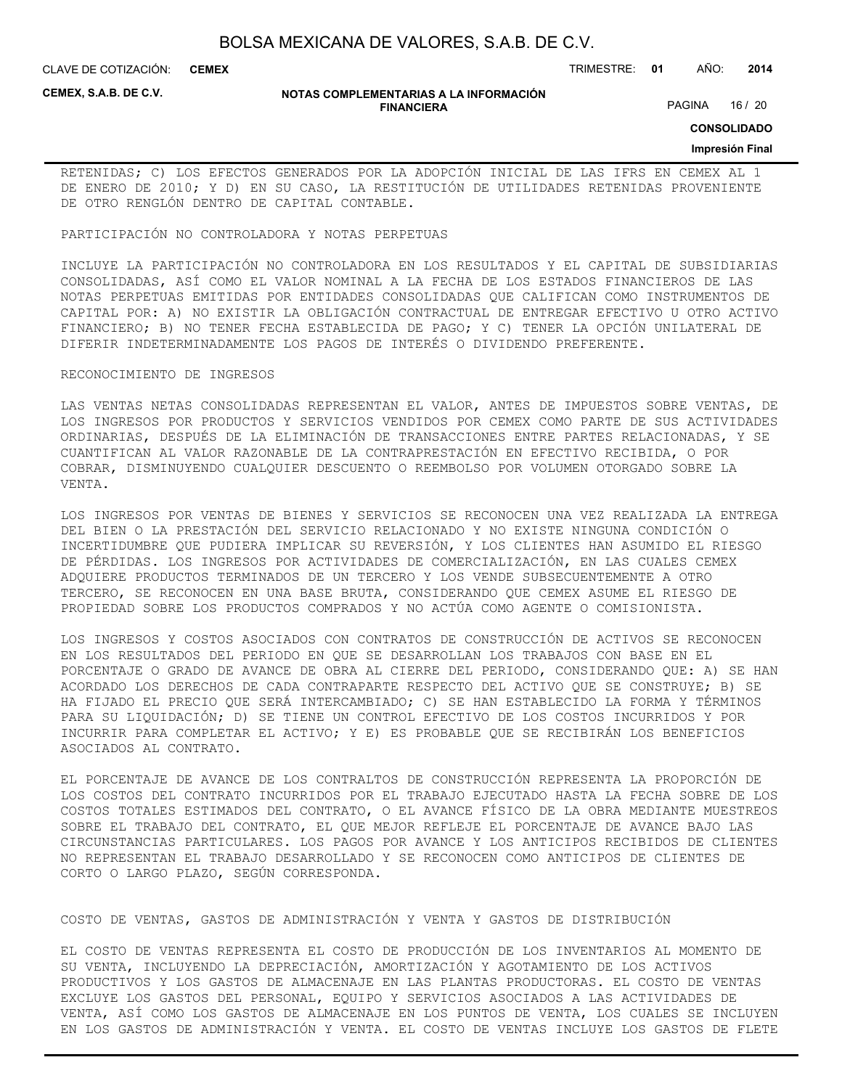CLAVE DE COTIZACIÓN: TRIMESTRE: **01** AÑO: **2014 CEMEX**

**CEMEX, S.A.B. DE C.V.**

#### **NOTAS COMPLEMENTARIAS A LA INFORMACIÓN FINANCIERA**

PAGINA 16 / 20

**CONSOLIDADO**

#### **Impresión Final**

RETENIDAS; C) LOS EFECTOS GENERADOS POR LA ADOPCIÓN INICIAL DE LAS IFRS EN CEMEX AL 1 DE ENERO DE 2010; Y D) EN SU CASO, LA RESTITUCIÓN DE UTILIDADES RETENIDAS PROVENIENTE DE OTRO RENGLÓN DENTRO DE CAPITAL CONTABLE.

#### PARTICIPACIÓN NO CONTROLADORA Y NOTAS PERPETUAS

INCLUYE LA PARTICIPACIÓN NO CONTROLADORA EN LOS RESULTADOS Y EL CAPITAL DE SUBSIDIARIAS CONSOLIDADAS, ASÍ COMO EL VALOR NOMINAL A LA FECHA DE LOS ESTADOS FINANCIEROS DE LAS NOTAS PERPETUAS EMITIDAS POR ENTIDADES CONSOLIDADAS QUE CALIFICAN COMO INSTRUMENTOS DE CAPITAL POR: A) NO EXISTIR LA OBLIGACIÓN CONTRACTUAL DE ENTREGAR EFECTIVO U OTRO ACTIVO FINANCIERO; B) NO TENER FECHA ESTABLECIDA DE PAGO; Y C) TENER LA OPCIÓN UNILATERAL DE DIFERIR INDETERMINADAMENTE LOS PAGOS DE INTERÉS O DIVIDENDO PREFERENTE.

#### RECONOCIMIENTO DE INGRESOS

LAS VENTAS NETAS CONSOLIDADAS REPRESENTAN EL VALOR, ANTES DE IMPUESTOS SOBRE VENTAS, DE LOS INGRESOS POR PRODUCTOS Y SERVICIOS VENDIDOS POR CEMEX COMO PARTE DE SUS ACTIVIDADES ORDINARIAS, DESPUÉS DE LA ELIMINACIÓN DE TRANSACCIONES ENTRE PARTES RELACIONADAS, Y SE CUANTIFICAN AL VALOR RAZONABLE DE LA CONTRAPRESTACIÓN EN EFECTIVO RECIBIDA, O POR COBRAR, DISMINUYENDO CUALQUIER DESCUENTO O REEMBOLSO POR VOLUMEN OTORGADO SOBRE LA VENTA.

LOS INGRESOS POR VENTAS DE BIENES Y SERVICIOS SE RECONOCEN UNA VEZ REALIZADA LA ENTREGA DEL BIEN O LA PRESTACIÓN DEL SERVICIO RELACIONADO Y NO EXISTE NINGUNA CONDICIÓN O INCERTIDUMBRE QUE PUDIERA IMPLICAR SU REVERSIÓN, Y LOS CLIENTES HAN ASUMIDO EL RIESGO DE PÉRDIDAS. LOS INGRESOS POR ACTIVIDADES DE COMERCIALIZACIÓN, EN LAS CUALES CEMEX ADQUIERE PRODUCTOS TERMINADOS DE UN TERCERO Y LOS VENDE SUBSECUENTEMENTE A OTRO TERCERO, SE RECONOCEN EN UNA BASE BRUTA, CONSIDERANDO QUE CEMEX ASUME EL RIESGO DE PROPIEDAD SOBRE LOS PRODUCTOS COMPRADOS Y NO ACTÚA COMO AGENTE O COMISIONISTA.

LOS INGRESOS Y COSTOS ASOCIADOS CON CONTRATOS DE CONSTRUCCIÓN DE ACTIVOS SE RECONOCEN EN LOS RESULTADOS DEL PERIODO EN QUE SE DESARROLLAN LOS TRABAJOS CON BASE EN EL PORCENTAJE O GRADO DE AVANCE DE OBRA AL CIERRE DEL PERIODO, CONSIDERANDO QUE: A) SE HAN ACORDADO LOS DERECHOS DE CADA CONTRAPARTE RESPECTO DEL ACTIVO QUE SE CONSTRUYE; B) SE HA FIJADO EL PRECIO QUE SERÁ INTERCAMBIADO; C) SE HAN ESTABLECIDO LA FORMA Y TÉRMINOS PARA SU LIQUIDACIÓN; D) SE TIENE UN CONTROL EFECTIVO DE LOS COSTOS INCURRIDOS Y POR INCURRIR PARA COMPLETAR EL ACTIVO; Y E) ES PROBABLE QUE SE RECIBIRÁN LOS BENEFICIOS ASOCIADOS AL CONTRATO.

EL PORCENTAJE DE AVANCE DE LOS CONTRALTOS DE CONSTRUCCIÓN REPRESENTA LA PROPORCIÓN DE LOS COSTOS DEL CONTRATO INCURRIDOS POR EL TRABAJO EJECUTADO HASTA LA FECHA SOBRE DE LOS COSTOS TOTALES ESTIMADOS DEL CONTRATO, O EL AVANCE FÍSICO DE LA OBRA MEDIANTE MUESTREOS SOBRE EL TRABAJO DEL CONTRATO, EL QUE MEJOR REFLEJE EL PORCENTAJE DE AVANCE BAJO LAS CIRCUNSTANCIAS PARTICULARES. LOS PAGOS POR AVANCE Y LOS ANTICIPOS RECIBIDOS DE CLIENTES NO REPRESENTAN EL TRABAJO DESARROLLADO Y SE RECONOCEN COMO ANTICIPOS DE CLIENTES DE CORTO O LARGO PLAZO, SEGÚN CORRESPONDA.

### COSTO DE VENTAS, GASTOS DE ADMINISTRACIÓN Y VENTA Y GASTOS DE DISTRIBUCIÓN

EL COSTO DE VENTAS REPRESENTA EL COSTO DE PRODUCCIÓN DE LOS INVENTARIOS AL MOMENTO DE SU VENTA, INCLUYENDO LA DEPRECIACIÓN, AMORTIZACIÓN Y AGOTAMIENTO DE LOS ACTIVOS PRODUCTIVOS Y LOS GASTOS DE ALMACENAJE EN LAS PLANTAS PRODUCTORAS. EL COSTO DE VENTAS EXCLUYE LOS GASTOS DEL PERSONAL, EQUIPO Y SERVICIOS ASOCIADOS A LAS ACTIVIDADES DE VENTA, ASÍ COMO LOS GASTOS DE ALMACENAJE EN LOS PUNTOS DE VENTA, LOS CUALES SE INCLUYEN EN LOS GASTOS DE ADMINISTRACIÓN Y VENTA. EL COSTO DE VENTAS INCLUYE LOS GASTOS DE FLETE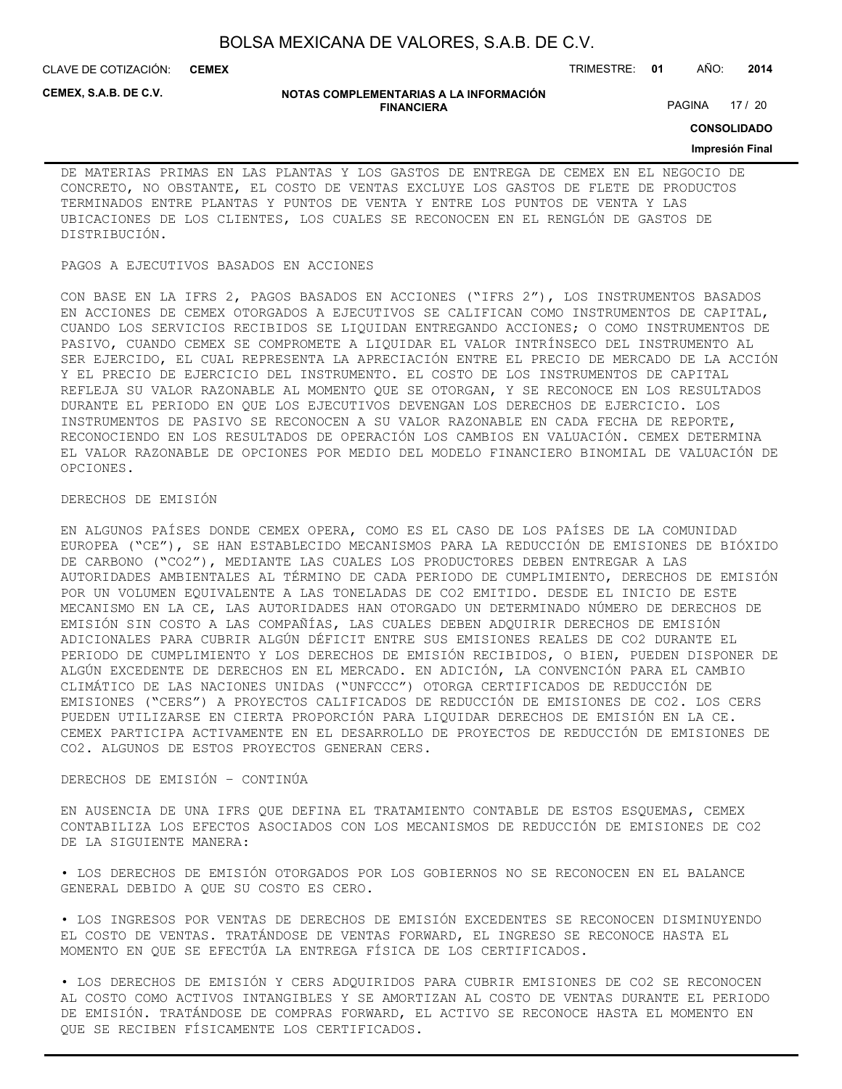CLAVE DE COTIZACIÓN: TRIMESTRE: **01** AÑO: **2014 CEMEX**

**CEMEX, S.A.B. DE C.V.**

#### **NOTAS COMPLEMENTARIAS A LA INFORMACIÓN FINANCIERA**

PAGINA 17 / 20

**CONSOLIDADO**

#### **Impresión Final**

DE MATERIAS PRIMAS EN LAS PLANTAS Y LOS GASTOS DE ENTREGA DE CEMEX EN EL NEGOCIO DE CONCRETO, NO OBSTANTE, EL COSTO DE VENTAS EXCLUYE LOS GASTOS DE FLETE DE PRODUCTOS TERMINADOS ENTRE PLANTAS Y PUNTOS DE VENTA Y ENTRE LOS PUNTOS DE VENTA Y LAS UBICACIONES DE LOS CLIENTES, LOS CUALES SE RECONOCEN EN EL RENGLÓN DE GASTOS DE DISTRIBUCIÓN.

### PAGOS A EJECUTIVOS BASADOS EN ACCIONES

CON BASE EN LA IFRS 2, PAGOS BASADOS EN ACCIONES ("IFRS 2"), LOS INSTRUMENTOS BASADOS EN ACCIONES DE CEMEX OTORGADOS A EJECUTIVOS SE CALIFICAN COMO INSTRUMENTOS DE CAPITAL, CUANDO LOS SERVICIOS RECIBIDOS SE LIQUIDAN ENTREGANDO ACCIONES; O COMO INSTRUMENTOS DE PASIVO, CUANDO CEMEX SE COMPROMETE A LIQUIDAR EL VALOR INTRÍNSECO DEL INSTRUMENTO AL SER EJERCIDO, EL CUAL REPRESENTA LA APRECIACIÓN ENTRE EL PRECIO DE MERCADO DE LA ACCIÓN Y EL PRECIO DE EJERCICIO DEL INSTRUMENTO. EL COSTO DE LOS INSTRUMENTOS DE CAPITAL REFLEJA SU VALOR RAZONABLE AL MOMENTO QUE SE OTORGAN, Y SE RECONOCE EN LOS RESULTADOS DURANTE EL PERIODO EN QUE LOS EJECUTIVOS DEVENGAN LOS DERECHOS DE EJERCICIO. LOS INSTRUMENTOS DE PASIVO SE RECONOCEN A SU VALOR RAZONABLE EN CADA FECHA DE REPORTE, RECONOCIENDO EN LOS RESULTADOS DE OPERACIÓN LOS CAMBIOS EN VALUACIÓN. CEMEX DETERMINA EL VALOR RAZONABLE DE OPCIONES POR MEDIO DEL MODELO FINANCIERO BINOMIAL DE VALUACIÓN DE OPCIONES.

### DERECHOS DE EMISIÓN

EN ALGUNOS PAÍSES DONDE CEMEX OPERA, COMO ES EL CASO DE LOS PAÍSES DE LA COMUNIDAD EUROPEA ("CE"), SE HAN ESTABLECIDO MECANISMOS PARA LA REDUCCIÓN DE EMISIONES DE BIÓXIDO DE CARBONO ("CO2"), MEDIANTE LAS CUALES LOS PRODUCTORES DEBEN ENTREGAR A LAS AUTORIDADES AMBIENTALES AL TÉRMINO DE CADA PERIODO DE CUMPLIMIENTO, DERECHOS DE EMISIÓN POR UN VOLUMEN EQUIVALENTE A LAS TONELADAS DE CO2 EMITIDO. DESDE EL INICIO DE ESTE MECANISMO EN LA CE, LAS AUTORIDADES HAN OTORGADO UN DETERMINADO NÚMERO DE DERECHOS DE EMISIÓN SIN COSTO A LAS COMPAÑÍAS, LAS CUALES DEBEN ADQUIRIR DERECHOS DE EMISIÓN ADICIONALES PARA CUBRIR ALGÚN DÉFICIT ENTRE SUS EMISIONES REALES DE CO2 DURANTE EL PERIODO DE CUMPLIMIENTO Y LOS DERECHOS DE EMISIÓN RECIBIDOS, O BIEN, PUEDEN DISPONER DE ALGÚN EXCEDENTE DE DERECHOS EN EL MERCADO. EN ADICIÓN, LA CONVENCIÓN PARA EL CAMBIO CLIMÁTICO DE LAS NACIONES UNIDAS ("UNFCCC") OTORGA CERTIFICADOS DE REDUCCIÓN DE EMISIONES ("CERS") A PROYECTOS CALIFICADOS DE REDUCCIÓN DE EMISIONES DE CO2. LOS CERS PUEDEN UTILIZARSE EN CIERTA PROPORCIÓN PARA LIQUIDAR DERECHOS DE EMISIÓN EN LA CE. CEMEX PARTICIPA ACTIVAMENTE EN EL DESARROLLO DE PROYECTOS DE REDUCCIÓN DE EMISIONES DE CO2. ALGUNOS DE ESTOS PROYECTOS GENERAN CERS.

#### DERECHOS DE EMISIÓN – CONTINÚA

EN AUSENCIA DE UNA IFRS QUE DEFINA EL TRATAMIENTO CONTABLE DE ESTOS ESQUEMAS, CEMEX CONTABILIZA LOS EFECTOS ASOCIADOS CON LOS MECANISMOS DE REDUCCIÓN DE EMISIONES DE CO2 DE LA SIGUIENTE MANERA:

• LOS DERECHOS DE EMISIÓN OTORGADOS POR LOS GOBIERNOS NO SE RECONOCEN EN EL BALANCE GENERAL DEBIDO A QUE SU COSTO ES CERO.

• LOS INGRESOS POR VENTAS DE DERECHOS DE EMISIÓN EXCEDENTES SE RECONOCEN DISMINUYENDO EL COSTO DE VENTAS. TRATÁNDOSE DE VENTAS FORWARD, EL INGRESO SE RECONOCE HASTA EL MOMENTO EN QUE SE EFECTÚA LA ENTREGA FÍSICA DE LOS CERTIFICADOS.

• LOS DERECHOS DE EMISIÓN Y CERS ADQUIRIDOS PARA CUBRIR EMISIONES DE CO2 SE RECONOCEN AL COSTO COMO ACTIVOS INTANGIBLES Y SE AMORTIZAN AL COSTO DE VENTAS DURANTE EL PERIODO DE EMISIÓN. TRATÁNDOSE DE COMPRAS FORWARD, EL ACTIVO SE RECONOCE HASTA EL MOMENTO EN QUE SE RECIBEN FÍSICAMENTE LOS CERTIFICADOS.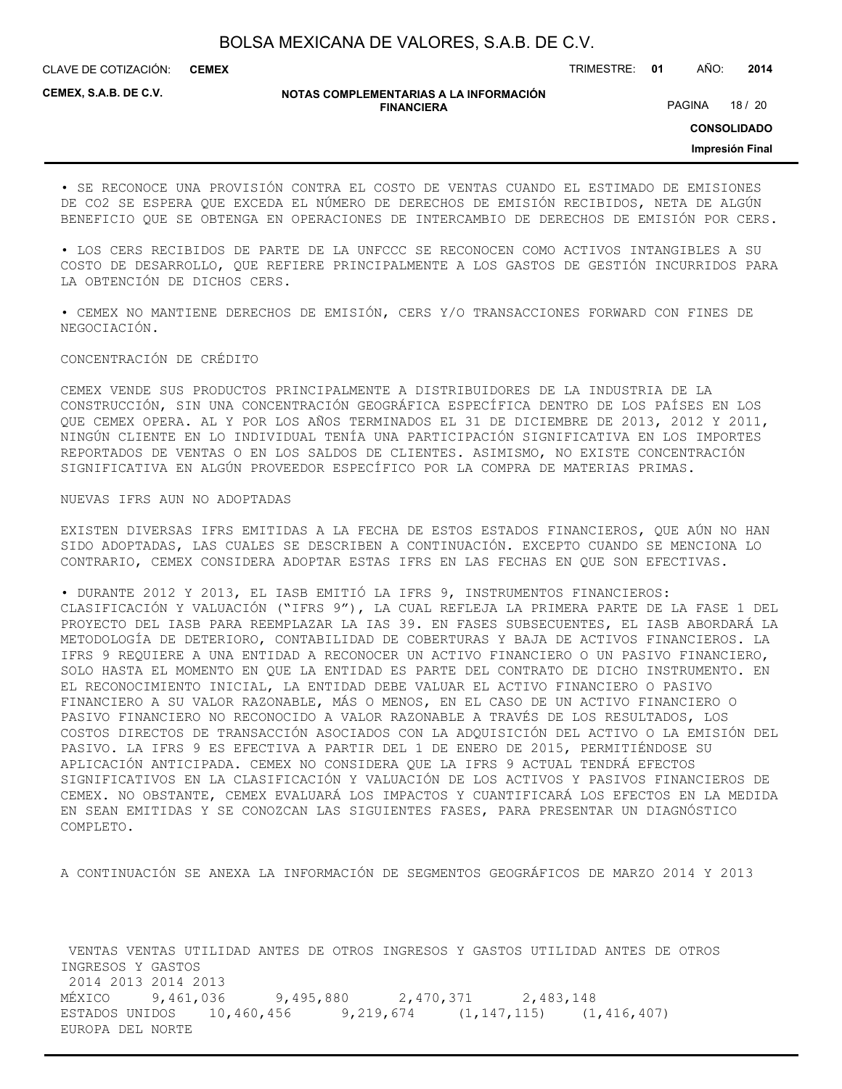CLAVE DE COTIZACIÓN: TRIMESTRE: **01** AÑO: **2014 CEMEX**

**CEMEX, S.A.B. DE C.V.**

#### **NOTAS COMPLEMENTARIAS A LA INFORMACIÓN FINANCIERA**

PAGINA 18 / 20

**CONSOLIDADO**

**Impresión Final**

• SE RECONOCE UNA PROVISIÓN CONTRA EL COSTO DE VENTAS CUANDO EL ESTIMADO DE EMISIONES DE CO2 SE ESPERA QUE EXCEDA EL NÚMERO DE DERECHOS DE EMISIÓN RECIBIDOS, NETA DE ALGÚN BENEFICIO QUE SE OBTENGA EN OPERACIONES DE INTERCAMBIO DE DERECHOS DE EMISIÓN POR CERS.

• LOS CERS RECIBIDOS DE PARTE DE LA UNFCCC SE RECONOCEN COMO ACTIVOS INTANGIBLES A SU COSTO DE DESARROLLO, QUE REFIERE PRINCIPALMENTE A LOS GASTOS DE GESTIÓN INCURRIDOS PARA LA OBTENCIÓN DE DICHOS CERS.

• CEMEX NO MANTIENE DERECHOS DE EMISIÓN, CERS Y/O TRANSACCIONES FORWARD CON FINES DE NEGOCIACIÓN.

#### CONCENTRACIÓN DE CRÉDITO

CEMEX VENDE SUS PRODUCTOS PRINCIPALMENTE A DISTRIBUIDORES DE LA INDUSTRIA DE LA CONSTRUCCIÓN, SIN UNA CONCENTRACIÓN GEOGRÁFICA ESPECÍFICA DENTRO DE LOS PAÍSES EN LOS QUE CEMEX OPERA. AL Y POR LOS AÑOS TERMINADOS EL 31 DE DICIEMBRE DE 2013, 2012 Y 2011, NINGÚN CLIENTE EN LO INDIVIDUAL TENÍA UNA PARTICIPACIÓN SIGNIFICATIVA EN LOS IMPORTES REPORTADOS DE VENTAS O EN LOS SALDOS DE CLIENTES. ASIMISMO, NO EXISTE CONCENTRACIÓN SIGNIFICATIVA EN ALGÚN PROVEEDOR ESPECÍFICO POR LA COMPRA DE MATERIAS PRIMAS.

#### NUEVAS IFRS AUN NO ADOPTADAS

EXISTEN DIVERSAS IFRS EMITIDAS A LA FECHA DE ESTOS ESTADOS FINANCIEROS, QUE AÚN NO HAN SIDO ADOPTADAS, LAS CUALES SE DESCRIBEN A CONTINUACIÓN. EXCEPTO CUANDO SE MENCIONA LO CONTRARIO, CEMEX CONSIDERA ADOPTAR ESTAS IFRS EN LAS FECHAS EN QUE SON EFECTIVAS.

• DURANTE 2012 Y 2013, EL IASB EMITIÓ LA IFRS 9, INSTRUMENTOS FINANCIEROS: CLASIFICACIÓN Y VALUACIÓN ("IFRS 9"), LA CUAL REFLEJA LA PRIMERA PARTE DE LA FASE 1 DEL PROYECTO DEL IASB PARA REEMPLAZAR LA IAS 39. EN FASES SUBSECUENTES, EL IASB ABORDARÁ LA METODOLOGÍA DE DETERIORO, CONTABILIDAD DE COBERTURAS Y BAJA DE ACTIVOS FINANCIEROS. LA IFRS 9 REQUIERE A UNA ENTIDAD A RECONOCER UN ACTIVO FINANCIERO O UN PASIVO FINANCIERO, SOLO HASTA EL MOMENTO EN QUE LA ENTIDAD ES PARTE DEL CONTRATO DE DICHO INSTRUMENTO. EN EL RECONOCIMIENTO INICIAL, LA ENTIDAD DEBE VALUAR EL ACTIVO FINANCIERO O PASIVO FINANCIERO A SU VALOR RAZONABLE, MÁS O MENOS, EN EL CASO DE UN ACTIVO FINANCIERO O PASIVO FINANCIERO NO RECONOCIDO A VALOR RAZONABLE A TRAVÉS DE LOS RESULTADOS, LOS COSTOS DIRECTOS DE TRANSACCIÓN ASOCIADOS CON LA ADQUISICIÓN DEL ACTIVO O LA EMISIÓN DEL PASIVO. LA IFRS 9 ES EFECTIVA A PARTIR DEL 1 DE ENERO DE 2015, PERMITIÉNDOSE SU APLICACIÓN ANTICIPADA. CEMEX NO CONSIDERA QUE LA IFRS 9 ACTUAL TENDRÁ EFECTOS SIGNIFICATIVOS EN LA CLASIFICACIÓN Y VALUACIÓN DE LOS ACTIVOS Y PASIVOS FINANCIEROS DE CEMEX. NO OBSTANTE, CEMEX EVALUARÁ LOS IMPACTOS Y CUANTIFICARÁ LOS EFECTOS EN LA MEDIDA EN SEAN EMITIDAS Y SE CONOZCAN LAS SIGUIENTES FASES, PARA PRESENTAR UN DIAGNÓSTICO COMPLETO.

A CONTINUACIÓN SE ANEXA LA INFORMACIÓN DE SEGMENTOS GEOGRÁFICOS DE MARZO 2014 Y 2013

 VENTAS VENTAS UTILIDAD ANTES DE OTROS INGRESOS Y GASTOS UTILIDAD ANTES DE OTROS INGRESOS Y GASTOS 2014 2013 2014 2013 MÉXICO 9,461,036 9,495,880 2,470,371 2,483,148 ESTADOS UNIDOS 10,460,456 9,219,674 (1,147,115) (1,416,407) EUROPA DEL NORTE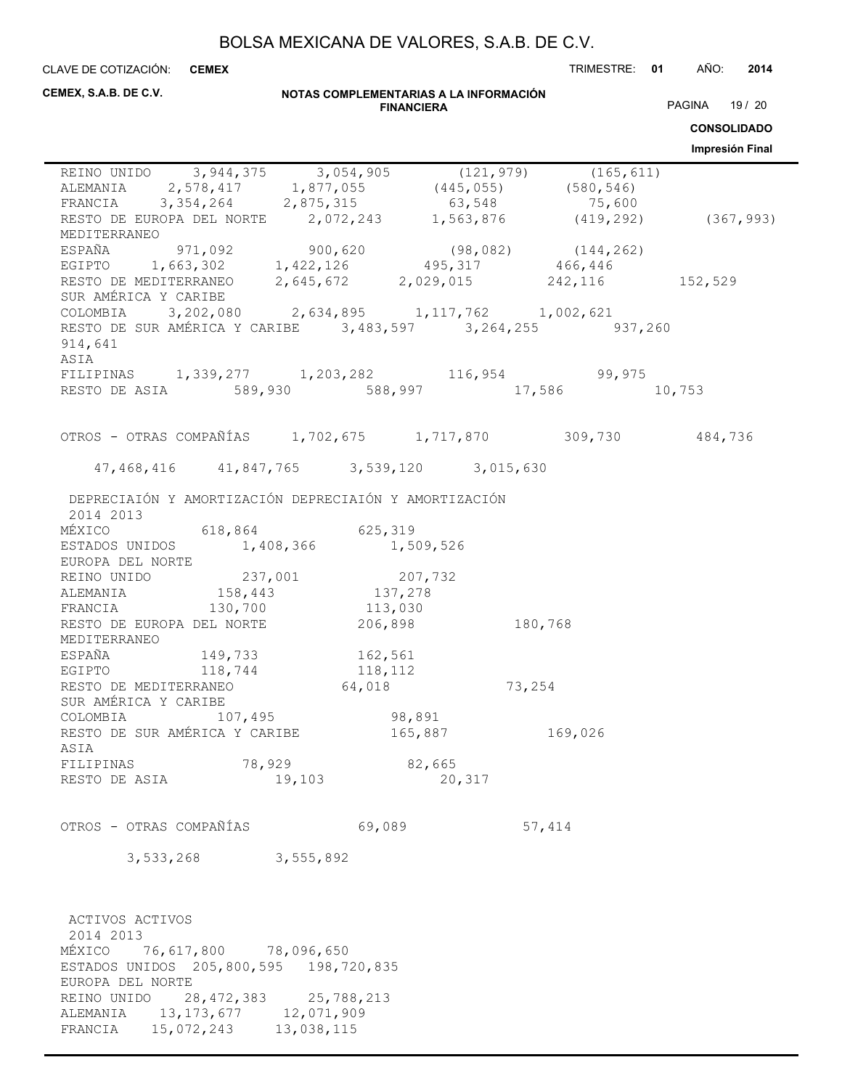CLAVE DE COTIZACIÓN: TRIMESTRE: **01** AÑO: **2014 CEMEX**

| CEMEX, S.A.B. DE C.V.                                                                                                                                                                                                     |                                                   | <b>FINANCIERA</b> | NOTAS COMPLEMENTARIAS A LA INFORMACIÓN |         | PAGINA 19 / 20<br><b>CONSOLIDADO</b> |
|---------------------------------------------------------------------------------------------------------------------------------------------------------------------------------------------------------------------------|---------------------------------------------------|-------------------|----------------------------------------|---------|--------------------------------------|
|                                                                                                                                                                                                                           |                                                   |                   |                                        |         | Impresión Final                      |
| REINO UNIDO 3,944,375 3,054,905 (121,979) (165,611)<br>ALEMANIA 2,578,417 1,877,055 (445,055) (580,546)<br>FRANCIA 3,354,264 2,875,315 63,548 75,600<br>RESTO DE EUROPA DEL NORTE 2,072,243 1,563,876 (419,292) (367,993) |                                                   |                   |                                        |         |                                      |
| MEDITERRANEO<br>ESPAÑA 971,092 900,620 (98,082) (144,262)<br>EGIPTO 1,663,302 1,422,126 495,317 466,446                                                                                                                   |                                                   |                   |                                        |         |                                      |
| RESTO DE MEDITERRANEO 2,645,672 2,029,015 242,116 152,529<br>SUR AMÉRICA Y CARIBE                                                                                                                                         |                                                   |                   |                                        |         |                                      |
| COLOMBIA $3,202,080$ $2,634,895$ $1,117,762$ $1,002,621$<br>RESTO DE SUR AMÉRICA Y CARIBE 3,483,597 3,264,255 937,260<br>914,641<br>ASIA                                                                                  |                                                   |                   |                                        |         |                                      |
| FILIPINAS 1,339,277 1,203,282 116,954 99,975<br>RESTO DE ASIA 589,930 588,997 17,586 10,753                                                                                                                               |                                                   |                   |                                        |         |                                      |
| OTROS - OTRAS COMPAÑÍAS 1,702,675 1,717,870 309,730 484,736                                                                                                                                                               |                                                   |                   |                                        |         |                                      |
|                                                                                                                                                                                                                           | 47, 468, 416 41, 847, 765 3, 539, 120 3, 015, 630 |                   |                                        |         |                                      |
| DEPRECIAIÓN Y AMORTIZACIÓN DEPRECIAIÓN Y AMORTIZACIÓN<br>2014 2013                                                                                                                                                        |                                                   |                   |                                        |         |                                      |
| MÉXICO 618,864 625,319<br>ESTADOS UNIDOS 1,408,366 1,509,526<br>EUROPA DEL NORTE                                                                                                                                          |                                                   |                   |                                        |         |                                      |
| REINO UNIDO<br>REINO UNIDO<br>237,001<br>207,732<br>ALEMANIA<br>138,443<br>137,278<br>FRANCIA<br>130,700<br>113,030<br>RESTO DE EUROPA DEL NORTE<br>206,898                                                               |                                                   |                   |                                        |         |                                      |
| MEDITERRANEO                                                                                                                                                                                                              |                                                   |                   | 180,768                                |         |                                      |
| ESPAÑA 149,733 162,561<br>EGIPTO 118,744 118,112<br>RESTO DE MEDITERRANEO 64,018                                                                                                                                          |                                                   |                   | 73,254                                 |         |                                      |
| SUR AMÉRICA Y CARIBE<br>COLOMBIA                                                                                                                                                                                          | 107,495                                           | 98,891            |                                        |         |                                      |
| RESTO DE SUR AMÉRICA Y CARIBE<br>ASIA                                                                                                                                                                                     |                                                   | 165,887           |                                        | 169,026 |                                      |
| FILIPINAS<br>RESTO DE ASIA                                                                                                                                                                                                | 78,929<br>19,103                                  |                   | 82,665<br>20,317                       |         |                                      |
| OTROS - OTRAS COMPAÑÍAS                                                                                                                                                                                                   |                                                   | 69,089            |                                        | 57,414  |                                      |
|                                                                                                                                                                                                                           | 3,533,268 3,555,892                               |                   |                                        |         |                                      |
| ACTIVOS ACTIVOS                                                                                                                                                                                                           |                                                   |                   |                                        |         |                                      |
| 2014 2013<br>MÉXICO<br>ESTADOS UNIDOS 205,800,595 198,720,835<br>EUROPA DEL NORTE                                                                                                                                         | 76,617,800 78,096,650                             |                   |                                        |         |                                      |
| REINO UNIDO 28, 472, 383 25, 788, 213<br>ALEMANIA 13, 173, 677 12, 071, 909<br>FRANCIA                                                                                                                                    | 15,072,243 13,038,115                             |                   |                                        |         |                                      |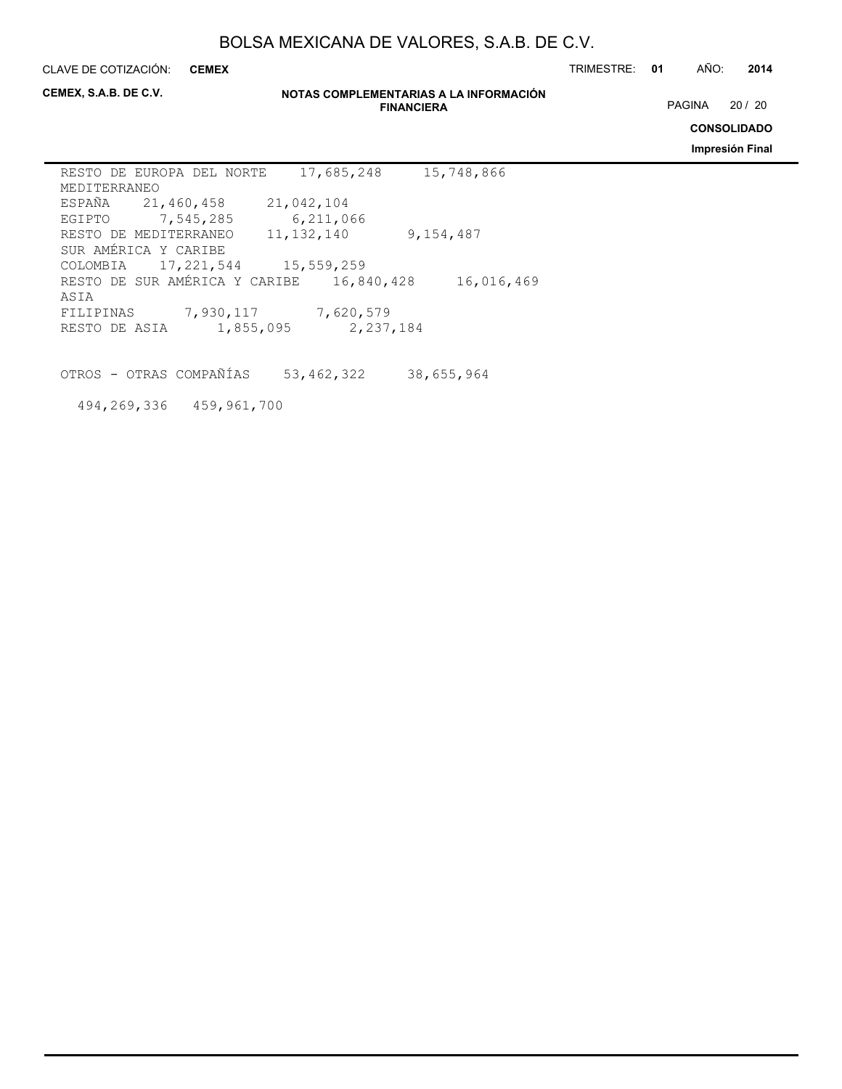**CEMEX**

CLAVE DE COTIZACIÓN: TRIMESTRE: **01** AÑO: **2014**

**CEMEX, S.A.B. DE C.V.**

#### **NOTAS COMPLEMENTARIAS A LA INFORMACIÓN FINANCIERA**

PAGINA 20 / 20

**CONSOLIDADO**

**Impresión Final**

| RESTO DE EUROPA DEL NORTE          |              | 17,685,248 | 15,748,866 |
|------------------------------------|--------------|------------|------------|
| MEDITERRANEO                       |              |            |            |
| ESPAÑA 21,460,458                  | 21,042,104   |            |            |
| EGIPTO 7,545,285                   |              | 6,211,066  |            |
| RESTO DE MEDITERRANEO              | 11, 132, 140 |            | 9,154,487  |
| SUR AMÉRICA Y CARIBE               |              |            |            |
| COLOMBIA 17, 221, 544 15, 559, 259 |              |            |            |
| RESTO DE SUR AMÉRICA Y CARIBE      |              | 16,840,428 | 16,016,469 |
| ASIA                               |              |            |            |
| FILIPINAS                          | 7,930,117    | 7,620,579  |            |
| RESTO DE ASIA                      | 1,855,095    | 2,237,184  |            |

OTROS - OTRAS COMPAÑÍAS 53,462,322 38,655,964

494,269,336 459,961,700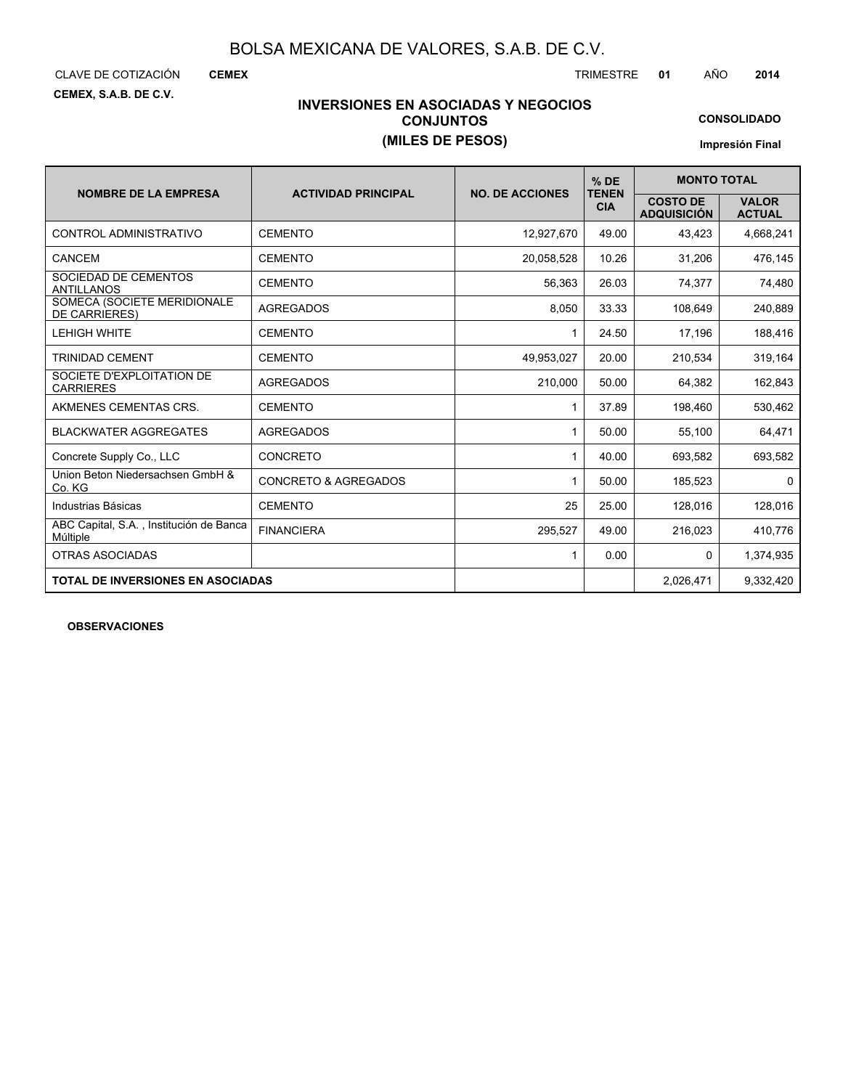CLAVE DE COTIZACIÓN TRIMESTRE **01** AÑO **2014**

**CEMEX**

**CEMEX, S.A.B. DE C.V.**

# **INVERSIONES EN ASOCIADAS Y NEGOCIOS CONJUNTOS (MILES DE PESOS)**

**CONSOLIDADO**

**Impresión Final**

|                                                     |                                 |                        | $%$ DE                     | <b>MONTO TOTAL</b>                    |                               |
|-----------------------------------------------------|---------------------------------|------------------------|----------------------------|---------------------------------------|-------------------------------|
| <b>NOMBRE DE LA EMPRESA</b>                         | <b>ACTIVIDAD PRINCIPAL</b>      | <b>NO. DE ACCIONES</b> | <b>TENEN</b><br><b>CIA</b> | <b>COSTO DE</b><br><b>ADQUISICIÓN</b> | <b>VALOR</b><br><b>ACTUAL</b> |
| CONTROL ADMINISTRATIVO                              | <b>CEMENTO</b>                  | 12.927.670             | 49.00                      | 43,423                                | 4,668,241                     |
| CANCEM                                              | <b>CEMENTO</b>                  | 20,058,528             | 10.26                      | 31,206                                | 476,145                       |
| SOCIEDAD DE CEMENTOS<br><b>ANTILLANOS</b>           | <b>CEMENTO</b>                  | 56,363                 | 26.03                      | 74,377                                | 74,480                        |
| SOMECA (SOCIETE MERIDIONALE<br><b>DE CARRIERES)</b> | <b>AGREGADOS</b>                | 8,050                  | 33.33                      | 108.649                               | 240,889                       |
| <b>LEHIGH WHITE</b>                                 | <b>CEMENTO</b>                  | 1                      | 24.50                      | 17,196                                | 188,416                       |
| TRINIDAD CEMENT                                     | <b>CEMENTO</b>                  | 49,953,027             | 20.00                      | 210,534                               | 319,164                       |
| SOCIETE D'EXPLOITATION DE<br><b>CARRIERES</b>       | <b>AGREGADOS</b>                | 210.000                | 50.00                      | 64.382                                | 162,843                       |
| AKMENES CEMENTAS CRS.                               | <b>CEMENTO</b>                  | 1                      | 37.89                      | 198,460                               | 530,462                       |
| <b>BLACKWATER AGGREGATES</b>                        | <b>AGREGADOS</b>                | 1                      | 50.00                      | 55,100                                | 64,471                        |
| Concrete Supply Co., LLC                            | <b>CONCRETO</b>                 | 1                      | 40.00                      | 693.582                               | 693,582                       |
| Union Beton Niedersachsen GmbH &<br>Co. KG          | <b>CONCRETO &amp; AGREGADOS</b> | 1                      | 50.00                      | 185,523                               | 0                             |
| Industrias Básicas                                  | <b>CEMENTO</b>                  | 25                     | 25.00                      | 128,016                               | 128,016                       |
| ABC Capital, S.A., Institución de Banca<br>Múltiple | <b>FINANCIERA</b>               | 295.527                | 49.00                      | 216,023                               | 410,776                       |
| OTRAS ASOCIADAS                                     |                                 | 1                      | 0.00                       | 0                                     | 1,374,935                     |
| <b>TOTAL DE INVERSIONES EN ASOCIADAS</b>            |                                 |                        |                            | 2,026,471                             | 9,332,420                     |

**OBSERVACIONES**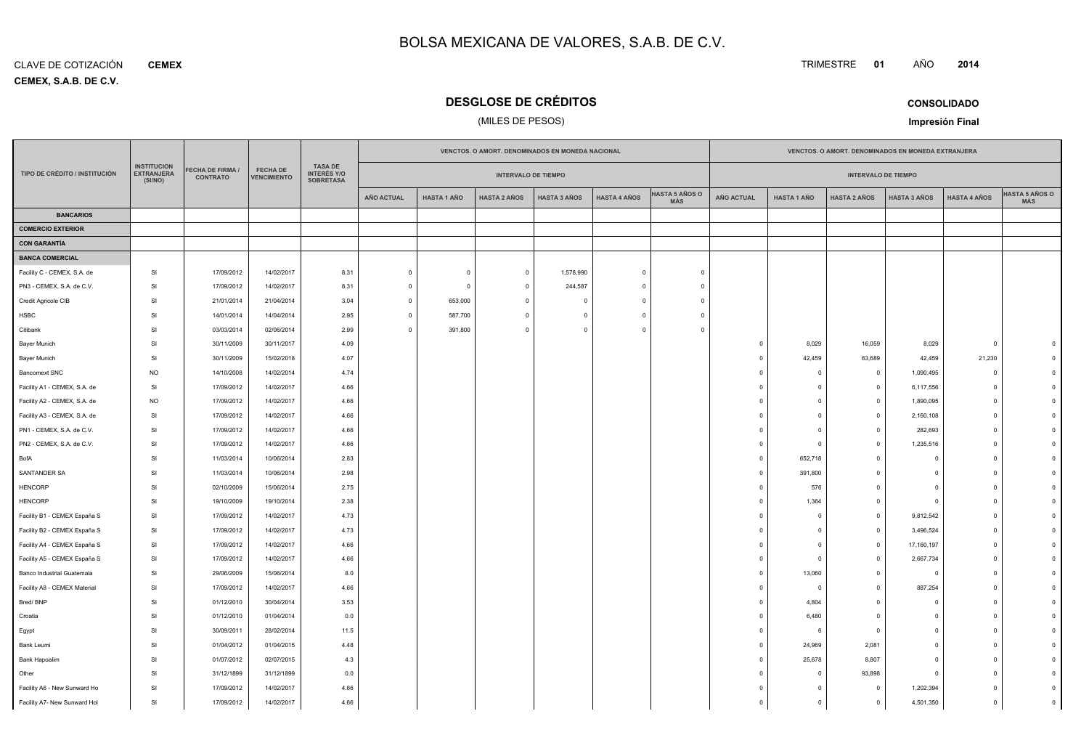#### **CEMEX, S.A.B. DE C.V.** CLAVE DE COTIZACIÓN**CEMEX**

Facility A7- New Sunward Hol

SI

17/09/2012

# **DESGLOSE DE CRÉDITOS**

# (MILES DE PESOS)

|                               |                                                    |                                     |                                       |                                                          |                   |                    | VENCTOS. O AMORT. DENOMINADOS EN MONEDA NACIONAL |                     |                     |                              | VENCTOS. O AMORT. DENOMINADOS EN MONEDA EXTRANJERA |                    |                            |                     |                     |                              |
|-------------------------------|----------------------------------------------------|-------------------------------------|---------------------------------------|----------------------------------------------------------|-------------------|--------------------|--------------------------------------------------|---------------------|---------------------|------------------------------|----------------------------------------------------|--------------------|----------------------------|---------------------|---------------------|------------------------------|
| TIPO DE CRÉDITO / INSTITUCIÓN | <b>INSTITUCION</b><br><b>EXTRANJERA</b><br>(SI/NO) | FECHA DE FIRMA /<br><b>CONTRATO</b> | <b>FECHA DE</b><br><b>VENCIMIENTO</b> | <b>TASA DE</b><br><b>INTERÉS Y/O</b><br><b>SOBRETASA</b> |                   |                    | <b>INTERVALO DE TIEMPO</b>                       |                     |                     |                              |                                                    |                    | <b>INTERVALO DE TIEMPO</b> |                     |                     |                              |
|                               |                                                    |                                     |                                       |                                                          | <b>AÑO ACTUAL</b> | <b>HASTA 1 AÑO</b> | <b>HASTA 2 AÑOS</b>                              | <b>HASTA 3 AÑOS</b> | <b>HASTA 4 AÑOS</b> | <b>HASTA 5 AÑOS O</b><br>MÁS | <b>AÑO ACTUAL</b>                                  | <b>HASTA 1 AÑO</b> | <b>HASTA 2 AÑOS</b>        | <b>HASTA 3 AÑOS</b> | <b>HASTA 4 AÑOS</b> | <b>HASTA 5 AÑOS O</b><br>MÁS |
| <b>BANCARIOS</b>              |                                                    |                                     |                                       |                                                          |                   |                    |                                                  |                     |                     |                              |                                                    |                    |                            |                     |                     |                              |
| <b>COMERCIO EXTERIOR</b>      |                                                    |                                     |                                       |                                                          |                   |                    |                                                  |                     |                     |                              |                                                    |                    |                            |                     |                     |                              |
| <b>CON GARANTÍA</b>           |                                                    |                                     |                                       |                                                          |                   |                    |                                                  |                     |                     |                              |                                                    |                    |                            |                     |                     |                              |
| <b>BANCA COMERCIAL</b>        |                                                    |                                     |                                       |                                                          |                   |                    |                                                  |                     |                     |                              |                                                    |                    |                            |                     |                     |                              |
| Facility C - CEMEX, S.A. de   | SI                                                 | 17/09/2012                          | 14/02/2017                            | 8.31                                                     | $\overline{0}$    | $\mathsf 0$        | $\overline{\mathbf{0}}$                          | 1,578,990           | $\overline{0}$      | $\mathbf{0}$                 |                                                    |                    |                            |                     |                     |                              |
| PN3 - CEMEX, S.A. de C.V.     | SI                                                 | 17/09/2012                          | 14/02/2017                            | 8.31                                                     | $\circ$           | $\mathbf{0}$       | $\overline{\mathbf{0}}$                          | 244,587             | $\overline{0}$      | $\mathbf{0}$                 |                                                    |                    |                            |                     |                     |                              |
| Credit Agricole CIB           | SI                                                 | 21/01/2014                          | 21/04/2014                            | 3.04                                                     | $\circ$           | 653,000            | $\overline{0}$                                   | $\mathbf 0$         | $\circ$             | $\mathbf 0$                  |                                                    |                    |                            |                     |                     |                              |
| <b>HSBC</b>                   | SI                                                 | 14/01/2014                          | 14/04/2014                            | 2.95                                                     | $\mathbf 0$       | 587,700            | $\Omega$                                         | $\Omega$            | $\Omega$            | $\Omega$                     |                                                    |                    |                            |                     |                     |                              |
| Citibank                      | SI                                                 | 03/03/2014                          | 02/06/2014                            | 2.99                                                     | $\mathbf 0$       | 391,800            | $\Omega$                                         | $\Omega$            | $\Omega$            | $\Omega$                     |                                                    |                    |                            |                     |                     |                              |
| Bayer Munich                  | SI                                                 | 30/11/2009                          | 30/11/2017                            | 4.09                                                     |                   |                    |                                                  |                     |                     |                              | $\overline{0}$                                     | 8,029              | 16,059                     | 8,029               | $\mathsf 0$         |                              |
| Bayer Munich                  | <b>SI</b>                                          | 30/11/2009                          | 15/02/2018                            | 4.07                                                     |                   |                    |                                                  |                     |                     |                              | $\overline{0}$                                     | 42,459             | 63,689                     | 42,459              | 21,230              |                              |
| <b>Bancomext SNC</b>          | <b>NO</b>                                          | 14/10/2008                          | 14/02/2014                            | 4.74                                                     |                   |                    |                                                  |                     |                     |                              | $\overline{0}$                                     | $\Omega$           | $\mathbf 0$                | 1,090,495           | $\mathbf 0$         |                              |
| Facility A1 - CEMEX, S.A. de  | <b>SI</b>                                          | 17/09/2012                          | 14/02/2017                            | 4.66                                                     |                   |                    |                                                  |                     |                     |                              | $\overline{0}$                                     | $\mathbf 0$        | $\overline{0}$             | 6,117,556           | $\mathbf 0$         |                              |
| Facility A2 - CEMEX, S.A. de  | <b>NO</b>                                          | 17/09/2012                          | 14/02/2017                            | 4.66                                                     |                   |                    |                                                  |                     |                     |                              | $\Omega$                                           | $\Omega$           | $\overline{0}$             | 1,890,095           | $\mathbf{0}$        |                              |
| Facility A3 - CEMEX, S.A. de  | SI                                                 | 17/09/2012                          | 14/02/2017                            | 4.66                                                     |                   |                    |                                                  |                     |                     |                              | $\overline{0}$                                     | $\Omega$           | $\circ$                    | 2,160,108           | $\mathbf 0$         |                              |
| PN1 - CEMEX, S.A. de C.V.     | SI                                                 | 17/09/2012                          | 14/02/2017                            | 4.66                                                     |                   |                    |                                                  |                     |                     |                              | $\overline{0}$                                     |                    | $\mathbf{0}$               | 282,693             | $\overline{0}$      |                              |
| PN2 - CEMEX, S.A. de C.V.     | <b>SI</b>                                          | 17/09/2012                          | 14/02/2017                            | 4.66                                                     |                   |                    |                                                  |                     |                     |                              | $\overline{0}$                                     | - C                | $\mathbf{0}$               | 1,235,516           | $\Omega$            |                              |
| BofA                          | SI                                                 | 11/03/2014                          | 10/06/2014                            | 2.83                                                     |                   |                    |                                                  |                     |                     |                              | $\overline{0}$                                     | 652,718            | $\mathbf 0$                | 0                   | $\Omega$            |                              |
| SANTANDER SA                  | <b>SI</b>                                          | 11/03/2014                          | 10/06/2014                            | 2.98                                                     |                   |                    |                                                  |                     |                     |                              | $\overline{0}$                                     | 391,800            | $\mathbf{0}$               | $\Omega$            | $\Omega$            |                              |
| <b>HENCORP</b>                | <b>SI</b>                                          | 02/10/2009                          | 15/06/2014                            | 2.75                                                     |                   |                    |                                                  |                     |                     |                              | $\overline{0}$                                     | 576                | $\mathbf{0}$               | $\Omega$            | $\Omega$            |                              |
| <b>HENCORP</b>                | <b>SI</b>                                          | 19/10/2009                          | 19/10/2014                            | 2.38                                                     |                   |                    |                                                  |                     |                     |                              | $\overline{0}$                                     | 1,364              | $\mathbf 0$                | $\overline{0}$      | $\mathbf 0$         |                              |
| Facility B1 - CEMEX España S  | <b>SI</b>                                          | 17/09/2012                          | 14/02/2017                            | 4.73                                                     |                   |                    |                                                  |                     |                     |                              | $\overline{0}$                                     | $^{\circ}$         | $\overline{0}$             | 9,812,542           | $\mathbf 0$         |                              |
| Facility B2 - CEMEX España S  | SI                                                 | 17/09/2012                          | 14/02/2017                            | 4.73                                                     |                   |                    |                                                  |                     |                     |                              | $\overline{0}$                                     | $\Omega$           | $\overline{0}$             | 3,496,524           | $\mathbf{0}$        |                              |
| Facility A4 - CEMEX España S  | SI                                                 | 17/09/2012                          | 14/02/2017                            | 4.66                                                     |                   |                    |                                                  |                     |                     |                              | $\overline{0}$                                     | $\Omega$           | $\circ$                    | 17,160,197          | $\mathbf 0$         |                              |
| Facility A5 - CEMEX España S  | <b>SI</b>                                          | 17/09/2012                          | 14/02/2017                            | 4.66                                                     |                   |                    |                                                  |                     |                     |                              | $\overline{0}$                                     | $\Omega$           | $\mathbf{0}$               | 2,667,734           | $\Omega$            |                              |
| Banco Industrial Guatemala    | <b>SI</b>                                          | 29/06/2009                          | 15/06/2014                            | 8.0                                                      |                   |                    |                                                  |                     |                     |                              | $\overline{0}$                                     | 13,060             | $\mathbf 0$                | $\overline{0}$      | $\mathbf 0$         |                              |
| Facility A8 - CEMEX Material  | SI                                                 | 17/09/2012                          | 14/02/2017                            | 4.66                                                     |                   |                    |                                                  |                     |                     |                              | $\overline{0}$                                     | - 0                | $\mathbf 0$                | 887,254             | $\mathbf 0$         |                              |
| Bred/BNP                      | SI                                                 | 01/12/2010                          | 30/04/2014                            | 3.53                                                     |                   |                    |                                                  |                     |                     |                              | $\overline{0}$                                     | 4,804              | $\mathbf 0$                | $\mathbf 0$         | $\Omega$            |                              |
| Croatia                       | <b>SI</b>                                          | 01/12/2010                          | 01/04/2014                            | 0.0                                                      |                   |                    |                                                  |                     |                     |                              | $\overline{0}$                                     | 6,480              | $\mathbf 0$                | $\Omega$            | $\Omega$            |                              |
| Egypt                         | <b>SI</b>                                          | 30/09/2011                          | 28/02/2014                            | 11.5                                                     |                   |                    |                                                  |                     |                     |                              | $\overline{0}$                                     |                    | $\overline{0}$             | $\mathbf 0$         | $\mathbf 0$         |                              |
| Bank Leumi                    | SI                                                 | 01/04/2012                          | 01/04/2015                            | 4.48                                                     |                   |                    |                                                  |                     |                     |                              | $\overline{0}$                                     | 24,969             | 2,081                      | $\mathbf 0$         | $\mathbf 0$         |                              |
| Bank Hapoalim                 | SI                                                 | 01/07/2012                          | 02/07/2015                            | 4.3                                                      |                   |                    |                                                  |                     |                     |                              | $\Omega$                                           | 25,678             | 8,807                      | $\Omega$            | $\Omega$            |                              |
| Other                         | SI                                                 | 31/12/1899                          | 31/12/1899                            | 0.0                                                      |                   |                    |                                                  |                     |                     |                              | $\overline{0}$                                     | $\Omega$           | 93,898                     | $\mathbf 0$         | $\Omega$            |                              |
| Facility A6 - New Sunward Ho  | <b>SI</b>                                          | 17/09/2012                          | 14/02/2017                            | 4.66                                                     |                   |                    |                                                  |                     |                     |                              | $\Omega$                                           | $\Omega$           | $\mathbf{0}$               | 1.202.394           | $\Omega$            |                              |

SI 17/09/2012 14/02/2017 4.66 <sup>0</sup> <sup>0</sup> <sup>0</sup> 1,202,394 <sup>0</sup> <sup>0</sup>

2 | 14/02/2017 | 4.66 | | | | | | | | | | | | | | | | | | | | | | | | | | | | | | 0 | 0

**CONSOLIDADO**

**<sup>2014</sup>**

**Impresión Final**

TRIMESTRE **<sup>01</sup>** AÑO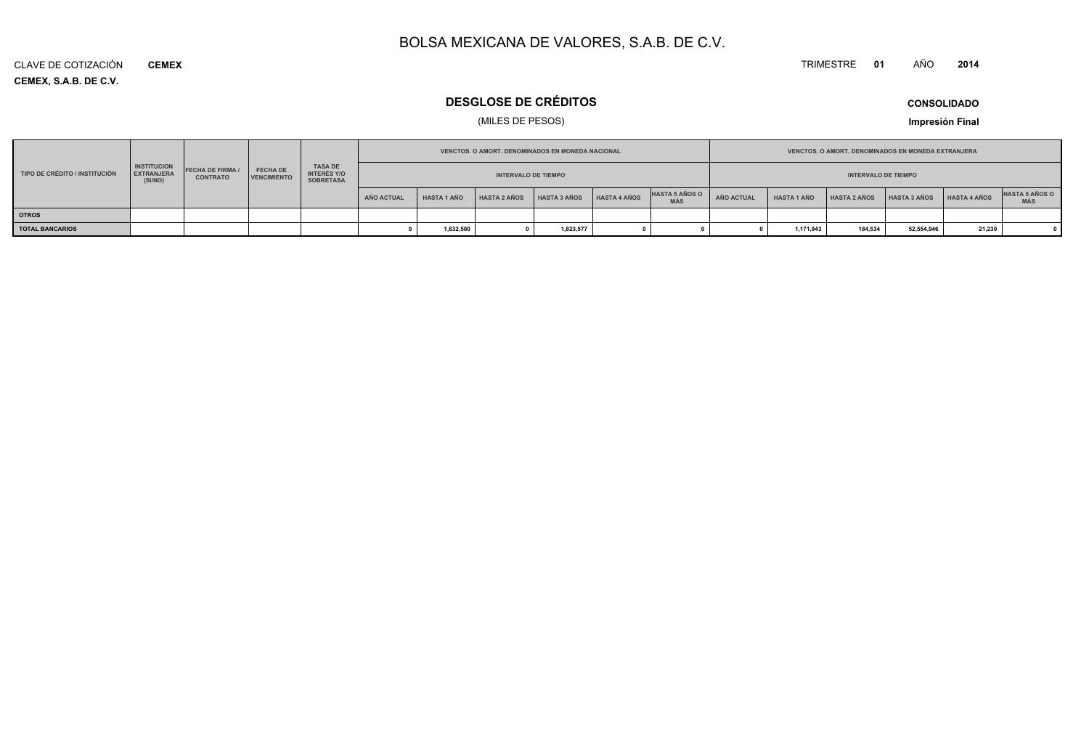#### TRIMESTRE **<sup>01</sup>** AÑO**<sup>2014</sup>**

**CEMEX, S.A.B. DE C.V.** CLAVE DE COTIZACIÓN**CEMEX**

# **DESGLOSE DE CRÉDITOS**

# (MILES DE PESOS)

**CONSOLIDADO**

**Impresión Final**

|                               |                                                    |                                            |                                       |                                                          |                                                          |                    | VENCTOS. O AMORT. DENOMINADOS EN MONEDA NACIONAL |                     |                     |                              |            |                    | <b>VENCTOS, O AMORT, DENOMINADOS EN MONEDA EXTRANJERA</b> |              |                     |                              |
|-------------------------------|----------------------------------------------------|--------------------------------------------|---------------------------------------|----------------------------------------------------------|----------------------------------------------------------|--------------------|--------------------------------------------------|---------------------|---------------------|------------------------------|------------|--------------------|-----------------------------------------------------------|--------------|---------------------|------------------------------|
| TIPO DE CRÉDITO / INSTITUCIÓN | <b>INSTITUCION</b><br><b>EXTRANJERA</b><br>(SI/NO) | <b>FECHA DE FIRMA /</b><br><b>CONTRATO</b> | <b>FECHA DE</b><br><b>VENCIMIENTO</b> | <b>TASA DE</b><br><b>INTERÉS Y/O</b><br><b>SOBRETASA</b> | <b>INTERVALO DE TIEMPO</b><br><b>INTERVALO DE TIEMPO</b> |                    |                                                  |                     |                     |                              |            |                    |                                                           |              |                     |                              |
|                               |                                                    |                                            |                                       |                                                          | AÑO ACTUAL                                               | <b>HASTA 1 AÑO</b> | <b>HASTA 2 AÑOS</b>                              | <b>HASTA 3 AÑOS</b> | <b>HASTA 4 AÑOS</b> | <b>HASTA 5 AÑOS O</b><br>MÁS | AÑO ACTUAL | <b>HASTA 1 AÑO</b> | <b>HASTA 2 AÑOS</b>                                       | HASTA 3 AÑOS | <b>HASTA 4 AÑOS</b> | <b>HASTA 5 AÑOS O</b><br>MÀS |
| <b>OTROS</b>                  |                                                    |                                            |                                       |                                                          |                                                          |                    |                                                  |                     |                     |                              |            |                    |                                                           |              |                     |                              |
| <b>TOTAL BANCARIOS</b>        |                                                    |                                            |                                       |                                                          |                                                          | 1,632,500          |                                                  | 1,823,577           |                     |                              |            | 1,171,943          | 184,534                                                   | 52,554,946   | 21,230              |                              |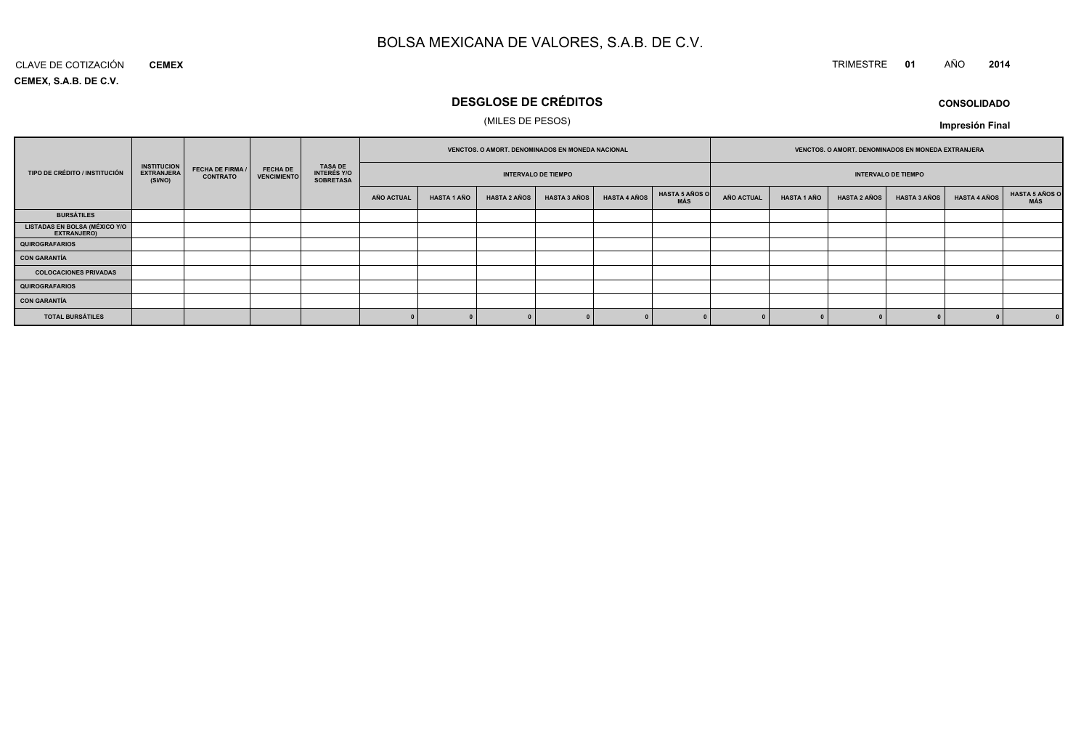# TRIMESTRE **<sup>01</sup>** AÑO **<sup>2014</sup>**

**CEMEX, S.A.B. DE C.V.**CLAVE DE COTIZACIÓN**CEMEX**

# **DESGLOSE DE CRÉDITOS**

### (MILES DE PESOS)

**CONSOLIDADOImpresión Final**

|                                              |                                                    |                                            |                                       |                                                          | VENCTOS. O AMORT. DENOMINADOS EN MONEDA NACIONAL |                    |                     |                            | VENCTOS. O AMORT. DENOMINADOS EN MONEDA EXTRANJERA |                              |                            |                    |                     |                     |                     |                       |
|----------------------------------------------|----------------------------------------------------|--------------------------------------------|---------------------------------------|----------------------------------------------------------|--------------------------------------------------|--------------------|---------------------|----------------------------|----------------------------------------------------|------------------------------|----------------------------|--------------------|---------------------|---------------------|---------------------|-----------------------|
| TIPO DE CRÉDITO / INSTITUCIÓN                | <b>INSTITUCION</b><br><b>EXTRANJERA</b><br>(SI/NO) | <b>FECHA DE FIRMA /</b><br><b>CONTRATO</b> | <b>FECHA DE</b><br><b>VENCIMIENTO</b> | <b>TASA DE</b><br><b>INTERÉS Y/O</b><br><b>SOBRETASA</b> |                                                  |                    |                     | <b>INTERVALO DE TIEMPO</b> |                                                    |                              | <b>INTERVALO DE TIEMPO</b> |                    |                     |                     |                     |                       |
|                                              |                                                    |                                            |                                       |                                                          | <b>AÑO ACTUAL</b>                                | <b>HASTA 1 AÑO</b> | <b>HASTA 2 AÑOS</b> | <b>HASTA 3 AÑOS</b>        | <b>HASTA 4 AÑOS</b>                                | <b>HASTA 5 AÑOS O</b><br>MÁS | <b>AÑO ACTUAL</b>          | <b>HASTA 1 AÑO</b> | <b>HASTA 2 AÑOS</b> | <b>HASTA 3 AÑOS</b> | <b>HASTA 4 AÑOS</b> | HASTA 5 AÑOS C<br>MÁS |
| <b>BURSÁTILES</b>                            |                                                    |                                            |                                       |                                                          |                                                  |                    |                     |                            |                                                    |                              |                            |                    |                     |                     |                     |                       |
| LISTADAS EN BOLSA (MÉXICO Y/O<br>EXTRANJERO) |                                                    |                                            |                                       |                                                          |                                                  |                    |                     |                            |                                                    |                              |                            |                    |                     |                     |                     |                       |
| QUIROGRAFARIOS                               |                                                    |                                            |                                       |                                                          |                                                  |                    |                     |                            |                                                    |                              |                            |                    |                     |                     |                     |                       |
| CON GARANTÍA                                 |                                                    |                                            |                                       |                                                          |                                                  |                    |                     |                            |                                                    |                              |                            |                    |                     |                     |                     |                       |
| <b>COLOCACIONES PRIVADAS</b>                 |                                                    |                                            |                                       |                                                          |                                                  |                    |                     |                            |                                                    |                              |                            |                    |                     |                     |                     |                       |
| <b>QUIROGRAFARIOS</b>                        |                                                    |                                            |                                       |                                                          |                                                  |                    |                     |                            |                                                    |                              |                            |                    |                     |                     |                     |                       |
| CON GARANTÍA                                 |                                                    |                                            |                                       |                                                          |                                                  |                    |                     |                            |                                                    |                              |                            |                    |                     |                     |                     |                       |
| <b>TOTAL BURSÁTILES</b>                      |                                                    |                                            |                                       |                                                          |                                                  |                    |                     |                            |                                                    |                              |                            |                    |                     |                     |                     |                       |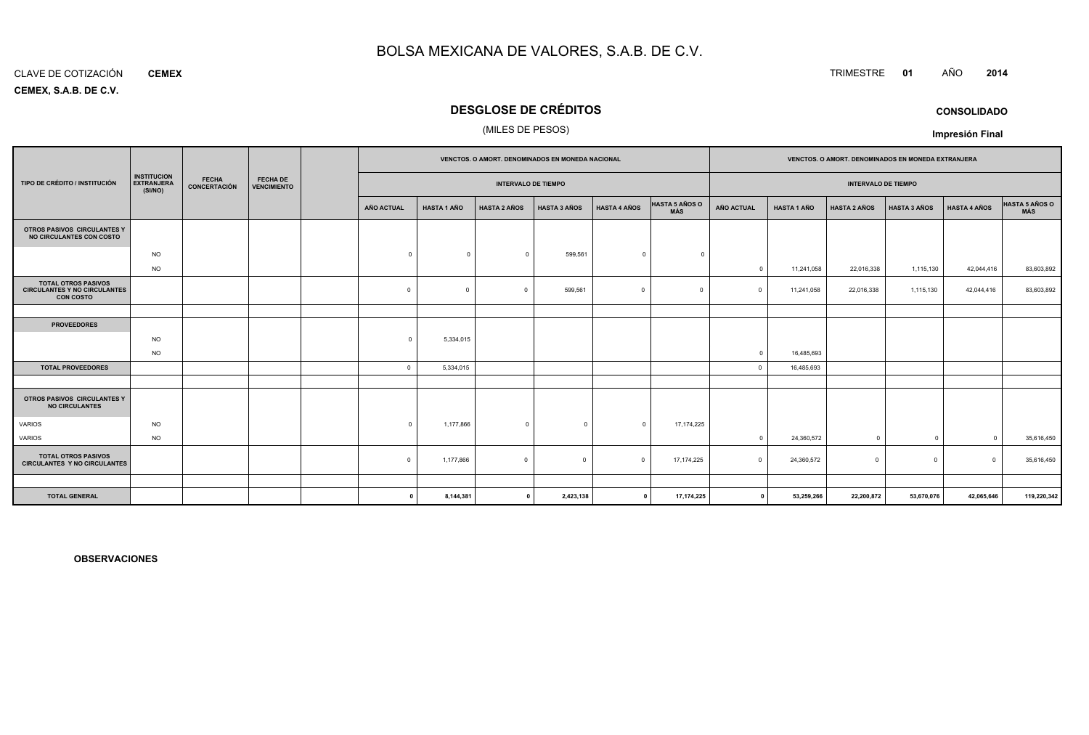#### CLAVE DE COTIZACIÓN**CEMEX**

**CEMEX, S.A.B. DE C.V.**

# **DESGLOSE DE CRÉDITOS**

### (MILES DE PESOS)

|                                                                                       |                                                    |                              |                                       | VENCTOS. O AMORT. DENOMINADOS EN MONEDA NACIONAL |                    |                            |                     |                     |                              | VENCTOS. O AMORT. DENOMINADOS EN MONEDA EXTRANJERA |                            |                     |                     |                     |                       |
|---------------------------------------------------------------------------------------|----------------------------------------------------|------------------------------|---------------------------------------|--------------------------------------------------|--------------------|----------------------------|---------------------|---------------------|------------------------------|----------------------------------------------------|----------------------------|---------------------|---------------------|---------------------|-----------------------|
| TIPO DE CRÉDITO / INSTITUCIÓN                                                         | <b>INSTITUCION</b><br><b>EXTRANJERA</b><br>(SI/NO) | <b>FECHA</b><br>CONCERTACIÓN | <b>FECHA DE</b><br><b>VENCIMIENTO</b> |                                                  |                    | <b>INTERVALO DE TIEMPO</b> |                     |                     |                              |                                                    | <b>INTERVALO DE TIEMPO</b> |                     |                     |                     |                       |
|                                                                                       |                                                    |                              |                                       | <b>AÑO ACTUAL</b>                                | <b>HASTA 1 AÑO</b> | <b>HASTA 2 AÑOS</b>        | <b>HASTA 3 AÑOS</b> | <b>HASTA 4 AÑOS</b> | <b>HASTA 5 AÑOS O</b><br>MÁS | <b>AÑO ACTUAL</b>                                  | <b>HASTA 1 AÑO</b>         | <b>HASTA 2 AÑOS</b> | <b>HASTA 3 AÑOS</b> | <b>HASTA 4 AÑOS</b> | HASTA 5 AÑOS O<br>MÁS |
| OTROS PASIVOS CIRCULANTES Y<br>NO CIRCULANTES CON COSTO                               |                                                    |                              |                                       |                                                  |                    |                            |                     |                     |                              |                                                    |                            |                     |                     |                     |                       |
|                                                                                       | <b>NO</b>                                          |                              |                                       | $\Omega$                                         | $\Omega$           | $\mathbf{0}$               | 599,561             | $\mathbf{0}$        | $\Omega$                     |                                                    |                            |                     |                     |                     |                       |
|                                                                                       | <b>NO</b>                                          |                              |                                       |                                                  |                    |                            |                     |                     |                              | $\Omega$                                           | 11,241,058                 | 22,016,338          | 1,115,130           | 42,044,416          | 83,603,892            |
| <b>TOTAL OTROS PASIVOS</b><br><b>CIRCULANTES Y NO CIRCULANTES</b><br><b>CON COSTO</b> |                                                    |                              |                                       | $\mathbf 0$                                      | $\Omega$           | $\Omega$                   | 599,561             | $\Omega$            | $\Omega$                     | $\Omega$                                           | 11,241,058                 | 22,016,338          | 1,115,130           | 42,044,416          | 83,603,892            |
|                                                                                       |                                                    |                              |                                       |                                                  |                    |                            |                     |                     |                              |                                                    |                            |                     |                     |                     |                       |
| <b>PROVEEDORES</b>                                                                    |                                                    |                              |                                       |                                                  |                    |                            |                     |                     |                              |                                                    |                            |                     |                     |                     |                       |
|                                                                                       | <b>NO</b>                                          |                              |                                       | $\Omega$                                         | 5,334,015          |                            |                     |                     |                              |                                                    |                            |                     |                     |                     |                       |
|                                                                                       | <b>NO</b>                                          |                              |                                       |                                                  |                    |                            |                     |                     |                              | $\Omega$                                           | 16,485,693                 |                     |                     |                     |                       |
| <b>TOTAL PROVEEDORES</b>                                                              |                                                    |                              |                                       | $\Omega$                                         | 5,334,015          |                            |                     |                     |                              | $\Omega$                                           | 16,485,693                 |                     |                     |                     |                       |
|                                                                                       |                                                    |                              |                                       |                                                  |                    |                            |                     |                     |                              |                                                    |                            |                     |                     |                     |                       |
| OTROS PASIVOS CIRCULANTES Y<br><b>NO CIRCULANTES</b>                                  |                                                    |                              |                                       |                                                  |                    |                            |                     |                     |                              |                                                    |                            |                     |                     |                     |                       |
| <b>VARIOS</b>                                                                         | <b>NO</b>                                          |                              |                                       | $\Omega$                                         | 1,177,866          | $\mathbf{0}$               | $^{\circ}$          | $\mathbf{0}$        | 17,174,225                   |                                                    |                            |                     |                     |                     |                       |
| VARIOS                                                                                | <b>NO</b>                                          |                              |                                       |                                                  |                    |                            |                     |                     |                              | $\Omega$                                           | 24,360,572                 | $\mathbf{0}$        | $\overline{0}$      | $\Omega$            | 35,616,450            |
| <b>TOTAL OTROS PASIVOS</b><br><b>CIRCULANTES Y NO CIRCULANTES</b>                     |                                                    |                              |                                       | $\Omega$                                         | 1,177,866          | $\mathbf 0$                | $\Omega$            | $\Omega$            | 17, 174, 225                 | $\Omega$                                           | 24,360,572                 | $\Omega$            | $\mathbf 0$         | $\Omega$            | 35,616,450            |
|                                                                                       |                                                    |                              |                                       |                                                  |                    |                            |                     |                     |                              |                                                    |                            |                     |                     |                     |                       |
| <b>TOTAL GENERAL</b>                                                                  |                                                    |                              |                                       | n                                                | 8,144,381          | $\mathbf{a}$               | 2,423,138           | $^{\circ}$          | 17,174,225                   | $\mathbf{0}$                                       | 53,259,266                 | 22,200,872          | 53,670,076          | 42,065,646          | 119,220,342           |

**OBSERVACIONES**

# TRIMESTRE **<sup>01</sup>** AÑO **<sup>2014</sup>**

**CONSOLIDADOImpresión Final**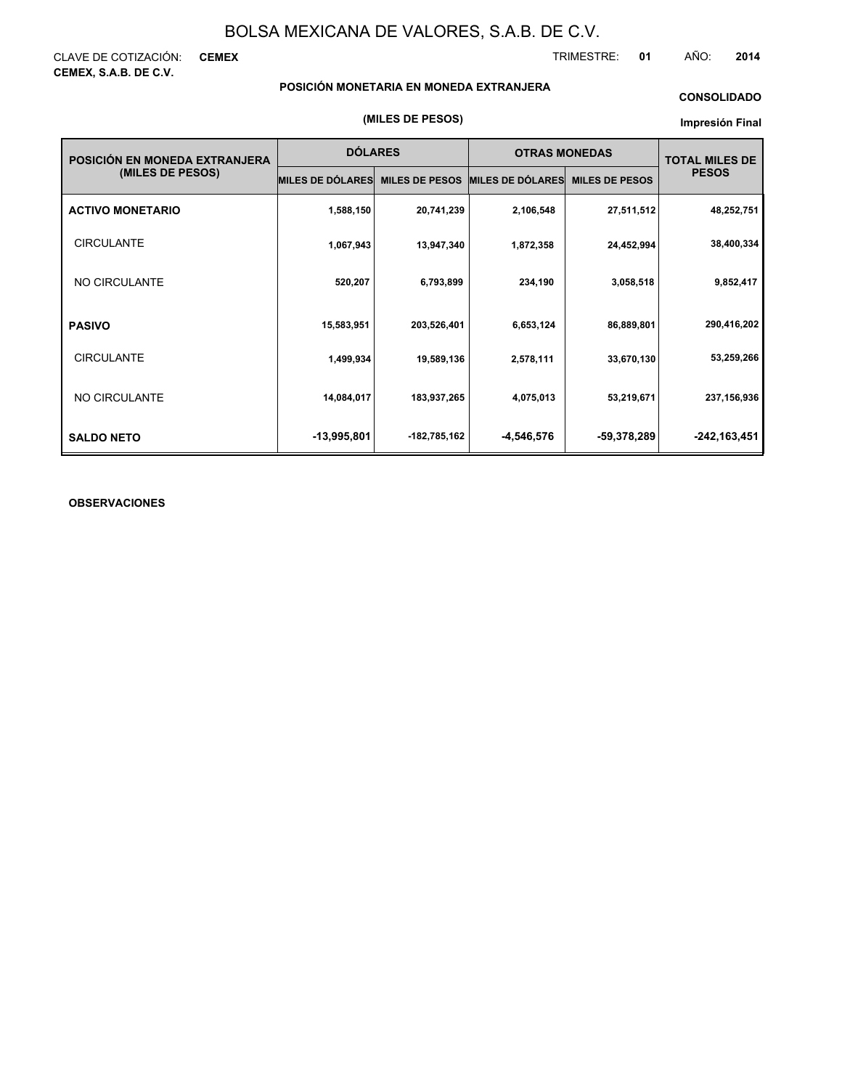CLAVE DE COTIZACIÓN: **CEMEX CEMEX, S.A.B. DE C.V.**

TRIMESTRE: **01** AÑO: **2014**

# **POSICIÓN MONETARIA EN MONEDA EXTRANJERA**

### **CONSOLIDADO**

#### **Impresión Final**

| POSICIÓN EN MONEDA EXTRANJERA | <b>DÓLARES</b>          |                       | <b>OTRAS MONEDAS</b>    | <b>TOTAL MILES DE</b> |                |
|-------------------------------|-------------------------|-----------------------|-------------------------|-----------------------|----------------|
| (MILES DE PESOS)              | <b>MILES DE DÓLARES</b> | <b>MILES DE PESOS</b> | <b>MILES DE DÓLARES</b> | <b>MILES DE PESOS</b> | <b>PESOS</b>   |
| <b>ACTIVO MONETARIO</b>       | 1,588,150               | 20,741,239            | 2,106,548               | 27,511,512            | 48,252,751     |
| <b>CIRCULANTE</b>             | 1,067,943               | 13,947,340            | 1,872,358               | 24,452,994            | 38,400,334     |
| NO CIRCULANTE                 | 520,207                 | 6,793,899             | 234,190                 | 3,058,518             | 9,852,417      |
| <b>PASIVO</b>                 | 15,583,951              | 203,526,401           | 6,653,124               | 86,889,801            | 290,416,202    |
| <b>CIRCULANTE</b>             | 1,499,934               | 19,589,136            | 2,578,111               | 33,670,130            | 53,259,266     |
| NO CIRCULANTE                 | 14,084,017              | 183,937,265           | 4,075,013               | 53,219,671            | 237, 156, 936  |
| <b>SALDO NETO</b>             | -13,995,801             | -182,785,162          | -4,546,576              | -59,378,289           | $-242,163,451$ |

### **OBSERVACIONES**

#### **(MILES DE PESOS)**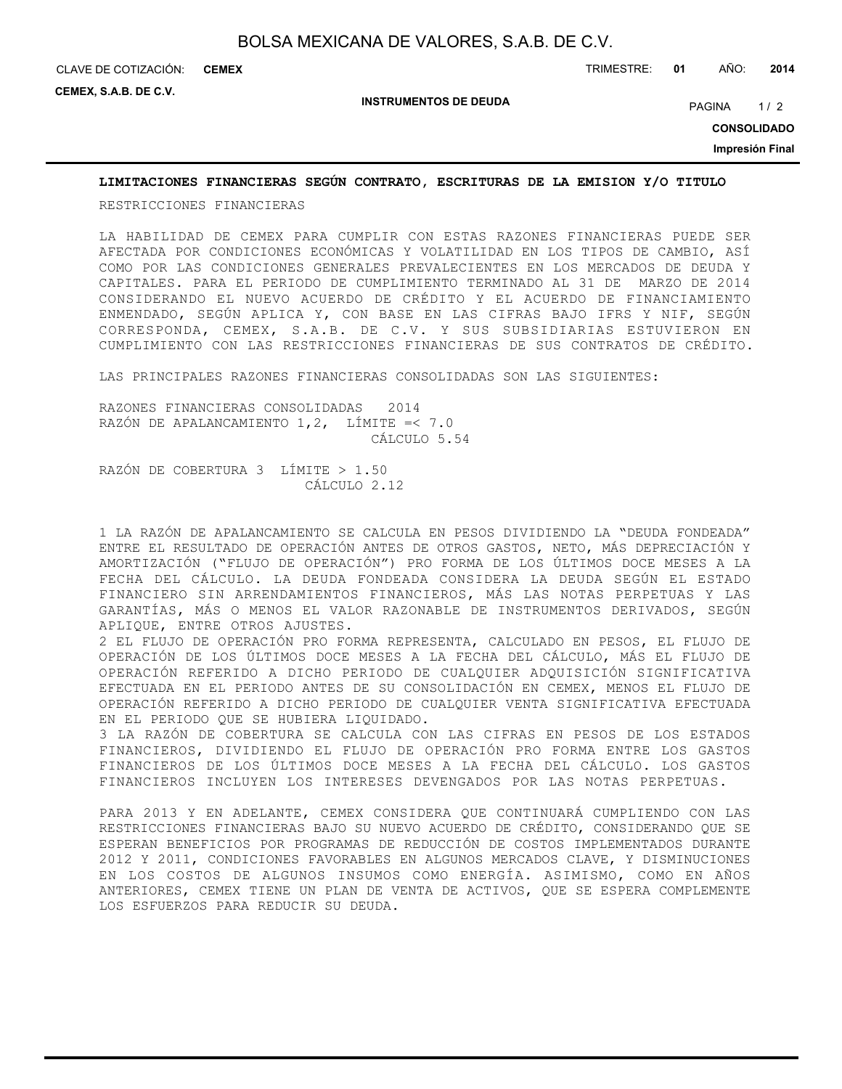**CEMEX**

CLAVE DE COTIZACIÓN: TRIMESTRE: **01** AÑO: **2014**

**CEMEX, S.A.B. DE C.V.**

**INSTRUMENTOS DE DEUDA**

PAGINA 1/2

**CONSOLIDADO**

**Impresión Final**

### **LIMITACIONES FINANCIERAS SEGÚN CONTRATO, ESCRITURAS DE LA EMISION Y/O TITULO**

RESTRICCIONES FINANCIERAS

LA HABILIDAD DE CEMEX PARA CUMPLIR CON ESTAS RAZONES FINANCIERAS PUEDE SER AFECTADA POR CONDICIONES ECONÓMICAS Y VOLATILIDAD EN LOS TIPOS DE CAMBIO, ASÍ COMO POR LAS CONDICIONES GENERALES PREVALECIENTES EN LOS MERCADOS DE DEUDA Y CAPITALES. PARA EL PERIODO DE CUMPLIMIENTO TERMINADO AL 31 DE MARZO DE 2014 CONSIDERANDO EL NUEVO ACUERDO DE CRÉDITO Y EL ACUERDO DE FINANCIAMIENTO ENMENDADO, SEGÚN APLICA Y, CON BASE EN LAS CIFRAS BAJO IFRS Y NIF, SEGÚN CORRESPONDA, CEMEX, S.A.B. DE C.V. Y SUS SUBSIDIARIAS ESTUVIERON EN CUMPLIMIENTO CON LAS RESTRICCIONES FINANCIERAS DE SUS CONTRATOS DE CRÉDITO.

LAS PRINCIPALES RAZONES FINANCIERAS CONSOLIDADAS SON LAS SIGUIENTES:

RAZONES FINANCIERAS CONSOLIDADAS 2014 RAZÓN DE APALANCAMIENTO 1,2, LÍMITE =< 7.0 CÁLCULO 5.54

RAZÓN DE COBERTURA 3 LÍMITE > 1.50 CÁLCULO 2.12

1 LA RAZÓN DE APALANCAMIENTO SE CALCULA EN PESOS DIVIDIENDO LA "DEUDA FONDEADA" ENTRE EL RESULTADO DE OPERACIÓN ANTES DE OTROS GASTOS, NETO, MÁS DEPRECIACIÓN Y AMORTIZACIÓN ("FLUJO DE OPERACIÓN") PRO FORMA DE LOS ÚLTIMOS DOCE MESES A LA FECHA DEL CÁLCULO. LA DEUDA FONDEADA CONSIDERA LA DEUDA SEGÚN EL ESTADO FINANCIERO SIN ARRENDAMIENTOS FINANCIEROS, MÁS LAS NOTAS PERPETUAS Y LAS GARANTÍAS, MÁS O MENOS EL VALOR RAZONABLE DE INSTRUMENTOS DERIVADOS, SEGÚN APLIQUE, ENTRE OTROS AJUSTES.

2 EL FLUJO DE OPERACIÓN PRO FORMA REPRESENTA, CALCULADO EN PESOS, EL FLUJO DE OPERACIÓN DE LOS ÚLTIMOS DOCE MESES A LA FECHA DEL CÁLCULO, MÁS EL FLUJO DE OPERACIÓN REFERIDO A DICHO PERIODO DE CUALQUIER ADQUISICIÓN SIGNIFICATIVA EFECTUADA EN EL PERIODO ANTES DE SU CONSOLIDACIÓN EN CEMEX, MENOS EL FLUJO DE OPERACIÓN REFERIDO A DICHO PERIODO DE CUALQUIER VENTA SIGNIFICATIVA EFECTUADA EN EL PERIODO QUE SE HUBIERA LIQUIDADO.

3 LA RAZÓN DE COBERTURA SE CALCULA CON LAS CIFRAS EN PESOS DE LOS ESTADOS FINANCIEROS, DIVIDIENDO EL FLUJO DE OPERACIÓN PRO FORMA ENTRE LOS GASTOS FINANCIEROS DE LOS ÚLTIMOS DOCE MESES A LA FECHA DEL CÁLCULO. LOS GASTOS FINANCIEROS INCLUYEN LOS INTERESES DEVENGADOS POR LAS NOTAS PERPETUAS.

PARA 2013 Y EN ADELANTE, CEMEX CONSIDERA QUE CONTINUARÁ CUMPLIENDO CON LAS RESTRICCIONES FINANCIERAS BAJO SU NUEVO ACUERDO DE CRÉDITO, CONSIDERANDO QUE SE ESPERAN BENEFICIOS POR PROGRAMAS DE REDUCCIÓN DE COSTOS IMPLEMENTADOS DURANTE 2012 Y 2011, CONDICIONES FAVORABLES EN ALGUNOS MERCADOS CLAVE, Y DISMINUCIONES EN LOS COSTOS DE ALGUNOS INSUMOS COMO ENERGÍA. ASIMISMO, COMO EN AÑOS ANTERIORES, CEMEX TIENE UN PLAN DE VENTA DE ACTIVOS, QUE SE ESPERA COMPLEMENTE LOS ESFUERZOS PARA REDUCIR SU DEUDA.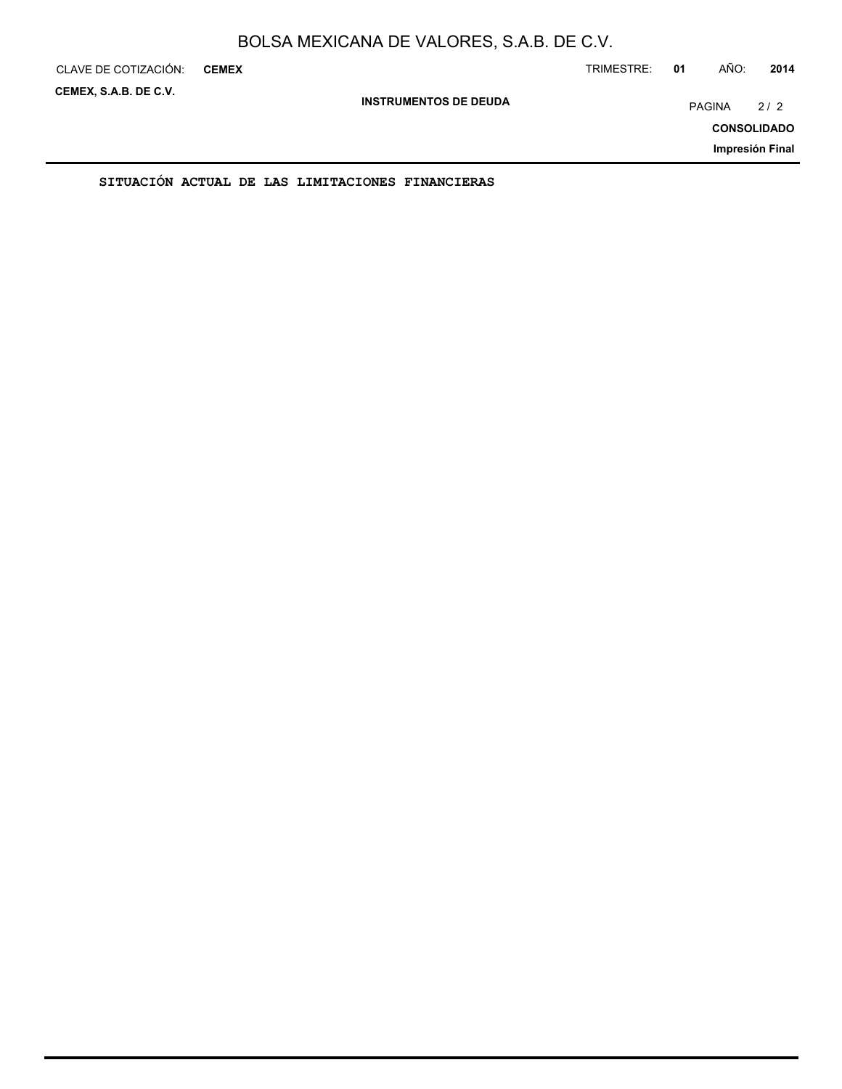| CLAVE DE COTIZACIÓN:  | <b>CEMEX</b>                                     |                              | TRIMESTRE: | 01                 | AÑO:          | 2014            |
|-----------------------|--------------------------------------------------|------------------------------|------------|--------------------|---------------|-----------------|
| CEMEX, S.A.B. DE C.V. |                                                  | <b>INSTRUMENTOS DE DEUDA</b> |            |                    | <b>PAGINA</b> | 2/2             |
|                       |                                                  |                              |            | <b>CONSOLIDADO</b> |               |                 |
|                       |                                                  |                              |            |                    |               | Impresión Final |
|                       | SITUACIÓN ACTUAL DE LAS LIMITACIONES FINANCIERAS |                              |            |                    |               |                 |

ON ACTUAL DE LAS LIMITACIONES FINANCIER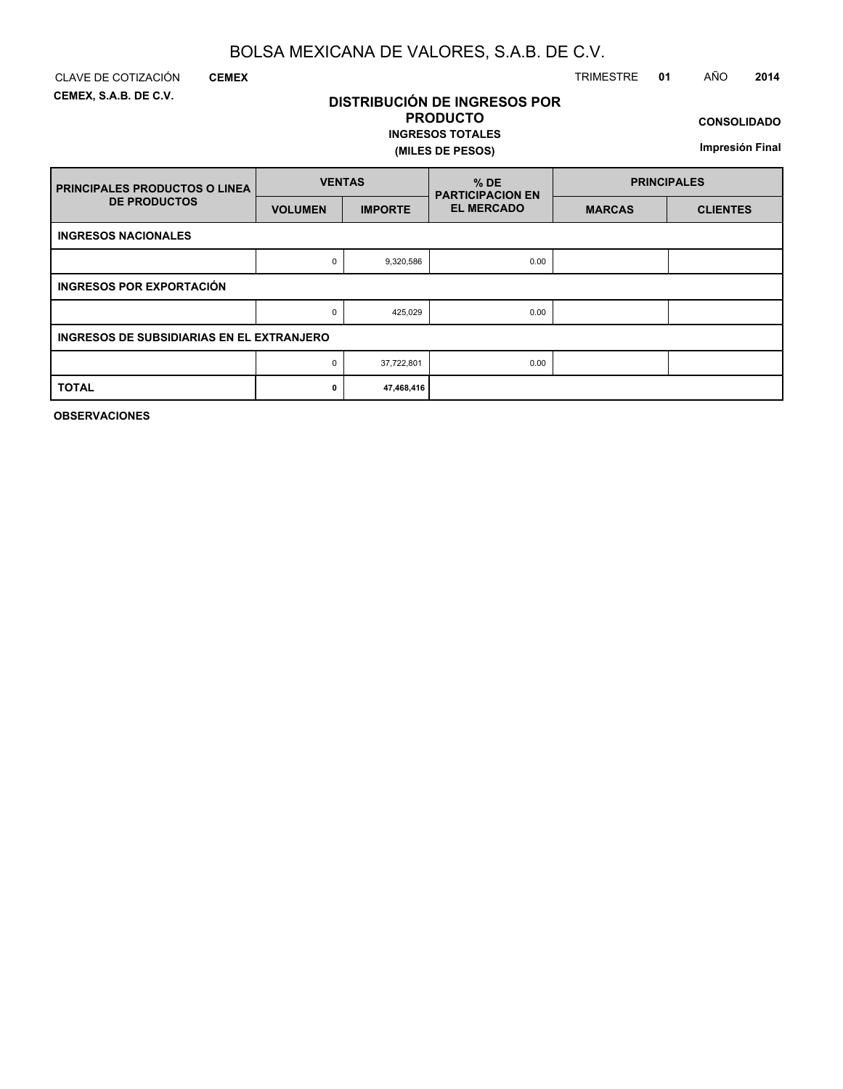**DISTRIBUCIÓN DE INGRESOS POR PRODUCTO**

**INGRESOS TOTALES**

**(MILES DE PESOS)**

**CEMEX, S.A.B. DE C.V.**

**CEMEX**

# CLAVE DE COTIZACIÓN TRIMESTRE **01** AÑO **2014**

**CONSOLIDADO**

**Impresión Final**

| <b>PRINCIPALES PRODUCTOS O LINEA</b>      | <b>VENTAS</b>  |                | $%$ DE<br><b>PARTICIPACION EN</b> | <b>PRINCIPALES</b> |                 |  |  |  |  |  |  |
|-------------------------------------------|----------------|----------------|-----------------------------------|--------------------|-----------------|--|--|--|--|--|--|
| <b>DE PRODUCTOS</b>                       | <b>VOLUMEN</b> | <b>IMPORTE</b> | <b>EL MERCADO</b>                 | <b>MARCAS</b>      | <b>CLIENTES</b> |  |  |  |  |  |  |
| <b>INGRESOS NACIONALES</b>                |                |                |                                   |                    |                 |  |  |  |  |  |  |
|                                           | 0              | 9,320,586      | 0.00                              |                    |                 |  |  |  |  |  |  |
| <b>INGRESOS POR EXPORTACIÓN</b>           |                |                |                                   |                    |                 |  |  |  |  |  |  |
|                                           | 0              | 425,029        | 0.00                              |                    |                 |  |  |  |  |  |  |
| INGRESOS DE SUBSIDIARIAS EN EL EXTRANJERO |                |                |                                   |                    |                 |  |  |  |  |  |  |
|                                           | 0              | 37,722,801     | 0.00                              |                    |                 |  |  |  |  |  |  |
| <b>TOTAL</b>                              | 0              | 47,468,416     |                                   |                    |                 |  |  |  |  |  |  |

**OBSERVACIONES**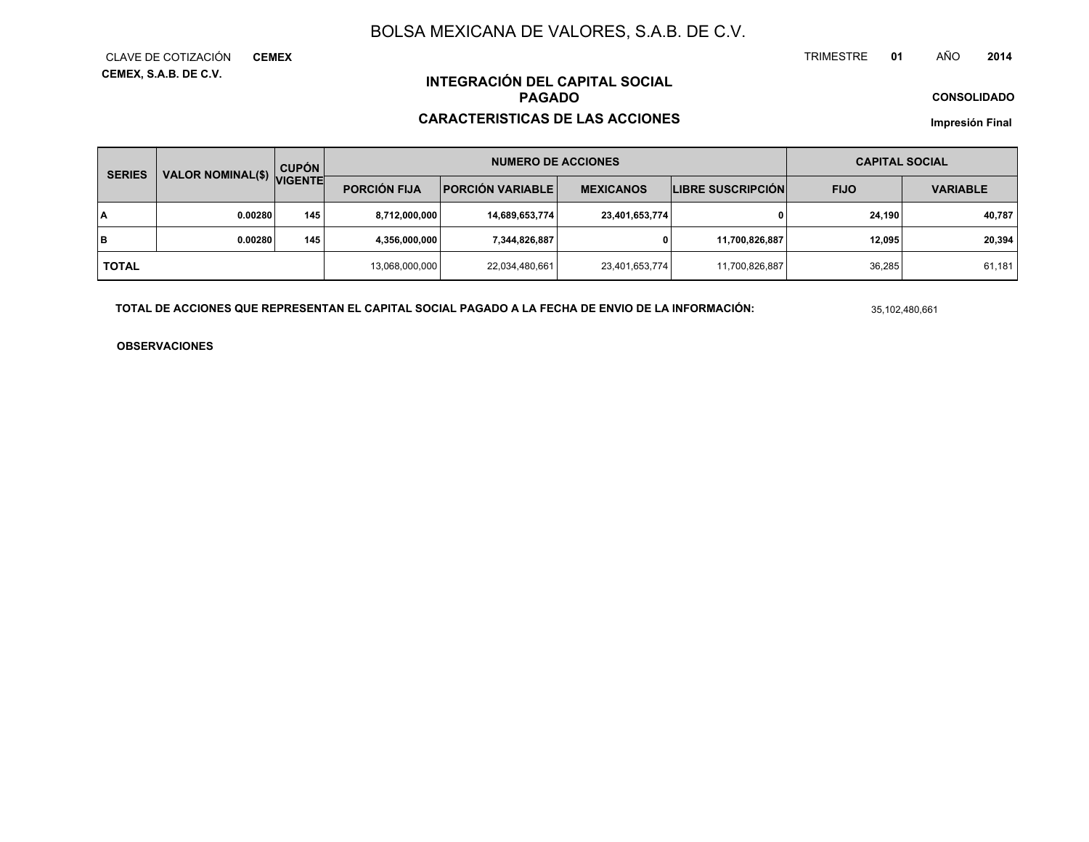TRIMESTRE **<sup>01</sup>** AÑO**<sup>2014</sup>**

**CONSOLIDADO**

# **INTEGRACIÓN DEL CAPITAL SOCIALPAGADO**

# **CARACTERISTICAS DE LAS ACCIONES**

**Impresión Final**

| <b>SERIES</b> | <b>VALOR NOMINAL(\$)</b> | <b>CUPÓN</b>   |                     | <b>NUMERO DE ACCIONES</b> |                  | <b>CAPITAL SOCIAL</b>    |             |                 |
|---------------|--------------------------|----------------|---------------------|---------------------------|------------------|--------------------------|-------------|-----------------|
|               |                          | <b>VIGENTE</b> | <b>PORCIÓN FIJA</b> | <b>PORCIÓN VARIABLE</b>   | <b>MEXICANOS</b> | <b>LIBRE SUSCRIPCIÓN</b> | <b>FIJO</b> | <b>VARIABLE</b> |
| I٨            | 0.00280                  | 145            | 8,712,000,000       | 14,689,653,774            | 23,401,653,774   |                          | 24.190      | 40,787          |
| lв            | 0.00280                  | 145            | 4,356,000,000       | 7,344,826,887             | 0                | 11,700,826,887           | 12.095      | 20,394          |
| <b>TOTAL</b>  |                          |                | 13,068,000,000      | 22,034,480,661            | 23,401,653,774   | 11,700,826,887           | 36,285      | 61,181          |

**TOTAL DE ACCIONES QUE REPRESENTAN EL CAPITAL SOCIAL PAGADO A LA FECHA DE ENVIO DE LA INFORMACIÓN:**

35,102,480,661

**OBSERVACIONES**

#### **CEMEX, S.A.B. DE C.V.** CLAVE DE COTIZACIÓN**CEMEX**